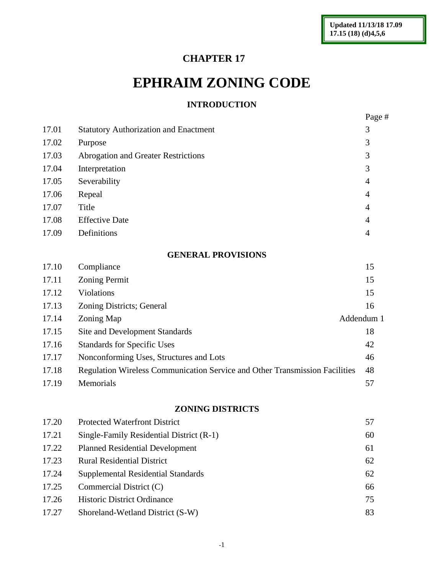## **CHAPTER 17**

# **EPHRAIM ZONING CODE**

## **INTRODUCTION**

| Page # |  |
|--------|--|
|--------|--|

| 17.01 | <b>Statutory Authorization and Enactment</b> | 3              |
|-------|----------------------------------------------|----------------|
| 17.02 | Purpose                                      | 3              |
| 17.03 | <b>Abrogation and Greater Restrictions</b>   | 3              |
| 17.04 | Interpretation                               | 3              |
| 17.05 | Severability                                 | $\overline{4}$ |
| 17.06 | Repeal                                       | $\overline{4}$ |
| 17.07 | Title                                        | $\overline{4}$ |
| 17.08 | <b>Effective Date</b>                        | $\overline{4}$ |
| 17.09 | Definitions                                  | 4              |

## **GENERAL PROVISIONS**

<span id="page-0-0"></span>

| 17.10 | Compliance                                                                         | 15         |
|-------|------------------------------------------------------------------------------------|------------|
| 17.11 | <b>Zoning Permit</b>                                                               | 15         |
| 17.12 | Violations                                                                         | 15         |
| 17.13 | Zoning Districts; General                                                          | 16         |
| 17.14 | Zoning Map                                                                         | Addendum 1 |
| 17.15 | <b>Site and Development Standards</b>                                              | 18         |
| 17.16 | <b>Standards for Specific Uses</b>                                                 | 42         |
| 17.17 | Nonconforming Uses, Structures and Lots                                            | 46         |
| 17.18 | <b>Regulation Wireless Communication Service and Other Transmission Facilities</b> | 48         |
| 17.19 | Memorials                                                                          | 57         |

## **ZONING DISTRICTS**

| 17.20 | <b>Protected Waterfront District</b>     | 57 |
|-------|------------------------------------------|----|
| 17.21 | Single-Family Residential District (R-1) | 60 |
| 17.22 | <b>Planned Residential Development</b>   | 61 |
| 17.23 | <b>Rural Residential District</b>        | 62 |
| 17.24 | Supplemental Residential Standards       | 62 |
| 17.25 | Commercial District (C)                  | 66 |
| 17.26 | <b>Historic District Ordinance</b>       | 75 |
| 17.27 | Shoreland-Wetland District (S-W)         | 83 |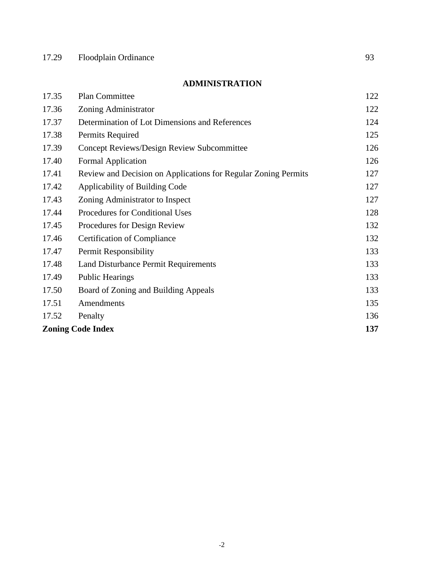## **ADMINISTRATION**

| 17.35 | <b>Plan Committee</b>                                          | 122 |
|-------|----------------------------------------------------------------|-----|
| 17.36 | Zoning Administrator                                           | 122 |
| 17.37 | Determination of Lot Dimensions and References                 | 124 |
| 17.38 | Permits Required                                               | 125 |
| 17.39 | Concept Reviews/Design Review Subcommittee                     | 126 |
| 17.40 | <b>Formal Application</b>                                      | 126 |
| 17.41 | Review and Decision on Applications for Regular Zoning Permits | 127 |
| 17.42 | Applicability of Building Code                                 | 127 |
| 17.43 | Zoning Administrator to Inspect                                | 127 |
| 17.44 | Procedures for Conditional Uses                                | 128 |
| 17.45 | Procedures for Design Review                                   | 132 |
| 17.46 | <b>Certification of Compliance</b>                             | 132 |
| 17.47 | Permit Responsibility                                          | 133 |
| 17.48 | Land Disturbance Permit Requirements                           | 133 |
| 17.49 | <b>Public Hearings</b>                                         | 133 |
| 17.50 | Board of Zoning and Building Appeals                           | 133 |
| 17.51 | Amendments                                                     | 135 |
| 17.52 | Penalty                                                        | 136 |
|       | <b>Zoning Code Index</b>                                       | 137 |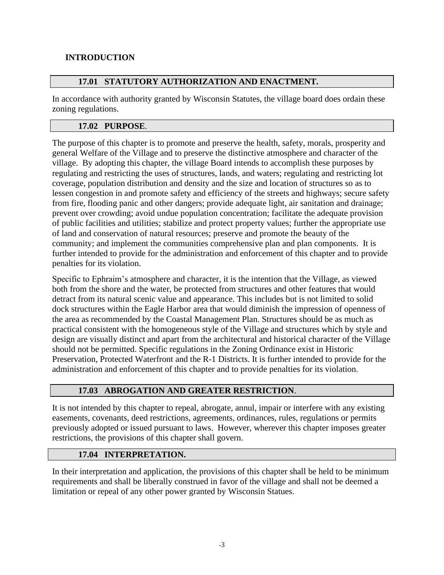#### **INTRODUCTION**

#### <span id="page-2-0"></span>**17.01 STATUTORY AUTHORIZATION AND ENACTMENT.**

In accordance with authority granted by Wisconsin Statutes, the village board does ordain these zoning regulations.

#### <span id="page-2-1"></span>**17.02 PURPOSE**.

The purpose of this chapter is to promote and preserve the health, safety, morals, prosperity and general Welfare of the Village and to preserve the distinctive atmosphere and character of the village. By adopting this chapter, the village Board intends to accomplish these purposes by regulating and restricting the uses of structures, lands, and waters; regulating and restricting lot coverage, population distribution and density and the size and location of structures so as to lessen congestion in and promote safety and efficiency of the streets and highways; secure safety from fire, flooding panic and other dangers; provide adequate light, air sanitation and drainage; prevent over crowding; avoid undue population concentration; facilitate the adequate provision of public facilities and utilities; stabilize and protect property values; further the appropriate use of land and conservation of natural resources; preserve and promote the beauty of the community; and implement the communities comprehensive plan and plan components. It is further intended to provide for the administration and enforcement of this chapter and to provide penalties for its violation.

Specific to Ephraim's atmosphere and character, it is the intention that the Village, as viewed both from the shore and the water, be protected from structures and other features that would detract from its natural scenic value and appearance. This includes but is not limited to solid dock structures within the Eagle Harbor area that would diminish the impression of openness of the area as recommended by the Coastal Management Plan. Structures should be as much as practical consistent with the homogeneous style of the Village and structures which by style and design are visually distinct and apart from the architectural and historical character of the Village should not be permitted. Specific regulations in the Zoning Ordinance exist in Historic Preservation, Protected Waterfront and the R-1 Districts. It is further intended to provide for the administration and enforcement of this chapter and to provide penalties for its violation.

#### <span id="page-2-2"></span>**17.03 ABROGATION AND GREATER RESTRICTION**.

It is not intended by this chapter to repeal, abrogate, annul, impair or interfere with any existing easements, covenants, deed restrictions, agreements, ordinances, rules, regulations or permits previously adopted or issued pursuant to laws. However, wherever this chapter imposes greater restrictions, the provisions of this chapter shall govern.

#### <span id="page-2-3"></span>**17.04 INTERPRETATION.**

In their interpretation and application, the provisions of this chapter shall be held to be minimum requirements and shall be liberally construed in favor of the village and shall not be deemed a limitation or repeal of any other power granted by Wisconsin Statues.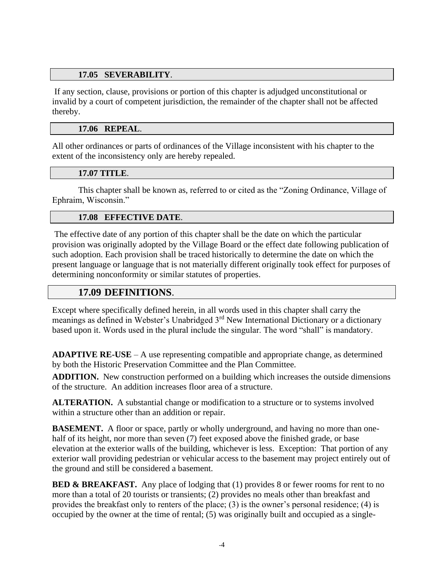#### <span id="page-3-0"></span>**17.05 SEVERABILITY**.

If any section, clause, provisions or portion of this chapter is adjudged unconstitutional or invalid by a court of competent jurisdiction, the remainder of the chapter shall not be affected thereby.

#### **17.06 REPEAL**.

All other ordinances or parts of ordinances of the Village inconsistent with his chapter to the extent of the inconsistency only are hereby repealed.

#### **17.07 TITLE**.

<span id="page-3-1"></span>This chapter shall be known as, referred to or cited as the "Zoning Ordinance, Village of Ephraim, Wisconsin."

#### <span id="page-3-2"></span>**17.08 EFFECTIVE DATE**.

The effective date of any portion of this chapter shall be the date on which the particular provision was originally adopted by the Village Board or the effect date following publication of such adoption. Each provision shall be traced historically to determine the date on which the present language or language that is not materially different originally took effect for purposes of determining nonconformity or similar statutes of properties.

## <span id="page-3-3"></span>**17.09 DEFINITIONS**.

Except where specifically defined herein, in all words used in this chapter shall carry the meanings as defined in Webster's Unabridged 3<sup>rd</sup> New International Dictionary or a dictionary based upon it. Words used in the plural include the singular. The word "shall" is mandatory.

**ADAPTIVE RE-USE** – A use representing compatible and appropriate change, as determined by both the Historic Preservation Committee and the Plan Committee.

**ADDITION.** New construction performed on a building which increases the outside dimensions of the structure. An addition increases floor area of a structure.

**ALTERATION.** A substantial change or modification to a structure or to systems involved within a structure other than an addition or repair.

**BASEMENT.** A floor or space, partly or wholly underground, and having no more than onehalf of its height, nor more than seven (7) feet exposed above the finished grade, or base elevation at the exterior walls of the building, whichever is less. Exception: That portion of any exterior wall providing pedestrian or vehicular access to the basement may project entirely out of the ground and still be considered a basement.

**BED & BREAKFAST.** Any place of lodging that (1) provides 8 or fewer rooms for rent to no more than a total of 20 tourists or transients; (2) provides no meals other than breakfast and provides the breakfast only to renters of the place; (3) is the owner's personal residence; (4) is occupied by the owner at the time of rental; (5) was originally built and occupied as a single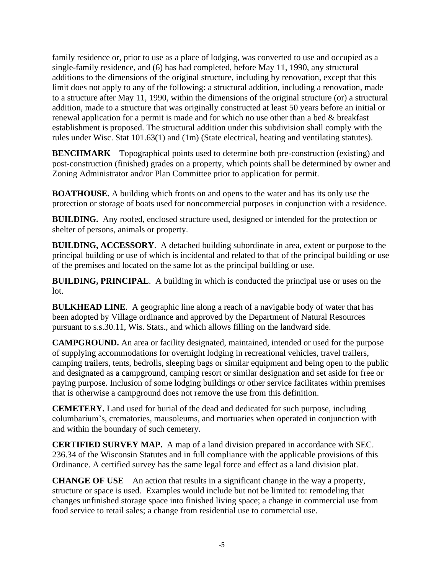family residence or, prior to use as a place of lodging, was converted to use and occupied as a single-family residence, and (6) has had completed, before May 11, 1990, any structural additions to the dimensions of the original structure, including by renovation, except that this limit does not apply to any of the following: a structural addition, including a renovation, made to a structure after May 11, 1990, within the dimensions of the original structure (or) a structural addition, made to a structure that was originally constructed at least 50 years before an initial or renewal application for a permit is made and for which no use other than a bed & breakfast establishment is proposed. The structural addition under this subdivision shall comply with the rules under Wisc. Stat 101.63(1) and (1m) (State electrical, heating and ventilating statutes).

**BENCHMARK** – Topographical points used to determine both pre-construction (existing) and post-construction (finished) grades on a property, which points shall be determined by owner and Zoning Administrator and/or Plan Committee prior to application for permit.

**BOATHOUSE.** A building which fronts on and opens to the water and has its only use the protection or storage of boats used for noncommercial purposes in conjunction with a residence.

**BUILDING.** Any roofed, enclosed structure used, designed or intended for the protection or shelter of persons, animals or property.

**BUILDING, ACCESSORY**. A detached building subordinate in area, extent or purpose to the principal building or use of which is incidental and related to that of the principal building or use of the premises and located on the same lot as the principal building or use.

**BUILDING, PRINCIPAL**. A building in which is conducted the principal use or uses on the lot.

**BULKHEAD LINE**. A geographic line along a reach of a navigable body of water that has been adopted by Village ordinance and approved by the Department of Natural Resources pursuant to s.s.30.11, Wis. Stats., and which allows filling on the landward side.

**CAMPGROUND.** An area or facility designated, maintained, intended or used for the purpose of supplying accommodations for overnight lodging in recreational vehicles, travel trailers, camping trailers, tents, bedrolls, sleeping bags or similar equipment and being open to the public and designated as a campground, camping resort or similar designation and set aside for free or paying purpose. Inclusion of some lodging buildings or other service facilitates within premises that is otherwise a campground does not remove the use from this definition.

**CEMETERY.** Land used for burial of the dead and dedicated for such purpose, including columbarium's, crematories, mausoleums, and mortuaries when operated in conjunction with and within the boundary of such cemetery.

**CERTIFIED SURVEY MAP.** A map of a land division prepared in accordance with SEC. 236.34 of the Wisconsin Statutes and in full compliance with the applicable provisions of this Ordinance. A certified survey has the same legal force and effect as a land division plat.

**CHANGE OF USE** An action that results in a significant change in the way a property, structure or space is used. Examples would include but not be limited to: remodeling that changes unfinished storage space into finished living space; a change in commercial use from food service to retail sales; a change from residential use to commercial use.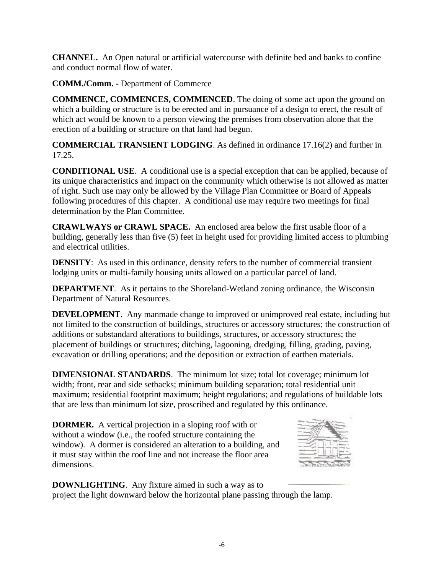**CHANNEL.** An Open natural or artificial watercourse with definite bed and banks to confine and conduct normal flow of water.

**COMM./Comm. -** Department of Commerce

**COMMENCE, COMMENCES, COMMENCED**. The doing of some act upon the ground on which a building or structure is to be erected and in pursuance of a design to erect, the result of which act would be known to a person viewing the premises from observation alone that the erection of a building or structure on that land had begun.

**COMMERCIAL TRANSIENT LODGING**. As defined in ordinance 17.16(2) and further in 17.25.

**CONDITIONAL USE**. A conditional use is a special exception that can be applied, because of its unique characteristics and impact on the community which otherwise is not allowed as matter of right. Such use may only be allowed by the Village Plan Committee or Board of Appeals following procedures of this chapter. A conditional use may require two meetings for final determination by the Plan Committee.

**CRAWLWAYS or CRAWL SPACE.** An enclosed area below the first usable floor of a building, generally less than five (5) feet in height used for providing limited access to plumbing and electrical utilities.

**DENSITY**: As used in this ordinance, density refers to the number of commercial transient lodging units or multi-family housing units allowed on a particular parcel of land.

**DEPARTMENT.** As it pertains to the Shoreland-Wetland zoning ordinance, the Wisconsin Department of Natural Resources.

**DEVELOPMENT**. Any manmade change to improved or unimproved real estate, including but not limited to the construction of buildings, structures or accessory structures; the construction of additions or substandard alterations to buildings, structures, or accessory structures; the placement of buildings or structures; ditching, lagooning, dredging, filling, grading, paving, excavation or drilling operations; and the deposition or extraction of earthen materials.

**DIMENSIONAL STANDARDS**. The minimum lot size; total lot coverage; minimum lot width; front, rear and side setbacks; minimum building separation; total residential unit maximum; residential footprint maximum; height regulations; and regulations of buildable lots that are less than minimum lot size, proscribed and regulated by this ordinance.

**DORMER.** A vertical projection in a sloping roof with or without a window (i.e., the roofed structure containing the window). A dormer is considered an alteration to a building, and it must stay within the roof line and not increase the floor area dimensions.



**DOWNLIGHTING**. Any fixture aimed in such a way as to project the light downward below the horizontal plane passing through the lamp.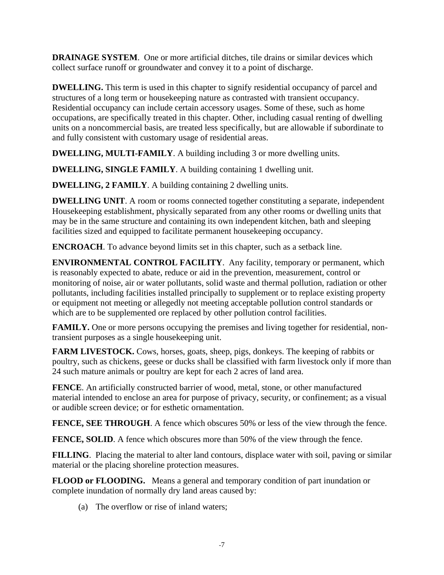**DRAINAGE SYSTEM.** One or more artificial ditches, tile drains or similar devices which collect surface runoff or groundwater and convey it to a point of discharge.

**DWELLING.** This term is used in this chapter to signify residential occupancy of parcel and structures of a long term or housekeeping nature as contrasted with transient occupancy. Residential occupancy can include certain accessory usages. Some of these, such as home occupations, are specifically treated in this chapter. Other, including casual renting of dwelling units on a noncommercial basis, are treated less specifically, but are allowable if subordinate to and fully consistent with customary usage of residential areas.

**DWELLING, MULTI-FAMILY**. A building including 3 or more dwelling units.

**DWELLING, SINGLE FAMILY**. A building containing 1 dwelling unit.

**DWELLING, 2 FAMILY**. A building containing 2 dwelling units.

**DWELLING UNIT.** A room or rooms connected together constituting a separate, independent Housekeeping establishment, physically separated from any other rooms or dwelling units that may be in the same structure and containing its own independent kitchen, bath and sleeping facilities sized and equipped to facilitate permanent housekeeping occupancy.

**ENCROACH**. To advance beyond limits set in this chapter, such as a setback line.

**ENVIRONMENTAL CONTROL FACILITY**. Any facility, temporary or permanent, which is reasonably expected to abate, reduce or aid in the prevention, measurement, control or monitoring of noise, air or water pollutants, solid waste and thermal pollution, radiation or other pollutants, including facilities installed principally to supplement or to replace existing property or equipment not meeting or allegedly not meeting acceptable pollution control standards or which are to be supplemented ore replaced by other pollution control facilities.

**FAMILY.** One or more persons occupying the premises and living together for residential, nontransient purposes as a single housekeeping unit.

**FARM LIVESTOCK.** Cows, horses, goats, sheep, pigs, donkeys. The keeping of rabbits or poultry, such as chickens, geese or ducks shall be classified with farm livestock only if more than 24 such mature animals or poultry are kept for each 2 acres of land area.

**FENCE**. An artificially constructed barrier of wood, metal, stone, or other manufactured material intended to enclose an area for purpose of privacy, security, or confinement; as a visual or audible screen device; or for esthetic ornamentation.

**FENCE, SEE THROUGH**. A fence which obscures 50% or less of the view through the fence.

**FENCE, SOLID.** A fence which obscures more than 50% of the view through the fence.

**FILLING**. Placing the material to alter land contours, displace water with soil, paving or similar material or the placing shoreline protection measures.

**FLOOD or FLOODING.** Means a general and temporary condition of part inundation or complete inundation of normally dry land areas caused by:

(a) The overflow or rise of inland waters;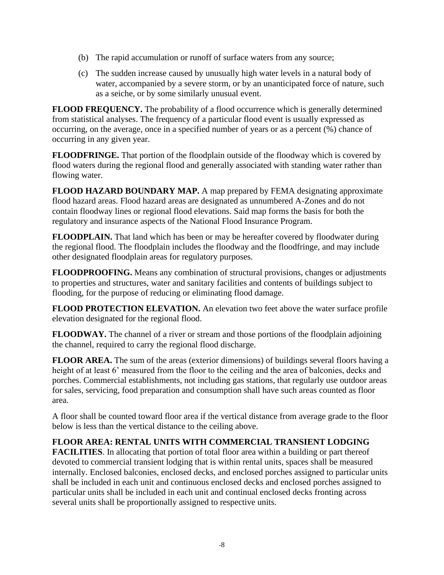- (b) The rapid accumulation or runoff of surface waters from any source;
- (c) The sudden increase caused by unusually high water levels in a natural body of water, accompanied by a severe storm, or by an unanticipated force of nature, such as a seiche, or by some similarly unusual event.

**FLOOD FREQUENCY.** The probability of a flood occurrence which is generally determined from statistical analyses. The frequency of a particular flood event is usually expressed as occurring, on the average, once in a specified number of years or as a percent (%) chance of occurring in any given year.

**FLOODFRINGE.** That portion of the floodplain outside of the floodway which is covered by flood waters during the regional flood and generally associated with standing water rather than flowing water.

**FLOOD HAZARD BOUNDARY MAP.** A map prepared by FEMA designating approximate flood hazard areas. Flood hazard areas are designated as unnumbered A-Zones and do not contain floodway lines or regional flood elevations. Said map forms the basis for both the regulatory and insurance aspects of the National Flood Insurance Program.

**FLOODPLAIN.** That land which has been or may be hereafter covered by floodwater during the regional flood. The floodplain includes the floodway and the floodfringe, and may include other designated floodplain areas for regulatory purposes.

**FLOODPROOFING.** Means any combination of structural provisions, changes or adjustments to properties and structures, water and sanitary facilities and contents of buildings subject to flooding, for the purpose of reducing or eliminating flood damage.

**FLOOD PROTECTION ELEVATION.** An elevation two feet above the water surface profile elevation designated for the regional flood.

**FLOODWAY.** The channel of a river or stream and those portions of the floodplain adjoining the channel, required to carry the regional flood discharge.

**FLOOR AREA.** The sum of the areas (exterior dimensions) of buildings several floors having a height of at least 6' measured from the floor to the ceiling and the area of balconies, decks and porches. Commercial establishments, not including gas stations, that regularly use outdoor areas for sales, servicing, food preparation and consumption shall have such areas counted as floor area.

A floor shall be counted toward floor area if the vertical distance from average grade to the floor below is less than the vertical distance to the ceiling above.

## **FLOOR AREA: RENTAL UNITS WITH COMMERCIAL TRANSIENT LODGING**

**FACILITIES**. In allocating that portion of total floor area within a building or part thereof devoted to commercial transient lodging that is within rental units, spaces shall be measured internally. Enclosed balconies, enclosed decks, and enclosed porches assigned to particular units shall be included in each unit and continuous enclosed decks and enclosed porches assigned to particular units shall be included in each unit and continual enclosed decks fronting across several units shall be proportionally assigned to respective units.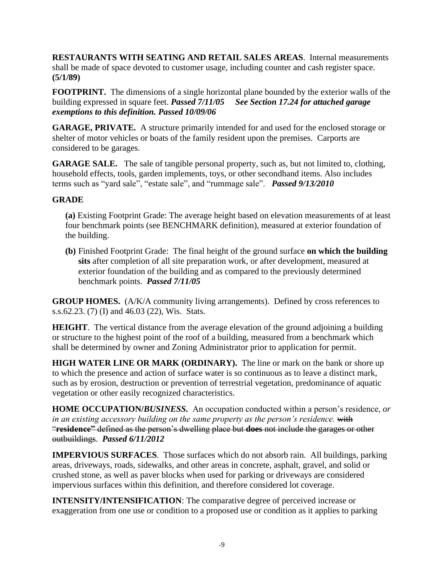**RESTAURANTS WITH SEATING AND RETAIL SALES AREAS**. Internal measurements shall be made of space devoted to customer usage, including counter and cash register space. **(5/1/89)**

**FOOTPRINT.** The dimensions of a single horizontal plane bounded by the exterior walls of the building expressed in square feet. *Passed 7/11/05 See Section 17.24 for attached garage exemptions to this definition. Passed 10/09/06*

**GARAGE, PRIVATE.** A structure primarily intended for and used for the enclosed storage or shelter of motor vehicles or boats of the family resident upon the premises. Carports are considered to be garages.

**GARAGE SALE.** The sale of tangible personal property, such as, but not limited to, clothing, household effects, tools, garden implements, toys, or other secondhand items. Also includes terms such as "yard sale", "estate sale", and "rummage sale". *Passed 9/13/2010*

#### **GRADE**

**(a)** Existing Footprint Grade: The average height based on elevation measurements of at least four benchmark points (see BENCHMARK definition), measured at exterior foundation of the building.

**(b)** Finished Footprint Grade: The final height of the ground surface **on which the building sits** after completion of all site preparation work, or after development, measured at exterior foundation of the building and as compared to the previously determined benchmark points. *Passed 7/11/05*

**GROUP HOMES.** (A/K/A community living arrangements). Defined by cross references to s.s.62.23. (7) (I) and 46.03 (22), Wis. Stats.

**HEIGHT**. The vertical distance from the average elevation of the ground adjoining a building or structure to the highest point of the roof of a building, measured from a benchmark which shall be determined by owner and Zoning Administrator prior to application for permit.

**HIGH WATER LINE OR MARK (ORDINARY).** The line or mark on the bank or shore up to which the presence and action of surface water is so continuous as to leave a distinct mark, such as by erosion, destruction or prevention of terrestrial vegetation, predominance of aquatic vegetation or other easily recognized characteristics.

**HOME OCCUPATION/***BUSINESS.* An occupation conducted within a person's residence, *or in an existing accessory building on the same property as the person's residence.* with "**residence"** defined as the person's dwelling place but **does** not include the garages or other outbuildings. *Passed 6/11/2012*

**IMPERVIOUS SURFACES**. Those surfaces which do not absorb rain. All buildings, parking areas, driveways, roads, sidewalks, and other areas in concrete, asphalt, gravel, and solid or crushed stone, as well as paver blocks when used for parking or driveways are considered impervious surfaces within this definition, and therefore considered lot coverage.

**INTENSITY/INTENSIFICATION:** The comparative degree of perceived increase or exaggeration from one use or condition to a proposed use or condition as it applies to parking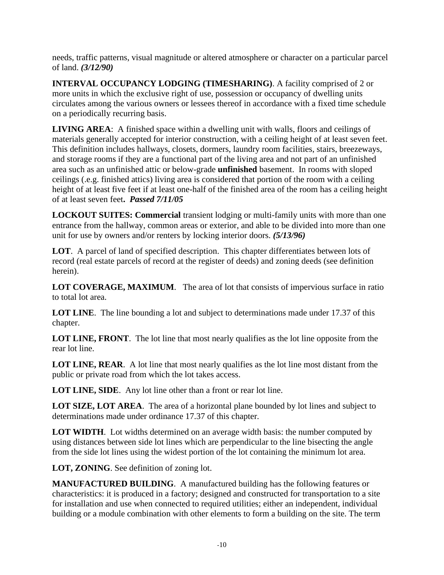needs, traffic patterns, visual magnitude or altered atmosphere or character on a particular parcel of land. *(3/12/90)*

**INTERVAL OCCUPANCY LODGING (TIMESHARING)**. A facility comprised of 2 or more units in which the exclusive right of use, possession or occupancy of dwelling units circulates among the various owners or lessees thereof in accordance with a fixed time schedule on a periodically recurring basis.

**LIVING AREA**: A finished space within a dwelling unit with walls, floors and ceilings of materials generally accepted for interior construction, with a ceiling height of at least seven feet. This definition includes hallways, closets, dormers, laundry room facilities, stairs, breezeways, and storage rooms if they are a functional part of the living area and not part of an unfinished area such as an unfinished attic or below-grade **unfinished** basement. In rooms with sloped ceilings (.e.g. finished attics) living area is considered that portion of the room with a ceiling height of at least five feet if at least one-half of the finished area of the room has a ceiling height of at least seven feet**.** *Passed 7/11/05*

**LOCKOUT SUITES: Commercial** transient lodging or multi-family units with more than one entrance from the hallway, common areas or exterior, and able to be divided into more than one unit for use by owners and/or renters by locking interior doors. *(5/13/96)*

**LOT**. A parcel of land of specified description. This chapter differentiates between lots of record (real estate parcels of record at the register of deeds) and zoning deeds (see definition herein).

**LOT COVERAGE, MAXIMUM**. The area of lot that consists of impervious surface in ratio to total lot area.

**LOT LINE**. The line bounding a lot and subject to determinations made under 17.37 of this chapter.

**LOT LINE, FRONT**. The lot line that most nearly qualifies as the lot line opposite from the rear lot line.

**LOT LINE, REAR.** A lot line that most nearly qualifies as the lot line most distant from the public or private road from which the lot takes access.

**LOT LINE, SIDE**. Any lot line other than a front or rear lot line.

**LOT SIZE, LOT AREA**. The area of a horizontal plane bounded by lot lines and subject to determinations made under ordinance 17.37 of this chapter.

**LOT WIDTH**. Lot widths determined on an average width basis: the number computed by using distances between side lot lines which are perpendicular to the line bisecting the angle from the side lot lines using the widest portion of the lot containing the minimum lot area.

**LOT, ZONING**. See definition of zoning lot.

**MANUFACTURED BUILDING**. A manufactured building has the following features or characteristics: it is produced in a factory; designed and constructed for transportation to a site for installation and use when connected to required utilities; either an independent, individual building or a module combination with other elements to form a building on the site. The term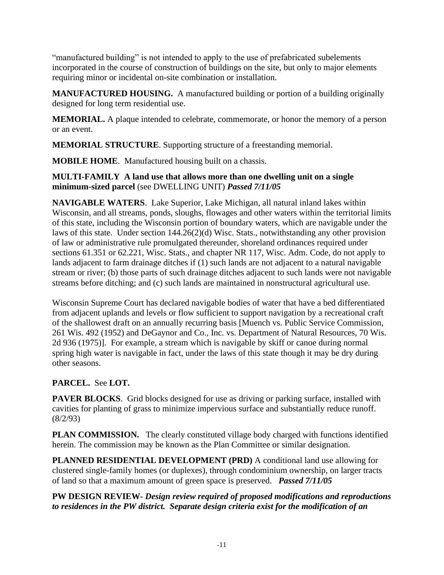"manufactured building" is not intended to apply to the use of prefabricated subelements incorporated in the course of construction of buildings on the site, but only to major elements requiring minor or incidental on-site combination or installation.

**MANUFACTURED HOUSING.** A manufactured building or portion of a building originally designed for long term residential use.

**MEMORIAL.** A plaque intended to celebrate, commemorate, or honor the memory of a person or an event.

**MEMORIAL STRUCTURE**. Supporting structure of a freestanding memorial.

**MOBILE HOME**. Manufactured housing built on a chassis.

#### **MULTI-FAMILY A land use that allows more than one dwelling unit on a single minimum-sized parcel** (see DWELLING UNIT) *Passed 7/11/05*

**NAVIGABLE WATERS**. Lake Superior, Lake Michigan, all natural inland lakes within Wisconsin, and all streams, ponds, sloughs, flowages and other waters within the territorial limits of this state, including the Wisconsin portion of boundary waters, which are navigable under the laws of this state. Under section 144.26(2)(d) Wisc. Stats., notwithstanding any other provision of law or administrative rule promulgated thereunder, shoreland ordinances required under sections 61.351 or 62.221, Wisc. Stats., and chapter NR 117, Wisc. Adm. Code, do not apply to lands adjacent to farm drainage ditches if (1) such lands are not adjacent to a natural navigable stream or river; (b) those parts of such drainage ditches adjacent to such lands were not navigable streams before ditching; and (c) such lands are maintained in nonstructural agricultural use.

Wisconsin Supreme Court has declared navigable bodies of water that have a bed differentiated from adjacent uplands and levels or flow sufficient to support navigation by a recreational craft of the shallowest draft on an annually recurring basis [Muench vs. Public Service Commission, 261 Wis. 492 (1952) and DeGaynor and Co., Inc. vs. Department of Natural Resources, 70 Wis. 2d 936 (1975)]. For example, a stream which is navigable by skiff or canoe during normal spring high water is navigable in fact, under the laws of this state though it may be dry during other seasons.

## **PARCEL.** See **LOT.**

**PAVER BLOCKS**. Grid blocks designed for use as driving or parking surface, installed with cavities for planting of grass to minimize impervious surface and substantially reduce runoff. (8/2/93)

**PLAN COMMISSION.** The clearly constituted village body charged with functions identified herein. The commission may be known as the Plan Committee or similar designation.

**PLANNED RESIDENTIAL DEVELOPMENT (PRD)** A conditional land use allowing for clustered single-family homes (or duplexes), through condominium ownership, on larger tracts of land so that a maximum amount of green space is preserved.*Passed 7/11/05*

#### **PW DESIGN REVIEW-** *Design review required of proposed modifications and reproductions to residences in the PW district. Separate design criteria exist for the modification of an*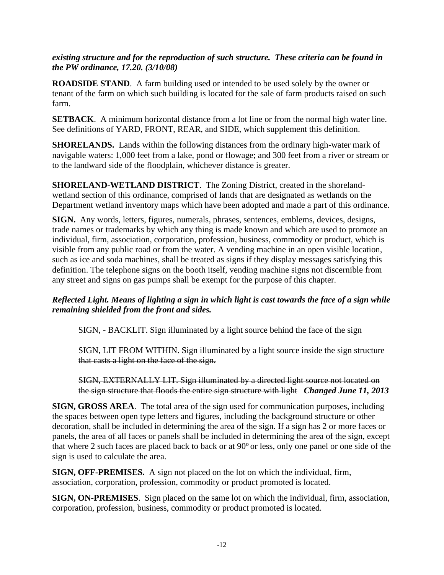#### *existing structure and for the reproduction of such structure. These criteria can be found in the PW ordinance, 17.20. (3/10/08)*

**ROADSIDE STAND**. A farm building used or intended to be used solely by the owner or tenant of the farm on which such building is located for the sale of farm products raised on such farm.

**SETBACK**. A minimum horizontal distance from a lot line or from the normal high water line. See definitions of YARD, FRONT, REAR, and SIDE, which supplement this definition.

**SHORELANDS.** Lands within the following distances from the ordinary high-water mark of navigable waters: 1,000 feet from a lake, pond or flowage; and 300 feet from a river or stream or to the landward side of the floodplain, whichever distance is greater.

**SHORELAND-WETLAND DISTRICT**. The Zoning District, created in the shorelandwetland section of this ordinance, comprised of lands that are designated as wetlands on the Department wetland inventory maps which have been adopted and made a part of this ordinance.

**SIGN.** Any words, letters, figures, numerals, phrases, sentences, emblems, devices, designs, trade names or trademarks by which any thing is made known and which are used to promote an individual, firm, association, corporation, profession, business, commodity or product, which is visible from any public road or from the water. A vending machine in an open visible location, such as ice and soda machines, shall be treated as signs if they display messages satisfying this definition. The telephone signs on the booth itself, vending machine signs not discernible from any street and signs on gas pumps shall be exempt for the purpose of this chapter.

## *Reflected Light. Means of lighting a sign in which light is cast towards the face of a sign while remaining shielded from the front and sides.*

SIGN, - BACKLIT. Sign illuminated by a light source behind the face of the sign

SIGN, LIT FROM WITHIN. Sign illuminated by a light source inside the sign structure that casts a light on the face of the sign.

SIGN, EXTERNALLY LIT. Sign illuminated by a directed light source not located on the sign structure that floods the entire sign structure with light *Changed June 11, 2013*

**SIGN, GROSS AREA**. The total area of the sign used for communication purposes, including the spaces between open type letters and figures, including the background structure or other decoration, shall be included in determining the area of the sign. If a sign has 2 or more faces or panels, the area of all faces or panels shall be included in determining the area of the sign, except that where 2 such faces are placed back to back or at  $90^{\circ}$  or less, only one panel or one side of the sign is used to calculate the area.

**SIGN, OFF-PREMISES.** A sign not placed on the lot on which the individual, firm, association, corporation, profession, commodity or product promoted is located.

**SIGN, ON-PREMISES**. Sign placed on the same lot on which the individual, firm, association, corporation, profession, business, commodity or product promoted is located.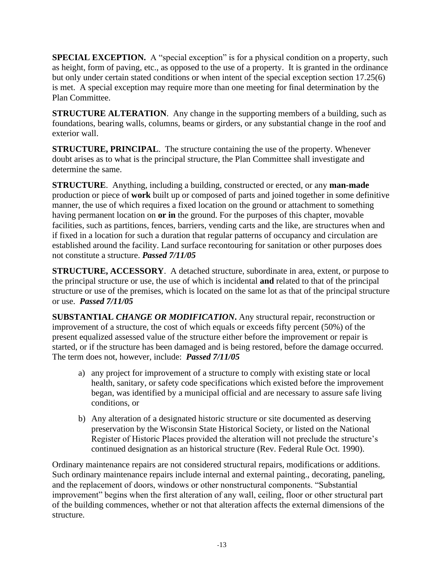**SPECIAL EXCEPTION.** A "special exception" is for a physical condition on a property, such as height, form of paving, etc., as opposed to the use of a property. It is granted in the ordinance but only under certain stated conditions or when intent of the special exception section 17.25(6) is met. A special exception may require more than one meeting for final determination by the Plan Committee.

**STRUCTURE ALTERATION**. Any change in the supporting members of a building, such as foundations, bearing walls, columns, beams or girders, or any substantial change in the roof and exterior wall.

**STRUCTURE, PRINCIPAL**. The structure containing the use of the property. Whenever doubt arises as to what is the principal structure, the Plan Committee shall investigate and determine the same.

**STRUCTURE**. Anything, including a building, constructed or erected, or any **man-made** production or piece of **work** built up or composed of parts and joined together in some definitive manner, the use of which requires a fixed location on the ground or attachment to something having permanent location on **or in** the ground. For the purposes of this chapter, movable facilities, such as partitions, fences, barriers, vending carts and the like, are structures when and if fixed in a location for such a duration that regular patterns of occupancy and circulation are established around the facility. Land surface recontouring for sanitation or other purposes does not constitute a structure. *Passed 7/11/05*

**STRUCTURE, ACCESSORY**. A detached structure, subordinate in area, extent, or purpose to the principal structure or use, the use of which is incidental **and** related to that of the principal structure or use of the premises, which is located on the same lot as that of the principal structure or use. *Passed 7/11/05*

**SUBSTANTIAL** *CHANGE OR MODIFICATION***.** Any structural repair, reconstruction or improvement of a structure, the cost of which equals or exceeds fifty percent (50%) of the present equalized assessed value of the structure either before the improvement or repair is started, or if the structure has been damaged and is being restored, before the damage occurred. The term does not, however, include: *Passed 7/11/05*

- a) any project for improvement of a structure to comply with existing state or local health, sanitary, or safety code specifications which existed before the improvement began, was identified by a municipal official and are necessary to assure safe living conditions, or
- b) Any alteration of a designated historic structure or site documented as deserving preservation by the Wisconsin State Historical Society, or listed on the National Register of Historic Places provided the alteration will not preclude the structure's continued designation as an historical structure (Rev. Federal Rule Oct. 1990).

Ordinary maintenance repairs are not considered structural repairs, modifications or additions. Such ordinary maintenance repairs include internal and external painting., decorating, paneling, and the replacement of doors, windows or other nonstructural components. "Substantial improvement" begins when the first alteration of any wall, ceiling, floor or other structural part of the building commences, whether or not that alteration affects the external dimensions of the structure.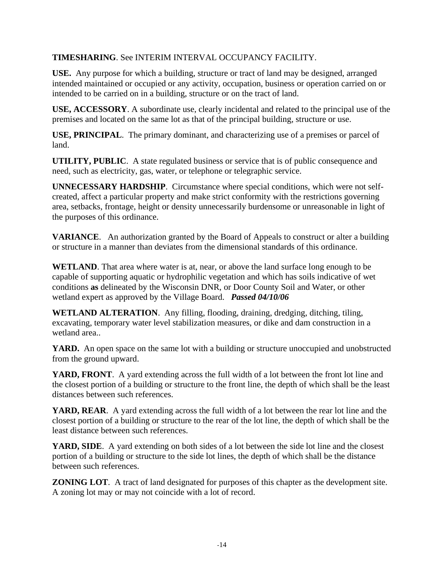## **TIMESHARING**. See INTERIM INTERVAL OCCUPANCY FACILITY.

**USE.** Any purpose for which a building, structure or tract of land may be designed, arranged intended maintained or occupied or any activity, occupation, business or operation carried on or intended to be carried on in a building, structure or on the tract of land.

**USE, ACCESSORY**. A subordinate use, clearly incidental and related to the principal use of the premises and located on the same lot as that of the principal building, structure or use.

**USE, PRINCIPAL**. The primary dominant, and characterizing use of a premises or parcel of land.

**UTILITY, PUBLIC**. A state regulated business or service that is of public consequence and need, such as electricity, gas, water, or telephone or telegraphic service.

**UNNECESSARY HARDSHIP**. Circumstance where special conditions, which were not selfcreated, affect a particular property and make strict conformity with the restrictions governing area, setbacks, frontage, height or density unnecessarily burdensome or unreasonable in light of the purposes of this ordinance.

**VARIANCE**. An authorization granted by the Board of Appeals to construct or alter a building or structure in a manner than deviates from the dimensional standards of this ordinance.

**WETLAND**. That area where water is at, near, or above the land surface long enough to be capable of supporting aquatic or hydrophilic vegetation and which has soils indicative of wet conditions **as** delineated by the Wisconsin DNR, or Door County Soil and Water, or other wetland expert as approved by the Village Board. *Passed 04/10/06*

**WETLAND ALTERATION**. Any filling, flooding, draining, dredging, ditching, tiling, excavating, temporary water level stabilization measures, or dike and dam construction in a wetland area..

**YARD.** An open space on the same lot with a building or structure unoccupied and unobstructed from the ground upward.

**YARD, FRONT**. A yard extending across the full width of a lot between the front lot line and the closest portion of a building or structure to the front line, the depth of which shall be the least distances between such references.

**YARD, REAR**. A yard extending across the full width of a lot between the rear lot line and the closest portion of a building or structure to the rear of the lot line, the depth of which shall be the least distance between such references.

**YARD, SIDE.** A yard extending on both sides of a lot between the side lot line and the closest portion of a building or structure to the side lot lines, the depth of which shall be the distance between such references.

**ZONING LOT***.* A tract of land designated for purposes of this chapter as the development site. A zoning lot may or may not coincide with a lot of record.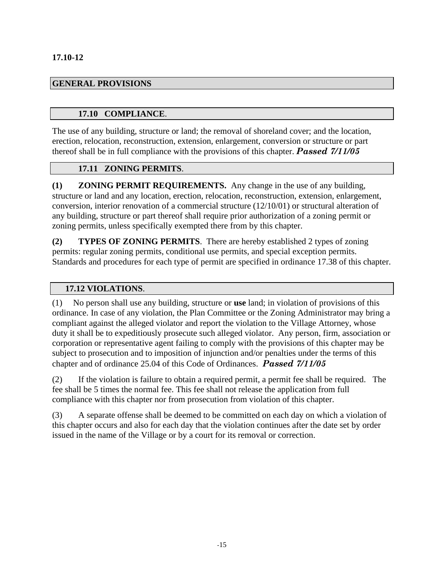#### **17.10-12**

#### **GENERAL PROVISIONS**

#### <span id="page-14-0"></span>**17.10 COMPLIANCE**.

The use of any building, structure or land; the removal of shoreland cover; and the location, erection, relocation, reconstruction, extension, enlargement, conversion or structure or part thereof shall be in full compliance with the provisions of this chapter. *Passed 7/11/05*

#### **17.11 ZONING PERMITS**.

**(1) ZONING PERMIT REQUIREMENTS.** Any change in the use of any building, structure or land and any location, erection, relocation, reconstruction, extension, enlargement, conversion, interior renovation of a commercial structure (12/10/01) or structural alteration of any building, structure or part thereof shall require prior authorization of a zoning permit or zoning permits, unless specifically exempted there from by this chapter.

**(2) TYPES OF ZONING PERMITS**. There are hereby established 2 types of zoning permits: regular zoning permits, conditional use permits, and special exception permits. Standards and procedures for each type of permit are specified in ordinance 17.38 of this chapter.

#### <span id="page-14-1"></span>**17.12 VIOLATIONS**.

(1) No person shall use any building, structure or **use** land; in violation of provisions of this ordinance. In case of any violation, the Plan Committee or the Zoning Administrator may bring a compliant against the alleged violator and report the violation to the Village Attorney, whose duty it shall be to expeditiously prosecute such alleged violator. Any person, firm, association or corporation or representative agent failing to comply with the provisions of this chapter may be subject to prosecution and to imposition of injunction and/or penalties under the terms of this chapter and of ordinance 25.04 of this Code of Ordinances. *Passed 7/11/05*

(2) If the violation is failure to obtain a required permit, a permit fee shall be required. The fee shall be 5 times the normal fee. This fee shall not release the application from full compliance with this chapter nor from prosecution from violation of this chapter.

(3) A separate offense shall be deemed to be committed on each day on which a violation of this chapter occurs and also for each day that the violation continues after the date set by order issued in the name of the Village or by a court for its removal or correction.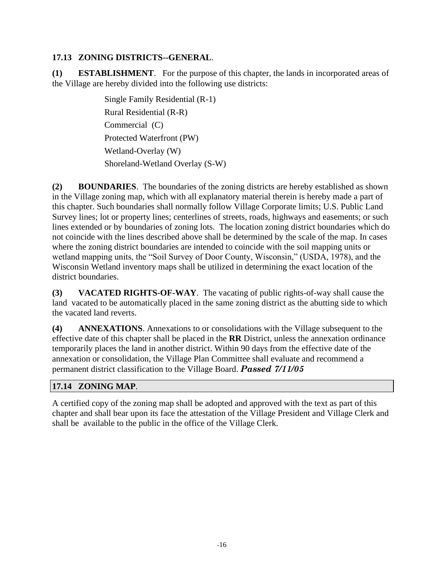#### <span id="page-15-0"></span>**17.13 ZONING DISTRICTS--GENERAL**.

**(1) ESTABLISHMENT**. For the purpose of this chapter, the lands in incorporated areas of the Village are hereby divided into the following use districts:

> Single Family Residential (R-1) Rural Residential (R-R) Commercial (C) Protected Waterfront (PW) Wetland-Overlay (W) Shoreland-Wetland Overlay (S-W)

**(2) BOUNDARIES**. The boundaries of the zoning districts are hereby established as shown in the Village zoning map, which with all explanatory material therein is hereby made a part of this chapter. Such boundaries shall normally follow Village Corporate limits; U.S. Public Land Survey lines; lot or property lines; centerlines of streets, roads, highways and easements; or such lines extended or by boundaries of zoning lots. The location zoning district boundaries which do not coincide with the lines described above shall be determined by the scale of the map. In cases where the zoning district boundaries are intended to coincide with the soil mapping units or wetland mapping units, the "Soil Survey of Door County, Wisconsin," (USDA, 1978), and the Wisconsin Wetland inventory maps shall be utilized in determining the exact location of the district boundaries.

**(3) VACATED RIGHTS-OF-WAY**. The vacating of public rights-of-way shall cause the land vacated to be automatically placed in the same zoning district as the abutting side to which the vacated land reverts.

**(4) ANNEXATIONS**. Annexations to or consolidations with the Village subsequent to the effective date of this chapter shall be placed in the **RR** District, unless the annexation ordinance temporarily places the land in another district. Within 90 days from the effective date of the annexation or consolidation, the Village Plan Committee shall evaluate and recommend a permanent district classification to the Village Board. *Passed 7/11/05*

## <span id="page-15-1"></span>**17.14 ZONING MAP**.

A certified copy of the zoning map shall be adopted and approved with the text as part of this chapter and shall bear upon its face the attestation of the Village President and Village Clerk and shall be available to the public in the office of the Village Clerk.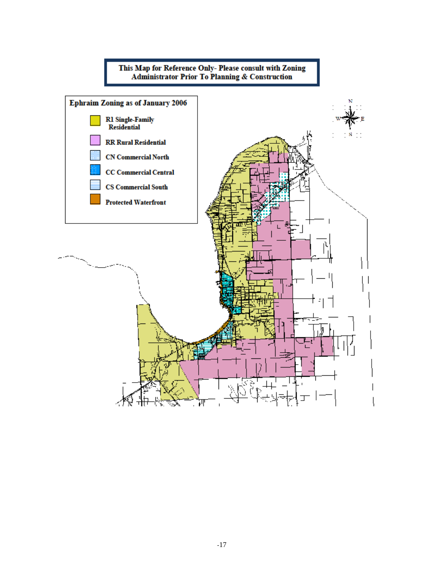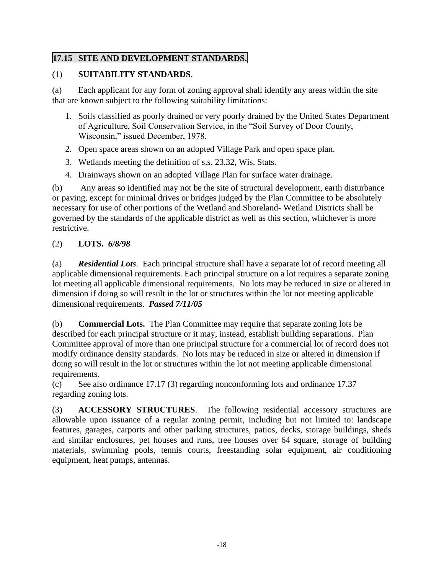## <span id="page-17-0"></span>**17.15 SITE AND DEVELOPMENT STANDARDS.**

#### (1) **SUITABILITY STANDARDS**.

(a) Each applicant for any form of zoning approval shall identify any areas within the site that are known subject to the following suitability limitations:

- 1. Soils classified as poorly drained or very poorly drained by the United States Department of Agriculture, Soil Conservation Service, in the "Soil Survey of Door County, Wisconsin," issued December, 1978.
- 2. Open space areas shown on an adopted Village Park and open space plan.
- 3. Wetlands meeting the definition of s.s. 23.32, Wis. Stats.
- 4. Drainways shown on an adopted Village Plan for surface water drainage.

(b) Any areas so identified may not be the site of structural development, earth disturbance or paving, except for minimal drives or bridges judged by the Plan Committee to be absolutely necessary for use of other portions of the Wetland and Shoreland- Wetland Districts shall be governed by the standards of the applicable district as well as this section, whichever is more restrictive.

## (2) **LOTS.** *6/8/98*

(a) *Residential Lots*. Each principal structure shall have a separate lot of record meeting all applicable dimensional requirements. Each principal structure on a lot requires a separate zoning lot meeting all applicable dimensional requirements. No lots may be reduced in size or altered in dimension if doing so will result in the lot or structures within the lot not meeting applicable dimensional requirements. *Passed 7/11/05*

(b) **Commercial Lots.** The Plan Committee may require that separate zoning lots be described for each principal structure or it may, instead, establish building separations. Plan Committee approval of more than one principal structure for a commercial lot of record does not modify ordinance density standards. No lots may be reduced in size or altered in dimension if doing so will result in the lot or structures within the lot not meeting applicable dimensional requirements.

(c) See also ordinance 17.17 (3) regarding nonconforming lots and ordinance 17.37 regarding zoning lots.

(3) **ACCESSORY STRUCTURES**. The following residential accessory structures are allowable upon issuance of a regular zoning permit, including but not limited to: landscape features, garages, carports and other parking structures, patios, decks, storage buildings, sheds and similar enclosures, pet houses and runs, tree houses over 64 square, storage of building materials, swimming pools, tennis courts, freestanding solar equipment, air conditioning equipment, heat pumps, antennas.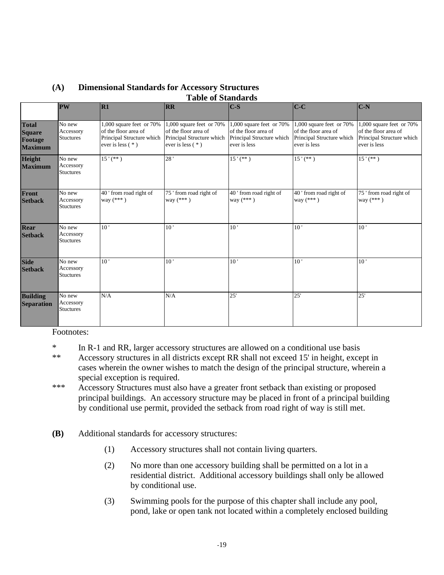|                                                            | <b>PW</b>                               | R1                                                                                                  | <b>RR</b>                                                                                           | $C-S$                                                                                         | $ C-C $                                                                                       | $C-N$                                                                                         |
|------------------------------------------------------------|-----------------------------------------|-----------------------------------------------------------------------------------------------------|-----------------------------------------------------------------------------------------------------|-----------------------------------------------------------------------------------------------|-----------------------------------------------------------------------------------------------|-----------------------------------------------------------------------------------------------|
| <b>Total</b><br><b>Square</b><br>Footage<br><b>Maximum</b> | No new<br>Accessory<br><b>Stuctures</b> | 1,000 square feet or 70%<br>of the floor area of<br>Principal Structure which<br>ever is less $(*)$ | 1,000 square feet or 70%<br>of the floor area of<br>Principal Structure which<br>ever is less $(*)$ | 1,000 square feet or 70%<br>of the floor area of<br>Principal Structure which<br>ever is less | 1,000 square feet or 70%<br>of the floor area of<br>Principal Structure which<br>ever is less | 1,000 square feet or 70%<br>of the floor area of<br>Principal Structure which<br>ever is less |
| Height<br><b>Maximum</b>                                   | No new<br>Accessory<br><b>Stuctures</b> | $15'(**)$                                                                                           | 28'                                                                                                 | $15'(**)$                                                                                     | $15'$ (**)                                                                                    | $15'(**)$                                                                                     |
| Front<br><b>Setback</b>                                    | No new<br>Accessory<br><b>Stuctures</b> | 40 ' from road right of<br>way $(*** )$                                                             | 75 ' from road right of<br>way $(***)$                                                              | 40 ' from road right of<br>way $(***")$                                                       | 40 ' from road right of<br>way $(***)$                                                        | 75 ' from road right of<br>way $(***")$                                                       |
| <b>Rear</b><br><b>Setback</b>                              | No new<br>Accessory<br><b>Stuctures</b> | 10'                                                                                                 | 10'                                                                                                 | 10 <sup>1</sup>                                                                               | 10'                                                                                           | 10'                                                                                           |
| <b>Side</b><br><b>Setback</b>                              | No new<br>Accessory<br><b>Stuctures</b> | 10'                                                                                                 | 10'                                                                                                 | 10 <sup>1</sup>                                                                               | 10 <sup>1</sup>                                                                               | 10 <sup>1</sup>                                                                               |
| <b>Building</b><br><b>Separation</b>                       | No new<br>Accessory<br><b>Stuctures</b> | N/A                                                                                                 | N/A                                                                                                 | 25'                                                                                           | 25'                                                                                           | 25'                                                                                           |

## **(A) Dimensional Standards for Accessory Structures Table of Standards**

Footnotes:

\* In R-1 and RR, larger accessory structures are allowed on a conditional use basis

- \*\* Accessory structures in all districts except RR shall not exceed 15' in height, except in cases wherein the owner wishes to match the design of the principal structure, wherein a special exception is required.
- \*\*\* Accessory Structures must also have a greater front setback than existing or proposed principal buildings. An accessory structure may be placed in front of a principal building by conditional use permit, provided the setback from road right of way is still met.
- **(B)** Additional standards for accessory structures:
	- (1) Accessory structures shall not contain living quarters.
	- (2) No more than one accessory building shall be permitted on a lot in a residential district. Additional accessory buildings shall only be allowed by conditional use.
	- (3) Swimming pools for the purpose of this chapter shall include any pool, pond, lake or open tank not located within a completely enclosed building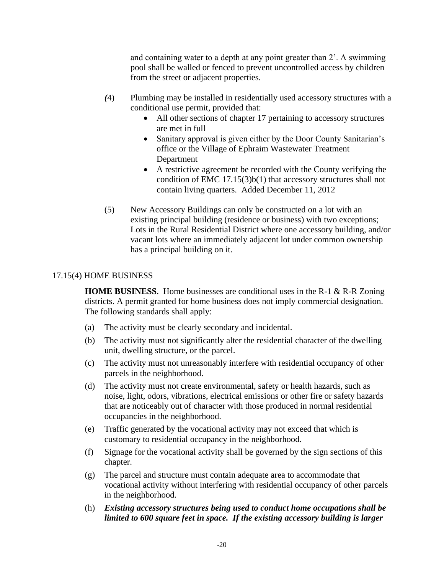and containing water to a depth at any point greater than 2'. A swimming pool shall be walled or fenced to prevent uncontrolled access by children from the street or adjacent properties.

- *(*4) Plumbing may be installed in residentially used accessory structures with a conditional use permit, provided that:
	- All other sections of chapter 17 pertaining to accessory structures are met in full
	- Sanitary approval is given either by the Door County Sanitarian's office or the Village of Ephraim Wastewater Treatment Department
	- A restrictive agreement be recorded with the County verifying the condition of EMC 17.15(3)b(1) that accessory structures shall not contain living quarters. Added December 11, 2012
- (5) New Accessory Buildings can only be constructed on a lot with an existing principal building (residence or business) with two exceptions; Lots in the Rural Residential District where one accessory building, and/or vacant lots where an immediately adjacent lot under common ownership has a principal building on it.

#### 17.15(4) HOME BUSINESS

**HOME BUSINESS**. Home businesses are conditional uses in the R-1 & R-R Zoning districts. A permit granted for home business does not imply commercial designation. The following standards shall apply:

- (a) The activity must be clearly secondary and incidental.
- (b) The activity must not significantly alter the residential character of the dwelling unit, dwelling structure, or the parcel.
- (c) The activity must not unreasonably interfere with residential occupancy of other parcels in the neighborhood.
- (d) The activity must not create environmental, safety or health hazards, such as noise, light, odors, vibrations, electrical emissions or other fire or safety hazards that are noticeably out of character with those produced in normal residential occupancies in the neighborhood.
- (e) Traffic generated by the vocational activity may not exceed that which is customary to residential occupancy in the neighborhood.
- (f) Signage for the vocational activity shall be governed by the sign sections of this chapter.
- (g) The parcel and structure must contain adequate area to accommodate that vocational activity without interfering with residential occupancy of other parcels in the neighborhood.
- (h) *Existing accessory structures being used to conduct home occupations shall be limited to 600 square feet in space. If the existing accessory building is larger*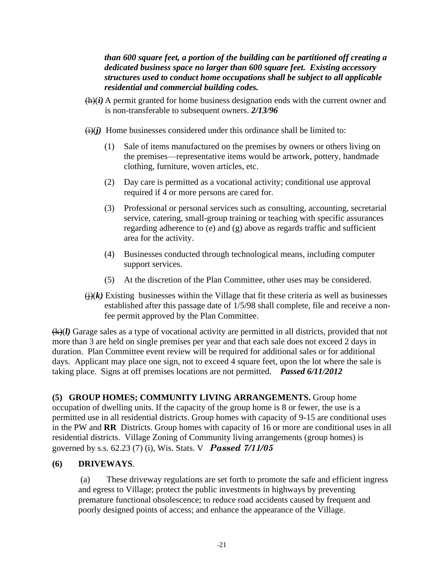*than 600 square feet, a portion of the building can be partitioned off creating a dedicated business space no larger than 600 square feet. Existing accessory structures used to conduct home occupations shall be subject to all applicable residential and commercial building codes.*

- (h)(*i)* A permit granted for home business designation ends with the current owner and is non-transferable to subsequent owners. *2/13/96*
- $\overrightarrow{(i)}$  **(j)** Home businesses considered under this ordinance shall be limited to:
	- (1) Sale of items manufactured on the premises by owners or others living on the premises—representative items would be artwork, pottery, handmade clothing, furniture, woven articles, etc.
	- (2) Day care is permitted as a vocational activity; conditional use approval required if 4 or more persons are cared for.
	- (3) Professional or personal services such as consulting, accounting, secretarial service, catering, small-group training or teaching with specific assurances regarding adherence to (e) and (g) above as regards traffic and sufficient area for the activity.
	- (4) Businesses conducted through technological means, including computer support services.
	- (5) At the discretion of the Plan Committee, other uses may be considered.
- $\overline{\left(\frac{1}{i}\right)}$  Existing businesses within the Village that fit these criteria as well as businesses established after this passage date of 1/5/98 shall complete, file and receive a nonfee permit approved by the Plan Committee.

(k)(*l)* Garage sales as a type of vocational activity are permitted in all districts, provided that not more than 3 are held on single premises per year and that each sale does not exceed 2 days in duration. Plan Committee event review will be required for additional sales or for additional days. Applicant may place one sign, not to exceed 4 square feet, upon the lot where the sale is taking place. Signs at off premises locations are not permitted. *Passed 6/11/2012*

**(5) GROUP HOMES; COMMUNITY LIVING ARRANGEMENTS.** Group home occupation of dwelling units. If the capacity of the group home is 8 or fewer, the use is a permitted use in all residential districts. Group homes with capacity of 9-15 are conditional uses in the PW and **RR** Districts. Group homes with capacity of 16 or more are conditional uses in all residential districts. Village Zoning of Community living arrangements (group homes) is governed by s.s. 62.23 (7) (i), Wis. Stats. V *Passed 7/11/05*

#### **(6) DRIVEWAYS**.

(a) These driveway regulations are set forth to promote the safe and efficient ingress and egress to Village; protect the public investments in highways by preventing premature functional obsolescence; to reduce road accidents caused by frequent and poorly designed points of access; and enhance the appearance of the Village.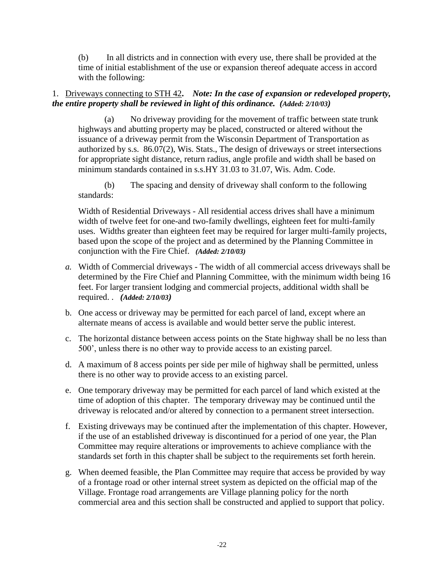(b) In all districts and in connection with every use, there shall be provided at the time of initial establishment of the use or expansion thereof adequate access in accord with the following:

#### 1. Driveways connecting to STH 42**.** *Note: In the case of expansion or redeveloped property, the entire property shall be reviewed in light of this ordinance. (Added: 2/10/03)*

(a) No driveway providing for the movement of traffic between state trunk highways and abutting property may be placed, constructed or altered without the issuance of a driveway permit from the Wisconsin Department of Transportation as authorized by s.s. 86.07(2), Wis. Stats., The design of driveways or street intersections for appropriate sight distance, return radius, angle profile and width shall be based on minimum standards contained in s.s.HY 31.03 to 31.07, Wis. Adm. Code.

(b) The spacing and density of driveway shall conform to the following standards:

Width of Residential Driveways - All residential access drives shall have a minimum width of twelve feet for one-and two-family dwellings, eighteen feet for multi-family uses. Widths greater than eighteen feet may be required for larger multi-family projects, based upon the scope of the project and as determined by the Planning Committee in conjunction with the Fire Chief. *(Added: 2/10/03)*

- *a.* Width of Commercial driveways The width of all commercial access driveways shall be determined by the Fire Chief and Planning Committee, with the minimum width being 16 feet. For larger transient lodging and commercial projects, additional width shall be required. . *(Added: 2/10/03)*
- b. One access or driveway may be permitted for each parcel of land, except where an alternate means of access is available and would better serve the public interest.
- c. The horizontal distance between access points on the State highway shall be no less than 500', unless there is no other way to provide access to an existing parcel.
- d. A maximum of 8 access points per side per mile of highway shall be permitted, unless there is no other way to provide access to an existing parcel.
- e. One temporary driveway may be permitted for each parcel of land which existed at the time of adoption of this chapter. The temporary driveway may be continued until the driveway is relocated and/or altered by connection to a permanent street intersection.
- f. Existing driveways may be continued after the implementation of this chapter. However, if the use of an established driveway is discontinued for a period of one year, the Plan Committee may require alterations or improvements to achieve compliance with the standards set forth in this chapter shall be subject to the requirements set forth herein.
- g. When deemed feasible, the Plan Committee may require that access be provided by way of a frontage road or other internal street system as depicted on the official map of the Village. Frontage road arrangements are Village planning policy for the north commercial area and this section shall be constructed and applied to support that policy.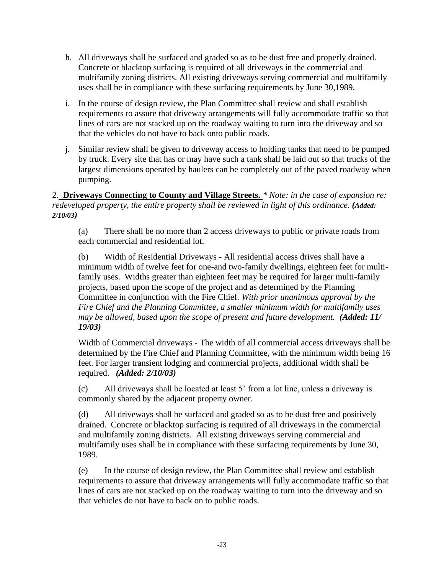- h. All driveways shall be surfaced and graded so as to be dust free and properly drained. Concrete or blacktop surfacing is required of all driveways in the commercial and multifamily zoning districts. All existing driveways serving commercial and multifamily uses shall be in compliance with these surfacing requirements by June 30,1989.
- i. In the course of design review, the Plan Committee shall review and shall establish requirements to assure that driveway arrangements will fully accommodate traffic so that lines of cars are not stacked up on the roadway waiting to turn into the driveway and so that the vehicles do not have to back onto public roads.
- j. Similar review shall be given to driveway access to holding tanks that need to be pumped by truck. Every site that has or may have such a tank shall be laid out so that trucks of the largest dimensions operated by haulers can be completely out of the paved roadway when pumping.

2. **Driveways Connecting to County and Village Streets.** *\* Note: in the case of expansion re: redeveloped property, the entire property shall be reviewed in light of this ordinance. (Added: 2/10/03)*

(a) There shall be no more than 2 access driveways to public or private roads from each commercial and residential lot.

(b) Width of Residential Driveways - All residential access drives shall have a minimum width of twelve feet for one-and two-family dwellings, eighteen feet for multifamily uses. Widths greater than eighteen feet may be required for larger multi-family projects, based upon the scope of the project and as determined by the Planning Committee in conjunction with the Fire Chief. *With prior unanimous approval by the Fire Chief and the Planning Committee, a smaller minimum width for multifamily uses may be allowed, based upon the scope of present and future development. (Added: 11/ 19/03)*

Width of Commercial driveways - The width of all commercial access driveways shall be determined by the Fire Chief and Planning Committee, with the minimum width being 16 feet. For larger transient lodging and commercial projects, additional width shall be required. *(Added: 2/10/03)*

(c) All driveways shall be located at least 5' from a lot line, unless a driveway is commonly shared by the adjacent property owner.

(d) All driveways shall be surfaced and graded so as to be dust free and positively drained. Concrete or blacktop surfacing is required of all driveways in the commercial and multifamily zoning districts. All existing driveways serving commercial and multifamily uses shall be in compliance with these surfacing requirements by June 30, 1989.

(e) In the course of design review, the Plan Committee shall review and establish requirements to assure that driveway arrangements will fully accommodate traffic so that lines of cars are not stacked up on the roadway waiting to turn into the driveway and so that vehicles do not have to back on to public roads.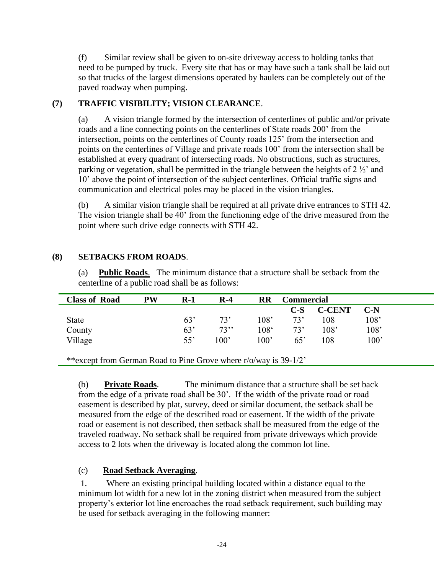(f) Similar review shall be given to on-site driveway access to holding tanks that need to be pumped by truck. Every site that has or may have such a tank shall be laid out so that trucks of the largest dimensions operated by haulers can be completely out of the paved roadway when pumping.

#### **(7) TRAFFIC VISIBILITY; VISION CLEARANCE**.

(a) A vision triangle formed by the intersection of centerlines of public and/or private roads and a line connecting points on the centerlines of State roads 200' from the intersection, points on the centerlines of County roads 125' from the intersection and points on the centerlines of Village and private roads 100' from the intersection shall be established at every quadrant of intersecting roads. No obstructions, such as structures, parking or vegetation, shall be permitted in the triangle between the heights of  $2\frac{1}{2}$  and 10' above the point of intersection of the subject centerlines. Official traffic signs and communication and electrical poles may be placed in the vision triangles.

(b) A similar vision triangle shall be required at all private drive entrances to STH 42. The vision triangle shall be 40' from the functioning edge of the drive measured from the point where such drive edge connects with STH 42.

#### **(8) SETBACKS FROM ROADS**.

| (a) |                                                  |  |              |  |  |  |  | <b>Public Roads.</b> The minimum distance that a structure shall be setback from the |  |  |
|-----|--------------------------------------------------|--|--------------|--|--|--|--|--------------------------------------------------------------------------------------|--|--|
|     | centerline of a public road shall be as follows: |  |              |  |  |  |  |                                                                                      |  |  |
|     | $\sim$ $\sim$                                    |  | $\mathbf{r}$ |  |  |  |  |                                                                                      |  |  |

| <b>Class of Road</b> | <b>PW</b> | $R-1$ | $R-4$         | <b>RR</b>        | Commercial |               |       |  |
|----------------------|-----------|-------|---------------|------------------|------------|---------------|-------|--|
|                      |           |       |               |                  | $C-S$      | <b>C-CENT</b> | $C-N$ |  |
| State                |           | 63'   | 73'           | 108'             | 73'        | 108           | 108'  |  |
| County               |           | 63'   | 73            | 108 <sup>°</sup> | 73'        | 108'          | 108'  |  |
| Village              |           | 55'   | $100^{\circ}$ | 100"             | 65'        | 108           | 100"  |  |

\*\*except from German Road to Pine Grove where r/o/way is 39-1/2'

(b) **Private Roads**. The minimum distance that a structure shall be set back from the edge of a private road shall be 30'. If the width of the private road or road easement is described by plat, survey, deed or similar document, the setback shall be measured from the edge of the described road or easement. If the width of the private road or easement is not described, then setback shall be measured from the edge of the traveled roadway. No setback shall be required from private driveways which provide access to 2 lots when the driveway is located along the common lot line.

#### (c) **Road Setback Averaging**.

1. Where an existing principal building located within a distance equal to the minimum lot width for a new lot in the zoning district when measured from the subject property's exterior lot line encroaches the road setback requirement, such building may be used for setback averaging in the following manner: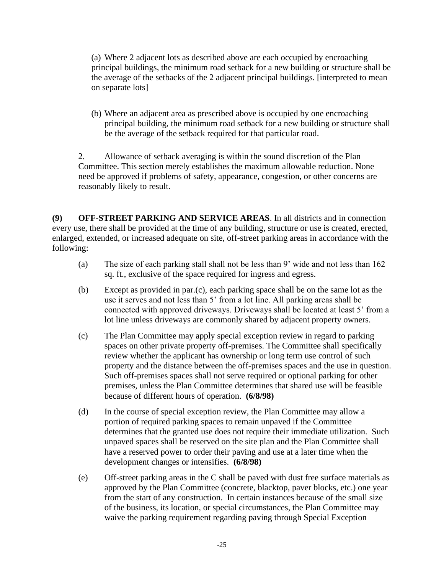(a) Where 2 adjacent lots as described above are each occupied by encroaching principal buildings, the minimum road setback for a new building or structure shall be the average of the setbacks of the 2 adjacent principal buildings. [interpreted to mean on separate lots]

(b) Where an adjacent area as prescribed above is occupied by one encroaching principal building, the minimum road setback for a new building or structure shall be the average of the setback required for that particular road.

2. Allowance of setback averaging is within the sound discretion of the Plan Committee. This section merely establishes the maximum allowable reduction. None need be approved if problems of safety, appearance, congestion, or other concerns are reasonably likely to result.

**(9) OFF-STREET PARKING AND SERVICE AREAS**. In all districts and in connection every use, there shall be provided at the time of any building, structure or use is created, erected, enlarged, extended, or increased adequate on site, off-street parking areas in accordance with the following:

- (a) The size of each parking stall shall not be less than 9' wide and not less than 162 sq. ft., exclusive of the space required for ingress and egress.
- (b) Except as provided in par.(c), each parking space shall be on the same lot as the use it serves and not less than 5' from a lot line. All parking areas shall be connected with approved driveways. Driveways shall be located at least 5' from a lot line unless driveways are commonly shared by adjacent property owners.
- (c) The Plan Committee may apply special exception review in regard to parking spaces on other private property off-premises. The Committee shall specifically review whether the applicant has ownership or long term use control of such property and the distance between the off-premises spaces and the use in question. Such off-premises spaces shall not serve required or optional parking for other premises, unless the Plan Committee determines that shared use will be feasible because of different hours of operation. **(6/8/98)**
- (d) In the course of special exception review, the Plan Committee may allow a portion of required parking spaces to remain unpaved if the Committee determines that the granted use does not require their immediate utilization. Such unpaved spaces shall be reserved on the site plan and the Plan Committee shall have a reserved power to order their paving and use at a later time when the development changes or intensifies. **(6/8/98)**
- (e) Off-street parking areas in the C shall be paved with dust free surface materials as approved by the Plan Committee (concrete, blacktop, paver blocks, etc.) one year from the start of any construction. In certain instances because of the small size of the business, its location, or special circumstances, the Plan Committee may waive the parking requirement regarding paving through Special Exception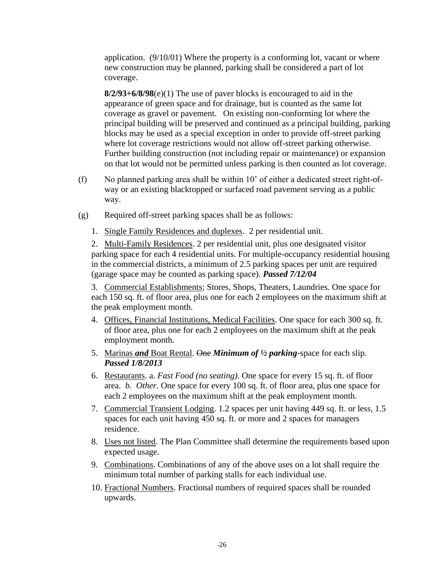application.  $(9/10/01)$  Where the property is a conforming lot, vacant or where new construction may be planned, parking shall be considered a part of lot coverage.

**8/2/93+6/8/98**(e)(1) The use of paver blocks is encouraged to aid in the appearance of green space and for drainage, but is counted as the same lot coverage as gravel or pavement. On existing non-conforming lot where the principal building will be preserved and continued as a principal building, parking blocks may be used as a special exception in order to provide off-street parking where lot coverage restrictions would not allow off-street parking otherwise. Further building construction (not including repair or maintenance) or expansion on that lot would not be permitted unless parking is then counted as lot coverage.

- (f) No planned parking area shall be within 10' of either a dedicated street right-ofway or an existing blacktopped or surfaced road pavement serving as a public way.
- (g) Required off-street parking spaces shall be as follows:
	- 1. Single Family Residences and duplexes. 2 per residential unit.

2. Multi-Family Residences. 2 per residential unit, plus one designated visitor parking space for each 4 residential units. For multiple-occupancy residential housing in the commercial districts, a minimum of 2.5 parking spaces per unit are required (garage space may be counted as parking space). *Passed 7/12/04*

3. Commercial Establishments; Stores, Shops, Theaters, Laundries. One space for each 150 sq. ft. of floor area, plus one for each 2 employees on the maximum shift at the peak employment month.

- 4. Offices, Financial Institutions, Medical Facilities. One space for each 300 sq. ft. of floor area, plus one for each 2 employees on the maximum shift at the peak employment month.
- 5. Marinas *and* Boat Rental. One *Minimum of ½ parking*-space for each slip. *Passed 1/8/2013*
- 6. Restaurants. a. *Fast Food (no seating).* One space for every 15 sq. ft. of floor area. *b. Other*. One space for every 100 sq. ft. of floor area, plus one space for each 2 employees on the maximum shift at the peak employment month.
- 7. Commercial Transient Lodging. 1.2 spaces per unit having 449 sq. ft. or less, 1.5 spaces for each unit having 450 sq. ft. or more and 2 spaces for managers residence.
- 8. Uses not listed. The Plan Committee shall determine the requirements based upon expected usage.
- 9. Combinations. Combinations of any of the above uses on a lot shall require the minimum total number of parking stalls for each individual use.
- 10. Fractional Numbers. Fractional numbers of required spaces shall be rounded upwards.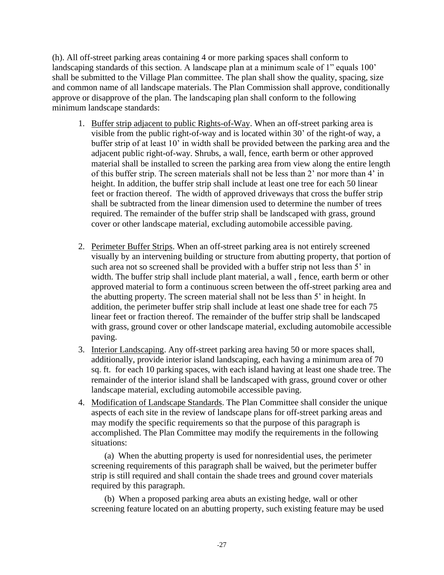(h). All off-street parking areas containing 4 or more parking spaces shall conform to landscaping standards of this section. A landscape plan at a minimum scale of 1" equals 100" shall be submitted to the Village Plan committee. The plan shall show the quality, spacing, size and common name of all landscape materials. The Plan Commission shall approve, conditionally approve or disapprove of the plan. The landscaping plan shall conform to the following minimum landscape standards:

- 1. Buffer strip adjacent to public Rights-of-Way. When an off-street parking area is visible from the public right-of-way and is located within 30' of the right-of way, a buffer strip of at least 10' in width shall be provided between the parking area and the adjacent public right-of-way. Shrubs, a wall, fence, earth berm or other approved material shall be installed to screen the parking area from view along the entire length of this buffer strip. The screen materials shall not be less than 2' nor more than 4' in height. In addition, the buffer strip shall include at least one tree for each 50 linear feet or fraction thereof. The width of approved driveways that cross the buffer strip shall be subtracted from the linear dimension used to determine the number of trees required. The remainder of the buffer strip shall be landscaped with grass, ground cover or other landscape material, excluding automobile accessible paving.
- 2. Perimeter Buffer Strips. When an off-street parking area is not entirely screened visually by an intervening building or structure from abutting property, that portion of such area not so screened shall be provided with a buffer strip not less than 5' in width. The buffer strip shall include plant material, a wall , fence, earth berm or other approved material to form a continuous screen between the off-street parking area and the abutting property. The screen material shall not be less than 5' in height. In addition, the perimeter buffer strip shall include at least one shade tree for each 75 linear feet or fraction thereof. The remainder of the buffer strip shall be landscaped with grass, ground cover or other landscape material, excluding automobile accessible paving.
- 3. Interior Landscaping. Any off-street parking area having 50 or more spaces shall, additionally, provide interior island landscaping, each having a minimum area of 70 sq. ft. for each 10 parking spaces, with each island having at least one shade tree. The remainder of the interior island shall be landscaped with grass, ground cover or other landscape material, excluding automobile accessible paving.
- 4. Modification of Landscape Standards. The Plan Committee shall consider the unique aspects of each site in the review of landscape plans for off-street parking areas and may modify the specific requirements so that the purpose of this paragraph is accomplished. The Plan Committee may modify the requirements in the following situations:

(a) When the abutting property is used for nonresidential uses, the perimeter screening requirements of this paragraph shall be waived, but the perimeter buffer strip is still required and shall contain the shade trees and ground cover materials required by this paragraph.

 (b) When a proposed parking area abuts an existing hedge, wall or other screening feature located on an abutting property, such existing feature may be used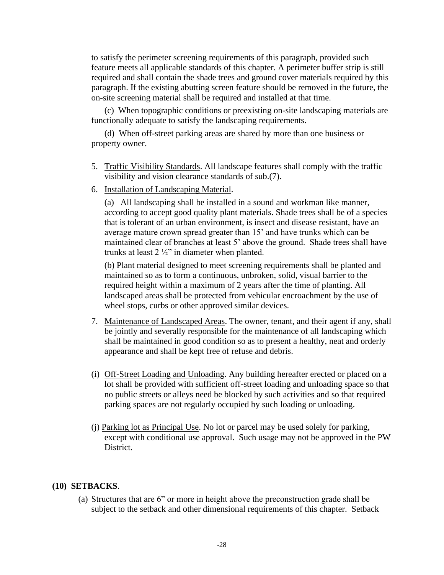to satisfy the perimeter screening requirements of this paragraph, provided such feature meets all applicable standards of this chapter. A perimeter buffer strip is still required and shall contain the shade trees and ground cover materials required by this paragraph. If the existing abutting screen feature should be removed in the future, the on-site screening material shall be required and installed at that time.

 (c) When topographic conditions or preexisting on-site landscaping materials are functionally adequate to satisfy the landscaping requirements.

(d) When off-street parking areas are shared by more than one business or property owner.

- 5. Traffic Visibility Standards. All landscape features shall comply with the traffic visibility and vision clearance standards of sub.(7).
- 6. Installation of Landscaping Material.

(a) All landscaping shall be installed in a sound and workman like manner, according to accept good quality plant materials. Shade trees shall be of a species that is tolerant of an urban environment, is insect and disease resistant, have an average mature crown spread greater than 15' and have trunks which can be maintained clear of branches at least 5' above the ground. Shade trees shall have trunks at least 2 ½" in diameter when planted.

(b) Plant material designed to meet screening requirements shall be planted and maintained so as to form a continuous, unbroken, solid, visual barrier to the required height within a maximum of 2 years after the time of planting. All landscaped areas shall be protected from vehicular encroachment by the use of wheel stops, curbs or other approved similar devices.

- 7. Maintenance of Landscaped Areas. The owner, tenant, and their agent if any, shall be jointly and severally responsible for the maintenance of all landscaping which shall be maintained in good condition so as to present a healthy, neat and orderly appearance and shall be kept free of refuse and debris.
- (i) Off-Street Loading and Unloading. Any building hereafter erected or placed on a lot shall be provided with sufficient off-street loading and unloading space so that no public streets or alleys need be blocked by such activities and so that required parking spaces are not regularly occupied by such loading or unloading.
- (j) Parking lot as Principal Use. No lot or parcel may be used solely for parking, except with conditional use approval. Such usage may not be approved in the PW District.

#### **(10) SETBACKS**.

(a) Structures that are 6" or more in height above the preconstruction grade shall be subject to the setback and other dimensional requirements of this chapter. Setback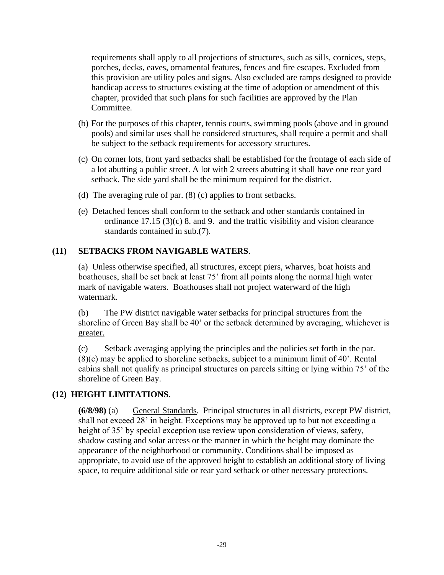requirements shall apply to all projections of structures, such as sills, cornices, steps, porches, decks, eaves, ornamental features, fences and fire escapes. Excluded from this provision are utility poles and signs. Also excluded are ramps designed to provide handicap access to structures existing at the time of adoption or amendment of this chapter, provided that such plans for such facilities are approved by the Plan Committee.

- (b) For the purposes of this chapter, tennis courts, swimming pools (above and in ground pools) and similar uses shall be considered structures, shall require a permit and shall be subject to the setback requirements for accessory structures.
- (c) On corner lots, front yard setbacks shall be established for the frontage of each side of a lot abutting a public street. A lot with 2 streets abutting it shall have one rear yard setback. The side yard shall be the minimum required for the district.
- (d) The averaging rule of par. (8) (c) applies to front setbacks.
- (e) Detached fences shall conform to the setback and other standards contained in ordinance  $17.15(3)(c)$  8. and 9. and the traffic visibility and vision clearance standards contained in sub.(7).

#### **(11) SETBACKS FROM NAVIGABLE WATERS**.

(a) Unless otherwise specified, all structures, except piers, wharves, boat hoists and boathouses, shall be set back at least 75' from all points along the normal high water mark of navigable waters. Boathouses shall not project waterward of the high watermark.

(b) The PW district navigable water setbacks for principal structures from the shoreline of Green Bay shall be 40' or the setback determined by averaging, whichever is greater.

(c) Setback averaging applying the principles and the policies set forth in the par. (8)(c) may be applied to shoreline setbacks, subject to a minimum limit of 40'. Rental cabins shall not qualify as principal structures on parcels sitting or lying within 75' of the shoreline of Green Bay.

#### **(12) HEIGHT LIMITATIONS**.

**(6/8/98)** (a) General Standards. Principal structures in all districts, except PW district, shall not exceed 28' in height. Exceptions may be approved up to but not exceeding a height of 35' by special exception use review upon consideration of views, safety, shadow casting and solar access or the manner in which the height may dominate the appearance of the neighborhood or community. Conditions shall be imposed as appropriate, to avoid use of the approved height to establish an additional story of living space, to require additional side or rear yard setback or other necessary protections.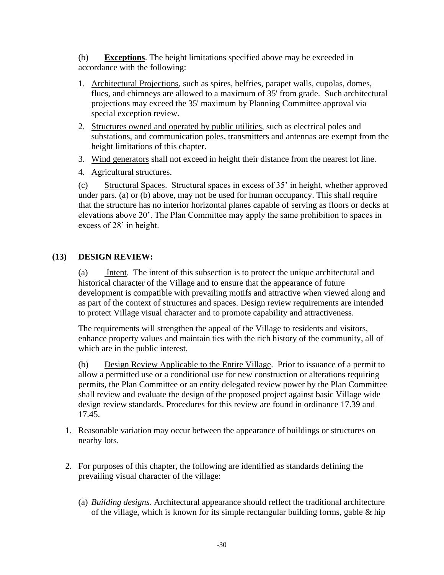(b) **Exceptions**. The height limitations specified above may be exceeded in accordance with the following:

- 1. Architectural Projections, such as spires, belfries, parapet walls, cupolas, domes, flues, and chimneys are allowed to a maximum of 35' from grade. Such architectural projections may exceed the 35' maximum by Planning Committee approval via special exception review.
- 2. Structures owned and operated by public utilities, such as electrical poles and substations, and communication poles, transmitters and antennas are exempt from the height limitations of this chapter.
- 3. Wind generators shall not exceed in height their distance from the nearest lot line.
- 4. Agricultural structures.

(c) Structural Spaces. Structural spaces in excess of 35' in height, whether approved under pars. (a) or (b) above, may not be used for human occupancy. This shall require that the structure has no interior horizontal planes capable of serving as floors or decks at elevations above 20'. The Plan Committee may apply the same prohibition to spaces in excess of 28' in height.

#### **(13) DESIGN REVIEW:**

(a) Intent. The intent of this subsection is to protect the unique architectural and historical character of the Village and to ensure that the appearance of future development is compatible with prevailing motifs and attractive when viewed along and as part of the context of structures and spaces. Design review requirements are intended to protect Village visual character and to promote capability and attractiveness.

The requirements will strengthen the appeal of the Village to residents and visitors, enhance property values and maintain ties with the rich history of the community, all of which are in the public interest.

(b) Design Review Applicable to the Entire Village. Prior to issuance of a permit to allow a permitted use or a conditional use for new construction or alterations requiring permits, the Plan Committee or an entity delegated review power by the Plan Committee shall review and evaluate the design of the proposed project against basic Village wide design review standards. Procedures for this review are found in ordinance 17.39 and 17.45.

- 1. Reasonable variation may occur between the appearance of buildings or structures on nearby lots.
- 2. For purposes of this chapter, the following are identified as standards defining the prevailing visual character of the village:
	- (a) *Building designs*. Architectural appearance should reflect the traditional architecture of the village, which is known for its simple rectangular building forms, gable  $\&$  hip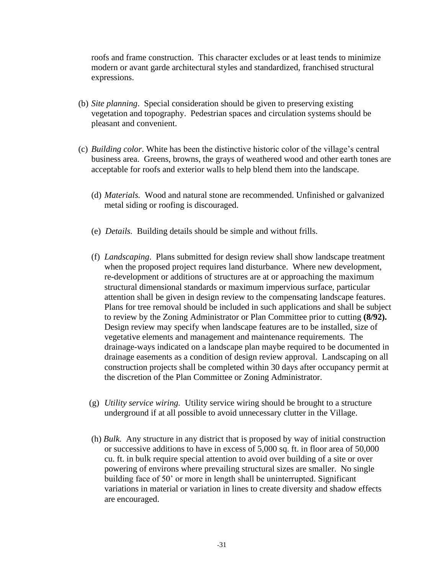roofs and frame construction. This character excludes or at least tends to minimize modern or avant garde architectural styles and standardized, franchised structural expressions.

- (b) *Site planning*. Special consideration should be given to preserving existing vegetation and topography. Pedestrian spaces and circulation systems should be pleasant and convenient.
- (c) *Building color*. White has been the distinctive historic color of the village's central business area. Greens, browns, the grays of weathered wood and other earth tones are acceptable for roofs and exterior walls to help blend them into the landscape.
	- (d) *Materials.* Wood and natural stone are recommended. Unfinished or galvanized metal siding or roofing is discouraged.
	- (e) *Details.* Building details should be simple and without frills.
	- (f) *Landscaping*. Plans submitted for design review shall show landscape treatment when the proposed project requires land disturbance. Where new development, re-development or additions of structures are at or approaching the maximum structural dimensional standards or maximum impervious surface, particular attention shall be given in design review to the compensating landscape features. Plans for tree removal should be included in such applications and shall be subject to review by the Zoning Administrator or Plan Committee prior to cutting **(8/92).** Design review may specify when landscape features are to be installed, size of vegetative elements and management and maintenance requirements. The drainage-ways indicated on a landscape plan maybe required to be documented in drainage easements as a condition of design review approval. Landscaping on all construction projects shall be completed within 30 days after occupancy permit at the discretion of the Plan Committee or Zoning Administrator.
	- (g) *Utility service wiring.* Utility service wiring should be brought to a structure underground if at all possible to avoid unnecessary clutter in the Village.
	- (h) *Bulk.* Any structure in any district that is proposed by way of initial construction or successive additions to have in excess of 5,000 sq. ft. in floor area of 50,000 cu. ft. in bulk require special attention to avoid over building of a site or over powering of environs where prevailing structural sizes are smaller. No single building face of 50' or more in length shall be uninterrupted. Significant variations in material or variation in lines to create diversity and shadow effects are encouraged.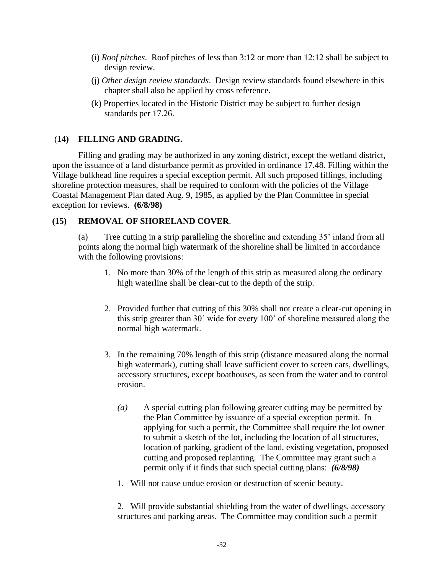- (i) *Roof pitches*. Roof pitches of less than 3:12 or more than 12:12 shall be subject to design review.
- (j) *Other design review standards*. Design review standards found elsewhere in this chapter shall also be applied by cross reference.
- (k) Properties located in the Historic District may be subject to further design standards per 17.26.

#### (**14) FILLING AND GRADING.**

Filling and grading may be authorized in any zoning district, except the wetland district, upon the issuance of a land disturbance permit as provided in ordinance 17.48. Filling within the Village bulkhead line requires a special exception permit. All such proposed fillings, including shoreline protection measures, shall be required to conform with the policies of the Village Coastal Management Plan dated Aug. 9, 1985, as applied by the Plan Committee in special exception for reviews. **(6/8/98)**

#### **(15) REMOVAL OF SHORELAND COVER**.

(a) Tree cutting in a strip paralleling the shoreline and extending 35' inland from all points along the normal high watermark of the shoreline shall be limited in accordance with the following provisions:

- 1. No more than 30% of the length of this strip as measured along the ordinary high waterline shall be clear-cut to the depth of the strip.
- 2. Provided further that cutting of this 30% shall not create a clear-cut opening in this strip greater than 30' wide for every 100' of shoreline measured along the normal high watermark.
- 3. In the remaining 70% length of this strip (distance measured along the normal high watermark), cutting shall leave sufficient cover to screen cars, dwellings, accessory structures, except boathouses, as seen from the water and to control erosion.
	- *(a)* A special cutting plan following greater cutting may be permitted by the Plan Committee by issuance of a special exception permit. In applying for such a permit, the Committee shall require the lot owner to submit a sketch of the lot, including the location of all structures, location of parking, gradient of the land, existing vegetation, proposed cutting and proposed replanting. The Committee may grant such a permit only if it finds that such special cutting plans: *(6/8/98)*
	- 1. Will not cause undue erosion or destruction of scenic beauty.

2. Will provide substantial shielding from the water of dwellings, accessory structures and parking areas. The Committee may condition such a permit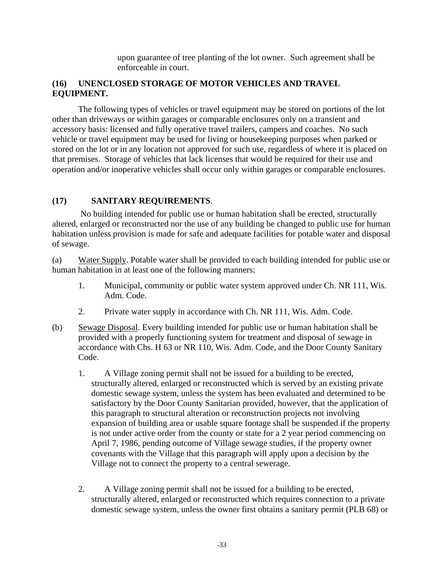upon guarantee of tree planting of the lot owner. Such agreement shall be enforceable in court.

## **(16) UNENCLOSED STORAGE OF MOTOR VEHICLES AND TRAVEL EQUIPMENT.**

The following types of vehicles or travel equipment may be stored on portions of the lot other than driveways or within garages or comparable enclosures only on a transient and accessory basis: licensed and fully operative travel trailers, campers and coaches. No such vehicle or travel equipment may be used for living or housekeeping purposes when parked or stored on the lot or in any location not approved for such use, regardless of where it is placed on that premises. Storage of vehicles that lack licenses that would be required for their use and operation and/or inoperative vehicles shall occur only within garages or comparable enclosures.

#### **(17) SANITARY REQUIREMENTS**.

No building intended for public use or human habitation shall be erected, structurally altered, enlarged or reconstructed nor the use of any building be changed to public use for human habitation unless provision is made for safe and adequate facilities for potable water and disposal of sewage.

(a) Water Supply. Potable water shall be provided to each building intended for public use or human habitation in at least one of the following manners:

- 1. Municipal, community or public water system approved under Ch. NR 111, Wis. Adm. Code.
- 2. Private water supply in accordance with Ch. NR 111, Wis. Adm. Code.
- (b) Sewage Disposal. Every building intended for public use or human habitation shall be provided with a properly functioning system for treatment and disposal of sewage in accordance with Chs. H 63 or NR 110, Wis. Adm. Code, and the Door County Sanitary Code.
	- 1. A Village zoning permit shall not be issued for a building to be erected, structurally altered, enlarged or reconstructed which is served by an existing private domestic sewage system, unless the system has been evaluated and determined to be satisfactory by the Door County Sanitarian provided, however, that the application of this paragraph to structural alteration or reconstruction projects not involving expansion of building area or usable square footage shall be suspended if the property is not under active order from the county or state for a 2 year period commencing on April 7, 1986, pending outcome of Village sewage studies, if the property owner covenants with the Village that this paragraph will apply upon a decision by the Village not to connect the property to a central sewerage.
	- 2. A Village zoning permit shall not be issued for a building to be erected, structurally altered, enlarged or reconstructed which requires connection to a private domestic sewage system, unless the owner first obtains a sanitary permit (PLB 68) or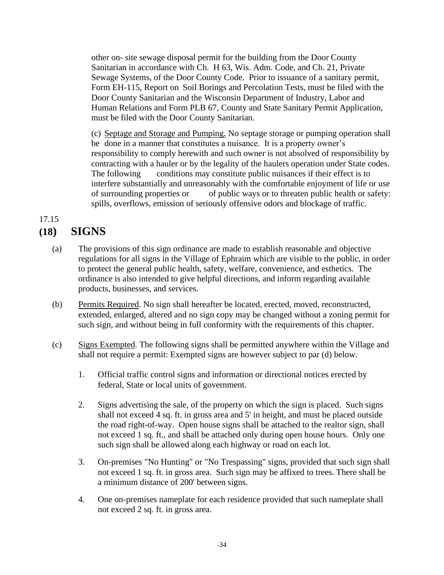other on- site sewage disposal permit for the building from the Door County Sanitarian in accordance with Ch. H 63, Wis. Adm. Code, and Ch. 21, Private Sewage Systems, of the Door County Code. Prior to issuance of a sanitary permit, Form EH-115, Report on Soil Borings and Percolation Tests, must be filed with the Door County Sanitarian and the Wisconsin Department of Industry, Labor and Human Relations and Form PLB 67, County and State Sanitary Permit Application, must be filed with the Door County Sanitarian.

(c) Septage and Storage and Pumping. No septage storage or pumping operation shall be done in a manner that constitutes a nuisance. It is a property owner's responsibility to comply herewith and such owner is not absolved of responsibility by contracting with a hauler or by the legality of the haulers operation under State codes. The following conditions may constitute public nuisances if their effect is to interfere substantially and unreasonably with the comfortable enjoyment of life or use of surrounding properties or of public ways or to threaten public health or safety: spills, overflows, emission of seriously offensive odors and blockage of traffic.

17.15

# **(18) SIGNS**

- (a) The provisions of this sign ordinance are made to establish reasonable and objective regulations for all signs in the Village of Ephraim which are visible to the public, in order to protect the general public health, safety, welfare, convenience, and esthetics. The ordinance is also intended to give helpful directions, and inform regarding available products, businesses, and services.
- (b) Permits Required. No sign shall hereafter be located, erected, moved, reconstructed, extended, enlarged, altered and no sign copy may be changed without a zoning permit for such sign, and without being in full conformity with the requirements of this chapter.
- (c) Signs Exempted. The following signs shall be permitted anywhere within the Village and shall not require a permit: Exempted signs are however subject to par (d) below.
	- 1. Official traffic control signs and information or directional notices erected by federal, State or local units of government.
	- 2. Signs advertising the sale, of the property on which the sign is placed. Such signs shall not exceed 4 sq. ft. in gross area and 5' in height, and must be placed outside the road right-of-way. Open house signs shall be attached to the realtor sign, shall not exceed 1 sq. ft., and shall be attached only during open house hours. Only one such sign shall be allowed along each highway or road on each lot.
	- 3. On-premises "No Hunting" or "No Trespassing" signs, provided that such sign shall not exceed 1 sq. ft. in gross area. Such sign may be affixed to trees. There shall be a minimum distance of 200' between signs.
	- 4. One on-premises nameplate for each residence provided that such nameplate shall not exceed 2 sq. ft. in gross area.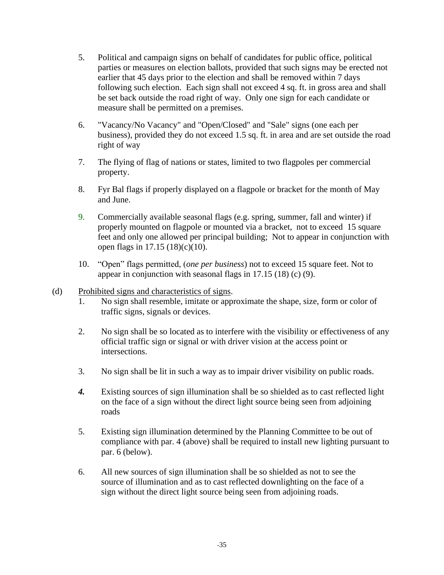- 5. Political and campaign signs on behalf of candidates for public office, political parties or measures on election ballots, provided that such signs may be erected not earlier that 45 days prior to the election and shall be removed within 7 days following such election. Each sign shall not exceed 4 sq. ft. in gross area and shall be set back outside the road right of way. Only one sign for each candidate or measure shall be permitted on a premises.
- 6. "Vacancy/No Vacancy" and "Open/Closed" and "Sale" signs (one each per business), provided they do not exceed 1.5 sq. ft. in area and are set outside the road right of way
- 7. The flying of flag of nations or states, limited to two flagpoles per commercial property.
- 8. Fyr Bal flags if properly displayed on a flagpole or bracket for the month of May and June.
- 9. Commercially available seasonal flags (e.g. spring, summer, fall and winter) if properly mounted on flagpole or mounted via a bracket, not to exceed 15 square feet and only one allowed per principal building; Not to appear in conjunction with open flags in 17.15 (18)(c)(10).
- 10. "Open" flags permitted, (*one per business*) not to exceed 15 square feet. Not to appear in conjunction with seasonal flags in 17.15 (18) (c) (9).
- (d) Prohibited signs and characteristics of signs.
	- 1. No sign shall resemble, imitate or approximate the shape, size, form or color of traffic signs, signals or devices.
	- 2. No sign shall be so located as to interfere with the visibility or effectiveness of any official traffic sign or signal or with driver vision at the access point or intersections.
	- 3. No sign shall be lit in such a way as to impair driver visibility on public roads.
	- *4.* Existing sources of sign illumination shall be so shielded as to cast reflected light on the face of a sign without the direct light source being seen from adjoining roads
	- 5. Existing sign illumination determined by the Planning Committee to be out of compliance with par. 4 (above) shall be required to install new lighting pursuant to par. 6 (below).
	- 6. All new sources of sign illumination shall be so shielded as not to see the source of illumination and as to cast reflected downlighting on the face of a sign without the direct light source being seen from adjoining roads.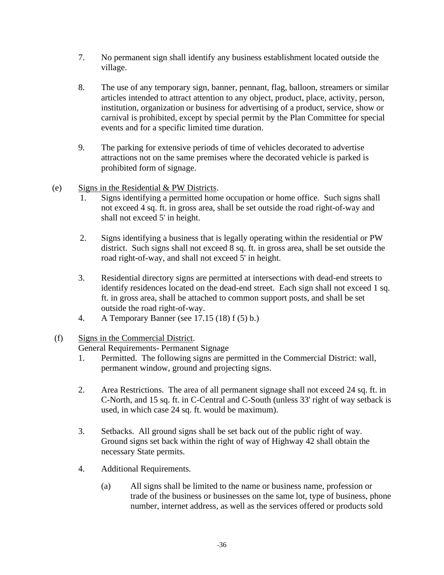- 7. No permanent sign shall identify any business establishment located outside the village.
- 8. The use of any temporary sign, banner, pennant, flag, balloon, streamers or similar articles intended to attract attention to any object, product, place, activity, person, institution, organization or business for advertising of a product, service, show or carnival is prohibited, except by special permit by the Plan Committee for special events and for a specific limited time duration.
- 9. The parking for extensive periods of time of vehicles decorated to advertise attractions not on the same premises where the decorated vehicle is parked is prohibited form of signage.
- (e) Signs in the Residential & PW Districts.
	- 1. Signs identifying a permitted home occupation or home office. Such signs shall not exceed 4 sq. ft. in gross area, shall be set outside the road right-of-way and shall not exceed 5' in height.
	- 2. Signs identifying a business that is legally operating within the residential or PW district. Such signs shall not exceed 8 sq. ft. in gross area, shall be set outside the road right-of-way, and shall not exceed 5' in height.
	- 3. Residential directory signs are permitted at intersections with dead-end streets to identify residences located on the dead-end street. Each sign shall not exceed 1 sq. ft. in gross area, shall be attached to common support posts, and shall be set outside the road right-of-way.
	- 4. A Temporary Banner (see 17.15 (18) f (5) b.)
- (f) Signs in the Commercial District.

General Requirements- Permanent Signage

- 1. Permitted. The following signs are permitted in the Commercial District: wall, permanent window, ground and projecting signs.
- 2. Area Restrictions. The area of all permanent signage shall not exceed 24 sq. ft. in C-North, and 15 sq. ft. in C-Central and C-South (unless 33' right of way setback is used, in which case 24 sq. ft. would be maximum).
- 3. Setbacks. All ground signs shall be set back out of the public right of way. Ground signs set back within the right of way of Highway 42 shall obtain the necessary State permits.
- 4. Additional Requirements.
	- (a) All signs shall be limited to the name or business name, profession or trade of the business or businesses on the same lot, type of business, phone number, internet address*,* as well as the services offered or products sold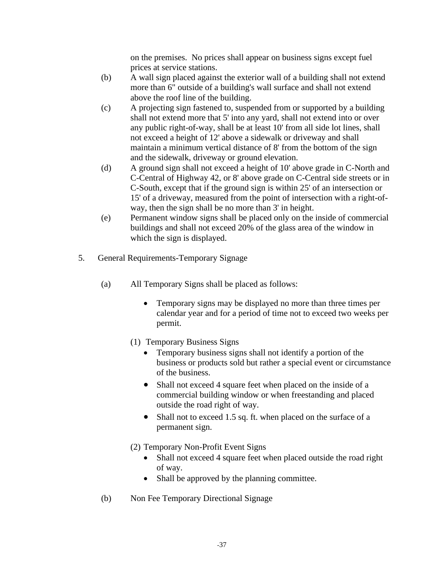on the premises. No prices shall appear on business signs except fuel prices at service stations.

- (b) A wall sign placed against the exterior wall of a building shall not extend more than 6" outside of a building's wall surface and shall not extend above the roof line of the building.
- (c) A projecting sign fastened to, suspended from or supported by a building shall not extend more that 5' into any yard, shall not extend into or over any public right-of-way, shall be at least 10' from all side lot lines, shall not exceed a height of 12' above a sidewalk or driveway and shall maintain a minimum vertical distance of 8' from the bottom of the sign and the sidewalk, driveway or ground elevation.
- (d) A ground sign shall not exceed a height of 10' above grade in C-North and C-Central of Highway 42, or 8' above grade on C-Central side streets or in C-South, except that if the ground sign is within 25' of an intersection or 15' of a driveway, measured from the point of intersection with a right-ofway, then the sign shall be no more than 3' in height.
- (e) Permanent window signs shall be placed only on the inside of commercial buildings and shall not exceed 20% of the glass area of the window in which the sign is displayed.
- 5. General Requirements-Temporary Signage
	- (a) All Temporary Signs shall be placed as follows:
		- Temporary signs may be displayed no more than three times per calendar year and for a period of time not to exceed two weeks per permit.
		- (1) Temporary Business Signs
			- Temporary business signs shall not identify a portion of the business or products sold but rather a special event or circumstance of the business.
			- Shall not exceed 4 square feet when placed on the inside of a commercial building window or when freestanding and placed outside the road right of way.
			- Shall not to exceed 1.5 sq. ft. when placed on the surface of a permanent sign.
		- (2) Temporary Non-Profit Event Signs
			- Shall not exceed 4 square feet when placed outside the road right of way.
			- Shall be approved by the planning committee.
	- (b) Non Fee Temporary Directional Signage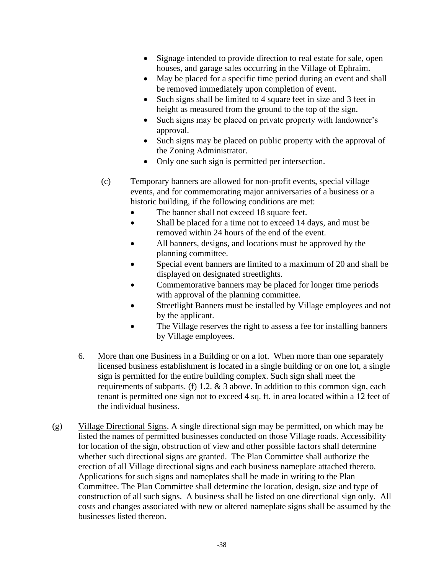- Signage intended to provide direction to real estate for sale, open houses, and garage sales occurring in the Village of Ephraim.
- May be placed for a specific time period during an event and shall be removed immediately upon completion of event.
- Such signs shall be limited to 4 square feet in size and 3 feet in height as measured from the ground to the top of the sign.
- Such signs may be placed on private property with landowner's approval.
- Such signs may be placed on public property with the approval of the Zoning Administrator.
- Only one such sign is permitted per intersection.
- (c) Temporary banners are allowed for non-profit events, special village events, and for commemorating major anniversaries of a business or a historic building, if the following conditions are met:
	- The banner shall not exceed 18 square feet.
	- Shall be placed for a time not to exceed 14 days, and must be removed within 24 hours of the end of the event.
	- All banners, designs, and locations must be approved by the planning committee.
	- Special event banners are limited to a maximum of 20 and shall be displayed on designated streetlights.
	- Commemorative banners may be placed for longer time periods with approval of the planning committee.
	- Streetlight Banners must be installed by Village employees and not by the applicant.
	- The Village reserves the right to assess a fee for installing banners by Village employees.
- 6. More than one Business in a Building or on a lot. When more than one separately licensed business establishment is located in a single building or on one lot, a single sign is permitted for the entire building complex. Such sign shall meet the requirements of subparts. (f) 1.2. & 3 above. In addition to this common sign, each tenant is permitted one sign not to exceed 4 sq. ft. in area located within a 12 feet of the individual business.
- (g) Village Directional Signs. A single directional sign may be permitted, on which may be listed the names of permitted businesses conducted on those Village roads. Accessibility for location of the sign, obstruction of view and other possible factors shall determine whether such directional signs are granted. The Plan Committee shall authorize the erection of all Village directional signs and each business nameplate attached thereto. Applications for such signs and nameplates shall be made in writing to the Plan Committee. The Plan Committee shall determine the location, design, size and type of construction of all such signs. A business shall be listed on one directional sign only. All costs and changes associated with new or altered nameplate signs shall be assumed by the businesses listed thereon.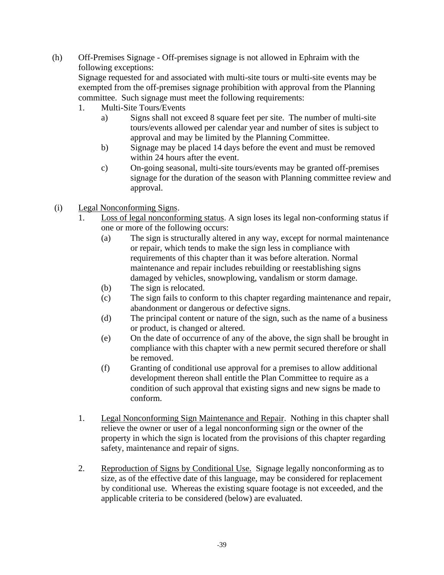(h) Off-Premises Signage - Off-premises signage is not allowed in Ephraim with the following exceptions:

Signage requested for and associated with multi-site tours or multi-site events may be exempted from the off-premises signage prohibition with approval from the Planning committee. Such signage must meet the following requirements:

- 1. Multi-Site Tours/Events
	- a) Signs shall not exceed 8 square feet per site. The number of multi-site tours/events allowed per calendar year and number of sites is subject to approval and may be limited by the Planning Committee.
	- b) Signage may be placed 14 days before the event and must be removed within 24 hours after the event.
	- c) On-going seasonal, multi-site tours/events may be granted off-premises signage for the duration of the season with Planning committee review and approval.
- (i) Legal Nonconforming Signs.
	- 1. Loss of legal nonconforming status. A sign loses its legal non-conforming status if one or more of the following occurs:
		- (a) The sign is structurally altered in any way, except for normal maintenance or repair, which tends to make the sign less in compliance with requirements of this chapter than it was before alteration. Normal maintenance and repair includes rebuilding or reestablishing signs damaged by vehicles, snowplowing, vandalism or storm damage.
		- (b) The sign is relocated.
		- (c) The sign fails to conform to this chapter regarding maintenance and repair, abandonment or dangerous or defective signs.
		- (d) The principal content or nature of the sign, such as the name of a business or product, is changed or altered.
		- (e) On the date of occurrence of any of the above, the sign shall be brought in compliance with this chapter with a new permit secured therefore or shall be removed.
		- (f) Granting of conditional use approval for a premises to allow additional development thereon shall entitle the Plan Committee to require as a condition of such approval that existing signs and new signs be made to conform.
	- 1. Legal Nonconforming Sign Maintenance and Repair. Nothing in this chapter shall relieve the owner or user of a legal nonconforming sign or the owner of the property in which the sign is located from the provisions of this chapter regarding safety, maintenance and repair of signs.
	- 2. Reproduction of Signs by Conditional Use. Signage legally nonconforming as to size, as of the effective date of this language, may be considered for replacement by conditional use. Whereas the existing square footage is not exceeded, and the applicable criteria to be considered (below) are evaluated.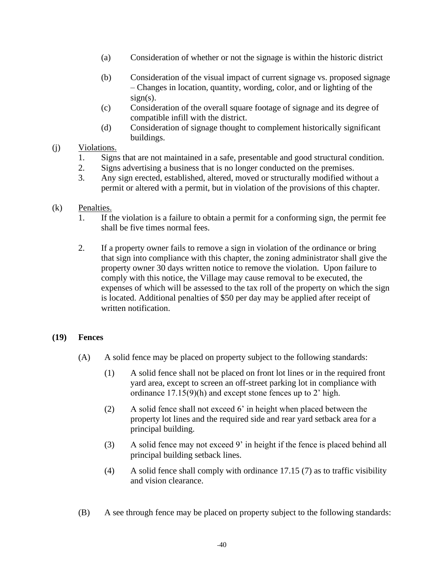- (a) Consideration of whether or not the signage is within the historic district
- (b) Consideration of the visual impact of current signage vs. proposed signage – Changes in location, quantity, wording, color, and or lighting of the  $sign(s)$ .
- (c) Consideration of the overall square footage of signage and its degree of compatible infill with the district.
- (d) Consideration of signage thought to complement historically significant buildings.

# (j) Violations.

- 1. Signs that are not maintained in a safe, presentable and good structural condition.
- 2. Signs advertising a business that is no longer conducted on the premises.
- 3. Any sign erected, established, altered, moved or structurally modified without a permit or altered with a permit, but in violation of the provisions of this chapter.
- (k) Penalties.
	- 1. If the violation is a failure to obtain a permit for a conforming sign, the permit fee shall be five times normal fees.
	- 2. If a property owner fails to remove a sign in violation of the ordinance or bring that sign into compliance with this chapter, the zoning administrator shall give the property owner 30 days written notice to remove the violation. Upon failure to comply with this notice, the Village may cause removal to be executed, the expenses of which will be assessed to the tax roll of the property on which the sign is located. Additional penalties of \$50 per day may be applied after receipt of written notification.

# **(19) Fences**

- (A) A solid fence may be placed on property subject to the following standards:
	- (1) A solid fence shall not be placed on front lot lines or in the required front yard area, except to screen an off-street parking lot in compliance with ordinance 17.15(9)(h) and except stone fences up to 2' high.
	- (2) A solid fence shall not exceed 6' in height when placed between the property lot lines and the required side and rear yard setback area for a principal building.
	- (3) A solid fence may not exceed 9' in height if the fence is placed behind all principal building setback lines.
	- (4) A solid fence shall comply with ordinance 17.15 (7) as to traffic visibility and vision clearance.
- (B) A see through fence may be placed on property subject to the following standards: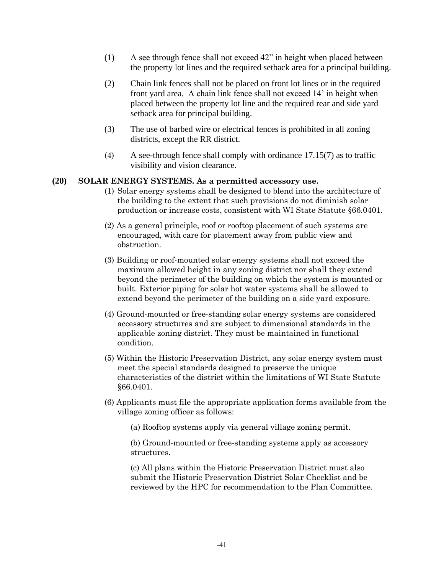- (1) A see through fence shall not exceed 42" in height when placed between the property lot lines and the required setback area for a principal building.
- (2) Chain link fences shall not be placed on front lot lines or in the required front yard area. A chain link fence shall not exceed 14' in height when placed between the property lot line and the required rear and side yard setback area for principal building.
- (3) The use of barbed wire or electrical fences is prohibited in all zoning districts, except the RR district.
- (4) A see-through fence shall comply with ordinance 17.15(7) as to traffic visibility and vision clearance.

#### **(20) SOLAR ENERGY SYSTEMS. As a permitted accessory use.**

- (1) Solar energy systems shall be designed to blend into the architecture of the building to the extent that such provisions do not diminish solar production or increase costs, consistent with WI State Statute §66.0401.
- (2) As a general principle, roof or rooftop placement of such systems are encouraged, with care for placement away from public view and obstruction.
- (3) Building or roof-mounted solar energy systems shall not exceed the maximum allowed height in any zoning district nor shall they extend beyond the perimeter of the building on which the system is mounted or built. Exterior piping for solar hot water systems shall be allowed to extend beyond the perimeter of the building on a side yard exposure.
- (4) Ground-mounted or free-standing solar energy systems are considered accessory structures and are subject to dimensional standards in the applicable zoning district. They must be maintained in functional condition.
- (5) Within the Historic Preservation District, any solar energy system must meet the special standards designed to preserve the unique characteristics of the district within the limitations of WI State Statute §66.0401.
- (6) Applicants must file the appropriate application forms available from the village zoning officer as follows:
	- (a) Rooftop systems apply via general village zoning permit.

(b) Ground-mounted or free-standing systems apply as accessory structures.

(c) All plans within the Historic Preservation District must also submit the Historic Preservation District Solar Checklist and be reviewed by the HPC for recommendation to the Plan Committee.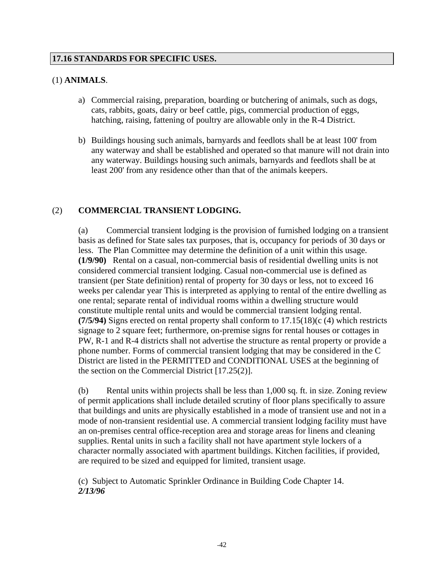### **17.16 STANDARDS FOR SPECIFIC USES.**

### (1) **ANIMALS**.

- a) Commercial raising, preparation, boarding or butchering of animals, such as dogs, cats, rabbits, goats, dairy or beef cattle, pigs, commercial production of eggs, hatching, raising, fattening of poultry are allowable only in the R-4 District.
- b) Buildings housing such animals, barnyards and feedlots shall be at least 100' from any waterway and shall be established and operated so that manure will not drain into any waterway. Buildings housing such animals, barnyards and feedlots shall be at least 200' from any residence other than that of the animals keepers.

### (2) **COMMERCIAL TRANSIENT LODGING.**

(a) Commercial transient lodging is the provision of furnished lodging on a transient basis as defined for State sales tax purposes, that is, occupancy for periods of 30 days or less. The Plan Committee may determine the definition of a unit within this usage. **(1/9/90)** Rental on a casual, non-commercial basis of residential dwelling units is not considered commercial transient lodging. Casual non-commercial use is defined as transient (per State definition) rental of property for 30 days or less, not to exceed 16 weeks per calendar year This is interpreted as applying to rental of the entire dwelling as one rental; separate rental of individual rooms within a dwelling structure would constitute multiple rental units and would be commercial transient lodging rental. **(7/5/94)** Signs erected on rental property shall conform to 17.15(18)(c (4) which restricts signage to 2 square feet; furthermore, on-premise signs for rental houses or cottages in PW, R-1 and R-4 districts shall not advertise the structure as rental property or provide a phone number. Forms of commercial transient lodging that may be considered in the C District are listed in the PERMITTED and CONDITIONAL USES at the beginning of the section on the Commercial District [17.25(2)].

(b) Rental units within projects shall be less than 1,000 sq. ft. in size. Zoning review of permit applications shall include detailed scrutiny of floor plans specifically to assure that buildings and units are physically established in a mode of transient use and not in a mode of non-transient residential use. A commercial transient lodging facility must have an on-premises central office-reception area and storage areas for linens and cleaning supplies. Rental units in such a facility shall not have apartment style lockers of a character normally associated with apartment buildings. Kitchen facilities, if provided, are required to be sized and equipped for limited, transient usage.

(c) Subject to Automatic Sprinkler Ordinance in Building Code Chapter 14. *2/13/96*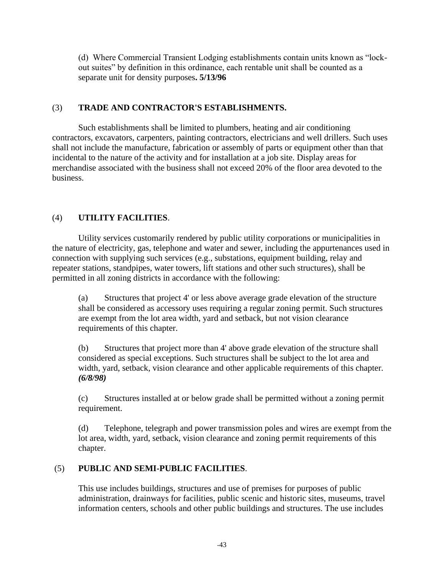(d) Where Commercial Transient Lodging establishments contain units known as "lockout suites" by definition in this ordinance, each rentable unit shall be counted as a separate unit for density purposes**. 5/13/96**

# (3) **TRADE AND CONTRACTOR'S ESTABLISHMENTS.**

Such establishments shall be limited to plumbers, heating and air conditioning contractors, excavators, carpenters, painting contractors, electricians and well drillers. Such uses shall not include the manufacture, fabrication or assembly of parts or equipment other than that incidental to the nature of the activity and for installation at a job site. Display areas for merchandise associated with the business shall not exceed 20% of the floor area devoted to the business.

# (4) **UTILITY FACILITIES**.

Utility services customarily rendered by public utility corporations or municipalities in the nature of electricity, gas, telephone and water and sewer, including the appurtenances used in connection with supplying such services (e.g., substations, equipment building, relay and repeater stations, standpipes, water towers, lift stations and other such structures), shall be permitted in all zoning districts in accordance with the following:

(a) Structures that project 4' or less above average grade elevation of the structure shall be considered as accessory uses requiring a regular zoning permit. Such structures are exempt from the lot area width, yard and setback, but not vision clearance requirements of this chapter.

(b) Structures that project more than 4' above grade elevation of the structure shall considered as special exceptions. Such structures shall be subject to the lot area and width, yard, setback, vision clearance and other applicable requirements of this chapter. *(6/8/98)*

(c) Structures installed at or below grade shall be permitted without a zoning permit requirement.

(d) Telephone, telegraph and power transmission poles and wires are exempt from the lot area, width, yard, setback, vision clearance and zoning permit requirements of this chapter.

# (5) **PUBLIC AND SEMI-PUBLIC FACILITIES**.

This use includes buildings, structures and use of premises for purposes of public administration, drainways for facilities, public scenic and historic sites, museums, travel information centers, schools and other public buildings and structures. The use includes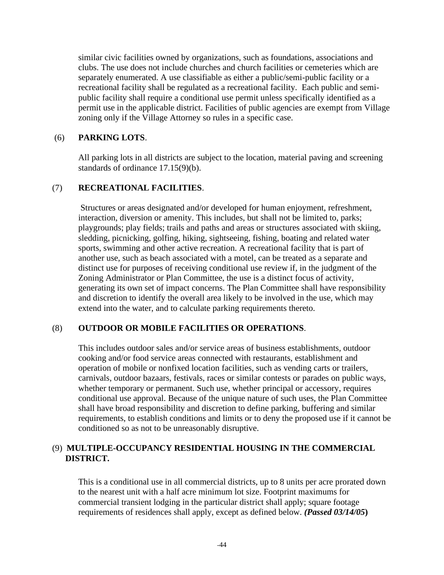similar civic facilities owned by organizations, such as foundations, associations and clubs. The use does not include churches and church facilities or cemeteries which are separately enumerated. A use classifiable as either a public/semi-public facility or a recreational facility shall be regulated as a recreational facility. Each public and semipublic facility shall require a conditional use permit unless specifically identified as a permit use in the applicable district. Facilities of public agencies are exempt from Village zoning only if the Village Attorney so rules in a specific case.

#### (6) **PARKING LOTS**.

All parking lots in all districts are subject to the location, material paving and screening standards of ordinance 17.15(9)(b).

#### (7) **RECREATIONAL FACILITIES**.

Structures or areas designated and/or developed for human enjoyment, refreshment, interaction, diversion or amenity. This includes, but shall not be limited to, parks; playgrounds; play fields; trails and paths and areas or structures associated with skiing, sledding, picnicking, golfing, hiking, sightseeing, fishing, boating and related water sports, swimming and other active recreation. A recreational facility that is part of another use, such as beach associated with a motel, can be treated as a separate and distinct use for purposes of receiving conditional use review if, in the judgment of the Zoning Administrator or Plan Committee, the use is a distinct focus of activity, generating its own set of impact concerns. The Plan Committee shall have responsibility and discretion to identify the overall area likely to be involved in the use, which may extend into the water, and to calculate parking requirements thereto.

#### (8) **OUTDOOR OR MOBILE FACILITIES OR OPERATIONS**.

This includes outdoor sales and/or service areas of business establishments, outdoor cooking and/or food service areas connected with restaurants, establishment and operation of mobile or nonfixed location facilities, such as vending carts or trailers, carnivals, outdoor bazaars, festivals, races or similar contests or parades on public ways, whether temporary or permanent. Such use, whether principal or accessory, requires conditional use approval. Because of the unique nature of such uses, the Plan Committee shall have broad responsibility and discretion to define parking, buffering and similar requirements, to establish conditions and limits or to deny the proposed use if it cannot be conditioned so as not to be unreasonably disruptive.

# (9) **MULTIPLE-OCCUPANCY RESIDENTIAL HOUSING IN THE COMMERCIAL DISTRICT.**

This is a conditional use in all commercial districts, up to 8 units per acre prorated down to the nearest unit with a half acre minimum lot size. Footprint maximums for commercial transient lodging in the particular district shall apply; square footage requirements of residences shall apply, except as defined below. *(Passed 03/14/05***)**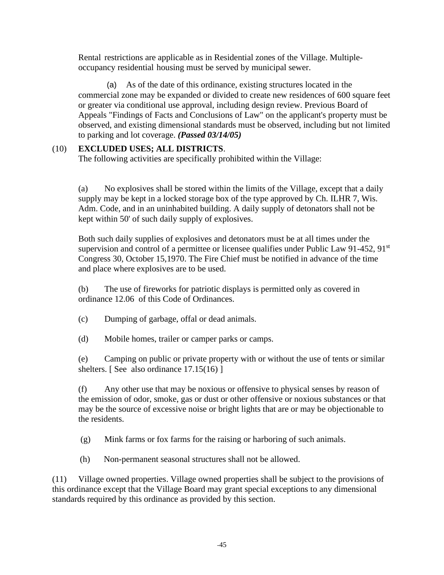Rental restrictions are applicable as in Residential zones of the Village. Multipleoccupancy residential housing must be served by municipal sewer.

(a) As of the date of this ordinance, existing structures located in the commercial zone may be expanded or divided to create new residences of 600 square feet or greater via conditional use approval, including design review. Previous Board of Appeals "Findings of Facts and Conclusions of Law" on the applicant's property must be observed, and existing dimensional standards must be observed, including but not limited to parking and lot coverage. *(Passed 03/14/05)*

# (10) **EXCLUDED USES; ALL DISTRICTS**.

The following activities are specifically prohibited within the Village:

(a) No explosives shall be stored within the limits of the Village, except that a daily supply may be kept in a locked storage box of the type approved by Ch. ILHR 7, Wis. Adm. Code, and in an uninhabited building. A daily supply of detonators shall not be kept within 50' of such daily supply of explosives.

Both such daily supplies of explosives and detonators must be at all times under the supervision and control of a permittee or licensee qualifies under Public Law 91-452,  $91<sup>st</sup>$ Congress 30, October 15,1970. The Fire Chief must be notified in advance of the time and place where explosives are to be used.

(b) The use of fireworks for patriotic displays is permitted only as covered in ordinance 12.06 of this Code of Ordinances.

(c) Dumping of garbage, offal or dead animals.

(d) Mobile homes, trailer or camper parks or camps.

(e) Camping on public or private property with or without the use of tents or similar shelters. [See also ordinance 17.15(16)]

(f) Any other use that may be noxious or offensive to physical senses by reason of the emission of odor, smoke, gas or dust or other offensive or noxious substances or that may be the source of excessive noise or bright lights that are or may be objectionable to the residents.

(g) Mink farms or fox farms for the raising or harboring of such animals.

(h) Non-permanent seasonal structures shall not be allowed.

(11) Village owned properties. Village owned properties shall be subject to the provisions of this ordinance except that the Village Board may grant special exceptions to any dimensional standards required by this ordinance as provided by this section.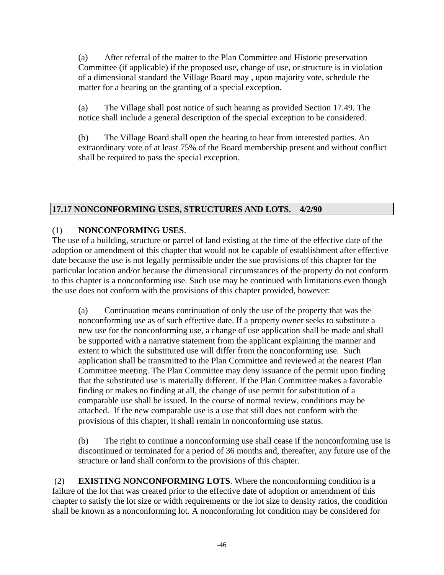(a) After referral of the matter to the Plan Committee and Historic preservation Committee (if applicable) if the proposed use, change of use, or structure is in violation of a dimensional standard the Village Board may , upon majority vote, schedule the matter for a hearing on the granting of a special exception.

(a) The Village shall post notice of such hearing as provided Section 17.49. The notice shall include a general description of the special exception to be considered.

(b) The Village Board shall open the hearing to hear from interested parties. An extraordinary vote of at least 75% of the Board membership present and without conflict shall be required to pass the special exception.

# **17.17 NONCONFORMING USES, STRUCTURES AND LOTS. 4/2/90**

# (1) **NONCONFORMING USES**.

The use of a building, structure or parcel of land existing at the time of the effective date of the adoption or amendment of this chapter that would not be capable of establishment after effective date because the use is not legally permissible under the sue provisions of this chapter for the particular location and/or because the dimensional circumstances of the property do not conform to this chapter is a nonconforming use. Such use may be continued with limitations even though the use does not conform with the provisions of this chapter provided, however:

(a) Continuation means continuation of only the use of the property that was the nonconforming use as of such effective date. If a property owner seeks to substitute a new use for the nonconforming use, a change of use application shall be made and shall be supported with a narrative statement from the applicant explaining the manner and extent to which the substituted use will differ from the nonconforming use. Such application shall be transmitted to the Plan Committee and reviewed at the nearest Plan Committee meeting. The Plan Committee may deny issuance of the permit upon finding that the substituted use is materially different. If the Plan Committee makes a favorable finding or makes no finding at all, the change of use permit for substitution of a comparable use shall be issued. In the course of normal review, conditions may be attached. If the new comparable use is a use that still does not conform with the provisions of this chapter, it shall remain in nonconforming use status.

(b) The right to continue a nonconforming use shall cease if the nonconforming use is discontinued or terminated for a period of 36 months and, thereafter, any future use of the structure or land shall conform to the provisions of this chapter.

(2) **EXISTING NONCONFORMING LOTS**. Where the nonconforming condition is a failure of the lot that was created prior to the effective date of adoption or amendment of this chapter to satisfy the lot size or width requirements or the lot size to density ratios, the condition shall be known as a nonconforming lot. A nonconforming lot condition may be considered for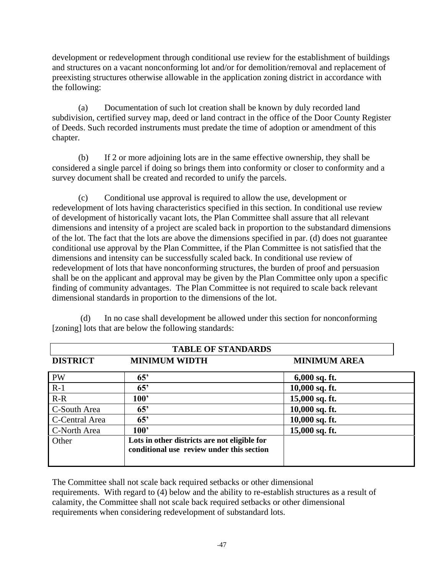development or redevelopment through conditional use review for the establishment of buildings and structures on a vacant nonconforming lot and/or for demolition/removal and replacement of preexisting structures otherwise allowable in the application zoning district in accordance with the following:

(a) Documentation of such lot creation shall be known by duly recorded land subdivision, certified survey map, deed or land contract in the office of the Door County Register of Deeds. Such recorded instruments must predate the time of adoption or amendment of this chapter.

(b) If 2 or more adjoining lots are in the same effective ownership, they shall be considered a single parcel if doing so brings them into conformity or closer to conformity and a survey document shall be created and recorded to unify the parcels.

(c) Conditional use approval is required to allow the use, development or redevelopment of lots having characteristics specified in this section. In conditional use review of development of historically vacant lots, the Plan Committee shall assure that all relevant dimensions and intensity of a project are scaled back in proportion to the substandard dimensions of the lot. The fact that the lots are above the dimensions specified in par. (d) does not guarantee conditional use approval by the Plan Committee, if the Plan Committee is not satisfied that the dimensions and intensity can be successfully scaled back. In conditional use review of redevelopment of lots that have nonconforming structures, the burden of proof and persuasion shall be on the applicant and approval may be given by the Plan Committee only upon a specific finding of community advantages. The Plan Committee is not required to scale back relevant dimensional standards in proportion to the dimensions of the lot.

| <b>TABLE OF STANDARDS</b> |                                                                                           |                     |  |  |  |
|---------------------------|-------------------------------------------------------------------------------------------|---------------------|--|--|--|
| <b>DISTRICT</b>           | <b>MINIMUM WIDTH</b>                                                                      | <b>MINIMUM AREA</b> |  |  |  |
| PW                        | 65'                                                                                       | $6,000$ sq. ft.     |  |  |  |
| $R-1$                     | 65'                                                                                       | $10,000$ sq. ft.    |  |  |  |
| $R-R$                     | 100'                                                                                      | 15,000 sq. ft.      |  |  |  |
| C-South Area              | 65'                                                                                       | $10,000$ sq. ft.    |  |  |  |
| C-Central Area            | 65'                                                                                       | 10,000 sq. ft.      |  |  |  |
| C-North Area              | 100'                                                                                      | 15,000 sq. ft.      |  |  |  |
| Other                     | Lots in other districts are not eligible for<br>conditional use review under this section |                     |  |  |  |

(d) In no case shall development be allowed under this section for nonconforming [zoning] lots that are below the following standards:

The Committee shall not scale back required setbacks or other dimensional requirements. With regard to (4) below and the ability to re-establish structures as a result of calamity, the Committee shall not scale back required setbacks or other dimensional requirements when considering redevelopment of substandard lots.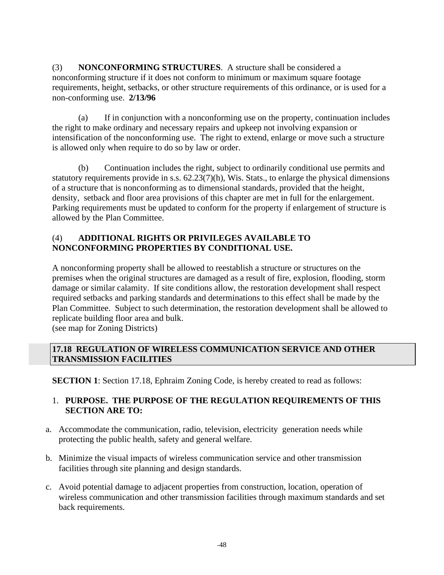(3) **NONCONFORMING STRUCTURES**. A structure shall be considered a nonconforming structure if it does not conform to minimum or maximum square footage requirements, height, setbacks, or other structure requirements of this ordinance, or is used for a non-conforming use. **2/13/96**

(a) If in conjunction with a nonconforming use on the property, continuation includes the right to make ordinary and necessary repairs and upkeep not involving expansion or intensification of the nonconforming use. The right to extend, enlarge or move such a structure is allowed only when require to do so by law or order.

(b) Continuation includes the right, subject to ordinarily conditional use permits and statutory requirements provide in s.s. 62.23(7)(h), Wis. Stats., to enlarge the physical dimensions of a structure that is nonconforming as to dimensional standards, provided that the height, density, setback and floor area provisions of this chapter are met in full for the enlargement. Parking requirements must be updated to conform for the property if enlargement of structure is allowed by the Plan Committee.

# (4) **ADDITIONAL RIGHTS OR PRIVILEGES AVAILABLE TO NONCONFORMING PROPERTIES BY CONDITIONAL USE.**

A nonconforming property shall be allowed to reestablish a structure or structures on the premises when the original structures are damaged as a result of fire, explosion, flooding, storm damage or similar calamity. If site conditions allow, the restoration development shall respect required setbacks and parking standards and determinations to this effect shall be made by the Plan Committee. Subject to such determination, the restoration development shall be allowed to replicate building floor area and bulk.

(see map for Zoning Districts)

# **17.18 REGULATION OF WIRELESS COMMUNICATION SERVICE AND OTHER TRANSMISSION FACILITIES**

**SECTION 1**: Section 17.18, Ephraim Zoning Code, is hereby created to read as follows:

# 1. **PURPOSE. THE PURPOSE OF THE REGULATION REQUIREMENTS OF THIS SECTION ARE TO:**

- a. Accommodate the communication, radio, television, electricity generation needs while protecting the public health, safety and general welfare.
- b. Minimize the visual impacts of wireless communication service and other transmission facilities through site planning and design standards.
- c. Avoid potential damage to adjacent properties from construction, location, operation of wireless communication and other transmission facilities through maximum standards and set back requirements.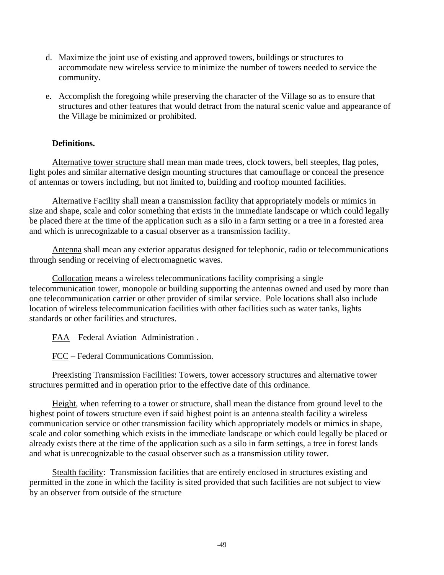- d. Maximize the joint use of existing and approved towers, buildings or structures to accommodate new wireless service to minimize the number of towers needed to service the community.
- e. Accomplish the foregoing while preserving the character of the Village so as to ensure that structures and other features that would detract from the natural scenic value and appearance of the Village be minimized or prohibited.

### **Definitions.**

Alternative tower structure shall mean man made trees, clock towers, bell steeples, flag poles, light poles and similar alternative design mounting structures that camouflage or conceal the presence of antennas or towers including, but not limited to, building and rooftop mounted facilities.

Alternative Facility shall mean a transmission facility that appropriately models or mimics in size and shape, scale and color something that exists in the immediate landscape or which could legally be placed there at the time of the application such as a silo in a farm setting or a tree in a forested area and which is unrecognizable to a casual observer as a transmission facility.

Antenna shall mean any exterior apparatus designed for telephonic, radio or telecommunications through sending or receiving of electromagnetic waves.

Collocation means a wireless telecommunications facility comprising a single telecommunication tower, monopole or building supporting the antennas owned and used by more than one telecommunication carrier or other provider of similar service. Pole locations shall also include location of wireless telecommunication facilities with other facilities such as water tanks, lights standards or other facilities and structures.

FAA – Federal Aviation Administration .

FCC – Federal Communications Commission.

Preexisting Transmission Facilities: Towers, tower accessory structures and alternative tower structures permitted and in operation prior to the effective date of this ordinance.

Height, when referring to a tower or structure, shall mean the distance from ground level to the highest point of towers structure even if said highest point is an antenna stealth facility a wireless communication service or other transmission facility which appropriately models or mimics in shape, scale and color something which exists in the immediate landscape or which could legally be placed or already exists there at the time of the application such as a silo in farm settings, a tree in forest lands and what is unrecognizable to the casual observer such as a transmission utility tower.

Stealth facility: Transmission facilities that are entirely enclosed in structures existing and permitted in the zone in which the facility is sited provided that such facilities are not subject to view by an observer from outside of the structure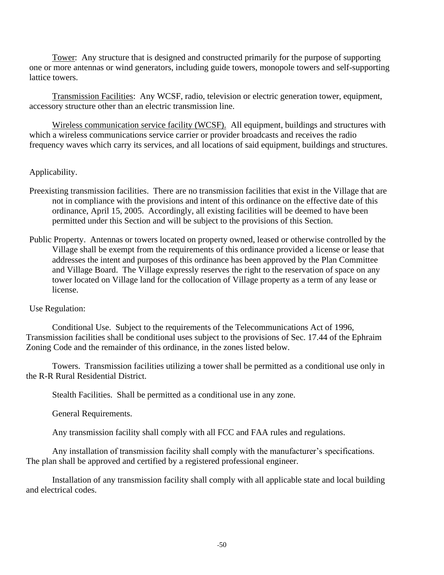Tower: Any structure that is designed and constructed primarily for the purpose of supporting one or more antennas or wind generators, including guide towers, monopole towers and self-supporting lattice towers.

Transmission Facilities: Any WCSF, radio, television or electric generation tower, equipment, accessory structure other than an electric transmission line.

Wireless communication service facility (WCSF). All equipment, buildings and structures with which a wireless communications service carrier or provider broadcasts and receives the radio frequency waves which carry its services, and all locations of said equipment, buildings and structures.

### Applicability.

- Preexisting transmission facilities. There are no transmission facilities that exist in the Village that are not in compliance with the provisions and intent of this ordinance on the effective date of this ordinance, April 15, 2005. Accordingly, all existing facilities will be deemed to have been permitted under this Section and will be subject to the provisions of this Section.
- Public Property. Antennas or towers located on property owned, leased or otherwise controlled by the Village shall be exempt from the requirements of this ordinance provided a license or lease that addresses the intent and purposes of this ordinance has been approved by the Plan Committee and Village Board. The Village expressly reserves the right to the reservation of space on any tower located on Village land for the collocation of Village property as a term of any lease or license.

#### Use Regulation:

Conditional Use. Subject to the requirements of the Telecommunications Act of 1996, Transmission facilities shall be conditional uses subject to the provisions of Sec. 17.44 of the Ephraim Zoning Code and the remainder of this ordinance, in the zones listed below.

Towers. Transmission facilities utilizing a tower shall be permitted as a conditional use only in the R-R Rural Residential District.

Stealth Facilities. Shall be permitted as a conditional use in any zone.

General Requirements.

Any transmission facility shall comply with all FCC and FAA rules and regulations.

Any installation of transmission facility shall comply with the manufacturer's specifications. The plan shall be approved and certified by a registered professional engineer.

Installation of any transmission facility shall comply with all applicable state and local building and electrical codes.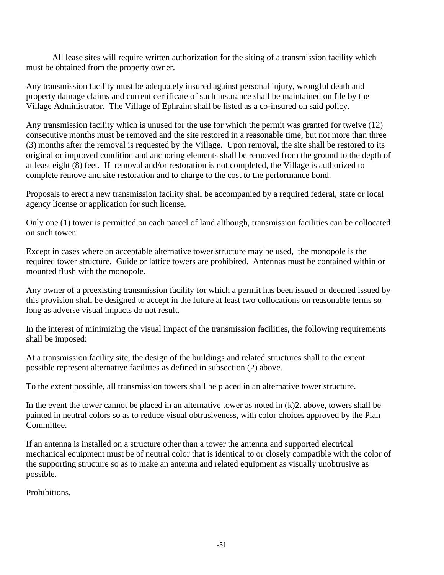All lease sites will require written authorization for the siting of a transmission facility which must be obtained from the property owner.

Any transmission facility must be adequately insured against personal injury, wrongful death and property damage claims and current certificate of such insurance shall be maintained on file by the Village Administrator. The Village of Ephraim shall be listed as a co-insured on said policy.

Any transmission facility which is unused for the use for which the permit was granted for twelve (12) consecutive months must be removed and the site restored in a reasonable time, but not more than three (3) months after the removal is requested by the Village. Upon removal, the site shall be restored to its original or improved condition and anchoring elements shall be removed from the ground to the depth of at least eight (8) feet. If removal and/or restoration is not completed, the Village is authorized to complete remove and site restoration and to charge to the cost to the performance bond.

Proposals to erect a new transmission facility shall be accompanied by a required federal, state or local agency license or application for such license.

Only one (1) tower is permitted on each parcel of land although, transmission facilities can be collocated on such tower.

Except in cases where an acceptable alternative tower structure may be used, the monopole is the required tower structure. Guide or lattice towers are prohibited. Antennas must be contained within or mounted flush with the monopole.

Any owner of a preexisting transmission facility for which a permit has been issued or deemed issued by this provision shall be designed to accept in the future at least two collocations on reasonable terms so long as adverse visual impacts do not result.

In the interest of minimizing the visual impact of the transmission facilities, the following requirements shall be imposed:

At a transmission facility site, the design of the buildings and related structures shall to the extent possible represent alternative facilities as defined in subsection (2) above.

To the extent possible, all transmission towers shall be placed in an alternative tower structure.

In the event the tower cannot be placed in an alternative tower as noted in  $(k)$ 2. above, towers shall be painted in neutral colors so as to reduce visual obtrusiveness, with color choices approved by the Plan Committee.

If an antenna is installed on a structure other than a tower the antenna and supported electrical mechanical equipment must be of neutral color that is identical to or closely compatible with the color of the supporting structure so as to make an antenna and related equipment as visually unobtrusive as possible.

Prohibitions.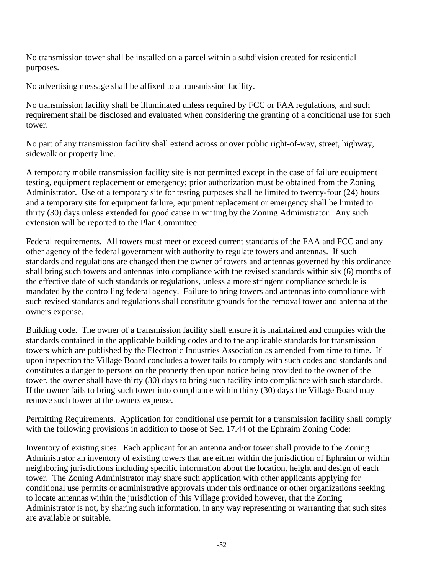No transmission tower shall be installed on a parcel within a subdivision created for residential purposes.

No advertising message shall be affixed to a transmission facility.

No transmission facility shall be illuminated unless required by FCC or FAA regulations, and such requirement shall be disclosed and evaluated when considering the granting of a conditional use for such tower.

No part of any transmission facility shall extend across or over public right-of-way, street, highway, sidewalk or property line.

A temporary mobile transmission facility site is not permitted except in the case of failure equipment testing, equipment replacement or emergency; prior authorization must be obtained from the Zoning Administrator. Use of a temporary site for testing purposes shall be limited to twenty-four (24) hours and a temporary site for equipment failure, equipment replacement or emergency shall be limited to thirty (30) days unless extended for good cause in writing by the Zoning Administrator. Any such extension will be reported to the Plan Committee.

Federal requirements. All towers must meet or exceed current standards of the FAA and FCC and any other agency of the federal government with authority to regulate towers and antennas. If such standards and regulations are changed then the owner of towers and antennas governed by this ordinance shall bring such towers and antennas into compliance with the revised standards within six (6) months of the effective date of such standards or regulations, unless a more stringent compliance schedule is mandated by the controlling federal agency. Failure to bring towers and antennas into compliance with such revised standards and regulations shall constitute grounds for the removal tower and antenna at the owners expense.

Building code. The owner of a transmission facility shall ensure it is maintained and complies with the standards contained in the applicable building codes and to the applicable standards for transmission towers which are published by the Electronic Industries Association as amended from time to time. If upon inspection the Village Board concludes a tower fails to comply with such codes and standards and constitutes a danger to persons on the property then upon notice being provided to the owner of the tower, the owner shall have thirty (30) days to bring such facility into compliance with such standards. If the owner fails to bring such tower into compliance within thirty (30) days the Village Board may remove such tower at the owners expense.

Permitting Requirements. Application for conditional use permit for a transmission facility shall comply with the following provisions in addition to those of Sec. 17.44 of the Ephraim Zoning Code:

Inventory of existing sites. Each applicant for an antenna and/or tower shall provide to the Zoning Administrator an inventory of existing towers that are either within the jurisdiction of Ephraim or within neighboring jurisdictions including specific information about the location, height and design of each tower. The Zoning Administrator may share such application with other applicants applying for conditional use permits or administrative approvals under this ordinance or other organizations seeking to locate antennas within the jurisdiction of this Village provided however, that the Zoning Administrator is not, by sharing such information, in any way representing or warranting that such sites are available or suitable.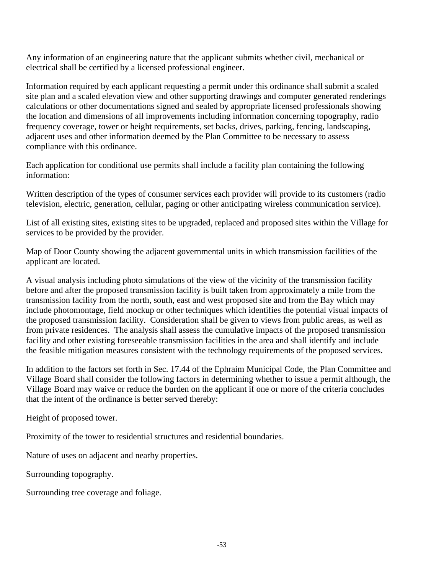Any information of an engineering nature that the applicant submits whether civil, mechanical or electrical shall be certified by a licensed professional engineer.

Information required by each applicant requesting a permit under this ordinance shall submit a scaled site plan and a scaled elevation view and other supporting drawings and computer generated renderings calculations or other documentations signed and sealed by appropriate licensed professionals showing the location and dimensions of all improvements including information concerning topography, radio frequency coverage, tower or height requirements, set backs, drives, parking, fencing, landscaping, adjacent uses and other information deemed by the Plan Committee to be necessary to assess compliance with this ordinance.

Each application for conditional use permits shall include a facility plan containing the following information:

Written description of the types of consumer services each provider will provide to its customers (radio television, electric, generation, cellular, paging or other anticipating wireless communication service).

List of all existing sites, existing sites to be upgraded, replaced and proposed sites within the Village for services to be provided by the provider.

Map of Door County showing the adjacent governmental units in which transmission facilities of the applicant are located.

A visual analysis including photo simulations of the view of the vicinity of the transmission facility before and after the proposed transmission facility is built taken from approximately a mile from the transmission facility from the north, south, east and west proposed site and from the Bay which may include photomontage, field mockup or other techniques which identifies the potential visual impacts of the proposed transmission facility. Consideration shall be given to views from public areas, as well as from private residences. The analysis shall assess the cumulative impacts of the proposed transmission facility and other existing foreseeable transmission facilities in the area and shall identify and include the feasible mitigation measures consistent with the technology requirements of the proposed services.

In addition to the factors set forth in Sec. 17.44 of the Ephraim Municipal Code, the Plan Committee and Village Board shall consider the following factors in determining whether to issue a permit although, the Village Board may waive or reduce the burden on the applicant if one or more of the criteria concludes that the intent of the ordinance is better served thereby:

Height of proposed tower.

Proximity of the tower to residential structures and residential boundaries.

Nature of uses on adjacent and nearby properties.

Surrounding topography.

Surrounding tree coverage and foliage.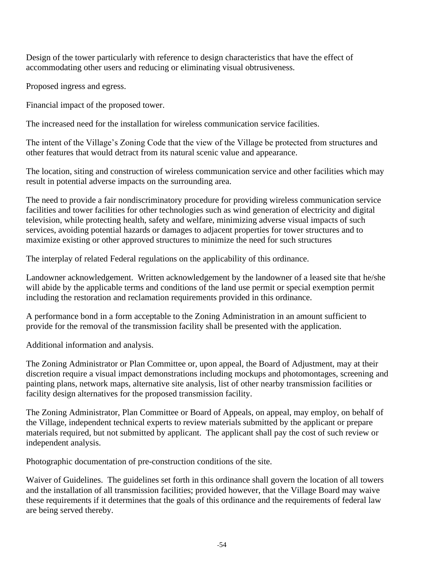Design of the tower particularly with reference to design characteristics that have the effect of accommodating other users and reducing or eliminating visual obtrusiveness.

Proposed ingress and egress.

Financial impact of the proposed tower.

The increased need for the installation for wireless communication service facilities.

The intent of the Village's Zoning Code that the view of the Village be protected from structures and other features that would detract from its natural scenic value and appearance.

The location, siting and construction of wireless communication service and other facilities which may result in potential adverse impacts on the surrounding area.

The need to provide a fair nondiscriminatory procedure for providing wireless communication service facilities and tower facilities for other technologies such as wind generation of electricity and digital television, while protecting health, safety and welfare, minimizing adverse visual impacts of such services, avoiding potential hazards or damages to adjacent properties for tower structures and to maximize existing or other approved structures to minimize the need for such structures

The interplay of related Federal regulations on the applicability of this ordinance.

Landowner acknowledgement. Written acknowledgement by the landowner of a leased site that he/she will abide by the applicable terms and conditions of the land use permit or special exemption permit including the restoration and reclamation requirements provided in this ordinance.

A performance bond in a form acceptable to the Zoning Administration in an amount sufficient to provide for the removal of the transmission facility shall be presented with the application.

Additional information and analysis.

The Zoning Administrator or Plan Committee or, upon appeal, the Board of Adjustment, may at their discretion require a visual impact demonstrations including mockups and photomontages, screening and painting plans, network maps, alternative site analysis, list of other nearby transmission facilities or facility design alternatives for the proposed transmission facility.

The Zoning Administrator, Plan Committee or Board of Appeals, on appeal, may employ, on behalf of the Village, independent technical experts to review materials submitted by the applicant or prepare materials required, but not submitted by applicant. The applicant shall pay the cost of such review or independent analysis.

Photographic documentation of pre-construction conditions of the site.

Waiver of Guidelines. The guidelines set forth in this ordinance shall govern the location of all towers and the installation of all transmission facilities; provided however, that the Village Board may waive these requirements if it determines that the goals of this ordinance and the requirements of federal law are being served thereby.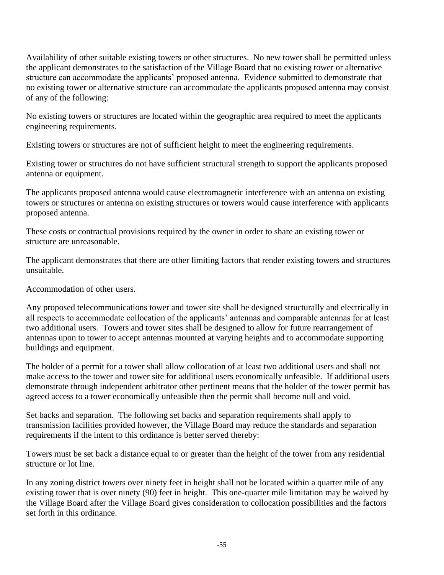Availability of other suitable existing towers or other structures. No new tower shall be permitted unless the applicant demonstrates to the satisfaction of the Village Board that no existing tower or alternative structure can accommodate the applicants' proposed antenna. Evidence submitted to demonstrate that no existing tower or alternative structure can accommodate the applicants proposed antenna may consist of any of the following:

No existing towers or structures are located within the geographic area required to meet the applicants engineering requirements.

Existing towers or structures are not of sufficient height to meet the engineering requirements.

Existing tower or structures do not have sufficient structural strength to support the applicants proposed antenna or equipment.

The applicants proposed antenna would cause electromagnetic interference with an antenna on existing towers or structures or antenna on existing structures or towers would cause interference with applicants proposed antenna.

These costs or contractual provisions required by the owner in order to share an existing tower or structure are unreasonable.

The applicant demonstrates that there are other limiting factors that render existing towers and structures unsuitable.

Accommodation of other users.

Any proposed telecommunications tower and tower site shall be designed structurally and electrically in all respects to accommodate collocation of the applicants' antennas and comparable antennas for at least two additional users. Towers and tower sites shall be designed to allow for future rearrangement of antennas upon to tower to accept antennas mounted at varying heights and to accommodate supporting buildings and equipment.

The holder of a permit for a tower shall allow collocation of at least two additional users and shall not make access to the tower and tower site for additional users economically unfeasible. If additional users demonstrate through independent arbitrator other pertinent means that the holder of the tower permit has agreed access to a tower economically unfeasible then the permit shall become null and void.

Set backs and separation. The following set backs and separation requirements shall apply to transmission facilities provided however, the Village Board may reduce the standards and separation requirements if the intent to this ordinance is better served thereby:

Towers must be set back a distance equal to or greater than the height of the tower from any residential structure or lot line.

In any zoning district towers over ninety feet in height shall not be located within a quarter mile of any existing tower that is over ninety (90) feet in height. This one-quarter mile limitation may be waived by the Village Board after the Village Board gives consideration to collocation possibilities and the factors set forth in this ordinance.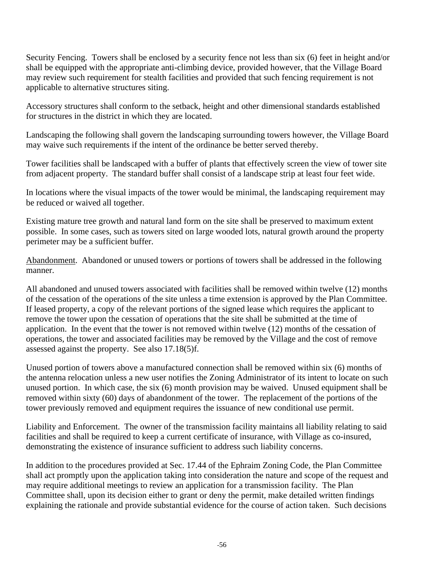Security Fencing. Towers shall be enclosed by a security fence not less than six (6) feet in height and/or shall be equipped with the appropriate anti-climbing device, provided however, that the Village Board may review such requirement for stealth facilities and provided that such fencing requirement is not applicable to alternative structures siting.

Accessory structures shall conform to the setback, height and other dimensional standards established for structures in the district in which they are located.

Landscaping the following shall govern the landscaping surrounding towers however, the Village Board may waive such requirements if the intent of the ordinance be better served thereby.

Tower facilities shall be landscaped with a buffer of plants that effectively screen the view of tower site from adjacent property. The standard buffer shall consist of a landscape strip at least four feet wide.

In locations where the visual impacts of the tower would be minimal, the landscaping requirement may be reduced or waived all together.

Existing mature tree growth and natural land form on the site shall be preserved to maximum extent possible. In some cases, such as towers sited on large wooded lots, natural growth around the property perimeter may be a sufficient buffer.

Abandonment. Abandoned or unused towers or portions of towers shall be addressed in the following manner.

All abandoned and unused towers associated with facilities shall be removed within twelve (12) months of the cessation of the operations of the site unless a time extension is approved by the Plan Committee. If leased property, a copy of the relevant portions of the signed lease which requires the applicant to remove the tower upon the cessation of operations that the site shall be submitted at the time of application. In the event that the tower is not removed within twelve (12) months of the cessation of operations, the tower and associated facilities may be removed by the Village and the cost of remove assessed against the property. See also 17.18(5)f.

Unused portion of towers above a manufactured connection shall be removed within six (6) months of the antenna relocation unless a new user notifies the Zoning Administrator of its intent to locate on such unused portion. In which case, the six (6) month provision may be waived. Unused equipment shall be removed within sixty (60) days of abandonment of the tower. The replacement of the portions of the tower previously removed and equipment requires the issuance of new conditional use permit.

Liability and Enforcement. The owner of the transmission facility maintains all liability relating to said facilities and shall be required to keep a current certificate of insurance, with Village as co-insured, demonstrating the existence of insurance sufficient to address such liability concerns.

In addition to the procedures provided at Sec. 17.44 of the Ephraim Zoning Code, the Plan Committee shall act promptly upon the application taking into consideration the nature and scope of the request and may require additional meetings to review an application for a transmission facility. The Plan Committee shall, upon its decision either to grant or deny the permit, make detailed written findings explaining the rationale and provide substantial evidence for the course of action taken. Such decisions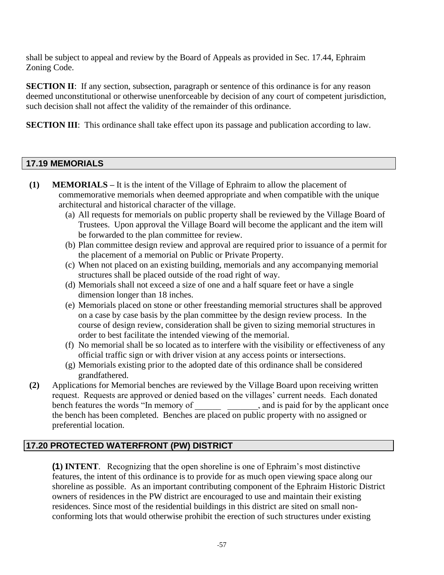shall be subject to appeal and review by the Board of Appeals as provided in Sec. 17.44, Ephraim Zoning Code.

**SECTION II:** If any section, subsection, paragraph or sentence of this ordinance is for any reason deemed unconstitutional or otherwise unenforceable by decision of any court of competent jurisdiction, such decision shall not affect the validity of the remainder of this ordinance.

**SECTION III**: This ordinance shall take effect upon its passage and publication according to law.

# **17.19 MEMORIALS**

**(1) MEMORIALS –** It is the intent of the Village of Ephraim to allow the placement of commemorative memorials when deemed appropriate and when compatible with the unique architectural and historical character of the village.

- (a) All requests for memorials on public property shall be reviewed by the Village Board of Trustees. Upon approval the Village Board will become the applicant and the item will be forwarded to the plan committee for review.
- (b) Plan committee design review and approval are required prior to issuance of a permit for the placement of a memorial on Public or Private Property.
- (c) When not placed on an existing building, memorials and any accompanying memorial structures shall be placed outside of the road right of way.
- (d) Memorials shall not exceed a size of one and a half square feet or have a single dimension longer than 18 inches.
- (e) Memorials placed on stone or other freestanding memorial structures shall be approved on a case by case basis by the plan committee by the design review process. In the course of design review, consideration shall be given to sizing memorial structures in order to best facilitate the intended viewing of the memorial.
- (f) No memorial shall be so located as to interfere with the visibility or effectiveness of any official traffic sign or with driver vision at any access points or intersections.
- (g) Memorials existing prior to the adopted date of this ordinance shall be considered grandfathered.
- **(2)** Applications for Memorial benches are reviewed by the Village Board upon receiving written request. Requests are approved or denied based on the villages' current needs. Each donated bench features the words "In memory of  $\qquad \qquad$ , and is paid for by the applicant once the bench has been completed. Benches are placed on public property with no assigned or preferential location.

# **17.20 PROTECTED WATERFRONT (PW) DISTRICT**

**(1) INTENT**. Recognizing that the open shoreline is one of Ephraim's most distinctive features, the intent of this ordinance is to provide for as much open viewing space along our shoreline as possible. As an important contributing component of the Ephraim Historic District owners of residences in the PW district are encouraged to use and maintain their existing residences. Since most of the residential buildings in this district are sited on small nonconforming lots that would otherwise prohibit the erection of such structures under existing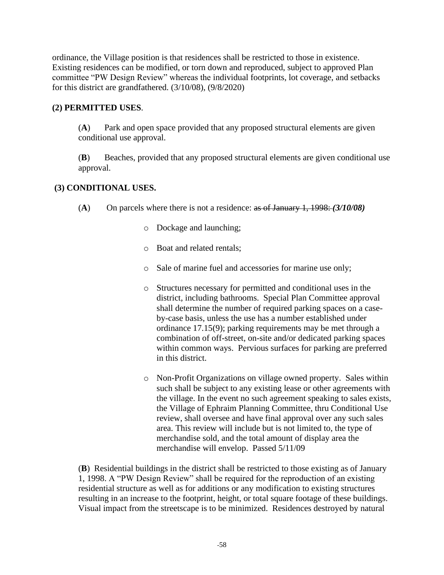ordinance, the Village position is that residences shall be restricted to those in existence. Existing residences can be modified, or torn down and reproduced, subject to approved Plan committee "PW Design Review" whereas the individual footprints, lot coverage, and setbacks for this district are grandfathered. (3/10/08), (9/8/2020)

### **(2) PERMITTED USES**.

(**A**) Park and open space provided that any proposed structural elements are given conditional use approval.

(**B**) Beaches, provided that any proposed structural elements are given conditional use approval.

### **(3) CONDITIONAL USES.**

- (**A**) On parcels where there is not a residence: as of January 1, 1998: *(3/10/08)*
	- o Dockage and launching;
	- o Boat and related rentals;
	- o Sale of marine fuel and accessories for marine use only;
	- o Structures necessary for permitted and conditional uses in the district, including bathrooms. Special Plan Committee approval shall determine the number of required parking spaces on a caseby-case basis, unless the use has a number established under ordinance 17.15(9); parking requirements may be met through a combination of off-street, on-site and/or dedicated parking spaces within common ways. Pervious surfaces for parking are preferred in this district.
	- o Non-Profit Organizations on village owned property. Sales within such shall be subject to any existing lease or other agreements with the village. In the event no such agreement speaking to sales exists, the Village of Ephraim Planning Committee, thru Conditional Use review, shall oversee and have final approval over any such sales area. This review will include but is not limited to, the type of merchandise sold, and the total amount of display area the merchandise will envelop. Passed 5/11/09

(**B**) Residential buildings in the district shall be restricted to those existing as of January 1, 1998. A "PW Design Review" shall be required for the reproduction of an existing residential structure as well as for additions or any modification to existing structures resulting in an increase to the footprint, height, or total square footage of these buildings. Visual impact from the streetscape is to be minimized. Residences destroyed by natural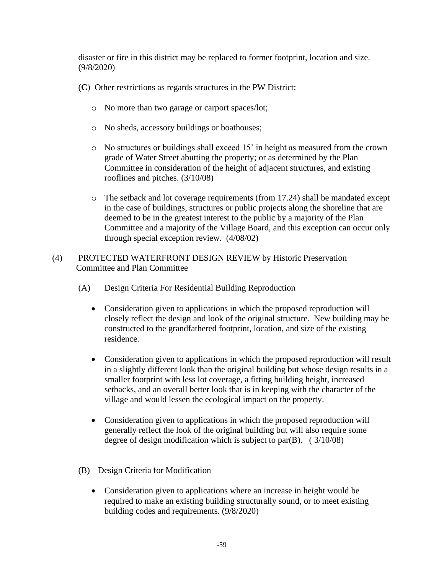disaster or fire in this district may be replaced to former footprint, location and size. (9/8/2020)

- (**C**) Other restrictions as regards structures in the PW District:
	- o No more than two garage or carport spaces/lot;
	- o No sheds, accessory buildings or boathouses;
	- $\circ$  No structures or buildings shall exceed 15' in height as measured from the crown grade of Water Street abutting the property; or as determined by the Plan Committee in consideration of the height of adjacent structures, and existing rooflines and pitches. (3/10/08)
	- o The setback and lot coverage requirements (from 17.24) shall be mandated except in the case of buildings, structures or public projects along the shoreline that are deemed to be in the greatest interest to the public by a majority of the Plan Committee and a majority of the Village Board, and this exception can occur only through special exception review. (4/08/02)
- (4) PROTECTED WATERFRONT DESIGN REVIEW by Historic Preservation Committee and Plan Committee
	- (A) Design Criteria For Residential Building Reproduction
		- Consideration given to applications in which the proposed reproduction will closely reflect the design and look of the original structure. New building may be constructed to the grandfathered footprint, location, and size of the existing residence.
		- Consideration given to applications in which the proposed reproduction will result in a slightly different look than the original building but whose design results in a smaller footprint with less lot coverage, a fitting building height, increased setbacks, and an overall better look that is in keeping with the character of the village and would lessen the ecological impact on the property.
		- Consideration given to applications in which the proposed reproduction will generally reflect the look of the original building but will also require some degree of design modification which is subject to par(B). ( 3/10/08)
	- (B) Design Criteria for Modification
		- Consideration given to applications where an increase in height would be required to make an existing building structurally sound, or to meet existing building codes and requirements. (9/8/2020)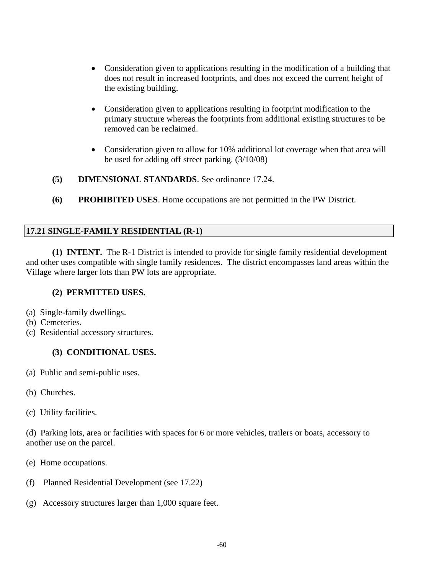- Consideration given to applications resulting in the modification of a building that does not result in increased footprints, and does not exceed the current height of the existing building.
- Consideration given to applications resulting in footprint modification to the primary structure whereas the footprints from additional existing structures to be removed can be reclaimed.
- Consideration given to allow for 10% additional lot coverage when that area will be used for adding off street parking. (3/10/08)
- **(5) DIMENSIONAL STANDARDS**. See ordinance 17.24.
- **(6) PROHIBITED USES**. Home occupations are not permitted in the PW District.

# **17.21 SINGLE-FAMILY RESIDENTIAL (R-1)**

**(1) INTENT.** The R-1 District is intended to provide for single family residential development and other uses compatible with single family residences. The district encompasses land areas within the Village where larger lots than PW lots are appropriate.

# **(2) PERMITTED USES.**

- (a) Single-family dwellings.
- (b) Cemeteries.
- (c) Residential accessory structures.

# **(3) CONDITIONAL USES.**

- (a) Public and semi-public uses.
- (b) Churches.
- (c) Utility facilities.

(d) Parking lots, area or facilities with spaces for 6 or more vehicles, trailers or boats, accessory to another use on the parcel.

- (e) Home occupations.
- (f) Planned Residential Development (see 17.22)
- (g) Accessory structures larger than 1,000 square feet.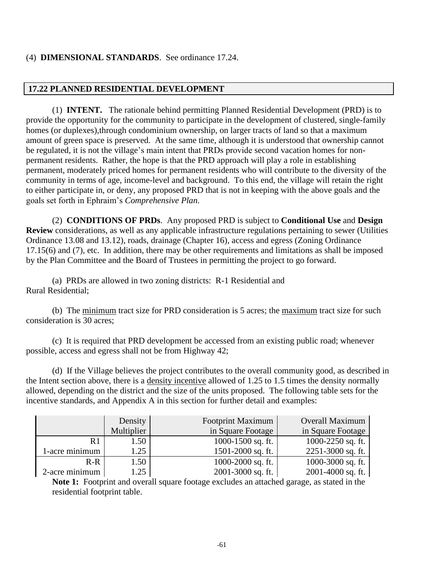#### (4) **DIMENSIONAL STANDARDS**. See ordinance 17.24.

#### **17.22 PLANNED RESIDENTIAL DEVELOPMENT**

(1) **INTENT.** The rationale behind permitting Planned Residential Development (PRD) is to provide the opportunity for the community to participate in the development of clustered, single-family homes (or duplexes),through condominium ownership, on larger tracts of land so that a maximum amount of green space is preserved. At the same time, although it is understood that ownership cannot be regulated, it is not the village's main intent that PRDs provide second vacation homes for nonpermanent residents. Rather, the hope is that the PRD approach will play a role in establishing permanent, moderately priced homes for permanent residents who will contribute to the diversity of the community in terms of age, income-level and background. To this end, the village will retain the right to either participate in, or deny, any proposed PRD that is not in keeping with the above goals and the goals set forth in Ephraim's *Comprehensive Plan.*

(2) **CONDITIONS OF PRDs**. Any proposed PRD is subject to **Conditional Use** and **Design Review** considerations, as well as any applicable infrastructure regulations pertaining to sewer (Utilities Ordinance 13.08 and 13.12), roads, drainage (Chapter 16), access and egress (Zoning Ordinance 17.15(6) and (7), etc. In addition, there may be other requirements and limitations as shall be imposed by the Plan Committee and the Board of Trustees in permitting the project to go forward.

(a) PRDs are allowed in two zoning districts: R-1 Residential and Rural Residential;

(b) The minimum tract size for PRD consideration is 5 acres; the maximum tract size for such consideration is 30 acres;

(c) It is required that PRD development be accessed from an existing public road; whenever possible, access and egress shall not be from Highway 42;

(d) If the Village believes the project contributes to the overall community good, as described in the Intent section above, there is a density incentive allowed of 1.25 to 1.5 times the density normally allowed, depending on the district and the size of the units proposed. The following table sets for the incentive standards, and Appendix A in this section for further detail and examples:

|                | Density    | <b>Footprint Maximum</b> | <b>Overall Maximum</b> |
|----------------|------------|--------------------------|------------------------|
|                | Multiplier | in Square Footage        | in Square Footage      |
|                | 1.50       | 1000-1500 sq. ft.        | 1000-2250 sq. ft.      |
| 1-acre minimum | 1.25       | 1501-2000 sq. ft.        | 2251-3000 sq. ft.      |
| $R-R$          | 1.50       | 1000-2000 sq. ft.        | 1000-3000 sq. ft.      |
| 2-acre minimum | 1.25       | $2001 - 3000$ sq. ft.    | $2001 - 4000$ sq. ft.  |

**Note 1:** Footprint and overall square footage excludes an attached garage, as stated in the residential footprint table.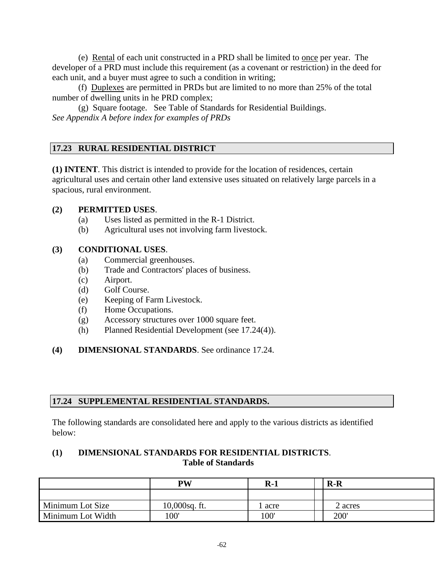(e) Rental of each unit constructed in a PRD shall be limited to once per year. The developer of a PRD must include this requirement (as a covenant or restriction) in the deed for each unit, and a buyer must agree to such a condition in writing;

(f) Duplexes are permitted in PRDs but are limited to no more than 25% of the total number of dwelling units in he PRD complex;

(g) Square footage. See Table of Standards for Residential Buildings. *See Appendix A before index for examples of PRDs*

# **17.23 RURAL RESIDENTIAL DISTRICT**

**(1) INTENT**. This district is intended to provide for the location of residences, certain agricultural uses and certain other land extensive uses situated on relatively large parcels in a spacious, rural environment.

### **(2) PERMITTED USES**.

- (a) Uses listed as permitted in the R-1 District.
- (b) Agricultural uses not involving farm livestock.

# **(3) CONDITIONAL USES**.

- (a) Commercial greenhouses.
- (b) Trade and Contractors' places of business.
- (c) Airport.
- (d) Golf Course.
- (e) Keeping of Farm Livestock.
- (f) Home Occupations.
- (g) Accessory structures over 1000 square feet.
- (h) Planned Residential Development (see 17.24(4)).

#### **(4) DIMENSIONAL STANDARDS**. See ordinance 17.24.

# **17.24 SUPPLEMENTAL RESIDENTIAL STANDARDS.**

The following standards are consolidated here and apply to the various districts as identified below:

# **(1) DIMENSIONAL STANDARDS FOR RESIDENTIAL DISTRICTS**. **Table of Standards**

|                   | PW            | R-1  | $R-R$   |  |
|-------------------|---------------|------|---------|--|
|                   |               |      |         |  |
| Minimum Lot Size  | 10,000sq. ft. | acre | 2 acres |  |
| Minimum Lot Width | 100'          | 00'  | 200'    |  |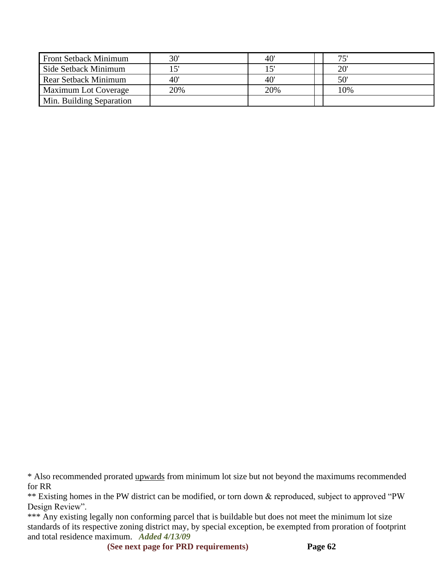| <b>Front Setback Minimum</b> | 30' | 40' | 75' |
|------------------------------|-----|-----|-----|
| Side Setback Minimum         |     | 15' | 20' |
| <b>Rear Setback Minimum</b>  | 40' | 40' | 50' |
| Maximum Lot Coverage         | 20% | 20% | 10% |
| Min. Building Separation     |     |     |     |

\* Also recommended prorated upwards from minimum lot size but not beyond the maximums recommended for RR

\*\* Existing homes in the PW district can be modified, or torn down & reproduced, subject to approved "PW Design Review".

\*\*\* Any existing legally non conforming parcel that is buildable but does not meet the minimum lot size standards of its respective zoning district may, by special exception, be exempted from proration of footprint and total residence maximum. *Added 4/13/09*

(See next page for PRD requirements) Page 62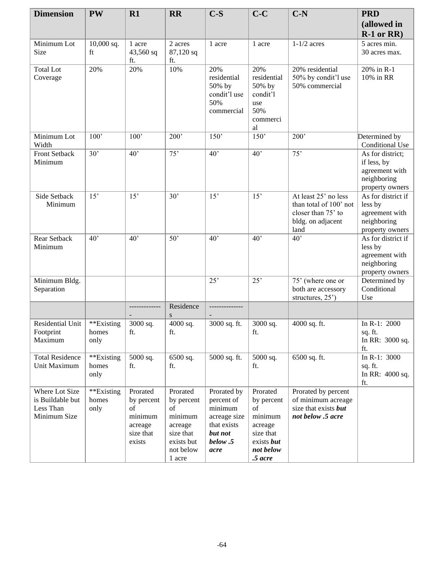| <b>Dimension</b>                                                | <b>PW</b>                   | R1                                                                        | <b>RR</b>                                                                                            | $C-S$                                                                                              | $C-C$                                                                                                   | $C-N$                                                                                             | <b>PRD</b>                                                                          |
|-----------------------------------------------------------------|-----------------------------|---------------------------------------------------------------------------|------------------------------------------------------------------------------------------------------|----------------------------------------------------------------------------------------------------|---------------------------------------------------------------------------------------------------------|---------------------------------------------------------------------------------------------------|-------------------------------------------------------------------------------------|
|                                                                 |                             |                                                                           |                                                                                                      |                                                                                                    |                                                                                                         |                                                                                                   | (allowed in<br>$R-1$ or $RR$ )                                                      |
| Minimum Lot<br>Size                                             | $10,000$ sq.<br>ft          | 1 acre<br>43,560 sq<br>ft.                                                | 2 acres<br>$87,120$ sq<br>ft.                                                                        | 1 acre                                                                                             | 1 acre                                                                                                  | $1-1/2$ acres                                                                                     | 5 acres min.<br>30 acres max.                                                       |
| <b>Total Lot</b><br>Coverage                                    | 20%                         | 20%                                                                       | 10%                                                                                                  | 20%<br>residential<br>50% by<br>condit'l use<br>50%<br>commercial                                  | 20%<br>residential<br>50% by<br>condit'l<br>use<br>50%<br>commerci<br>al                                | 20% residential<br>50% by condit'l use<br>50% commercial                                          | 20% in R-1<br>10% in RR                                                             |
| Minimum Lot<br>Width                                            | 100"                        | 100"                                                                      | 200'                                                                                                 | 150'                                                                                               | 150'                                                                                                    | 200'                                                                                              | Determined by<br><b>Conditional Use</b>                                             |
| Front Setback<br>Minimum                                        | 30'                         | 40'                                                                       | 75'                                                                                                  | 40'                                                                                                | 40'                                                                                                     | 75'                                                                                               | As for district;<br>if less, by<br>agreement with<br>neighboring<br>property owners |
| Side Setback<br>Minimum                                         | 15'                         | 15'                                                                       | 30'                                                                                                  | 15'                                                                                                | 15'                                                                                                     | At least 25' no less<br>than total of 100' not<br>closer than 75' to<br>bldg. on adjacent<br>land | As for district if<br>less by<br>agreement with<br>neighboring<br>property owners   |
| Rear Setback<br>Minimum                                         | 40'                         | 40'                                                                       | 50'                                                                                                  | 40'                                                                                                | 40'                                                                                                     | 40'                                                                                               | As for district if<br>less by<br>agreement with<br>neighboring<br>property owners   |
| Minimum Bldg.<br>Separation                                     |                             |                                                                           |                                                                                                      | 25'                                                                                                | 25'                                                                                                     | 75' (where one or<br>both are accessory<br>structures, 25')                                       | Determined by<br>Conditional<br>Use                                                 |
|                                                                 |                             |                                                                           | Residence<br>S                                                                                       |                                                                                                    |                                                                                                         |                                                                                                   |                                                                                     |
| Residential Unit<br>Footprint<br>Maximum                        | **Existing<br>homes<br>only | 3000 sq.<br>ft.                                                           | 4000 sq.<br>ft.                                                                                      | 3000 sq. ft.                                                                                       | 3000 sq.<br>ft.                                                                                         | 4000 sq. ft.                                                                                      | In R-1: $2000$<br>sq. ft.<br>In RR: 3000 sq.<br>ft.                                 |
| <b>Total Residence</b><br>Unit Maximum                          | **Existing<br>homes<br>only | 5000 sq.<br>ft.                                                           | 6500 sq.<br>ft.                                                                                      | 5000 sq. ft.                                                                                       | 5000 sq.<br>ft.                                                                                         | 6500 sq. ft.                                                                                      | In R-1: $3000$<br>sq. ft.<br>In RR: 4000 sq.<br>ft.                                 |
| Where Lot Size<br>is Buildable but<br>Less Than<br>Minimum Size | **Existing<br>homes<br>only | Prorated<br>by percent<br>of<br>minimum<br>acreage<br>size that<br>exists | Prorated<br>by percent<br>of<br>minimum<br>acreage<br>size that<br>exists but<br>not below<br>1 acre | Prorated by<br>percent of<br>minimum<br>acreage size<br>that exists<br>but not<br>below .5<br>acre | Prorated<br>by percent<br>of<br>minimum<br>acreage<br>size that<br>exists but<br>not below<br>$.5$ acre | Prorated by percent<br>of minimum acreage<br>size that exists but<br>not below .5 acre            |                                                                                     |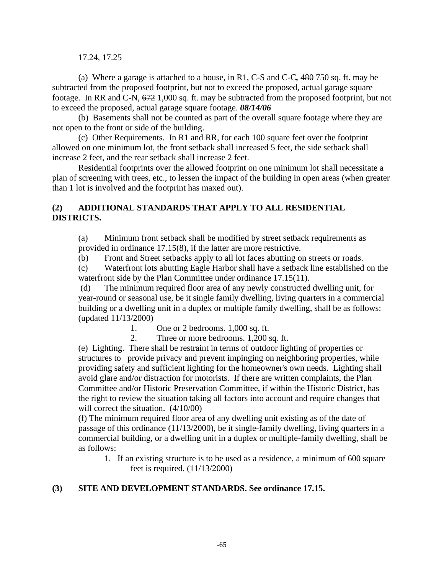#### 17.24, 17.25

(a) Where a garage is attached to a house, in R1, C-S and C-C*,* 480 750 sq. ft. may be subtracted from the proposed footprint, but not to exceed the proposed, actual garage square footage. In RR and C-N, 672 1,000 sq. ft. may be subtracted from the proposed footprint, but not to exceed the proposed, actual garage square footage. *08/14/06*

(b) Basements shall not be counted as part of the overall square footage where they are not open to the front or side of the building.

(c) Other Requirements. In R1 and RR, for each 100 square feet over the footprint allowed on one minimum lot, the front setback shall increased 5 feet, the side setback shall increase 2 feet, and the rear setback shall increase 2 feet.

Residential footprints over the allowed footprint on one minimum lot shall necessitate a plan of screening with trees, etc., to lessen the impact of the building in open areas (when greater than 1 lot is involved and the footprint has maxed out).

# **(2) ADDITIONAL STANDARDS THAT APPLY TO ALL RESIDENTIAL DISTRICTS.**

(a) Minimum front setback shall be modified by street setback requirements as provided in ordinance 17.15(8), if the latter are more restrictive.

(b) Front and Street setbacks apply to all lot faces abutting on streets or roads.

(c) Waterfront lots abutting Eagle Harbor shall have a setback line established on the waterfront side by the Plan Committee under ordinance 17.15(11).

(d) The minimum required floor area of any newly constructed dwelling unit, for year-round or seasonal use, be it single family dwelling, living quarters in a commercial building or a dwelling unit in a duplex or multiple family dwelling, shall be as follows: (updated 11/13/2000)

1. One or 2 bedrooms. 1,000 sq. ft.

2. Three or more bedrooms. 1,200 sq. ft.

(e) Lighting. There shall be restraint in terms of outdoor lighting of properties or structures to provide privacy and prevent impinging on neighboring properties, while providing safety and sufficient lighting for the homeowner's own needs. Lighting shall avoid glare and/or distraction for motorists. If there are written complaints, the Plan Committee and/or Historic Preservation Committee, if within the Historic District, has the right to review the situation taking all factors into account and require changes that will correct the situation.  $(4/10/00)$ 

(f) The minimum required floor area of any dwelling unit existing as of the date of passage of this ordinance (11/13/2000), be it single-family dwelling, living quarters in a commercial building, or a dwelling unit in a duplex or multiple-family dwelling, shall be as follows:

1. If an existing structure is to be used as a residence, a minimum of 600 square feet is required. (11/13/2000)

# **(3) SITE AND DEVELOPMENT STANDARDS. See ordinance 17.15.**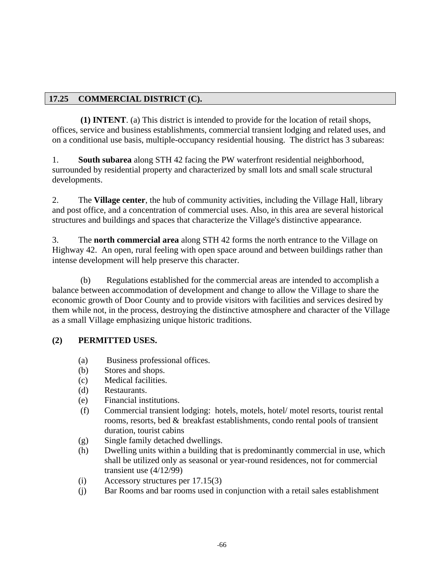# **17.25 COMMERCIAL DISTRICT (C).**

**(1) INTENT**. (a) This district is intended to provide for the location of retail shops, offices, service and business establishments, commercial transient lodging and related uses, and on a conditional use basis, multiple-occupancy residential housing. The district has 3 subareas:

1. **South subarea** along STH 42 facing the PW waterfront residential neighborhood, surrounded by residential property and characterized by small lots and small scale structural developments.

2. The **Village center**, the hub of community activities, including the Village Hall, library and post office, and a concentration of commercial uses. Also, in this area are several historical structures and buildings and spaces that characterize the Village's distinctive appearance.

3. The **north commercial area** along STH 42 forms the north entrance to the Village on Highway 42. An open, rural feeling with open space around and between buildings rather than intense development will help preserve this character.

(b) Regulations established for the commercial areas are intended to accomplish a balance between accommodation of development and change to allow the Village to share the economic growth of Door County and to provide visitors with facilities and services desired by them while not, in the process, destroying the distinctive atmosphere and character of the Village as a small Village emphasizing unique historic traditions.

# **(2) PERMITTED USES.**

- (a) Business professional offices.
- (b) Stores and shops.
- (c) Medical facilities.
- (d) Restaurants.
- (e) Financial institutions.
- (f) Commercial transient lodging: hotels, motels, hotel/ motel resorts, tourist rental rooms, resorts, bed & breakfast establishments, condo rental pools of transient duration, tourist cabins
- (g) Single family detached dwellings.
- (h) Dwelling units within a building that is predominantly commercial in use, which shall be utilized only as seasonal or year-round residences, not for commercial transient use (4/12/99)
- (i) Accessory structures per 17.15(3)
- (j) Bar Rooms and bar rooms used in conjunction with a retail sales establishment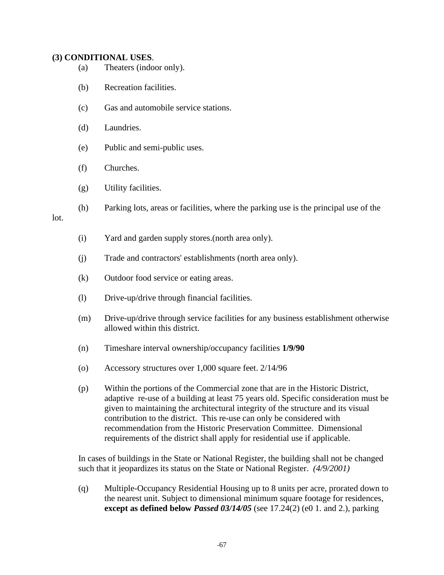#### **(3) CONDITIONAL USES**.

- (a) Theaters (indoor only).
- (b) Recreation facilities.
- (c) Gas and automobile service stations.
- (d) Laundries.
- (e) Public and semi-public uses.
- (f) Churches.
- (g) Utility facilities.
- (h) Parking lots, areas or facilities, where the parking use is the principal use of the

lot.

- (i) Yard and garden supply stores.(north area only).
- (j) Trade and contractors' establishments (north area only).
- (k) Outdoor food service or eating areas.
- (l) Drive-up/drive through financial facilities.
- (m) Drive-up/drive through service facilities for any business establishment otherwise allowed within this district.
- (n) Timeshare interval ownership/occupancy facilities **1/9/90**
- (o) Accessory structures over 1,000 square feet. 2/14/96
- (p) Within the portions of the Commercial zone that are in the Historic District, adaptive re-use of a building at least 75 years old. Specific consideration must be given to maintaining the architectural integrity of the structure and its visual contribution to the district. This re-use can only be considered with recommendation from the Historic Preservation Committee. Dimensional requirements of the district shall apply for residential use if applicable.

In cases of buildings in the State or National Register, the building shall not be changed such that it jeopardizes its status on the State or National Register. *(4/9/2001)*

(q) Multiple-Occupancy Residential Housing up to 8 units per acre, prorated down to the nearest unit. Subject to dimensional minimum square footage for residences, **except as defined below** *Passed 03/14/05* (see 17.24(2) (e0 1. and 2.), parking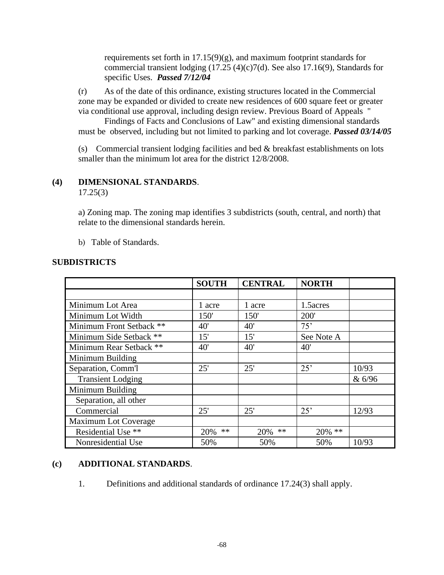requirements set forth in  $17.15(9)(g)$ , and maximum footprint standards for commercial transient lodging (17.25 (4)(c)7(d). See also 17.16(9), Standards for specific Uses. *Passed 7/12/04*

(r) As of the date of this ordinance, existing structures located in the Commercial zone may be expanded or divided to create new residences of 600 square feet or greater via conditional use approval, including design review. Previous Board of Appeals "

Findings of Facts and Conclusions of Law" and existing dimensional standards must be observed, including but not limited to parking and lot coverage. *Passed 03/14/05*

(s) Commercial transient lodging facilities and bed & breakfast establishments on lots smaller than the minimum lot area for the district 12/8/2008.

# **(4) DIMENSIONAL STANDARDS**.

17.25(3)

a) Zoning map. The zoning map identifies 3 subdistricts (south, central, and north) that relate to the dimensional standards herein.

b) Table of Standards.

### **SUBDISTRICTS**

|                          | <b>SOUTH</b> | <b>CENTRAL</b> | <b>NORTH</b> |        |
|--------------------------|--------------|----------------|--------------|--------|
|                          |              |                |              |        |
| Minimum Lot Area         | 1 acre       | 1 acre         | 1.5 acres    |        |
| Minimum Lot Width        | 150'         | 150'           | 200'         |        |
| Minimum Front Setback ** | 40'          | 40'            | 75'          |        |
| Minimum Side Setback **  | 15'          | 15'            | See Note A   |        |
| Minimum Rear Setback **  | 40'          | 40'            | 40'          |        |
| Minimum Building         |              |                |              |        |
| Separation, Comm'l       | 25'          | 25'<br>25'     |              | 10/93  |
| <b>Transient Lodging</b> |              |                |              | & 6/96 |
| Minimum Building         |              |                |              |        |
| Separation, all other    |              |                |              |        |
| Commercial               | 25'          | 25'            | 25'          | 12/93  |
| Maximum Lot Coverage     |              |                |              |        |
| Residential Use **       | **<br>20%    | **<br>20%      | 20% **       |        |
| Nonresidential Use       | 50%          | 50%            | 50%          | 10/93  |

# **(c) ADDITIONAL STANDARDS**.

1. Definitions and additional standards of ordinance 17.24(3) shall apply.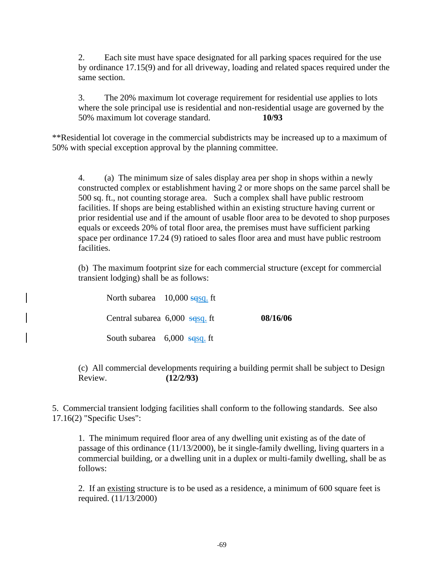2. Each site must have space designated for all parking spaces required for the use by ordinance 17.15(9) and for all driveway, loading and related spaces required under the same section.

3. The 20% maximum lot coverage requirement for residential use applies to lots where the sole principal use is residential and non-residential usage are governed by the 50% maximum lot coverage standard. **10/93**

\*\*Residential lot coverage in the commercial subdistricts may be increased up to a maximum of 50% with special exception approval by the planning committee.

4. (a) The minimum size of sales display area per shop in shops within a newly constructed complex or establishment having 2 or more shops on the same parcel shall be 500 sq. ft., not counting storage area. Such a complex shall have public restroom facilities. If shops are being established within an existing structure having current or prior residential use and if the amount of usable floor area to be devoted to shop purposes equals or exceeds 20% of total floor area, the premises must have sufficient parking space per ordinance 17.24 (9) ratioed to sales floor area and must have public restroom facilities.

(b) The maximum footprint size for each commercial structure (except for commercial transient lodging) shall be as follows:

North subarea  $10,000$  sqsq. ft Central subarea 6,000 sqsq. ft **08/16/06** South subarea  $6,000$  sqsq. ft

(c) All commercial developments requiring a building permit shall be subject to Design Review. **(12/2/93)**

5. Commercial transient lodging facilities shall conform to the following standards. See also 17.16(2) "Specific Uses":

1. The minimum required floor area of any dwelling unit existing as of the date of passage of this ordinance (11/13/2000), be it single-family dwelling, living quarters in a commercial building, or a dwelling unit in a duplex or multi-family dwelling, shall be as follows:

2. If an existing structure is to be used as a residence, a minimum of 600 square feet is required. (11/13/2000)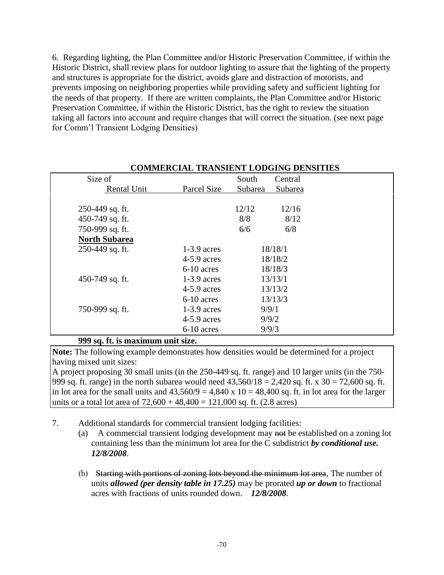6. Regarding lighting, the Plan Committee and/or Historic Preservation Committee, if within the Historic District, shall review plans for outdoor lighting to assure that the lighting of the property and structures is appropriate for the district, avoids glare and distraction of motorists, and prevents imposing on neighboring properties while providing safety and sufficient lighting for the needs of that property. If there are written complaints, the Plan Committee and/or Historic Preservation Committee, if within the Historic District, has the right to review the situation taking all factors into account and require changes that will correct the situation. (see next page for Comm'l Transient Lodging Densities)

|                      |               |         | сомменстве тителей воронто реготнер |
|----------------------|---------------|---------|-------------------------------------|
| Size of              |               | South   | Central                             |
| Rental Unit          | Parcel Size   | Subarea | Subarea                             |
|                      |               |         |                                     |
| $250-449$ sq. ft.    |               | 12/12   | 12/16                               |
| 450-749 sq. ft.      |               | 8/8     | 8/12                                |
| 750-999 sq. ft.      |               | 6/6     | 6/8                                 |
| <b>North Subarea</b> |               |         |                                     |
| 250-449 sq. ft.      | $1-3.9$ acres |         | 18/18/1                             |
|                      | $4-5.9$ acres |         | 18/18/2                             |
|                      | $6-10$ acres  |         | 18/18/3                             |
| 450-749 sq. ft.      | $1-3.9$ acres |         | 13/13/1                             |
|                      | $4-5.9$ acres |         | 13/13/2                             |
|                      | $6-10$ acres  |         | 13/13/3                             |
| 750-999 sq. ft.      | $1-3.9$ acres |         | 9/9/1                               |
|                      | $4-5.9$ acres |         | 9/9/2                               |
|                      | $6-10$ acres  |         | 9/9/3                               |
|                      |               |         |                                     |

#### **COMMERCIAL TRANSIENT LODGING DENSITIES**

#### **999 sq. ft. is maximum unit size.**

**Note:** The following example demonstrates how densities would be determined for a project having mixed unit sizes:

A project proposing 30 small units (in the 250-449 sq. ft. range) and 10 larger units (in the 750- 999 sq. ft. range) in the north subarea would need  $43,560/18 = 2,420$  sq. ft. x  $30 = 72,600$  sq. ft. in lot area for the small units and  $43,560/9 = 4,840 \text{ x } 10 = 48,400 \text{ sq.}$  ft. in lot area for the larger units or a total lot area of  $72,600 + 48,400 = 121,000$  sq. ft. (2.8 acres)

- 7. Additional standards for commercial transient lodging facilities:
	- (a) A commercial transient lodging development may not be established on a zoning lot containing less than the minimum lot area for the C subdistrict *by conditional use. 12/8/2008*.
	- (b) Starting with portions of zoning lots beyond the minimum lot area, The number of units *allowed (per density table in 17.25)* may be prorated *up or down* to fractional acres with fractions of units rounded down. *12/8/2008*.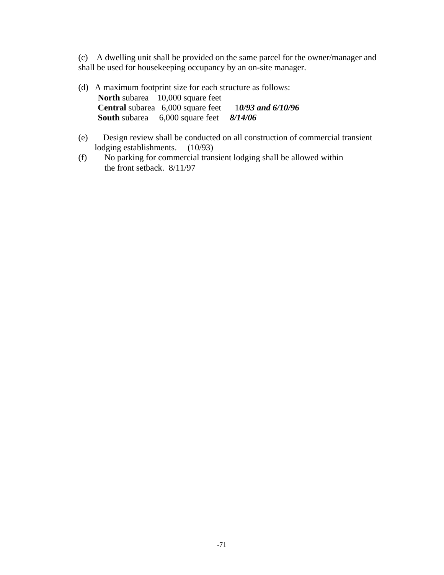(c) A dwelling unit shall be provided on the same parcel for the owner/manager and shall be used for housekeeping occupancy by an on-site manager.

- (d) A maximum footprint size for each structure as follows: **North** subarea 10,000 square feet **Central** subarea 6,000 square feet 1*0/93 and 6/10/96* **South** subarea 6,000 square feet *8/14/06*
- (e) Design review shall be conducted on all construction of commercial transient lodging establishments. (10/93)
- (f) No parking for commercial transient lodging shall be allowed within the front setback. 8/11/97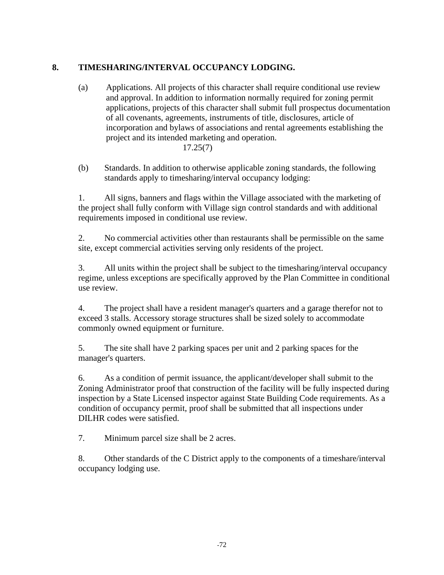# **8. TIMESHARING/INTERVAL OCCUPANCY LODGING.**

- (a) Applications. All projects of this character shall require conditional use review and approval. In addition to information normally required for zoning permit applications, projects of this character shall submit full prospectus documentation of all covenants, agreements, instruments of title, disclosures, article of incorporation and bylaws of associations and rental agreements establishing the project and its intended marketing and operation.
	- 17.25(7)
- (b) Standards. In addition to otherwise applicable zoning standards, the following standards apply to timesharing/interval occupancy lodging:

1. All signs, banners and flags within the Village associated with the marketing of the project shall fully conform with Village sign control standards and with additional requirements imposed in conditional use review.

2. No commercial activities other than restaurants shall be permissible on the same site, except commercial activities serving only residents of the project.

3. All units within the project shall be subject to the timesharing/interval occupancy regime, unless exceptions are specifically approved by the Plan Committee in conditional use review.

4. The project shall have a resident manager's quarters and a garage therefor not to exceed 3 stalls. Accessory storage structures shall be sized solely to accommodate commonly owned equipment or furniture.

5. The site shall have 2 parking spaces per unit and 2 parking spaces for the manager's quarters.

6. As a condition of permit issuance, the applicant/developer shall submit to the Zoning Administrator proof that construction of the facility will be fully inspected during inspection by a State Licensed inspector against State Building Code requirements. As a condition of occupancy permit, proof shall be submitted that all inspections under DILHR codes were satisfied.

7. Minimum parcel size shall be 2 acres.

8. Other standards of the C District apply to the components of a timeshare/interval occupancy lodging use.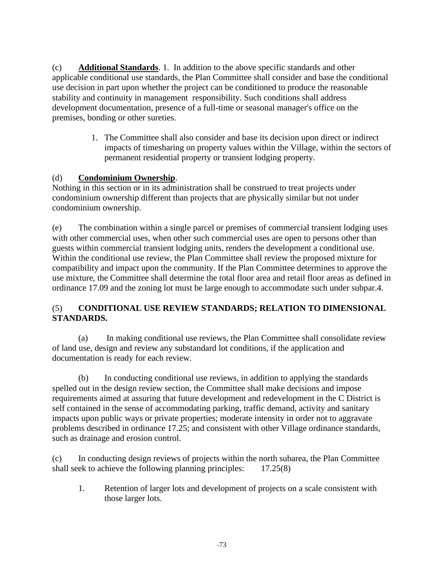(c) **Additional Standards**. 1. In addition to the above specific standards and other applicable conditional use standards, the Plan Committee shall consider and base the conditional use decision in part upon whether the project can be conditioned to produce the reasonable stability and continuity in management responsibility. Such conditions shall address development documentation, presence of a full-time or seasonal manager's office on the premises, bonding or other sureties.

> 1. The Committee shall also consider and base its decision upon direct or indirect impacts of timesharing on property values within the Village, within the sectors of permanent residential property or transient lodging property.

# (d) **Condominium Ownership**.

Nothing in this section or in its administration shall be construed to treat projects under condominium ownership different than projects that are physically similar but not under condominium ownership.

(e) The combination within a single parcel or premises of commercial transient lodging uses with other commercial uses, when other such commercial uses are open to persons other than guests within commercial transient lodging units, renders the development a conditional use. Within the conditional use review, the Plan Committee shall review the proposed mixture for compatibility and impact upon the community. If the Plan Committee determines to approve the use mixture, the Committee shall determine the total floor area and retail floor areas as defined in ordinance 17.09 and the zoning lot must be large enough to accommodate such under subpar.4.

# (5) **CONDITIONAL USE REVIEW STANDARDS; RELATION TO DIMENSIONAL STANDARDS.**

(a) In making conditional use reviews, the Plan Committee shall consolidate review of land use, design and review any substandard lot conditions, if the application and documentation is ready for each review.

(b) In conducting conditional use reviews, in addition to applying the standards spelled out in the design review section, the Committee shall make decisions and impose requirements aimed at assuring that future development and redevelopment in the C District is self contained in the sense of accommodating parking, traffic demand, activity and sanitary impacts upon public ways or private properties; moderate intensity in order not to aggravate problems described in ordinance 17.25; and consistent with other Village ordinance standards, such as drainage and erosion control.

(c) In conducting design reviews of projects within the north subarea, the Plan Committee shall seek to achieve the following planning principles: 17.25(8)

1. Retention of larger lots and development of projects on a scale consistent with those larger lots.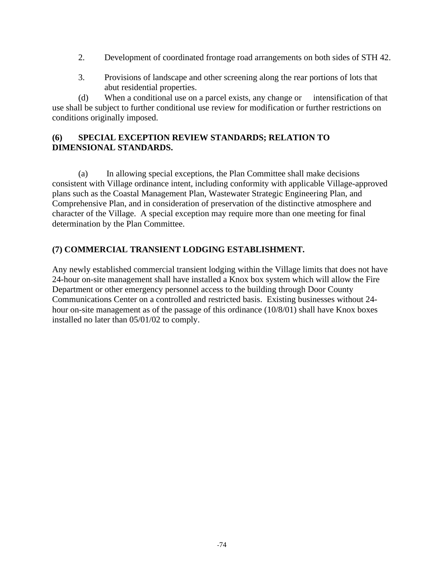- 2. Development of coordinated frontage road arrangements on both sides of STH 42.
- 3. Provisions of landscape and other screening along the rear portions of lots that abut residential properties.

(d) When a conditional use on a parcel exists, any change or intensification of that use shall be subject to further conditional use review for modification or further restrictions on conditions originally imposed.

# **(6) SPECIAL EXCEPTION REVIEW STANDARDS; RELATION TO DIMENSIONAL STANDARDS.**

(a) In allowing special exceptions, the Plan Committee shall make decisions consistent with Village ordinance intent, including conformity with applicable Village-approved plans such as the Coastal Management Plan, Wastewater Strategic Engineering Plan, and Comprehensive Plan, and in consideration of preservation of the distinctive atmosphere and character of the Village. A special exception may require more than one meeting for final determination by the Plan Committee.

# **(7) COMMERCIAL TRANSIENT LODGING ESTABLISHMENT.**

Any newly established commercial transient lodging within the Village limits that does not have 24-hour on-site management shall have installed a Knox box system which will allow the Fire Department or other emergency personnel access to the building through Door County Communications Center on a controlled and restricted basis. Existing businesses without 24 hour on-site management as of the passage of this ordinance (10/8/01) shall have Knox boxes installed no later than 05/01/02 to comply.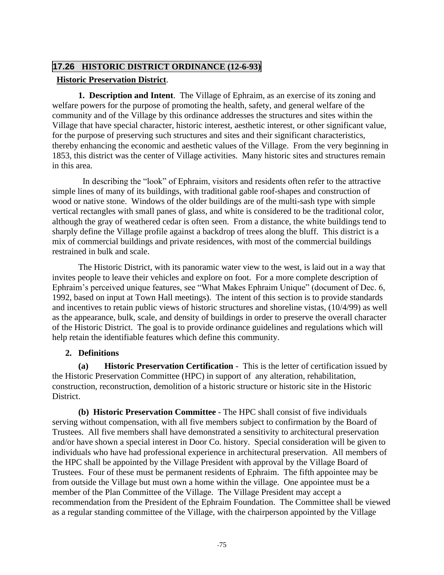# **17.26 HISTORIC DISTRICT ORDINANCE (12-6-93) Historic Preservation District**.

**1. Description and Intent**. The Village of Ephraim, as an exercise of its zoning and welfare powers for the purpose of promoting the health, safety, and general welfare of the community and of the Village by this ordinance addresses the structures and sites within the Village that have special character, historic interest, aesthetic interest, or other significant value, for the purpose of preserving such structures and sites and their significant characteristics, thereby enhancing the economic and aesthetic values of the Village. From the very beginning in 1853, this district was the center of Village activities. Many historic sites and structures remain in this area.

 In describing the "look" of Ephraim, visitors and residents often refer to the attractive simple lines of many of its buildings, with traditional gable roof-shapes and construction of wood or native stone. Windows of the older buildings are of the multi-sash type with simple vertical rectangles with small panes of glass, and white is considered to be the traditional color, although the gray of weathered cedar is often seen. From a distance, the white buildings tend to sharply define the Village profile against a backdrop of trees along the bluff. This district is a mix of commercial buildings and private residences, with most of the commercial buildings restrained in bulk and scale.

The Historic District, with its panoramic water view to the west, is laid out in a way that invites people to leave their vehicles and explore on foot. For a more complete description of Ephraim's perceived unique features, see "What Makes Ephraim Unique" (document of Dec. 6, 1992, based on input at Town Hall meetings). The intent of this section is to provide standards and incentives to retain public views of historic structures and shoreline vistas, (10/4/99) as well as the appearance, bulk, scale, and density of buildings in order to preserve the overall character of the Historic District. The goal is to provide ordinance guidelines and regulations which will help retain the identifiable features which define this community.

# **2. Definitions**

**(a) Historic Preservation Certification** - This is the letter of certification issued by the Historic Preservation Committee (HPC) in support of any alteration, rehabilitation, construction, reconstruction, demolition of a historic structure or historic site in the Historic District.

**(b) Historic Preservation Committee** - The HPC shall consist of five individuals serving without compensation, with all five members subject to confirmation by the Board of Trustees. All five members shall have demonstrated a sensitivity to architectural preservation and/or have shown a special interest in Door Co. history. Special consideration will be given to individuals who have had professional experience in architectural preservation. All members of the HPC shall be appointed by the Village President with approval by the Village Board of Trustees. Four of these must be permanent residents of Ephraim. The fifth appointee may be from outside the Village but must own a home within the village. One appointee must be a member of the Plan Committee of the Village. The Village President may accept a recommendation from the President of the Ephraim Foundation. The Committee shall be viewed as a regular standing committee of the Village, with the chairperson appointed by the Village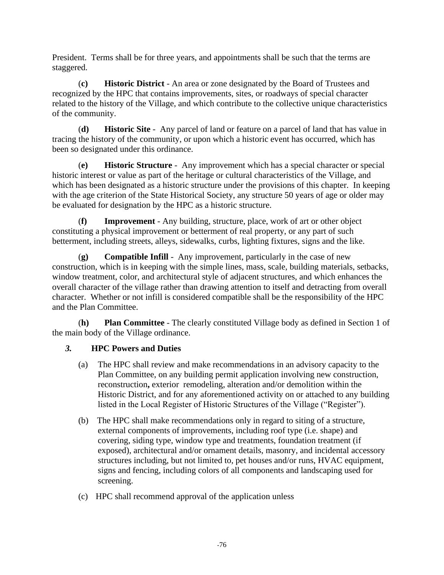President. Terms shall be for three years, and appointments shall be such that the terms are staggered.

(**c) Historic District** - An area or zone designated by the Board of Trustees and recognized by the HPC that contains improvements, sites, or roadways of special character related to the history of the Village, and which contribute to the collective unique characteristics of the community.

(**d) Historic Site** - Any parcel of land or feature on a parcel of land that has value in tracing the history of the community, or upon which a historic event has occurred, which has been so designated under this ordinance.

(**e) Historic Structure** - Any improvement which has a special character or special historic interest or value as part of the heritage or cultural characteristics of the Village, and which has been designated as a historic structure under the provisions of this chapter. In keeping with the age criterion of the State Historical Society, any structure 50 years of age or older may be evaluated for designation by the HPC as a historic structure.

(**f) Improvement** - Any building, structure, place, work of art or other object constituting a physical improvement or betterment of real property, or any part of such betterment, including streets, alleys, sidewalks, curbs, lighting fixtures, signs and the like.

(**g) Compatible Infill** - Any improvement, particularly in the case of new construction, which is in keeping with the simple lines, mass, scale, building materials, setbacks, window treatment, color, and architectural style of adjacent structures, and which enhances the overall character of the village rather than drawing attention to itself and detracting from overall character. Whether or not infill is considered compatible shall be the responsibility of the HPC and the Plan Committee.

(**h) Plan Committee** - The clearly constituted Village body as defined in Section 1 of the main body of the Village ordinance.

# *3.* **HPC Powers and Duties**

- (a) The HPC shall review and make recommendations in an advisory capacity to the Plan Committee, on any building permit application involving new construction, reconstruction**,** exterior remodeling, alteration and/or demolition within the Historic District, and for any aforementioned activity on or attached to any building listed in the Local Register of Historic Structures of the Village ("Register").
- (b) The HPC shall make recommendations only in regard to siting of a structure, external components of improvements, including roof type (i.e. shape) and covering, siding type, window type and treatments, foundation treatment (if exposed), architectural and/or ornament details, masonry, and incidental accessory structures including, but not limited to, pet houses and/or runs, HVAC equipment, signs and fencing, including colors of all components and landscaping used for screening.
- (c) HPC shall recommend approval of the application unless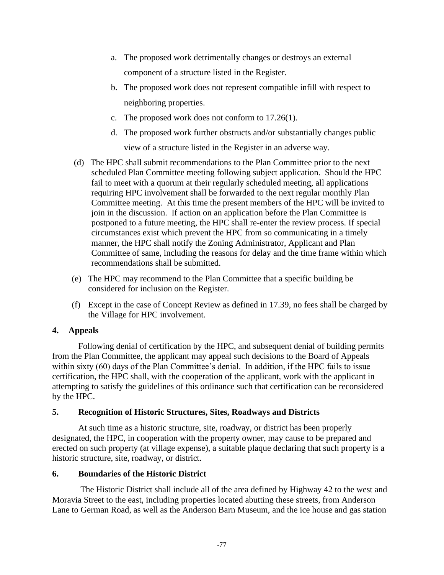- a. The proposed work detrimentally changes or destroys an external component of a structure listed in the Register.
- b. The proposed work does not represent compatible infill with respect to neighboring properties.
- c. The proposed work does not conform to 17.26(1).
- d. The proposed work further obstructs and/or substantially changes public

view of a structure listed in the Register in an adverse way.

- (d) The HPC shall submit recommendations to the Plan Committee prior to the next scheduled Plan Committee meeting following subject application. Should the HPC fail to meet with a quorum at their regularly scheduled meeting, all applications requiring HPC involvement shall be forwarded to the next regular monthly Plan Committee meeting. At this time the present members of the HPC will be invited to join in the discussion. If action on an application before the Plan Committee is postponed to a future meeting, the HPC shall re-enter the review process. If special circumstances exist which prevent the HPC from so communicating in a timely manner, the HPC shall notify the Zoning Administrator, Applicant and Plan Committee of same, including the reasons for delay and the time frame within which recommendations shall be submitted.
- (e) The HPC may recommend to the Plan Committee that a specific building be considered for inclusion on the Register.
- (f) Except in the case of Concept Review as defined in 17.39, no fees shall be charged by the Village for HPC involvement.

# **4. Appeals**

Following denial of certification by the HPC, and subsequent denial of building permits from the Plan Committee, the applicant may appeal such decisions to the Board of Appeals within sixty (60) days of the Plan Committee's denial. In addition, if the HPC fails to issue certification, the HPC shall, with the cooperation of the applicant, work with the applicant in attempting to satisfy the guidelines of this ordinance such that certification can be reconsidered by the HPC.

# **5. Recognition of Historic Structures, Sites, Roadways and Districts**

At such time as a historic structure, site, roadway, or district has been properly designated, the HPC, in cooperation with the property owner, may cause to be prepared and erected on such property (at village expense), a suitable plaque declaring that such property is a historic structure, site, roadway, or district.

# **6. Boundaries of the Historic District**

The Historic District shall include all of the area defined by Highway 42 to the west and Moravia Street to the east, including properties located abutting these streets, from Anderson Lane to German Road, as well as the Anderson Barn Museum, and the ice house and gas station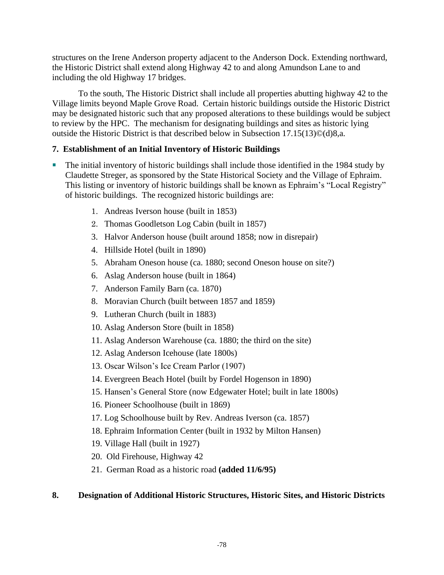structures on the Irene Anderson property adjacent to the Anderson Dock. Extending northward, the Historic District shall extend along Highway 42 to and along Amundson Lane to and including the old Highway 17 bridges.

To the south, The Historic District shall include all properties abutting highway 42 to the Village limits beyond Maple Grove Road. Certain historic buildings outside the Historic District may be designated historic such that any proposed alterations to these buildings would be subject to review by the HPC. The mechanism for designating buildings and sites as historic lying outside the Historic District is that described below in Subsection 17.15(13)©(d)8,a.

# **7. Establishment of an Initial Inventory of Historic Buildings**

- The initial inventory of historic buildings shall include those identified in the 1984 study by Claudette Streger, as sponsored by the State Historical Society and the Village of Ephraim. This listing or inventory of historic buildings shall be known as Ephraim's "Local Registry" of historic buildings. The recognized historic buildings are:
	- 1. Andreas Iverson house (built in 1853)
	- 2. Thomas Goodletson Log Cabin (built in 1857)
	- 3. Halvor Anderson house (built around 1858; now in disrepair)
	- 4. Hillside Hotel (built in 1890)
	- 5. Abraham Oneson house (ca. 1880; second Oneson house on site?)
	- 6. Aslag Anderson house (built in 1864)
	- 7. Anderson Family Barn (ca. 1870)
	- 8. Moravian Church (built between 1857 and 1859)
	- 9. Lutheran Church (built in 1883)
	- 10. Aslag Anderson Store (built in 1858)
	- 11. Aslag Anderson Warehouse (ca. 1880; the third on the site)
	- 12. Aslag Anderson Icehouse (late 1800s)
	- 13. Oscar Wilson's Ice Cream Parlor (1907)
	- 14. Evergreen Beach Hotel (built by Fordel Hogenson in 1890)
	- 15. Hansen's General Store (now Edgewater Hotel; built in late 1800s)
	- 16. Pioneer Schoolhouse (built in 1869)
	- 17. Log Schoolhouse built by Rev. Andreas Iverson (ca. 1857)
	- 18. Ephraim Information Center (built in 1932 by Milton Hansen)
	- 19. Village Hall (built in 1927)
	- 20. Old Firehouse, Highway 42
	- 21. German Road as a historic road **(added 11/6/95)**

# **8. Designation of Additional Historic Structures, Historic Sites, and Historic Districts**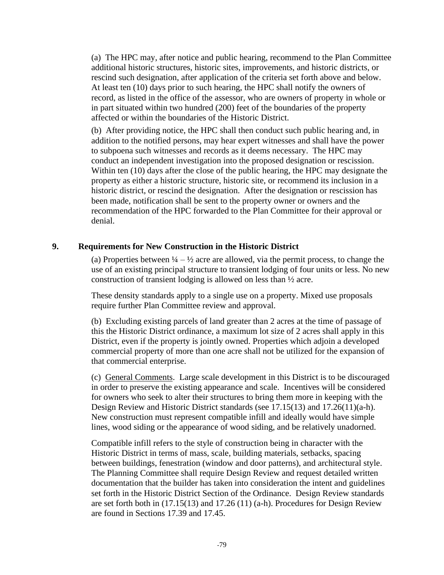(a) The HPC may, after notice and public hearing, recommend to the Plan Committee additional historic structures, historic sites, improvements, and historic districts, or rescind such designation, after application of the criteria set forth above and below. At least ten (10) days prior to such hearing, the HPC shall notify the owners of record, as listed in the office of the assessor, who are owners of property in whole or in part situated within two hundred (200) feet of the boundaries of the property affected or within the boundaries of the Historic District.

(b) After providing notice, the HPC shall then conduct such public hearing and, in addition to the notified persons, may hear expert witnesses and shall have the power to subpoena such witnesses and records as it deems necessary. The HPC may conduct an independent investigation into the proposed designation or rescission. Within ten (10) days after the close of the public hearing, the HPC may designate the property as either a historic structure, historic site, or recommend its inclusion in a historic district, or rescind the designation. After the designation or rescission has been made, notification shall be sent to the property owner or owners and the recommendation of the HPC forwarded to the Plan Committee for their approval or denial.

# **9. Requirements for New Construction in the Historic District**

(a) Properties between  $\frac{1}{4} - \frac{1}{2}$  acre are allowed, via the permit process, to change the use of an existing principal structure to transient lodging of four units or less. No new construction of transient lodging is allowed on less than ½ acre.

These density standards apply to a single use on a property. Mixed use proposals require further Plan Committee review and approval.

(b) Excluding existing parcels of land greater than 2 acres at the time of passage of this the Historic District ordinance, a maximum lot size of 2 acres shall apply in this District, even if the property is jointly owned. Properties which adjoin a developed commercial property of more than one acre shall not be utilized for the expansion of that commercial enterprise.

(c) General Comments. Large scale development in this District is to be discouraged in order to preserve the existing appearance and scale. Incentives will be considered for owners who seek to alter their structures to bring them more in keeping with the Design Review and Historic District standards (see 17.15(13) and 17.26(11)(a-h). New construction must represent compatible infill and ideally would have simple lines, wood siding or the appearance of wood siding, and be relatively unadorned.

Compatible infill refers to the style of construction being in character with the Historic District in terms of mass, scale, building materials, setbacks, spacing between buildings, fenestration (window and door patterns), and architectural style. The Planning Committee shall require Design Review and request detailed written documentation that the builder has taken into consideration the intent and guidelines set forth in the Historic District Section of the Ordinance. Design Review standards are set forth both in (17.15(13) and 17.26 (11) (a-h). Procedures for Design Review are found in Sections 17.39 and 17.45.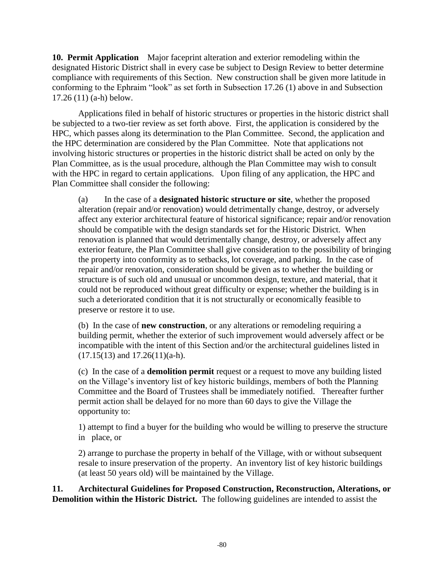**10. Permit Application** Major faceprint alteration and exterior remodeling within the designated Historic District shall in every case be subject to Design Review to better determine compliance with requirements of this Section. New construction shall be given more latitude in conforming to the Ephraim "look" as set forth in Subsection 17.26 (1) above in and Subsection 17.26 (11) (a-h) below.

Applications filed in behalf of historic structures or properties in the historic district shall be subjected to a two-tier review as set forth above. First, the application is considered by the HPC, which passes along its determination to the Plan Committee. Second, the application and the HPC determination are considered by the Plan Committee. Note that applications not involving historic structures or properties in the historic district shall be acted on only by the Plan Committee, as is the usual procedure, although the Plan Committee may wish to consult with the HPC in regard to certain applications. Upon filing of any application, the HPC and Plan Committee shall consider the following:

(a) In the case of a **designated historic structure or site**, whether the proposed alteration (repair and/or renovation) would detrimentally change, destroy, or adversely affect any exterior architectural feature of historical significance; repair and/or renovation should be compatible with the design standards set for the Historic District. When renovation is planned that would detrimentally change, destroy, or adversely affect any exterior feature, the Plan Committee shall give consideration to the possibility of bringing the property into conformity as to setbacks, lot coverage, and parking. In the case of repair and/or renovation, consideration should be given as to whether the building or structure is of such old and unusual or uncommon design, texture, and material, that it could not be reproduced without great difficulty or expense; whether the building is in such a deteriorated condition that it is not structurally or economically feasible to preserve or restore it to use.

(b) In the case of **new construction**, or any alterations or remodeling requiring a building permit, whether the exterior of such improvement would adversely affect or be incompatible with the intent of this Section and/or the architectural guidelines listed in  $(17.15(13)$  and  $17.26(11)(a-h)$ .

(c) In the case of a **demolition permit** request or a request to move any building listed on the Village's inventory list of key historic buildings, members of both the Planning Committee and the Board of Trustees shall be immediately notified. Thereafter further permit action shall be delayed for no more than 60 days to give the Village the opportunity to:

1) attempt to find a buyer for the building who would be willing to preserve the structure in place, or

2) arrange to purchase the property in behalf of the Village, with or without subsequent resale to insure preservation of the property. An inventory list of key historic buildings (at least 50 years old) will be maintained by the Village.

**11. Architectural Guidelines for Proposed Construction, Reconstruction, Alterations, or Demolition within the Historic District.** The following guidelines are intended to assist the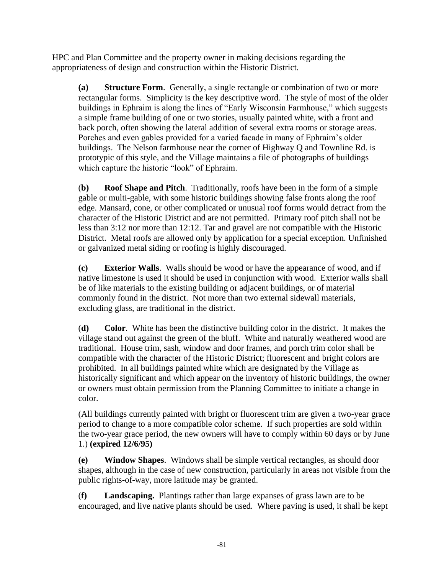HPC and Plan Committee and the property owner in making decisions regarding the appropriateness of design and construction within the Historic District.

**(a) Structure Form**. Generally, a single rectangle or combination of two or more rectangular forms. Simplicity is the key descriptive word. The style of most of the older buildings in Ephraim is along the lines of "Early Wisconsin Farmhouse," which suggests a simple frame building of one or two stories, usually painted white, with a front and back porch, often showing the lateral addition of several extra rooms or storage areas. Porches and even gables provided for a varied facade in many of Ephraim's older buildings. The Nelson farmhouse near the corner of Highway Q and Townline Rd. is prototypic of this style, and the Village maintains a file of photographs of buildings which capture the historic "look" of Ephraim.

(**b) Roof Shape and Pitch**. Traditionally, roofs have been in the form of a simple gable or multi-gable, with some historic buildings showing false fronts along the roof edge. Mansard, cone, or other complicated or unusual roof forms would detract from the character of the Historic District and are not permitted. Primary roof pitch shall not be less than 3:12 nor more than 12:12. Tar and gravel are not compatible with the Historic District. Metal roofs are allowed only by application for a special exception. Unfinished or galvanized metal siding or roofing is highly discouraged.

**(c) Exterior Walls**. Walls should be wood or have the appearance of wood, and if native limestone is used it should be used in conjunction with wood. Exterior walls shall be of like materials to the existing building or adjacent buildings, or of material commonly found in the district. Not more than two external sidewall materials, excluding glass, are traditional in the district.

(**d) Color**. White has been the distinctive building color in the district. It makes the village stand out against the green of the bluff. White and naturally weathered wood are traditional. House trim, sash, window and door frames, and porch trim color shall be compatible with the character of the Historic District; fluorescent and bright colors are prohibited. In all buildings painted white which are designated by the Village as historically significant and which appear on the inventory of historic buildings, the owner or owners must obtain permission from the Planning Committee to initiate a change in color.

(All buildings currently painted with bright or fluorescent trim are given a two-year grace period to change to a more compatible color scheme. If such properties are sold within the two-year grace period, the new owners will have to comply within 60 days or by June 1.) **(expired 12/6/95)**

**(e) Window Shapes**. Windows shall be simple vertical rectangles, as should door shapes, although in the case of new construction, particularly in areas not visible from the public rights-of-way, more latitude may be granted.

(**f) Landscaping.** Plantings rather than large expanses of grass lawn are to be encouraged, and live native plants should be used. Where paving is used, it shall be kept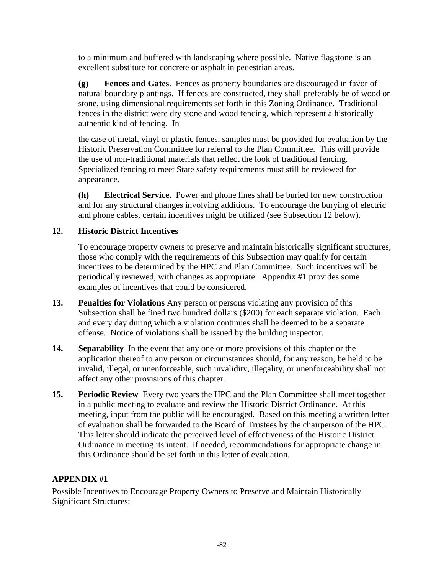to a minimum and buffered with landscaping where possible. Native flagstone is an excellent substitute for concrete or asphalt in pedestrian areas.

**(g) Fences and Gates**. Fences as property boundaries are discouraged in favor of natural boundary plantings. If fences are constructed, they shall preferably be of wood or stone, using dimensional requirements set forth in this Zoning Ordinance. Traditional fences in the district were dry stone and wood fencing, which represent a historically authentic kind of fencing. In

the case of metal, vinyl or plastic fences, samples must be provided for evaluation by the Historic Preservation Committee for referral to the Plan Committee. This will provide the use of non-traditional materials that reflect the look of traditional fencing. Specialized fencing to meet State safety requirements must still be reviewed for appearance.

**(h) Electrical Service.** Power and phone lines shall be buried for new construction and for any structural changes involving additions. To encourage the burying of electric and phone cables, certain incentives might be utilized (see Subsection 12 below).

# **12. Historic District Incentives**

To encourage property owners to preserve and maintain historically significant structures, those who comply with the requirements of this Subsection may qualify for certain incentives to be determined by the HPC and Plan Committee. Such incentives will be periodically reviewed, with changes as appropriate. Appendix #1 provides some examples of incentives that could be considered.

- **13. Penalties for Violations** Any person or persons violating any provision of this Subsection shall be fined two hundred dollars (\$200) for each separate violation. Each and every day during which a violation continues shall be deemed to be a separate offense. Notice of violations shall be issued by the building inspector.
- **14. Separability** In the event that any one or more provisions of this chapter or the application thereof to any person or circumstances should, for any reason, be held to be invalid, illegal, or unenforceable, such invalidity, illegality, or unenforceability shall not affect any other provisions of this chapter.
- **15. Periodic Review** Every two years the HPC and the Plan Committee shall meet together in a public meeting to evaluate and review the Historic District Ordinance. At this meeting, input from the public will be encouraged. Based on this meeting a written letter of evaluation shall be forwarded to the Board of Trustees by the chairperson of the HPC. This letter should indicate the perceived level of effectiveness of the Historic District Ordinance in meeting its intent. If needed, recommendations for appropriate change in this Ordinance should be set forth in this letter of evaluation.

# **APPENDIX #1**

Possible Incentives to Encourage Property Owners to Preserve and Maintain Historically Significant Structures: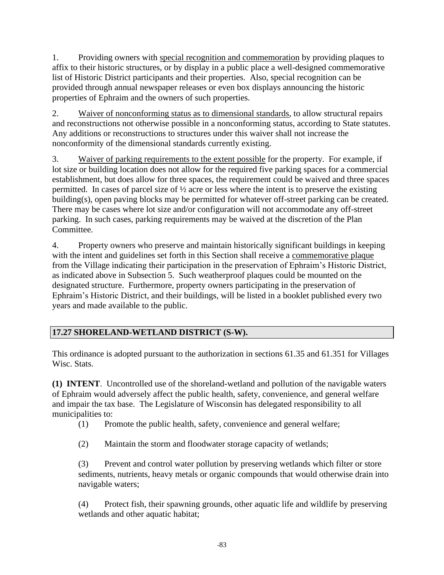1. Providing owners with special recognition and commemoration by providing plaques to affix to their historic structures, or by display in a public place a well-designed commemorative list of Historic District participants and their properties. Also, special recognition can be provided through annual newspaper releases or even box displays announcing the historic properties of Ephraim and the owners of such properties.

2. Waiver of nonconforming status as to dimensional standards, to allow structural repairs and reconstructions not otherwise possible in a nonconforming status, according to State statutes. Any additions or reconstructions to structures under this waiver shall not increase the nonconformity of the dimensional standards currently existing.

3. Waiver of parking requirements to the extent possible for the property. For example, if lot size or building location does not allow for the required five parking spaces for a commercial establishment, but does allow for three spaces, the requirement could be waived and three spaces permitted. In cases of parcel size of ½ acre or less where the intent is to preserve the existing building(s), open paving blocks may be permitted for whatever off-street parking can be created. There may be cases where lot size and/or configuration will not accommodate any off-street parking. In such cases, parking requirements may be waived at the discretion of the Plan Committee.

4. Property owners who preserve and maintain historically significant buildings in keeping with the intent and guidelines set forth in this Section shall receive a commemorative plaque from the Village indicating their participation in the preservation of Ephraim's Historic District, as indicated above in Subsection 5. Such weatherproof plaques could be mounted on the designated structure. Furthermore, property owners participating in the preservation of Ephraim's Historic District, and their buildings, will be listed in a booklet published every two years and made available to the public.

# **17.27 SHORELAND-WETLAND DISTRICT (S-W).**

This ordinance is adopted pursuant to the authorization in sections 61.35 and 61.351 for Villages Wisc. Stats.

**(1) INTENT**. Uncontrolled use of the shoreland-wetland and pollution of the navigable waters of Ephraim would adversely affect the public health, safety, convenience, and general welfare and impair the tax base. The Legislature of Wisconsin has delegated responsibility to all municipalities to:

(1) Promote the public health, safety, convenience and general welfare;

(2) Maintain the storm and floodwater storage capacity of wetlands;

(3) Prevent and control water pollution by preserving wetlands which filter or store sediments, nutrients, heavy metals or organic compounds that would otherwise drain into navigable waters;

(4) Protect fish, their spawning grounds, other aquatic life and wildlife by preserving wetlands and other aquatic habitat;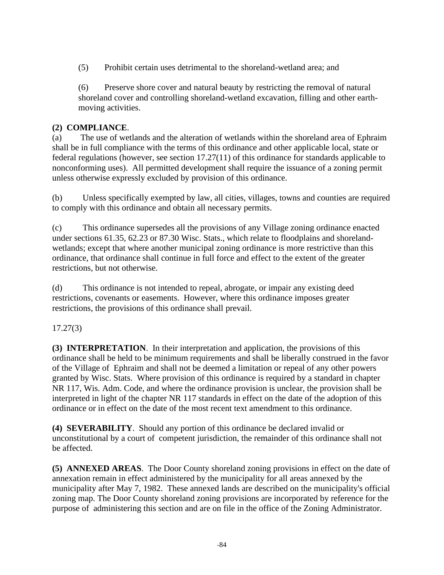(5) Prohibit certain uses detrimental to the shoreland-wetland area; and

(6) Preserve shore cover and natural beauty by restricting the removal of natural shoreland cover and controlling shoreland-wetland excavation, filling and other earthmoving activities.

# **(2) COMPLIANCE**.

(a) The use of wetlands and the alteration of wetlands within the shoreland area of Ephraim shall be in full compliance with the terms of this ordinance and other applicable local, state or federal regulations (however, see section 17.27(11) of this ordinance for standards applicable to nonconforming uses). All permitted development shall require the issuance of a zoning permit unless otherwise expressly excluded by provision of this ordinance.

(b) Unless specifically exempted by law, all cities, villages, towns and counties are required to comply with this ordinance and obtain all necessary permits.

(c) This ordinance supersedes all the provisions of any Village zoning ordinance enacted under sections 61.35, 62.23 or 87.30 Wisc. Stats., which relate to floodplains and shorelandwetlands; except that where another municipal zoning ordinance is more restrictive than this ordinance, that ordinance shall continue in full force and effect to the extent of the greater restrictions, but not otherwise.

(d) This ordinance is not intended to repeal, abrogate, or impair any existing deed restrictions, covenants or easements. However, where this ordinance imposes greater restrictions, the provisions of this ordinance shall prevail.

# 17.27(3)

**(3) INTERPRETATION**. In their interpretation and application, the provisions of this ordinance shall be held to be minimum requirements and shall be liberally construed in the favor of the Village of Ephraim and shall not be deemed a limitation or repeal of any other powers granted by Wisc. Stats. Where provision of this ordinance is required by a standard in chapter NR 117, Wis. Adm. Code, and where the ordinance provision is unclear, the provision shall be interpreted in light of the chapter NR 117 standards in effect on the date of the adoption of this ordinance or in effect on the date of the most recent text amendment to this ordinance.

**(4) SEVERABILITY**. Should any portion of this ordinance be declared invalid or unconstitutional by a court of competent jurisdiction, the remainder of this ordinance shall not be affected.

**(5) ANNEXED AREAS**. The Door County shoreland zoning provisions in effect on the date of annexation remain in effect administered by the municipality for all areas annexed by the municipality after May 7, 1982. These annexed lands are described on the municipality's official zoning map. The Door County shoreland zoning provisions are incorporated by reference for the purpose of administering this section and are on file in the office of the Zoning Administrator.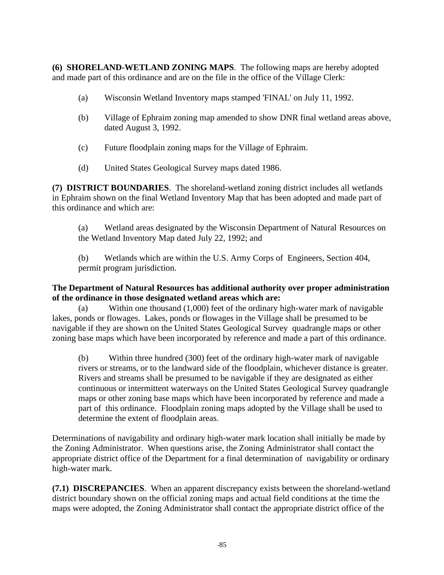**(6) SHORELAND-WETLAND ZONING MAPS**. The following maps are hereby adopted and made part of this ordinance and are on the file in the office of the Village Clerk:

- (a) Wisconsin Wetland Inventory maps stamped 'FINAL' on July 11, 1992.
- (b) Village of Ephraim zoning map amended to show DNR final wetland areas above, dated August 3, 1992.
- (c) Future floodplain zoning maps for the Village of Ephraim.
- (d) United States Geological Survey maps dated 1986.

**(7) DISTRICT BOUNDARIES**. The shoreland-wetland zoning district includes all wetlands in Ephraim shown on the final Wetland Inventory Map that has been adopted and made part of this ordinance and which are:

(a) Wetland areas designated by the Wisconsin Department of Natural Resources on the Wetland Inventory Map dated July 22, 1992; and

(b) Wetlands which are within the U.S. Army Corps of Engineers, Section 404, permit program jurisdiction.

# **The Department of Natural Resources has additional authority over proper administration of the ordinance in those designated wetland areas which are:**

(a) Within one thousand (1,000) feet of the ordinary high-water mark of navigable lakes, ponds or flowages. Lakes, ponds or flowages in the Village shall be presumed to be navigable if they are shown on the United States Geological Survey quadrangle maps or other zoning base maps which have been incorporated by reference and made a part of this ordinance.

(b) Within three hundred (300) feet of the ordinary high-water mark of navigable rivers or streams, or to the landward side of the floodplain, whichever distance is greater. Rivers and streams shall be presumed to be navigable if they are designated as either continuous or intermittent waterways on the United States Geological Survey quadrangle maps or other zoning base maps which have been incorporated by reference and made a part of this ordinance. Floodplain zoning maps adopted by the Village shall be used to determine the extent of floodplain areas.

Determinations of navigability and ordinary high-water mark location shall initially be made by the Zoning Administrator. When questions arise, the Zoning Administrator shall contact the appropriate district office of the Department for a final determination of navigability or ordinary high-water mark.

**(7.1) DISCREPANCIES**. When an apparent discrepancy exists between the shoreland-wetland district boundary shown on the official zoning maps and actual field conditions at the time the maps were adopted, the Zoning Administrator shall contact the appropriate district office of the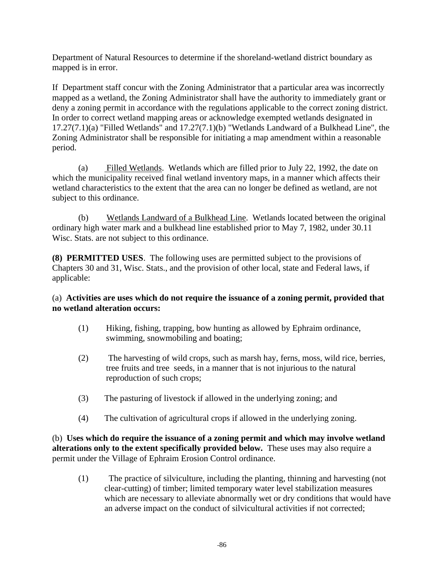Department of Natural Resources to determine if the shoreland-wetland district boundary as mapped is in error.

If Department staff concur with the Zoning Administrator that a particular area was incorrectly mapped as a wetland, the Zoning Administrator shall have the authority to immediately grant or deny a zoning permit in accordance with the regulations applicable to the correct zoning district. In order to correct wetland mapping areas or acknowledge exempted wetlands designated in 17.27(7.1)(a) "Filled Wetlands" and 17.27(7.1)(b) "Wetlands Landward of a Bulkhead Line", the Zoning Administrator shall be responsible for initiating a map amendment within a reasonable period.

(a) Filled Wetlands. Wetlands which are filled prior to July 22, 1992, the date on which the municipality received final wetland inventory maps, in a manner which affects their wetland characteristics to the extent that the area can no longer be defined as wetland, are not subject to this ordinance.

(b) Wetlands Landward of a Bulkhead Line. Wetlands located between the original ordinary high water mark and a bulkhead line established prior to May 7, 1982, under 30.11 Wisc. Stats. are not subject to this ordinance.

**(8) PERMITTED USES**. The following uses are permitted subject to the provisions of Chapters 30 and 31, Wisc. Stats., and the provision of other local, state and Federal laws, if applicable:

# (a) **Activities are uses which do not require the issuance of a zoning permit, provided that no wetland alteration occurs:**

- (1) Hiking, fishing, trapping, bow hunting as allowed by Ephraim ordinance, swimming, snowmobiling and boating;
- (2) The harvesting of wild crops, such as marsh hay, ferns, moss, wild rice, berries, tree fruits and tree seeds, in a manner that is not injurious to the natural reproduction of such crops;
- (3) The pasturing of livestock if allowed in the underlying zoning; and
- (4) The cultivation of agricultural crops if allowed in the underlying zoning.

(b) **Uses which do require the issuance of a zoning permit and which may involve wetland alterations only to the extent specifically provided below.** These uses may also require a permit under the Village of Ephraim Erosion Control ordinance.

(1) The practice of silviculture, including the planting, thinning and harvesting (not clear-cutting) of timber; limited temporary water level stabilization measures which are necessary to alleviate abnormally wet or dry conditions that would have an adverse impact on the conduct of silvicultural activities if not corrected;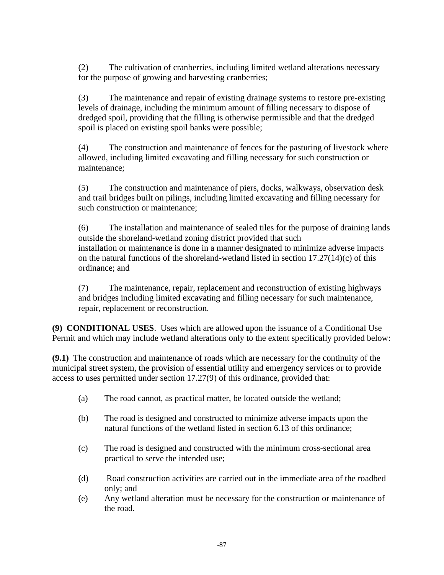(2) The cultivation of cranberries, including limited wetland alterations necessary for the purpose of growing and harvesting cranberries;

(3) The maintenance and repair of existing drainage systems to restore pre-existing levels of drainage, including the minimum amount of filling necessary to dispose of dredged spoil, providing that the filling is otherwise permissible and that the dredged spoil is placed on existing spoil banks were possible;

(4) The construction and maintenance of fences for the pasturing of livestock where allowed, including limited excavating and filling necessary for such construction or maintenance;

(5) The construction and maintenance of piers, docks, walkways, observation desk and trail bridges built on pilings, including limited excavating and filling necessary for such construction or maintenance;

(6) The installation and maintenance of sealed tiles for the purpose of draining lands outside the shoreland-wetland zoning district provided that such installation or maintenance is done in a manner designated to minimize adverse impacts on the natural functions of the shoreland-wetland listed in section  $17.27(14)(c)$  of this ordinance; and

(7) The maintenance, repair, replacement and reconstruction of existing highways and bridges including limited excavating and filling necessary for such maintenance, repair, replacement or reconstruction.

**(9) CONDITIONAL USES**. Uses which are allowed upon the issuance of a Conditional Use Permit and which may include wetland alterations only to the extent specifically provided below:

**(9.1)** The construction and maintenance of roads which are necessary for the continuity of the municipal street system, the provision of essential utility and emergency services or to provide access to uses permitted under section 17.27(9) of this ordinance, provided that:

- (a) The road cannot, as practical matter, be located outside the wetland;
- (b) The road is designed and constructed to minimize adverse impacts upon the natural functions of the wetland listed in section 6.13 of this ordinance;
- (c) The road is designed and constructed with the minimum cross-sectional area practical to serve the intended use;
- (d) Road construction activities are carried out in the immediate area of the roadbed only; and
- (e) Any wetland alteration must be necessary for the construction or maintenance of the road.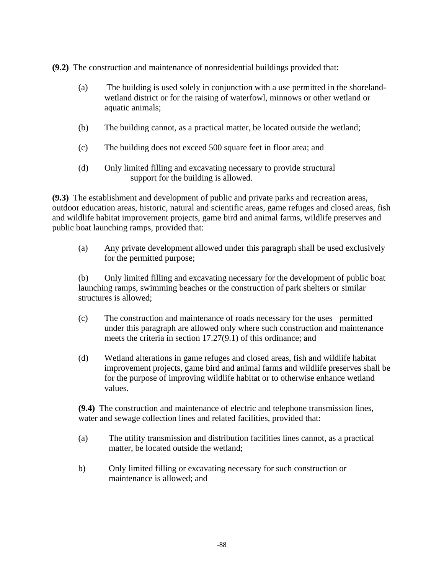**(9.2)** The construction and maintenance of nonresidential buildings provided that:

- (a) The building is used solely in conjunction with a use permitted in the shorelandwetland district or for the raising of waterfowl, minnows or other wetland or aquatic animals;
- (b) The building cannot, as a practical matter, be located outside the wetland;
- (c) The building does not exceed 500 square feet in floor area; and
- (d) Only limited filling and excavating necessary to provide structural support for the building is allowed.

**(9.3)** The establishment and development of public and private parks and recreation areas, outdoor education areas, historic, natural and scientific areas, game refuges and closed areas, fish and wildlife habitat improvement projects, game bird and animal farms, wildlife preserves and public boat launching ramps, provided that:

(a) Any private development allowed under this paragraph shall be used exclusively for the permitted purpose;

(b) Only limited filling and excavating necessary for the development of public boat launching ramps, swimming beaches or the construction of park shelters or similar structures is allowed;

- (c) The construction and maintenance of roads necessary for the uses permitted under this paragraph are allowed only where such construction and maintenance meets the criteria in section 17.27(9.1) of this ordinance; and
- (d) Wetland alterations in game refuges and closed areas, fish and wildlife habitat improvement projects, game bird and animal farms and wildlife preserves shall be for the purpose of improving wildlife habitat or to otherwise enhance wetland values.

**(9.4)** The construction and maintenance of electric and telephone transmission lines, water and sewage collection lines and related facilities, provided that:

- (a) The utility transmission and distribution facilities lines cannot, as a practical matter, be located outside the wetland;
- b) Only limited filling or excavating necessary for such construction or maintenance is allowed; and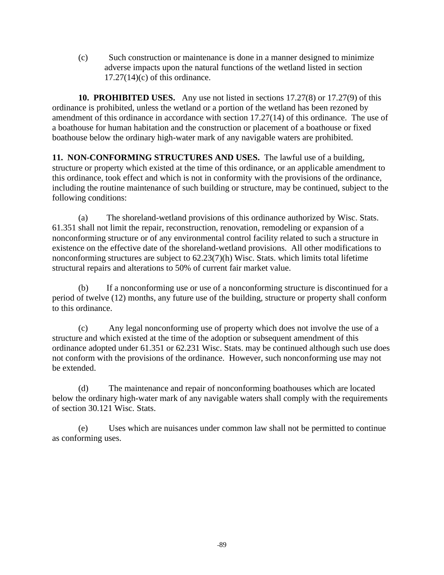(c) Such construction or maintenance is done in a manner designed to minimize adverse impacts upon the natural functions of the wetland listed in section  $17.27(14)(c)$  of this ordinance.

**10. PROHIBITED USES.** Any use not listed in sections 17.27(8) or 17.27(9) of this ordinance is prohibited, unless the wetland or a portion of the wetland has been rezoned by amendment of this ordinance in accordance with section 17.27(14) of this ordinance. The use of a boathouse for human habitation and the construction or placement of a boathouse or fixed boathouse below the ordinary high-water mark of any navigable waters are prohibited.

**11. NON-CONFORMING STRUCTURES AND USES.** The lawful use of a building, structure or property which existed at the time of this ordinance, or an applicable amendment to this ordinance, took effect and which is not in conformity with the provisions of the ordinance, including the routine maintenance of such building or structure, may be continued, subject to the following conditions:

(a) The shoreland-wetland provisions of this ordinance authorized by Wisc. Stats. 61.351 shall not limit the repair, reconstruction, renovation, remodeling or expansion of a nonconforming structure or of any environmental control facility related to such a structure in existence on the effective date of the shoreland-wetland provisions. All other modifications to nonconforming structures are subject to 62.23(7)(h) Wisc. Stats. which limits total lifetime structural repairs and alterations to 50% of current fair market value.

(b) If a nonconforming use or use of a nonconforming structure is discontinued for a period of twelve (12) months, any future use of the building, structure or property shall conform to this ordinance.

(c) Any legal nonconforming use of property which does not involve the use of a structure and which existed at the time of the adoption or subsequent amendment of this ordinance adopted under 61.351 or 62.231 Wisc. Stats. may be continued although such use does not conform with the provisions of the ordinance. However, such nonconforming use may not be extended.

(d) The maintenance and repair of nonconforming boathouses which are located below the ordinary high-water mark of any navigable waters shall comply with the requirements of section 30.121 Wisc. Stats.

(e) Uses which are nuisances under common law shall not be permitted to continue as conforming uses.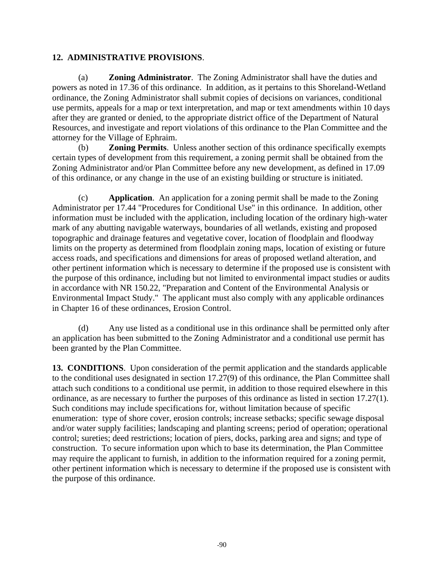# **12. ADMINISTRATIVE PROVISIONS**.

(a) **Zoning Administrator**. The Zoning Administrator shall have the duties and powers as noted in 17.36 of this ordinance. In addition, as it pertains to this Shoreland-Wetland ordinance, the Zoning Administrator shall submit copies of decisions on variances, conditional use permits, appeals for a map or text interpretation, and map or text amendments within 10 days after they are granted or denied, to the appropriate district office of the Department of Natural Resources, and investigate and report violations of this ordinance to the Plan Committee and the attorney for the Village of Ephraim.

(b) **Zoning Permits**. Unless another section of this ordinance specifically exempts certain types of development from this requirement, a zoning permit shall be obtained from the Zoning Administrator and/or Plan Committee before any new development, as defined in 17.09 of this ordinance, or any change in the use of an existing building or structure is initiated.

(c) **Application**. An application for a zoning permit shall be made to the Zoning Administrator per 17.44 "Procedures for Conditional Use" in this ordinance. In addition, other information must be included with the application, including location of the ordinary high-water mark of any abutting navigable waterways, boundaries of all wetlands, existing and proposed topographic and drainage features and vegetative cover, location of floodplain and floodway limits on the property as determined from floodplain zoning maps, location of existing or future access roads, and specifications and dimensions for areas of proposed wetland alteration, and other pertinent information which is necessary to determine if the proposed use is consistent with the purpose of this ordinance, including but not limited to environmental impact studies or audits in accordance with NR 150.22, "Preparation and Content of the Environmental Analysis or Environmental Impact Study." The applicant must also comply with any applicable ordinances in Chapter 16 of these ordinances, Erosion Control.

(d) Any use listed as a conditional use in this ordinance shall be permitted only after an application has been submitted to the Zoning Administrator and a conditional use permit has been granted by the Plan Committee.

**13. CONDITIONS**. Upon consideration of the permit application and the standards applicable to the conditional uses designated in section 17.27(9) of this ordinance, the Plan Committee shall attach such conditions to a conditional use permit, in addition to those required elsewhere in this ordinance, as are necessary to further the purposes of this ordinance as listed in section 17.27(1). Such conditions may include specifications for, without limitation because of specific enumeration: type of shore cover, erosion controls; increase setbacks; specific sewage disposal and/or water supply facilities; landscaping and planting screens; period of operation; operational control; sureties; deed restrictions; location of piers, docks, parking area and signs; and type of construction. To secure information upon which to base its determination, the Plan Committee may require the applicant to furnish, in addition to the information required for a zoning permit, other pertinent information which is necessary to determine if the proposed use is consistent with the purpose of this ordinance.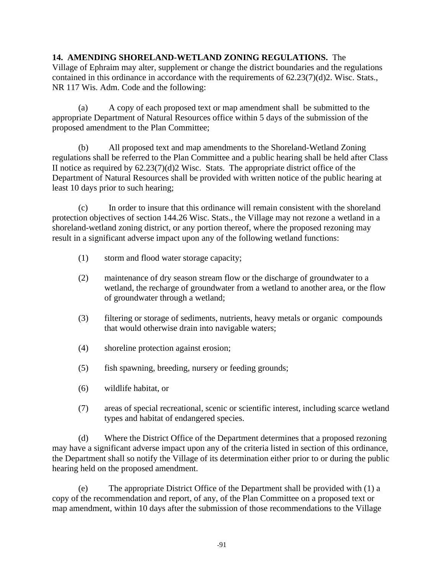# **14. AMENDING SHORELAND-WETLAND ZONING REGULATIONS.** The Village of Ephraim may alter, supplement or change the district boundaries and the regulations

contained in this ordinance in accordance with the requirements of 62.23(7)(d)2. Wisc. Stats., NR 117 Wis. Adm. Code and the following:

(a) A copy of each proposed text or map amendment shall be submitted to the appropriate Department of Natural Resources office within 5 days of the submission of the proposed amendment to the Plan Committee;

(b) All proposed text and map amendments to the Shoreland-Wetland Zoning regulations shall be referred to the Plan Committee and a public hearing shall be held after Class II notice as required by  $62.23(7)(d)2$  Wisc. Stats. The appropriate district office of the Department of Natural Resources shall be provided with written notice of the public hearing at least 10 days prior to such hearing;

(c) In order to insure that this ordinance will remain consistent with the shoreland protection objectives of section 144.26 Wisc. Stats., the Village may not rezone a wetland in a shoreland-wetland zoning district, or any portion thereof, where the proposed rezoning may result in a significant adverse impact upon any of the following wetland functions:

- (1) storm and flood water storage capacity;
- (2) maintenance of dry season stream flow or the discharge of groundwater to a wetland, the recharge of groundwater from a wetland to another area, or the flow of groundwater through a wetland;
- (3) filtering or storage of sediments, nutrients, heavy metals or organic compounds that would otherwise drain into navigable waters;
- (4) shoreline protection against erosion;
- (5) fish spawning, breeding, nursery or feeding grounds;
- (6) wildlife habitat, or
- (7) areas of special recreational, scenic or scientific interest, including scarce wetland types and habitat of endangered species.

(d) Where the District Office of the Department determines that a proposed rezoning may have a significant adverse impact upon any of the criteria listed in section of this ordinance, the Department shall so notify the Village of its determination either prior to or during the public hearing held on the proposed amendment.

(e) The appropriate District Office of the Department shall be provided with (1) a copy of the recommendation and report, of any, of the Plan Committee on a proposed text or map amendment, within 10 days after the submission of those recommendations to the Village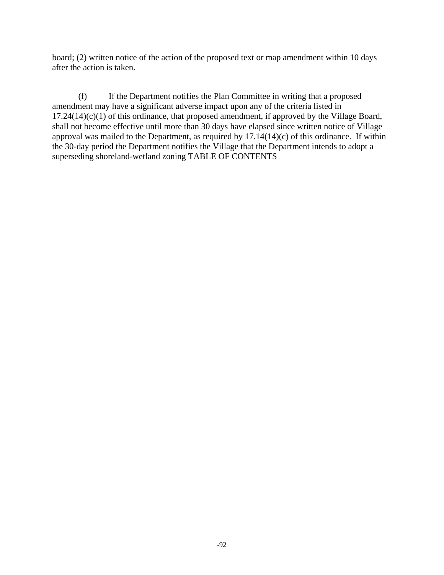board; (2) written notice of the action of the proposed text or map amendment within 10 days after the action is taken.

(f) If the Department notifies the Plan Committee in writing that a proposed amendment may have a significant adverse impact upon any of the criteria listed in  $17.24(14)(c)(1)$  of this ordinance, that proposed amendment, if approved by the Village Board, shall not become effective until more than 30 days have elapsed since written notice of Village approval was mailed to the Department, as required by  $17.14(14)(c)$  of this ordinance. If within the 30-day period the Department notifies the Village that the Department intends to adopt a superseding shoreland-wetland zoning TABLE OF CONTENTS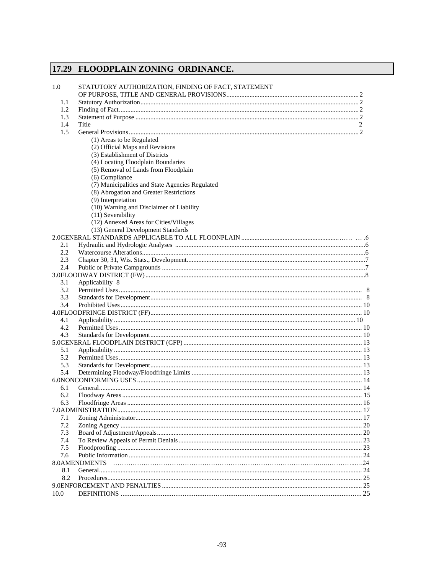# 17.29 FLOODPLAIN ZONING ORDINANCE.

| 1.0  | STATUTORY AUTHORIZATION, FINDING OF FACT, STATEMENT |  |
|------|-----------------------------------------------------|--|
|      |                                                     |  |
| 1.1  |                                                     |  |
| 1.2  |                                                     |  |
| 1.3  |                                                     |  |
| 1.4  | Title                                               |  |
| 1.5  |                                                     |  |
|      | (1) Areas to be Regulated                           |  |
|      | (2) Official Maps and Revisions                     |  |
|      | (3) Establishment of Districts                      |  |
|      | (4) Locating Floodplain Boundaries                  |  |
|      | (5) Removal of Lands from Floodplain                |  |
|      | (6) Compliance                                      |  |
|      | (7) Municipalities and State Agencies Regulated     |  |
|      | (8) Abrogation and Greater Restrictions             |  |
|      | (9) Interpretation                                  |  |
|      | (10) Warning and Disclaimer of Liability            |  |
|      | $(11)$ Severability                                 |  |
|      | (12) Annexed Areas for Cities/Villages              |  |
|      | (13) General Development Standards                  |  |
|      |                                                     |  |
| 2.1  |                                                     |  |
| 2.2  |                                                     |  |
| 2.3  |                                                     |  |
| 2.4  |                                                     |  |
|      |                                                     |  |
| 3.1  | Applicability 8                                     |  |
| 3.2  |                                                     |  |
| 3.3  |                                                     |  |
| 3.4  |                                                     |  |
|      |                                                     |  |
| 4.1  |                                                     |  |
| 4.2  |                                                     |  |
| 4.3  |                                                     |  |
|      |                                                     |  |
| 5.1  |                                                     |  |
| 5.2  |                                                     |  |
| 5.3  |                                                     |  |
| 5.4  |                                                     |  |
|      |                                                     |  |
| 6.1  |                                                     |  |
| 6.2  |                                                     |  |
| 6.3  |                                                     |  |
|      | 7 0 A DMINISTR A TION                               |  |
| 7.1  |                                                     |  |
| 7.2  |                                                     |  |
| 7.3  |                                                     |  |
| 7.4  |                                                     |  |
| 7.5  |                                                     |  |
| 7.6  |                                                     |  |
|      | 8.0AMENDMENTS                                       |  |
| 8.1  |                                                     |  |
| 8.2  |                                                     |  |
|      |                                                     |  |
| 10.0 |                                                     |  |
|      |                                                     |  |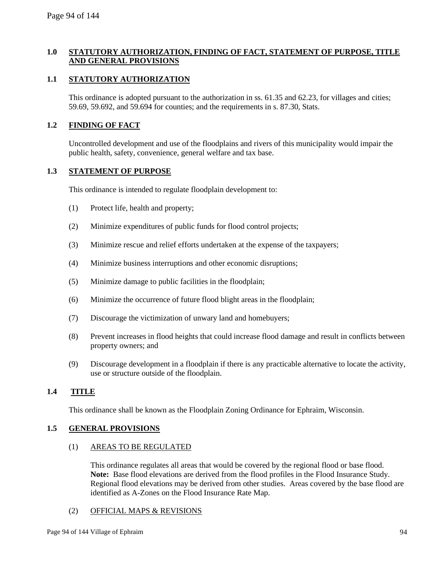# **1.0 STATUTORY AUTHORIZATION, FINDING OF FACT, STATEMENT OF PURPOSE, TITLE AND GENERAL PROVISIONS**

# **1.1 STATUTORY AUTHORIZATION**

This ordinance is adopted pursuant to the authorization in ss. 61.35 and 62.23, for villages and cities; 59.69, 59.692, and 59.694 for counties; and the requirements in s. 87.30, Stats.

# **1.2 FINDING OF FACT**

Uncontrolled development and use of the floodplains and rivers of this municipality would impair the public health, safety, convenience, general welfare and tax base.

### **1.3 STATEMENT OF PURPOSE**

This ordinance is intended to regulate floodplain development to:

- (1) Protect life, health and property;
- (2) Minimize expenditures of public funds for flood control projects;
- (3) Minimize rescue and relief efforts undertaken at the expense of the taxpayers;
- (4) Minimize business interruptions and other economic disruptions;
- (5) Minimize damage to public facilities in the floodplain;
- (6) Minimize the occurrence of future flood blight areas in the floodplain;
- (7) Discourage the victimization of unwary land and homebuyers;
- (8) Prevent increases in flood heights that could increase flood damage and result in conflicts between property owners; and
- (9) Discourage development in a floodplain if there is any practicable alternative to locate the activity, use or structure outside of the floodplain.

# **1.4 TITLE**

This ordinance shall be known as the Floodplain Zoning Ordinance for Ephraim, Wisconsin.

### **1.5 GENERAL PROVISIONS**

### (1) AREAS TO BE REGULATED

This ordinance regulates all areas that would be covered by the regional flood or base flood. **Note:** Base flood elevations are derived from the flood profiles in the Flood Insurance Study. Regional flood elevations may be derived from other studies. Areas covered by the base flood are identified as A-Zones on the Flood Insurance Rate Map.

(2) OFFICIAL MAPS & REVISIONS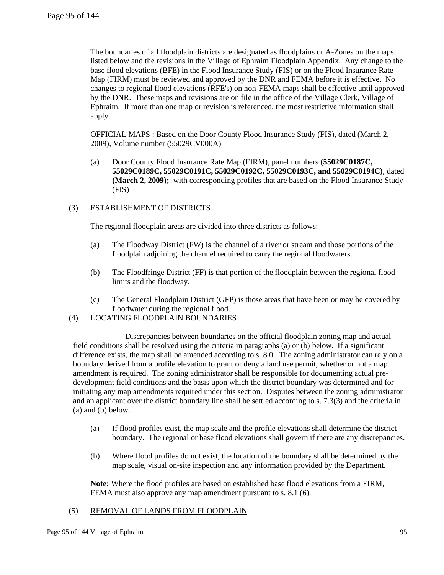The boundaries of all floodplain districts are designated as floodplains or A-Zones on the maps listed below and the revisions in the Village of Ephraim Floodplain Appendix. Any change to the base flood elevations (BFE) in the Flood Insurance Study (FIS) or on the Flood Insurance Rate Map (FIRM) must be reviewed and approved by the DNR and FEMA before it is effective. No changes to regional flood elevations (RFE's) on non-FEMA maps shall be effective until approved by the DNR. These maps and revisions are on file in the office of the Village Clerk, Village of Ephraim. If more than one map or revision is referenced, the most restrictive information shall apply.

OFFICIAL MAPS : Based on the Door County Flood Insurance Study (FIS), dated (March 2, 2009), Volume number (55029CV000A)

(a) Door County Flood Insurance Rate Map (FIRM), panel numbers **(55029C0187C, 55029C0189C, 55029C0191C, 55029C0192C, 55029C0193C, and 55029C0194C)**, dated **(March 2, 2009);** with corresponding profiles that are based on the Flood Insurance Study (FIS)

### (3) ESTABLISHMENT OF DISTRICTS

The regional floodplain areas are divided into three districts as follows:

- (a) The Floodway District (FW) is the channel of a river or stream and those portions of the floodplain adjoining the channel required to carry the regional floodwaters.
- (b) The Floodfringe District (FF) is that portion of the floodplain between the regional flood limits and the floodway.
- (c) The General Floodplain District (GFP) is those areas that have been or may be covered by floodwater during the regional flood.

### (4) LOCATING FLOODPLAIN BOUNDARIES

Discrepancies between boundaries on the official floodplain zoning map and actual field conditions shall be resolved using the criteria in paragraphs (a) or (b) below. If a significant difference exists, the map shall be amended according to s. 8.0. The zoning administrator can rely on a boundary derived from a profile elevation to grant or deny a land use permit, whether or not a map amendment is required. The zoning administrator shall be responsible for documenting actual predevelopment field conditions and the basis upon which the district boundary was determined and for initiating any map amendments required under this section. Disputes between the zoning administrator and an applicant over the district boundary line shall be settled according to s. 7.3(3) and the criteria in (a) and (b) below.

- (a) If flood profiles exist, the map scale and the profile elevations shall determine the district boundary. The regional or base flood elevations shall govern if there are any discrepancies.
- (b) Where flood profiles do not exist, the location of the boundary shall be determined by the map scale, visual on-site inspection and any information provided by the Department.

**Note:** Where the flood profiles are based on established base flood elevations from a FIRM, FEMA must also approve any map amendment pursuant to s. 8.1 (6).

### (5) REMOVAL OF LANDS FROM FLOODPLAIN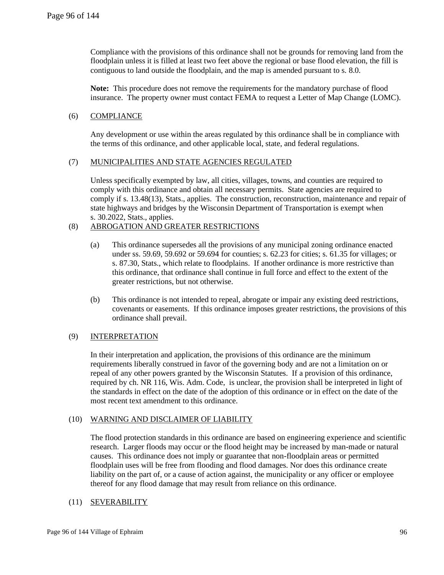Compliance with the provisions of this ordinance shall not be grounds for removing land from the floodplain unless it is filled at least two feet above the regional or base flood elevation, the fill is contiguous to land outside the floodplain, and the map is amended pursuant to s. 8.0.

**Note:** This procedure does not remove the requirements for the mandatory purchase of flood insurance. The property owner must contact FEMA to request a Letter of Map Change (LOMC).

### (6) COMPLIANCE

Any development or use within the areas regulated by this ordinance shall be in compliance with the terms of this ordinance, and other applicable local, state, and federal regulations.

### (7) MUNICIPALITIES AND STATE AGENCIES REGULATED

Unless specifically exempted by law, all cities, villages, towns, and counties are required to comply with this ordinance and obtain all necessary permits. State agencies are required to comply if s. 13.48(13), Stats., applies. The construction, reconstruction, maintenance and repair of state highways and bridges by the Wisconsin Department of Transportation is exempt when s. 30.2022, Stats., applies.

#### (8) ABROGATION AND GREATER RESTRICTIONS

- (a) This ordinance supersedes all the provisions of any municipal zoning ordinance enacted under ss. 59.69, 59.692 or 59.694 for counties; s. 62.23 for cities; s. 61.35 for villages; or s. 87.30, Stats., which relate to floodplains. If another ordinance is more restrictive than this ordinance, that ordinance shall continue in full force and effect to the extent of the greater restrictions, but not otherwise.
- (b) This ordinance is not intended to repeal, abrogate or impair any existing deed restrictions, covenants or easements. If this ordinance imposes greater restrictions, the provisions of this ordinance shall prevail.

### (9) INTERPRETATION

In their interpretation and application, the provisions of this ordinance are the minimum requirements liberally construed in favor of the governing body and are not a limitation on or repeal of any other powers granted by the Wisconsin Statutes. If a provision of this ordinance, required by ch. NR 116, Wis. Adm. Code, is unclear, the provision shall be interpreted in light of the standards in effect on the date of the adoption of this ordinance or in effect on the date of the most recent text amendment to this ordinance.

#### (10) WARNING AND DISCLAIMER OF LIABILITY

The flood protection standards in this ordinance are based on engineering experience and scientific research. Larger floods may occur or the flood height may be increased by man-made or natural causes. This ordinance does not imply or guarantee that non-floodplain areas or permitted floodplain uses will be free from flooding and flood damages. Nor does this ordinance create liability on the part of, or a cause of action against, the municipality or any officer or employee thereof for any flood damage that may result from reliance on this ordinance.

#### (11) SEVERABILITY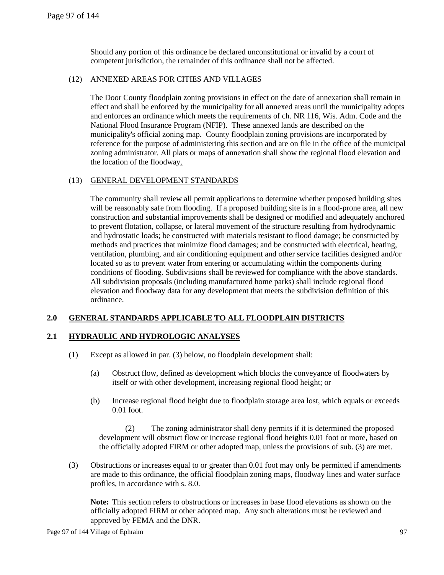Should any portion of this ordinance be declared unconstitutional or invalid by a court of competent jurisdiction, the remainder of this ordinance shall not be affected.

### (12) ANNEXED AREAS FOR CITIES AND VILLAGES

The Door County floodplain zoning provisions in effect on the date of annexation shall remain in effect and shall be enforced by the municipality for all annexed areas until the municipality adopts and enforces an ordinance which meets the requirements of ch. NR 116, Wis. Adm. Code and the National Flood Insurance Program (NFIP). These annexed lands are described on the municipality's official zoning map. County floodplain zoning provisions are incorporated by reference for the purpose of administering this section and are on file in the office of the municipal zoning administrator. All plats or maps of annexation shall show the regional flood elevation and the location of the floodway.

### (13) GENERAL DEVELOPMENT STANDARDS

The community shall review all permit applications to determine whether proposed building sites will be reasonably safe from flooding. If a proposed building site is in a flood-prone area, all new construction and substantial improvements shall be designed or modified and adequately anchored to prevent flotation, collapse, or lateral movement of the structure resulting from hydrodynamic and hydrostatic loads; be constructed with materials resistant to flood damage; be constructed by methods and practices that minimize flood damages; and be constructed with electrical, heating, ventilation, plumbing, and air conditioning equipment and other service facilities designed and/or located so as to prevent water from entering or accumulating within the components during conditions of flooding. Subdivisions shall be reviewed for compliance with the above standards. All subdivision proposals (including manufactured home parks) shall include regional flood elevation and floodway data for any development that meets the subdivision definition of this ordinance.

# **2.0 GENERAL STANDARDS APPLICABLE TO ALL FLOODPLAIN DISTRICTS**

### **2.1 HYDRAULIC AND HYDROLOGIC ANALYSES**

- (1) Except as allowed in par. (3) below, no floodplain development shall:
	- (a) Obstruct flow, defined as development which blocks the conveyance of floodwaters by itself or with other development, increasing regional flood height; or
	- (b) Increase regional flood height due to floodplain storage area lost, which equals or exceeds 0.01 foot.

(2) The zoning administrator shall deny permits if it is determined the proposed development will obstruct flow or increase regional flood heights 0.01 foot or more, based on the officially adopted FIRM or other adopted map, unless the provisions of sub. (3) are met.

(3) Obstructions or increases equal to or greater than 0.01 foot may only be permitted if amendments are made to this ordinance, the official floodplain zoning maps, floodway lines and water surface profiles, in accordance with s. 8.0.

**Note:** This section refers to obstructions or increases in base flood elevations as shown on the officially adopted FIRM or other adopted map. Any such alterations must be reviewed and approved by FEMA and the DNR.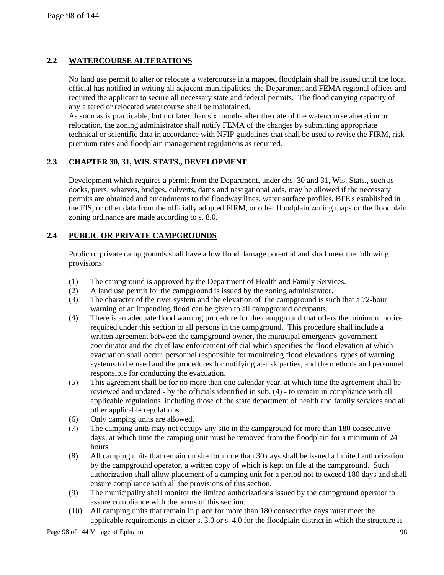# **2.2 WATERCOURSE ALTERATIONS**

No land use permit to alter or relocate a watercourse in a mapped floodplain shall be issued until the local official has notified in writing all adjacent municipalities, the Department and FEMA regional offices and required the applicant to secure all necessary state and federal permits. The flood carrying capacity of any altered or relocated watercourse shall be maintained.

As soon as is practicable, but not later than six months after the date of the watercourse alteration or relocation, the zoning administrator shall notify FEMA of the changes by submitting appropriate technical or scientific data in accordance with NFIP guidelines that shall be used to revise the FIRM, risk premium rates and floodplain management regulations as required.

# **2.3 CHAPTER 30, 31, WIS. STATS., DEVELOPMENT**

Development which requires a permit from the Department, under chs. 30 and 31, Wis. Stats., such as docks, piers, wharves, bridges, culverts, dams and navigational aids, may be allowed if the necessary permits are obtained and amendments to the floodway lines, water surface profiles, BFE's established in the FIS, or other data from the officially adopted FIRM, or other floodplain zoning maps or the floodplain zoning ordinance are made according to s. 8.0.

# **2.4 PUBLIC OR PRIVATE CAMPGROUNDS**

Public or private campgrounds shall have a low flood damage potential and shall meet the following provisions:

- (1) The campground is approved by the Department of Health and Family Services.
- (2) A land use permit for the campground is issued by the zoning administrator.
- (3) The character of the river system and the elevation of the campground is such that a 72-hour warning of an impending flood can be given to all campground occupants.
- (4) There is an adequate flood warning procedure for the campground that offers the minimum notice required under this section to all persons in the campground. This procedure shall include a written agreement between the campground owner, the municipal emergency government coordinator and the chief law enforcement official which specifies the flood elevation at which evacuation shall occur, personnel responsible for monitoring flood elevations, types of warning systems to be used and the procedures for notifying at-risk parties, and the methods and personnel responsible for conducting the evacuation.
- (5) This agreement shall be for no more than one calendar year, at which time the agreement shall be reviewed and updated - by the officials identified in sub. (4) - to remain in compliance with all applicable regulations, including those of the state department of health and family services and all other applicable regulations.
- (6) Only camping units are allowed.
- (7) The camping units may not occupy any site in the campground for more than 180 consecutive days, at which time the camping unit must be removed from the floodplain for a minimum of 24 hours.
- (8) All camping units that remain on site for more than 30 days shall be issued a limited authorization by the campground operator, a written copy of which is kept on file at the campground. Such authorization shall allow placement of a camping unit for a period not to exceed 180 days and shall ensure compliance with all the provisions of this section.
- (9) The municipality shall monitor the limited authorizations issued by the campground operator to assure compliance with the terms of this section.
- (10) All camping units that remain in place for more than 180 consecutive days must meet the applicable requirements in either s. 3.0 or s. 4.0 for the floodplain district in which the structure is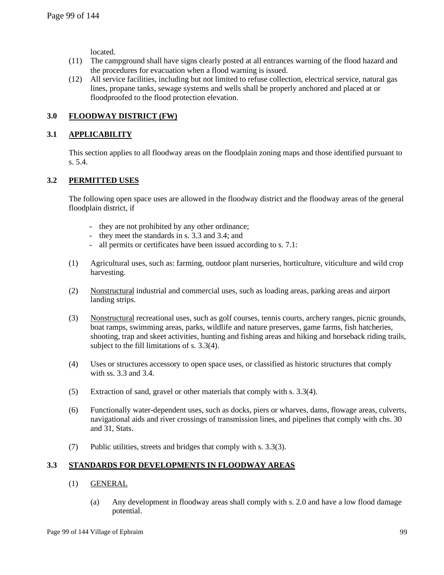located.

- (11) The campground shall have signs clearly posted at all entrances warning of the flood hazard and the procedures for evacuation when a flood warning is issued.
- (12) All service facilities, including but not limited to refuse collection, electrical service, natural gas lines, propane tanks, sewage systems and wells shall be properly anchored and placed at or floodproofed to the flood protection elevation.

# **3.0 FLOODWAY DISTRICT (FW)**

### **3.1 APPLICABILITY**

This section applies to all floodway areas on the floodplain zoning maps and those identified pursuant to s. 5.4.

# **3.2 PERMITTED USES**

The following open space uses are allowed in the floodway district and the floodway areas of the general floodplain district, if

- they are not prohibited by any other ordinance;
- they meet the standards in s. 3.3 and 3.4; and
- all permits or certificates have been issued according to s. 7.1:
- (1) Agricultural uses, such as: farming, outdoor plant nurseries, horticulture, viticulture and wild crop harvesting.
- (2) Nonstructural industrial and commercial uses, such as loading areas, parking areas and airport landing strips.
- (3) Nonstructural recreational uses, such as golf courses, tennis courts, archery ranges, picnic grounds, boat ramps, swimming areas, parks, wildlife and nature preserves, game farms, fish hatcheries, shooting, trap and skeet activities, hunting and fishing areas and hiking and horseback riding trails, subject to the fill limitations of s. 3.3(4).
- (4) Uses or structures accessory to open space uses, or classified as historic structures that comply with ss. 3.3 and 3.4.
- (5) Extraction of sand, gravel or other materials that comply with s. 3.3(4).
- (6) Functionally water-dependent uses, such as docks, piers or wharves, dams, flowage areas, culverts, navigational aids and river crossings of transmission lines, and pipelines that comply with chs. 30 and 31, Stats.
- (7) Public utilities, streets and bridges that comply with s. 3.3(3).

# **3.3 STANDARDS FOR DEVELOPMENTS IN FLOODWAY AREAS**

### (1) GENERAL

(a) Any development in floodway areas shall comply with s. 2.0 and have a low flood damage potential.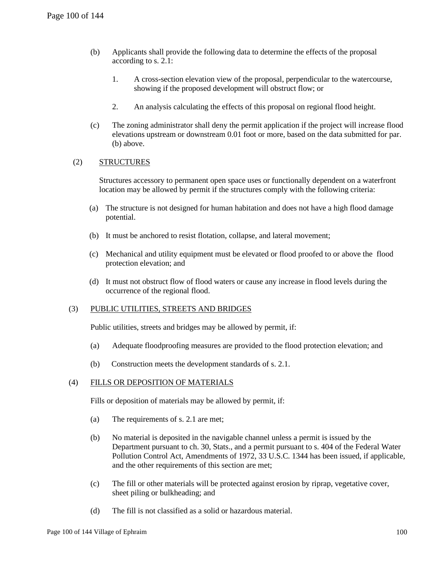- (b) Applicants shall provide the following data to determine the effects of the proposal according to s. 2.1:
	- 1. A cross-section elevation view of the proposal, perpendicular to the watercourse, showing if the proposed development will obstruct flow; or
	- 2. An analysis calculating the effects of this proposal on regional flood height.
- (c) The zoning administrator shall deny the permit application if the project will increase flood elevations upstream or downstream 0.01 foot or more, based on the data submitted for par. (b) above.

### (2) STRUCTURES

Structures accessory to permanent open space uses or functionally dependent on a waterfront location may be allowed by permit if the structures comply with the following criteria:

- (a) The structure is not designed for human habitation and does not have a high flood damage potential.
- (b) It must be anchored to resist flotation, collapse, and lateral movement;
- (c) Mechanical and utility equipment must be elevated or flood proofed to or above the flood protection elevation; and
- (d) It must not obstruct flow of flood waters or cause any increase in flood levels during the occurrence of the regional flood.

### (3) PUBLIC UTILITIES, STREETS AND BRIDGES

Public utilities, streets and bridges may be allowed by permit, if:

- (a) Adequate floodproofing measures are provided to the flood protection elevation; and
- (b) Construction meets the development standards of s. 2.1.

### (4) FILLS OR DEPOSITION OF MATERIALS

Fills or deposition of materials may be allowed by permit, if:

- (a) The requirements of s. 2.1 are met;
- (b) No material is deposited in the navigable channel unless a permit is issued by the Department pursuant to ch. 30, Stats., and a permit pursuant to s. 404 of the Federal Water Pollution Control Act, Amendments of 1972, 33 U.S.C. 1344 has been issued, if applicable, and the other requirements of this section are met;
- (c) The fill or other materials will be protected against erosion by riprap, vegetative cover, sheet piling or bulkheading; and
- (d) The fill is not classified as a solid or hazardous material.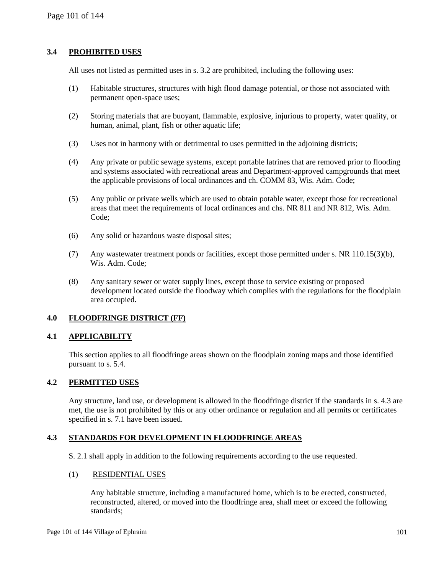# **3.4 PROHIBITED USES**

All uses not listed as permitted uses in s. 3.2 are prohibited, including the following uses:

- (1) Habitable structures, structures with high flood damage potential, or those not associated with permanent open-space uses;
- (2) Storing materials that are buoyant, flammable, explosive, injurious to property, water quality, or human, animal, plant, fish or other aquatic life;
- (3) Uses not in harmony with or detrimental to uses permitted in the adjoining districts;
- (4) Any private or public sewage systems, except portable latrines that are removed prior to flooding and systems associated with recreational areas and Department-approved campgrounds that meet the applicable provisions of local ordinances and ch. COMM 83, Wis. Adm. Code;
- (5) Any public or private wells which are used to obtain potable water, except those for recreational areas that meet the requirements of local ordinances and chs. NR 811 and NR 812, Wis. Adm. Code;
- (6) Any solid or hazardous waste disposal sites;
- (7) Any wastewater treatment ponds or facilities, except those permitted under s. NR 110.15(3)(b), Wis. Adm. Code;
- (8) Any sanitary sewer or water supply lines, except those to service existing or proposed development located outside the floodway which complies with the regulations for the floodplain area occupied.

### **4.0 FLOODFRINGE DISTRICT (FF)**

### **4.1 APPLICABILITY**

This section applies to all floodfringe areas shown on the floodplain zoning maps and those identified pursuant to s. 5.4.

### **4.2 PERMITTED USES**

Any structure, land use, or development is allowed in the floodfringe district if the standards in s. 4.3 are met, the use is not prohibited by this or any other ordinance or regulation and all permits or certificates specified in s. 7.1 have been issued.

### **4.3 STANDARDS FOR DEVELOPMENT IN FLOODFRINGE AREAS**

S. 2.1 shall apply in addition to the following requirements according to the use requested.

#### (1) RESIDENTIAL USES

Any habitable structure, including a manufactured home, which is to be erected, constructed, reconstructed, altered, or moved into the floodfringe area, shall meet or exceed the following standards;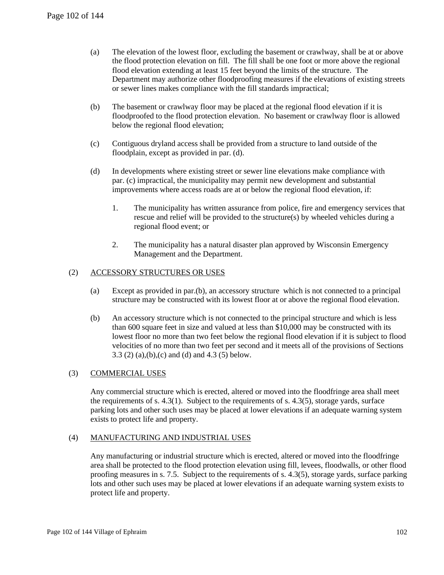- (a) The elevation of the lowest floor, excluding the basement or crawlway, shall be at or above the flood protection elevation on fill. The fill shall be one foot or more above the regional flood elevation extending at least 15 feet beyond the limits of the structure. The Department may authorize other floodproofing measures if the elevations of existing streets or sewer lines makes compliance with the fill standards impractical;
- (b) The basement or crawlway floor may be placed at the regional flood elevation if it is floodproofed to the flood protection elevation. No basement or crawlway floor is allowed below the regional flood elevation;
- (c) Contiguous dryland access shall be provided from a structure to land outside of the floodplain, except as provided in par. (d).
- (d) In developments where existing street or sewer line elevations make compliance with par. (c) impractical, the municipality may permit new development and substantial improvements where access roads are at or below the regional flood elevation, if:
	- 1. The municipality has written assurance from police, fire and emergency services that rescue and relief will be provided to the structure(s) by wheeled vehicles during a regional flood event; or
	- 2. The municipality has a natural disaster plan approved by Wisconsin Emergency Management and the Department.

### (2) ACCESSORY STRUCTURES OR USES

- (a) Except as provided in par.(b), an accessory structure which is not connected to a principal structure may be constructed with its lowest floor at or above the regional flood elevation.
- (b) An accessory structure which is not connected to the principal structure and which is less than 600 square feet in size and valued at less than \$10,000 may be constructed with its lowest floor no more than two feet below the regional flood elevation if it is subject to flood velocities of no more than two feet per second and it meets all of the provisions of Sections 3.3 (2) (a),(b),(c) and (d) and 4.3 (5) below.

### (3) COMMERCIAL USES

Any commercial structure which is erected, altered or moved into the floodfringe area shall meet the requirements of s. 4.3(1). Subject to the requirements of s. 4.3(5), storage yards, surface parking lots and other such uses may be placed at lower elevations if an adequate warning system exists to protect life and property.

### (4) MANUFACTURING AND INDUSTRIAL USES

Any manufacturing or industrial structure which is erected, altered or moved into the floodfringe area shall be protected to the flood protection elevation using fill, levees, floodwalls, or other flood proofing measures in s. 7.5. Subject to the requirements of s. 4.3(5), storage yards, surface parking lots and other such uses may be placed at lower elevations if an adequate warning system exists to protect life and property.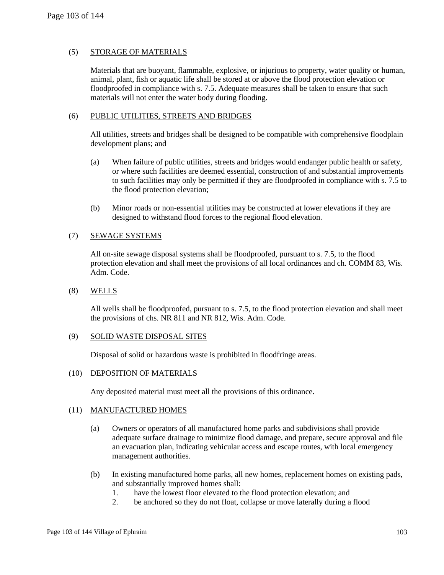### (5) STORAGE OF MATERIALS

Materials that are buoyant, flammable, explosive, or injurious to property, water quality or human, animal, plant, fish or aquatic life shall be stored at or above the flood protection elevation or floodproofed in compliance with s. 7.5. Adequate measures shall be taken to ensure that such materials will not enter the water body during flooding.

### (6) PUBLIC UTILITIES, STREETS AND BRIDGES

All utilities, streets and bridges shall be designed to be compatible with comprehensive floodplain development plans; and

- (a) When failure of public utilities, streets and bridges would endanger public health or safety, or where such facilities are deemed essential, construction of and substantial improvements to such facilities may only be permitted if they are floodproofed in compliance with s. 7.5 to the flood protection elevation;
- (b) Minor roads or non-essential utilities may be constructed at lower elevations if they are designed to withstand flood forces to the regional flood elevation.

### (7) SEWAGE SYSTEMS

All on-site sewage disposal systems shall be floodproofed, pursuant to s. 7.5, to the flood protection elevation and shall meet the provisions of all local ordinances and ch. COMM 83, Wis. Adm. Code.

#### (8) WELLS

All wells shall be floodproofed, pursuant to s. 7.5, to the flood protection elevation and shall meet the provisions of chs. NR 811 and NR 812, Wis. Adm. Code.

#### (9) SOLID WASTE DISPOSAL SITES

Disposal of solid or hazardous waste is prohibited in floodfringe areas.

#### (10) DEPOSITION OF MATERIALS

Any deposited material must meet all the provisions of this ordinance.

#### (11) MANUFACTURED HOMES

- (a) Owners or operators of all manufactured home parks and subdivisions shall provide adequate surface drainage to minimize flood damage, and prepare, secure approval and file an evacuation plan, indicating vehicular access and escape routes, with local emergency management authorities.
- (b) In existing manufactured home parks, all new homes, replacement homes on existing pads, and substantially improved homes shall:
	- 1. have the lowest floor elevated to the flood protection elevation; and
	- 2. be anchored so they do not float, collapse or move laterally during a flood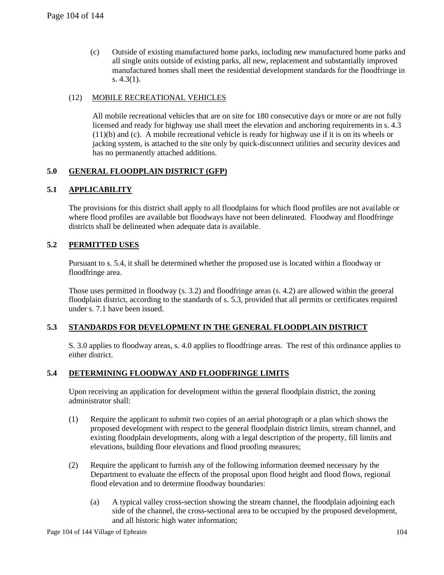(c) Outside of existing manufactured home parks, including new manufactured home parks and all single units outside of existing parks, all new, replacement and substantially improved manufactured homes shall meet the residential development standards for the floodfringe in s. 4.3(1).

### (12) MOBILE RECREATIONAL VEHICLES

All mobile recreational vehicles that are on site for 180 consecutive days or more or are not fully licensed and ready for highway use shall meet the elevation and anchoring requirements in s. 4.3 (11)(b) and (c). A mobile recreational vehicle is ready for highway use if it is on its wheels or jacking system, is attached to the site only by quick-disconnect utilities and security devices and has no permanently attached additions.

# **5.0 GENERAL FLOODPLAIN DISTRICT (GFP)**

# **5.1 APPLICABILITY**

The provisions for this district shall apply to all floodplains for which flood profiles are not available or where flood profiles are available but floodways have not been delineated. Floodway and floodfringe districts shall be delineated when adequate data is available.

### **5.2 PERMITTED USES**

Pursuant to s. 5.4, it shall be determined whether the proposed use is located within a floodway or floodfringe area.

Those uses permitted in floodway (s. 3.2) and floodfringe areas (s. 4.2) are allowed within the general floodplain district, according to the standards of s. 5.3, provided that all permits or certificates required under s. 7.1 have been issued.

# **5.3 STANDARDS FOR DEVELOPMENT IN THE GENERAL FLOODPLAIN DISTRICT**

S. 3.0 applies to floodway areas, s. 4.0 applies to floodfringe areas. The rest of this ordinance applies to either district.

# **5.4 DETERMINING FLOODWAY AND FLOODFRINGE LIMITS**

Upon receiving an application for development within the general floodplain district, the zoning administrator shall:

- (1) Require the applicant to submit two copies of an aerial photograph or a plan which shows the proposed development with respect to the general floodplain district limits, stream channel, and existing floodplain developments, along with a legal description of the property, fill limits and elevations, building floor elevations and flood proofing measures;
- (2) Require the applicant to furnish any of the following information deemed necessary by the Department to evaluate the effects of the proposal upon flood height and flood flows, regional flood elevation and to determine floodway boundaries:
	- (a) A typical valley cross-section showing the stream channel, the floodplain adjoining each side of the channel, the cross-sectional area to be occupied by the proposed development, and all historic high water information;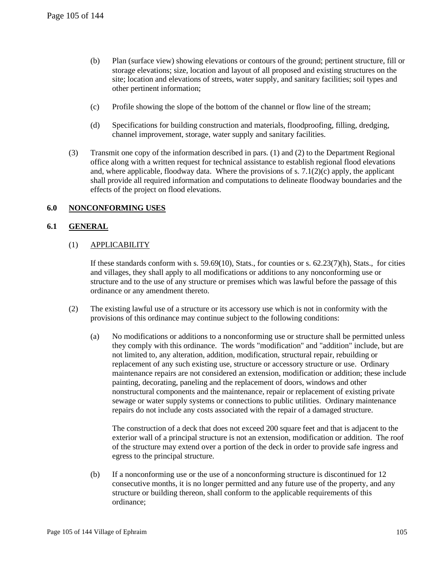- (b) Plan (surface view) showing elevations or contours of the ground; pertinent structure, fill or storage elevations; size, location and layout of all proposed and existing structures on the site; location and elevations of streets, water supply, and sanitary facilities; soil types and other pertinent information;
- (c) Profile showing the slope of the bottom of the channel or flow line of the stream;
- (d) Specifications for building construction and materials, floodproofing, filling, dredging, channel improvement, storage, water supply and sanitary facilities.
- (3) Transmit one copy of the information described in pars. (1) and (2) to the Department Regional office along with a written request for technical assistance to establish regional flood elevations and, where applicable, floodway data. Where the provisions of s. 7.1(2)(c) apply, the applicant shall provide all required information and computations to delineate floodway boundaries and the effects of the project on flood elevations.

### **6.0 NONCONFORMING USES**

### **6.1 GENERAL**

(1) APPLICABILITY

If these standards conform with s. 59.69(10), Stats., for counties or s. 62.23(7)(h), Stats., for cities and villages, they shall apply to all modifications or additions to any nonconforming use or structure and to the use of any structure or premises which was lawful before the passage of this ordinance or any amendment thereto.

- (2) The existing lawful use of a structure or its accessory use which is not in conformity with the provisions of this ordinance may continue subject to the following conditions:
	- (a) No modifications or additions to a nonconforming use or structure shall be permitted unless they comply with this ordinance. The words "modification" and "addition" include, but are not limited to, any alteration, addition, modification, structural repair, rebuilding or replacement of any such existing use, structure or accessory structure or use. Ordinary maintenance repairs are not considered an extension, modification or addition; these include painting, decorating, paneling and the replacement of doors, windows and other nonstructural components and the maintenance, repair or replacement of existing private sewage or water supply systems or connections to public utilities. Ordinary maintenance repairs do not include any costs associated with the repair of a damaged structure.

The construction of a deck that does not exceed 200 square feet and that is adjacent to the exterior wall of a principal structure is not an extension, modification or addition. The roof of the structure may extend over a portion of the deck in order to provide safe ingress and egress to the principal structure.

(b) If a nonconforming use or the use of a nonconforming structure is discontinued for 12 consecutive months, it is no longer permitted and any future use of the property, and any structure or building thereon, shall conform to the applicable requirements of this ordinance;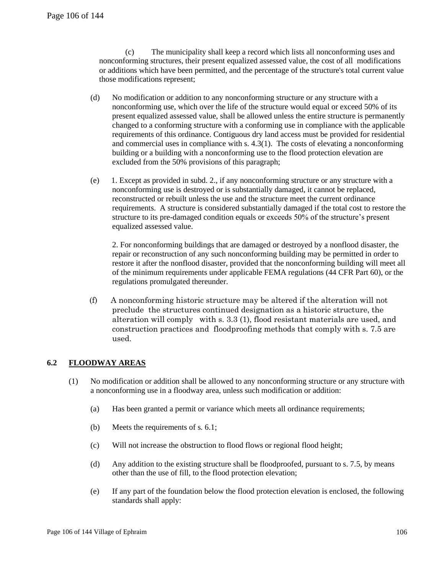(c) The municipality shall keep a record which lists all nonconforming uses and nonconforming structures, their present equalized assessed value, the cost of all modifications or additions which have been permitted, and the percentage of the structure's total current value those modifications represent;

- (d) No modification or addition to any nonconforming structure or any structure with a nonconforming use, which over the life of the structure would equal or exceed 50% of its present equalized assessed value, shall be allowed unless the entire structure is permanently changed to a conforming structure with a conforming use in compliance with the applicable requirements of this ordinance. Contiguous dry land access must be provided for residential and commercial uses in compliance with s. 4.3(1). The costs of elevating a nonconforming building or a building with a nonconforming use to the flood protection elevation are excluded from the 50% provisions of this paragraph;
- (e) 1. Except as provided in subd. 2., if any nonconforming structure or any structure with a nonconforming use is destroyed or is substantially damaged, it cannot be replaced, reconstructed or rebuilt unless the use and the structure meet the current ordinance requirements. A structure is considered substantially damaged if the total cost to restore the structure to its pre-damaged condition equals or exceeds 50% of the structure's present equalized assessed value.

2. For nonconforming buildings that are damaged or destroyed by a nonflood disaster, the repair or reconstruction of any such nonconforming building may be permitted in order to restore it after the nonflood disaster, provided that the nonconforming building will meet all of the minimum requirements under applicable FEMA regulations (44 CFR Part 60), or the regulations promulgated thereunder.

(f) A nonconforming historic structure may be altered if the alteration will not preclude the structures continued designation as a historic structure, the alteration will comply with s. 3.3 (1), flood resistant materials are used, and construction practices and floodproofing methods that comply with s. 7.5 are used.

# **6.2 FLOODWAY AREAS**

- (1) No modification or addition shall be allowed to any nonconforming structure or any structure with a nonconforming use in a floodway area, unless such modification or addition:
	- (a) Has been granted a permit or variance which meets all ordinance requirements;
	- (b) Meets the requirements of s. 6.1;
	- (c) Will not increase the obstruction to flood flows or regional flood height;
	- (d) Any addition to the existing structure shall be floodproofed, pursuant to s. 7.5, by means other than the use of fill, to the flood protection elevation;
	- (e) If any part of the foundation below the flood protection elevation is enclosed, the following standards shall apply: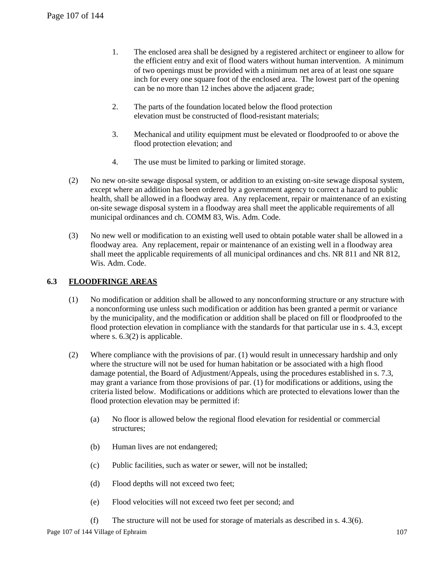- 1. The enclosed area shall be designed by a registered architect or engineer to allow for the efficient entry and exit of flood waters without human intervention. A minimum of two openings must be provided with a minimum net area of at least one square inch for every one square foot of the enclosed area. The lowest part of the opening can be no more than 12 inches above the adjacent grade;
- 2. The parts of the foundation located below the flood protection elevation must be constructed of flood-resistant materials;
- 3. Mechanical and utility equipment must be elevated or floodproofed to or above the flood protection elevation; and
- 4. The use must be limited to parking or limited storage.
- (2) No new on-site sewage disposal system, or addition to an existing on-site sewage disposal system, except where an addition has been ordered by a government agency to correct a hazard to public health, shall be allowed in a floodway area. Any replacement, repair or maintenance of an existing on-site sewage disposal system in a floodway area shall meet the applicable requirements of all municipal ordinances and ch. COMM 83, Wis. Adm. Code.
- (3) No new well or modification to an existing well used to obtain potable water shall be allowed in a floodway area. Any replacement, repair or maintenance of an existing well in a floodway area shall meet the applicable requirements of all municipal ordinances and chs. NR 811 and NR 812, Wis. Adm. Code.

# **6.3 FLOODFRINGE AREAS**

- (1) No modification or addition shall be allowed to any nonconforming structure or any structure with a nonconforming use unless such modification or addition has been granted a permit or variance by the municipality, and the modification or addition shall be placed on fill or floodproofed to the flood protection elevation in compliance with the standards for that particular use in s. 4.3, except where s. 6.3(2) is applicable.
- (2) Where compliance with the provisions of par. (1) would result in unnecessary hardship and only where the structure will not be used for human habitation or be associated with a high flood damage potential, the Board of Adjustment/Appeals, using the procedures established in s. 7.3, may grant a variance from those provisions of par. (1) for modifications or additions, using the criteria listed below. Modifications or additions which are protected to elevations lower than the flood protection elevation may be permitted if:
	- (a) No floor is allowed below the regional flood elevation for residential or commercial structures;
	- (b) Human lives are not endangered;
	- (c) Public facilities, such as water or sewer, will not be installed;
	- (d) Flood depths will not exceed two feet;
	- (e) Flood velocities will not exceed two feet per second; and
	- (f) The structure will not be used for storage of materials as described in s. 4.3(6).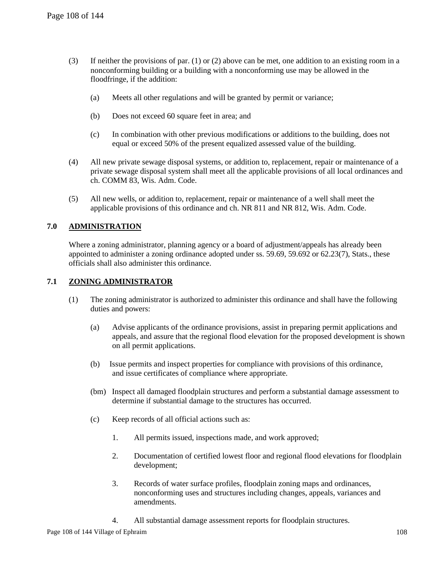- (3) If neither the provisions of par. (1) or (2) above can be met, one addition to an existing room in a nonconforming building or a building with a nonconforming use may be allowed in the floodfringe, if the addition:
	- (a) Meets all other regulations and will be granted by permit or variance;
	- (b) Does not exceed 60 square feet in area; and
	- (c) In combination with other previous modifications or additions to the building, does not equal or exceed 50% of the present equalized assessed value of the building.
- (4) All new private sewage disposal systems, or addition to, replacement, repair or maintenance of a private sewage disposal system shall meet all the applicable provisions of all local ordinances and ch. COMM 83, Wis. Adm. Code.
- (5) All new wells, or addition to, replacement, repair or maintenance of a well shall meet the applicable provisions of this ordinance and ch. NR 811 and NR 812, Wis. Adm. Code.

### **7.0 ADMINISTRATION**

Where a zoning administrator, planning agency or a board of adjustment/appeals has already been appointed to administer a zoning ordinance adopted under ss. 59.69, 59.692 or 62.23(7), Stats., these officials shall also administer this ordinance.

### **7.1 ZONING ADMINISTRATOR**

- (1) The zoning administrator is authorized to administer this ordinance and shall have the following duties and powers:
	- (a) Advise applicants of the ordinance provisions, assist in preparing permit applications and appeals, and assure that the regional flood elevation for the proposed development is shown on all permit applications.
	- (b) Issue permits and inspect properties for compliance with provisions of this ordinance, and issue certificates of compliance where appropriate.
	- (bm) Inspect all damaged floodplain structures and perform a substantial damage assessment to determine if substantial damage to the structures has occurred.
	- (c) Keep records of all official actions such as:
		- 1. All permits issued, inspections made, and work approved;
		- 2. Documentation of certified lowest floor and regional flood elevations for floodplain development;
		- 3. Records of water surface profiles, floodplain zoning maps and ordinances, nonconforming uses and structures including changes, appeals, variances and amendments.
		- 4. All substantial damage assessment reports for floodplain structures.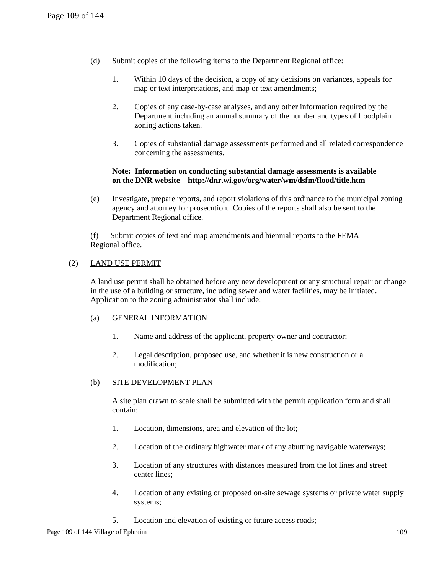- (d) Submit copies of the following items to the Department Regional office:
	- 1. Within 10 days of the decision, a copy of any decisions on variances, appeals for map or text interpretations, and map or text amendments;
	- 2. Copies of any case-by-case analyses, and any other information required by the Department including an annual summary of the number and types of floodplain zoning actions taken.
	- 3. Copies of substantial damage assessments performed and all related correspondence concerning the assessments.

#### **Note: Information on conducting substantial damage assessments is available on the DNR website – http://dnr.wi.gov/org/water/wm/dsfm/flood/title.htm**

(e) Investigate, prepare reports, and report violations of this ordinance to the municipal zoning agency and attorney for prosecution. Copies of the reports shall also be sent to the Department Regional office.

(f) Submit copies of text and map amendments and biennial reports to the FEMA Regional office.

#### (2) LAND USE PERMIT

A land use permit shall be obtained before any new development or any structural repair or change in the use of a building or structure, including sewer and water facilities, may be initiated. Application to the zoning administrator shall include:

#### (a) GENERAL INFORMATION

- 1. Name and address of the applicant, property owner and contractor;
- 2. Legal description, proposed use, and whether it is new construction or a modification;

#### (b) SITE DEVELOPMENT PLAN

A site plan drawn to scale shall be submitted with the permit application form and shall contain:

- 1. Location, dimensions, area and elevation of the lot;
- 2. Location of the ordinary highwater mark of any abutting navigable waterways;
- 3. Location of any structures with distances measured from the lot lines and street center lines;
- 4. Location of any existing or proposed on-site sewage systems or private water supply systems;
- 5. Location and elevation of existing or future access roads;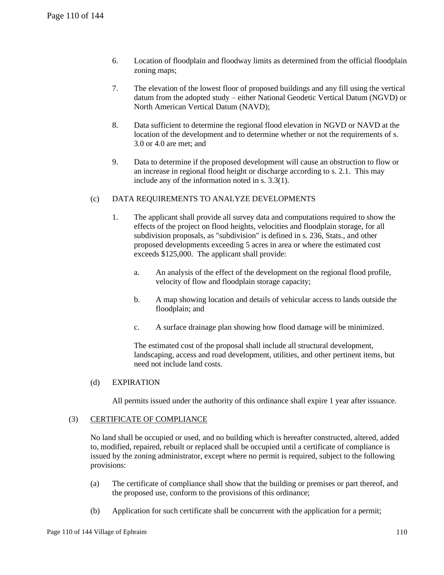- 6. Location of floodplain and floodway limits as determined from the official floodplain zoning maps;
- 7. The elevation of the lowest floor of proposed buildings and any fill using the vertical datum from the adopted study – either National Geodetic Vertical Datum (NGVD) or North American Vertical Datum (NAVD);
- 8. Data sufficient to determine the regional flood elevation in NGVD or NAVD at the location of the development and to determine whether or not the requirements of s. 3.0 or 4.0 are met; and
- 9. Data to determine if the proposed development will cause an obstruction to flow or an increase in regional flood height or discharge according to s. 2.1. This may include any of the information noted in s. 3.3(1).

#### (c) DATA REQUIREMENTS TO ANALYZE DEVELOPMENTS

- 1. The applicant shall provide all survey data and computations required to show the effects of the project on flood heights, velocities and floodplain storage, for all subdivision proposals, as "subdivision" is defined in s. 236, Stats., and other proposed developments exceeding 5 acres in area or where the estimated cost exceeds \$125,000. The applicant shall provide:
	- a. An analysis of the effect of the development on the regional flood profile, velocity of flow and floodplain storage capacity;
	- b. A map showing location and details of vehicular access to lands outside the floodplain; and
	- c. A surface drainage plan showing how flood damage will be minimized.

The estimated cost of the proposal shall include all structural development, landscaping, access and road development, utilities, and other pertinent items, but need not include land costs.

#### (d) EXPIRATION

All permits issued under the authority of this ordinance shall expire 1 year after issuance.

#### (3) CERTIFICATE OF COMPLIANCE

No land shall be occupied or used, and no building which is hereafter constructed, altered, added to, modified, repaired, rebuilt or replaced shall be occupied until a certificate of compliance is issued by the zoning administrator, except where no permit is required, subject to the following provisions:

- (a) The certificate of compliance shall show that the building or premises or part thereof, and the proposed use, conform to the provisions of this ordinance;
- (b) Application for such certificate shall be concurrent with the application for a permit;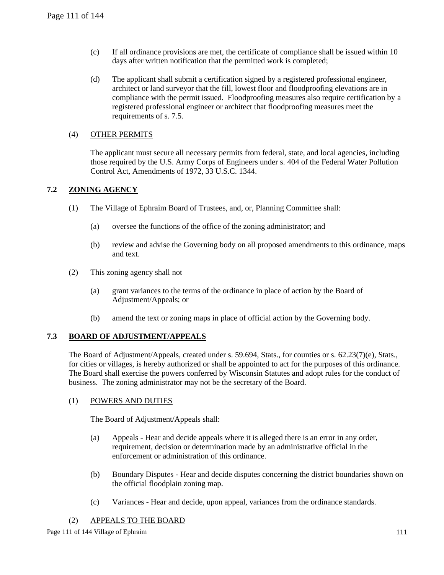- (c) If all ordinance provisions are met, the certificate of compliance shall be issued within 10 days after written notification that the permitted work is completed;
- (d) The applicant shall submit a certification signed by a registered professional engineer, architect or land surveyor that the fill, lowest floor and floodproofing elevations are in compliance with the permit issued. Floodproofing measures also require certification by a registered professional engineer or architect that floodproofing measures meet the requirements of s. 7.5.

#### (4) OTHER PERMITS

The applicant must secure all necessary permits from federal, state, and local agencies, including those required by the U.S. Army Corps of Engineers under s. 404 of the Federal Water Pollution Control Act, Amendments of 1972, 33 U.S.C. 1344.

#### **7.2 ZONING AGENCY**

- (1) The Village of Ephraim Board of Trustees, and, or, Planning Committee shall:
	- (a) oversee the functions of the office of the zoning administrator; and
	- (b) review and advise the Governing body on all proposed amendments to this ordinance, maps and text.
- (2) This zoning agency shall not
	- (a) grant variances to the terms of the ordinance in place of action by the Board of Adjustment/Appeals; or
	- (b) amend the text or zoning maps in place of official action by the Governing body.

#### **7.3 BOARD OF ADJUSTMENT/APPEALS**

The Board of Adjustment/Appeals, created under s. 59.694, Stats., for counties or s. 62.23(7)(e), Stats., for cities or villages, is hereby authorized or shall be appointed to act for the purposes of this ordinance. The Board shall exercise the powers conferred by Wisconsin Statutes and adopt rules for the conduct of business. The zoning administrator may not be the secretary of the Board.

#### (1) POWERS AND DUTIES

The Board of Adjustment/Appeals shall:

- (a) Appeals Hear and decide appeals where it is alleged there is an error in any order, requirement, decision or determination made by an administrative official in the enforcement or administration of this ordinance.
- (b) Boundary Disputes Hear and decide disputes concerning the district boundaries shown on the official floodplain zoning map.
- (c) Variances Hear and decide, upon appeal, variances from the ordinance standards.

#### (2) APPEALS TO THE BOARD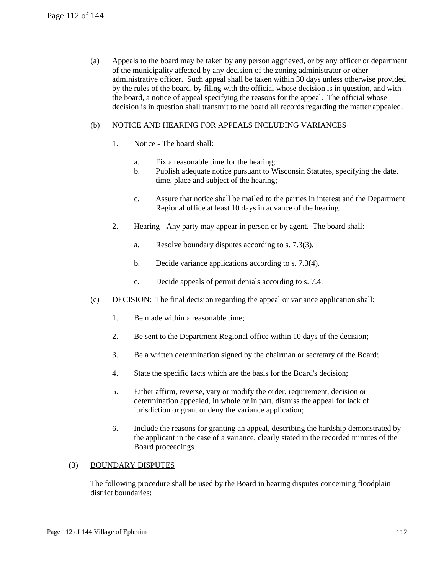(a) Appeals to the board may be taken by any person aggrieved, or by any officer or department of the municipality affected by any decision of the zoning administrator or other administrative officer. Such appeal shall be taken within 30 days unless otherwise provided by the rules of the board, by filing with the official whose decision is in question, and with the board, a notice of appeal specifying the reasons for the appeal. The official whose decision is in question shall transmit to the board all records regarding the matter appealed.

#### (b) NOTICE AND HEARING FOR APPEALS INCLUDING VARIANCES

- 1. Notice The board shall:
	- a. Fix a reasonable time for the hearing;
	- b. Publish adequate notice pursuant to Wisconsin Statutes, specifying the date, time, place and subject of the hearing;
	- c. Assure that notice shall be mailed to the parties in interest and the Department Regional office at least 10 days in advance of the hearing.
- 2. Hearing Any party may appear in person or by agent. The board shall:
	- a. Resolve boundary disputes according to s. 7.3(3).
	- b. Decide variance applications according to s. 7.3(4).
	- c. Decide appeals of permit denials according to s. 7.4.
- (c) DECISION: The final decision regarding the appeal or variance application shall:
	- 1. Be made within a reasonable time;
	- 2. Be sent to the Department Regional office within 10 days of the decision;
	- 3. Be a written determination signed by the chairman or secretary of the Board;
	- 4. State the specific facts which are the basis for the Board's decision;
	- 5. Either affirm, reverse, vary or modify the order, requirement, decision or determination appealed, in whole or in part, dismiss the appeal for lack of jurisdiction or grant or deny the variance application;
	- 6. Include the reasons for granting an appeal, describing the hardship demonstrated by the applicant in the case of a variance, clearly stated in the recorded minutes of the Board proceedings.

#### (3) BOUNDARY DISPUTES

The following procedure shall be used by the Board in hearing disputes concerning floodplain district boundaries: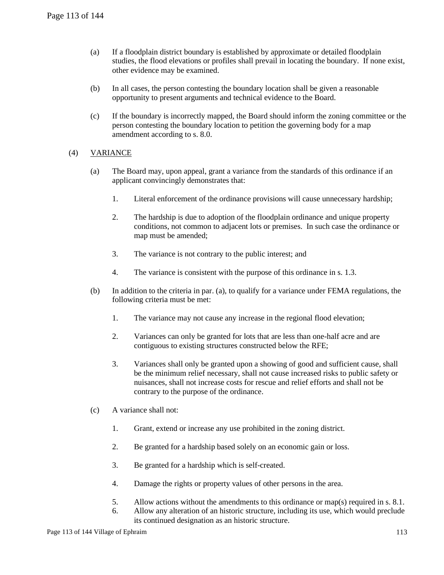- (a) If a floodplain district boundary is established by approximate or detailed floodplain studies, the flood elevations or profiles shall prevail in locating the boundary. If none exist, other evidence may be examined.
- (b) In all cases, the person contesting the boundary location shall be given a reasonable opportunity to present arguments and technical evidence to the Board.
- (c) If the boundary is incorrectly mapped, the Board should inform the zoning committee or the person contesting the boundary location to petition the governing body for a map amendment according to s. 8.0.

#### (4) VARIANCE

- (a) The Board may, upon appeal, grant a variance from the standards of this ordinance if an applicant convincingly demonstrates that:
	- 1. Literal enforcement of the ordinance provisions will cause unnecessary hardship;
	- 2. The hardship is due to adoption of the floodplain ordinance and unique property conditions, not common to adjacent lots or premises. In such case the ordinance or map must be amended;
	- 3. The variance is not contrary to the public interest; and
	- 4. The variance is consistent with the purpose of this ordinance in s. 1.3.
- (b) In addition to the criteria in par. (a), to qualify for a variance under FEMA regulations, the following criteria must be met:
	- 1. The variance may not cause any increase in the regional flood elevation;
	- 2. Variances can only be granted for lots that are less than one-half acre and are contiguous to existing structures constructed below the RFE;
	- 3. Variances shall only be granted upon a showing of good and sufficient cause, shall be the minimum relief necessary, shall not cause increased risks to public safety or nuisances, shall not increase costs for rescue and relief efforts and shall not be contrary to the purpose of the ordinance.
- (c) A variance shall not:
	- 1. Grant, extend or increase any use prohibited in the zoning district.
	- 2. Be granted for a hardship based solely on an economic gain or loss.
	- 3. Be granted for a hardship which is self-created.
	- 4. Damage the rights or property values of other persons in the area.
	- 5. Allow actions without the amendments to this ordinance or map(s) required in s. 8.1.
	- 6. Allow any alteration of an historic structure, including its use, which would preclude its continued designation as an historic structure.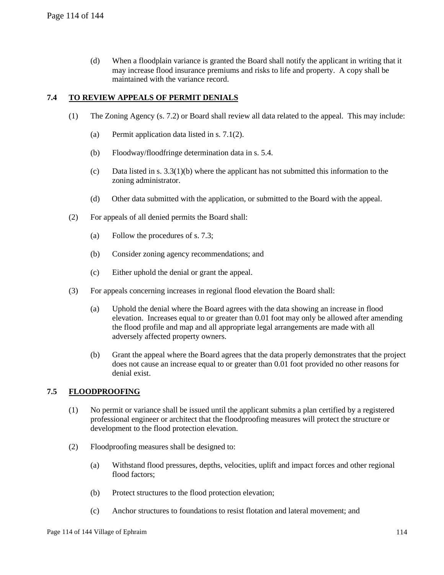(d) When a floodplain variance is granted the Board shall notify the applicant in writing that it may increase flood insurance premiums and risks to life and property. A copy shall be maintained with the variance record.

#### **7.4 TO REVIEW APPEALS OF PERMIT DENIALS**

- (1) The Zoning Agency (s. 7.2) or Board shall review all data related to the appeal. This may include:
	- (a) Permit application data listed in s. 7.1(2).
	- (b) Floodway/floodfringe determination data in s. 5.4.
	- (c) Data listed in s.  $3.3(1)(b)$  where the applicant has not submitted this information to the zoning administrator.
	- (d) Other data submitted with the application, or submitted to the Board with the appeal.
- (2) For appeals of all denied permits the Board shall:
	- (a) Follow the procedures of s. 7.3;
	- (b) Consider zoning agency recommendations; and
	- (c) Either uphold the denial or grant the appeal.
- (3) For appeals concerning increases in regional flood elevation the Board shall:
	- (a) Uphold the denial where the Board agrees with the data showing an increase in flood elevation. Increases equal to or greater than 0.01 foot may only be allowed after amending the flood profile and map and all appropriate legal arrangements are made with all adversely affected property owners.
	- (b) Grant the appeal where the Board agrees that the data properly demonstrates that the project does not cause an increase equal to or greater than 0.01 foot provided no other reasons for denial exist.

#### **7.5 FLOODPROOFING**

- (1) No permit or variance shall be issued until the applicant submits a plan certified by a registered professional engineer or architect that the floodproofing measures will protect the structure or development to the flood protection elevation.
- (2) Floodproofing measures shall be designed to:
	- (a) Withstand flood pressures, depths, velocities, uplift and impact forces and other regional flood factors;
	- (b) Protect structures to the flood protection elevation;
	- (c) Anchor structures to foundations to resist flotation and lateral movement; and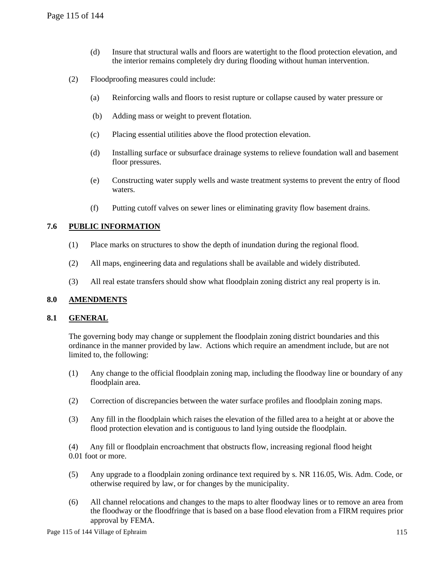- (d) Insure that structural walls and floors are watertight to the flood protection elevation, and the interior remains completely dry during flooding without human intervention.
- (2) Floodproofing measures could include:
	- (a) Reinforcing walls and floors to resist rupture or collapse caused by water pressure or
	- (b) Adding mass or weight to prevent flotation.
	- (c) Placing essential utilities above the flood protection elevation.
	- (d) Installing surface or subsurface drainage systems to relieve foundation wall and basement floor pressures.
	- (e) Constructing water supply wells and waste treatment systems to prevent the entry of flood waters.
	- (f) Putting cutoff valves on sewer lines or eliminating gravity flow basement drains.

#### **7.6 PUBLIC INFORMATION**

- (1) Place marks on structures to show the depth of inundation during the regional flood.
- (2) All maps, engineering data and regulations shall be available and widely distributed.
- (3) All real estate transfers should show what floodplain zoning district any real property is in.

#### **8.0 AMENDMENTS**

#### **8.1 GENERAL**

The governing body may change or supplement the floodplain zoning district boundaries and this ordinance in the manner provided by law. Actions which require an amendment include, but are not limited to, the following:

- (1) Any change to the official floodplain zoning map, including the floodway line or boundary of any floodplain area.
- (2) Correction of discrepancies between the water surface profiles and floodplain zoning maps.
- (3) Any fill in the floodplain which raises the elevation of the filled area to a height at or above the flood protection elevation and is contiguous to land lying outside the floodplain.

(4) Any fill or floodplain encroachment that obstructs flow, increasing regional flood height 0.01 foot or more.

- (5) Any upgrade to a floodplain zoning ordinance text required by s. NR 116.05, Wis. Adm. Code, or otherwise required by law, or for changes by the municipality.
- (6) All channel relocations and changes to the maps to alter floodway lines or to remove an area from the floodway or the floodfringe that is based on a base flood elevation from a FIRM requires prior approval by FEMA.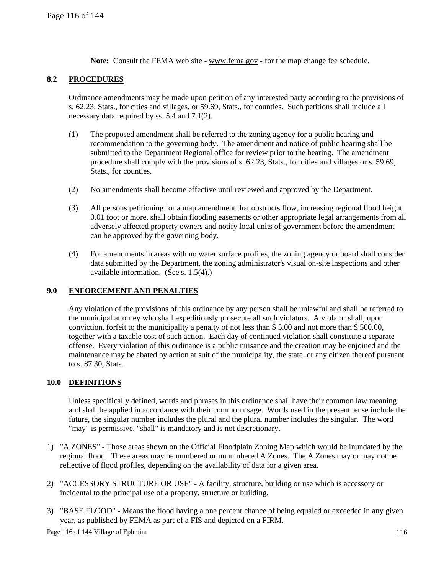**Note:** Consult the FEMA web site - [www.fema.gov](http://www.fema.gov/) - for the map change fee schedule.

#### **8.2 PROCEDURES**

Ordinance amendments may be made upon petition of any interested party according to the provisions of s. 62.23, Stats., for cities and villages, or 59.69, Stats., for counties. Such petitions shall include all necessary data required by ss. 5.4 and 7.1(2).

- (1) The proposed amendment shall be referred to the zoning agency for a public hearing and recommendation to the governing body. The amendment and notice of public hearing shall be submitted to the Department Regional office for review prior to the hearing. The amendment procedure shall comply with the provisions of s. 62.23, Stats., for cities and villages or s. 59.69, Stats., for counties.
- (2) No amendments shall become effective until reviewed and approved by the Department.
- (3) All persons petitioning for a map amendment that obstructs flow, increasing regional flood height 0.01 foot or more, shall obtain flooding easements or other appropriate legal arrangements from all adversely affected property owners and notify local units of government before the amendment can be approved by the governing body.
- (4) For amendments in areas with no water surface profiles, the zoning agency or board shall consider data submitted by the Department, the zoning administrator's visual on-site inspections and other available information. (See s. 1.5(4).)

#### **9.0 ENFORCEMENT AND PENALTIES**

Any violation of the provisions of this ordinance by any person shall be unlawful and shall be referred to the municipal attorney who shall expeditiously prosecute all such violators. A violator shall, upon conviction, forfeit to the municipality a penalty of not less than \$ 5.00 and not more than \$ 500.00, together with a taxable cost of such action. Each day of continued violation shall constitute a separate offense. Every violation of this ordinance is a public nuisance and the creation may be enjoined and the maintenance may be abated by action at suit of the municipality, the state, or any citizen thereof pursuant to s. 87.30, Stats.

#### **10.0 DEFINITIONS**

Unless specifically defined, words and phrases in this ordinance shall have their common law meaning and shall be applied in accordance with their common usage. Words used in the present tense include the future, the singular number includes the plural and the plural number includes the singular. The word "may" is permissive, "shall" is mandatory and is not discretionary.

- 1) "A ZONES" Those areas shown on the Official Floodplain Zoning Map which would be inundated by the regional flood*.* These areas may be numbered or unnumbered A Zones. The A Zones may or may not be reflective of flood profiles, depending on the availability of data for a given area.
- 2) "ACCESSORY STRUCTURE OR USE" A facility, structure, building or use which is accessory or incidental to the principal use of a property, structure or building.
- 3) "BASE FLOOD" Means the flood having a one percent chance of being equaled or exceeded in any given year, as published by FEMA as part of a FIS and depicted on a FIRM.

Page 116 of 144 Village of Ephraim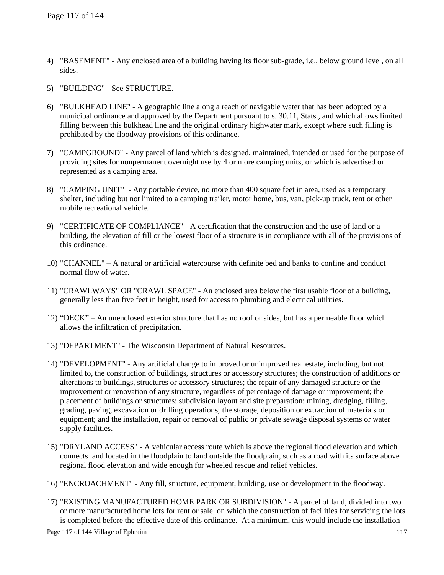- 4) "BASEMENT" Any enclosed area of a building having its floor sub-grade, i.e., below ground level, on all sides.
- 5) "BUILDING" See STRUCTURE.
- 6) "BULKHEAD LINE" A geographic line along a reach of navigable water that has been adopted by a municipal ordinance and approved by the Department pursuant to s. 30.11, Stats., and which allows limited filling between this bulkhead line and the original ordinary highwater mark, except where such filling is prohibited by the floodway provisions of this ordinance.
- 7) "CAMPGROUND" Any parcel of land which is designed, maintained, intended or used for the purpose of providing sites for nonpermanent overnight use by 4 or more camping units, or which is advertised or represented as a camping area.
- 8) "CAMPING UNIT" Any portable device, no more than 400 square feet in area, used as a temporary shelter, including but not limited to a camping trailer, motor home, bus, van, pick-up truck, tent or other mobile recreational vehicle.
- 9) "CERTIFICATE OF COMPLIANCE" A certification that the construction and the use of land or a building, the elevation of fill or the lowest floor of a structure is in compliance with all of the provisions of this ordinance.
- 10) "CHANNEL" A natural or artificial watercourse with definite bed and banks to confine and conduct normal flow of water.
- 11) "CRAWLWAYS" OR "CRAWL SPACE" An enclosed area below the first usable floor of a building, generally less than five feet in height, used for access to plumbing and electrical utilities.
- 12) "DECK" An unenclosed exterior structure that has no roof or sides, but has a permeable floor which allows the infiltration of precipitation.
- 13) "DEPARTMENT" The Wisconsin Department of Natural Resources.
- 14) "DEVELOPMENT" Any artificial change to improved or unimproved real estate, including, but not limited to, the construction of buildings, structures or accessory structures; the construction of additions or alterations to buildings, structures or accessory structures; the repair of any damaged structure or the improvement or renovation of any structure, regardless of percentage of damage or improvement; the placement of buildings or structures; subdivision layout and site preparation; mining, dredging, filling, grading, paving, excavation or drilling operations; the storage, deposition or extraction of materials or equipment; and the installation, repair or removal of public or private sewage disposal systems or water supply facilities.
- 15) "DRYLAND ACCESS" A vehicular access route which is above the regional flood elevation and which connects land located in the floodplain to land outside the floodplain, such as a road with its surface above regional flood elevation and wide enough for wheeled rescue and relief vehicles.
- 16) "ENCROACHMENT" Any fill, structure, equipment, building, use or development in the floodway.
- 17) "EXISTING MANUFACTURED HOME PARK OR SUBDIVISION" A parcel of land, divided into two or more manufactured home lots for rent or sale, on which the construction of facilities for servicing the lots is completed before the effective date of this ordinance. At a minimum, this would include the installation

Page 117 of 144 Village of Ephraim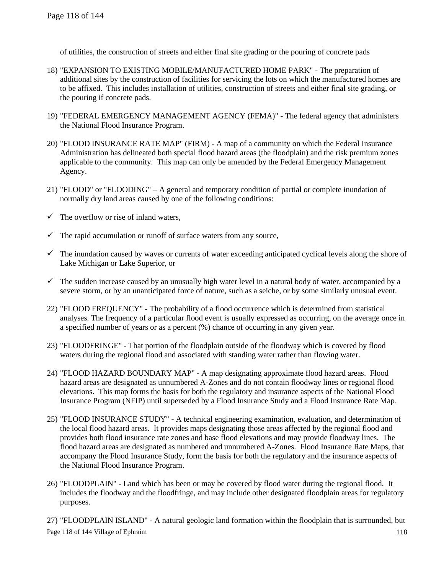of utilities, the construction of streets and either final site grading or the pouring of concrete pads

- 18) "EXPANSION TO EXISTING MOBILE/MANUFACTURED HOME PARK" The preparation of additional sites by the construction of facilities for servicing the lots on which the manufactured homes are to be affixed. This includes installation of utilities, construction of streets and either final site grading, or the pouring if concrete pads.
- 19) "FEDERAL EMERGENCY MANAGEMENT AGENCY (FEMA)" The federal agency that administers the National Flood Insurance Program.
- 20) "FLOOD INSURANCE RATE MAP" (FIRM) A map of a community on which the Federal Insurance Administration has delineated both special flood hazard areas (the floodplain) and the risk premium zones applicable to the community. This map can only be amended by the Federal Emergency Management Agency.
- 21) "FLOOD" or "FLOODING" A general and temporary condition of partial or complete inundation of normally dry land areas caused by one of the following conditions:
- $\checkmark$  The overflow or rise of inland waters,
- $\checkmark$  The rapid accumulation or runoff of surface waters from any source,
- $\checkmark$  The inundation caused by waves or currents of water exceeding anticipated cyclical levels along the shore of Lake Michigan or Lake Superior, or
- $\checkmark$  The sudden increase caused by an unusually high water level in a natural body of water, accompanied by a severe storm, or by an unanticipated force of nature, such as a seiche, or by some similarly unusual event.
- 22) "FLOOD FREQUENCY" The probability of a flood occurrence which is determined from statistical analyses. The frequency of a particular flood event is usually expressed as occurring, on the average once in a specified number of years or as a percent (%) chance of occurring in any given year.
- 23) "FLOODFRINGE" That portion of the floodplain outside of the floodway which is covered by flood waters during the regional flood and associated with standing water rather than flowing water.
- 24) "FLOOD HAZARD BOUNDARY MAP" A map designating approximate flood hazard areas. Flood hazard areas are designated as unnumbered A-Zones and do not contain floodway lines or regional flood elevations. This map forms the basis for both the regulatory and insurance aspects of the National Flood Insurance Program (NFIP) until superseded by a Flood Insurance Study and a Flood Insurance Rate Map.
- 25) "FLOOD INSURANCE STUDY" A technical engineering examination, evaluation, and determination of the local flood hazard areas. It provides maps designating those areas affected by the regional flood and provides both flood insurance rate zones and base flood elevations and may provide floodway lines. The flood hazard areas are designated as numbered and unnumbered A-Zones. Flood Insurance Rate Maps, that accompany the Flood Insurance Study, form the basis for both the regulatory and the insurance aspects of the National Flood Insurance Program.
- 26) "FLOODPLAIN" Land which has been or may be covered by flood water during the regional flood. It includes the floodway and the floodfringe, and may include other designated floodplain areas for regulatory purposes.
- Page 118 of 144 Village of Ephraim 118 27) "FLOODPLAIN ISLAND" - A natural geologic land formation within the floodplain that is surrounded, but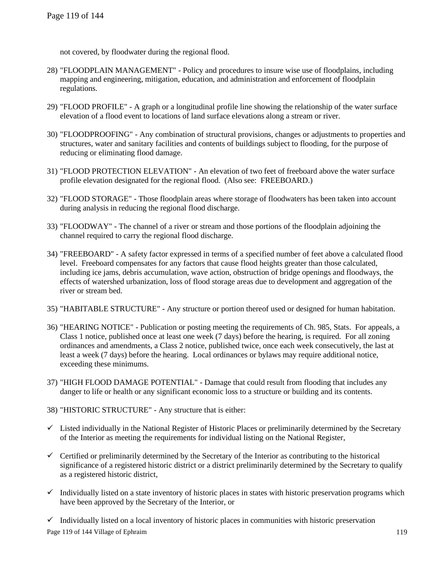not covered, by floodwater during the regional flood.

- 28) "FLOODPLAIN MANAGEMENT" Policy and procedures to insure wise use of floodplains, including mapping and engineering, mitigation, education, and administration and enforcement of floodplain regulations.
- 29) "FLOOD PROFILE" A graph or a longitudinal profile line showing the relationship of the water surface elevation of a flood event to locations of land surface elevations along a stream or river.
- 30) "FLOODPROOFING" Any combination of structural provisions, changes or adjustments to properties and structures, water and sanitary facilities and contents of buildings subject to flooding, for the purpose of reducing or eliminating flood damage.
- 31) "FLOOD PROTECTION ELEVATION" An elevation of two feet of freeboard above the water surface profile elevation designated for the regional flood. (Also see: FREEBOARD.)
- 32) "FLOOD STORAGE" Those floodplain areas where storage of floodwaters has been taken into account during analysis in reducing the regional flood discharge.
- 33) "FLOODWAY" The channel of a river or stream and those portions of the floodplain adjoining the channel required to carry the regional flood discharge.
- 34) "FREEBOARD" A safety factor expressed in terms of a specified number of feet above a calculated flood level. Freeboard compensates for any factors that cause flood heights greater than those calculated, including ice jams, debris accumulation, wave action, obstruction of bridge openings and floodways, the effects of watershed urbanization, loss of flood storage areas due to development and aggregation of the river or stream bed.
- 35) "HABITABLE STRUCTURE" Any structure or portion thereof used or designed for human habitation.
- 36) "HEARING NOTICE" Publication or posting meeting the requirements of Ch. 985, Stats. For appeals, a Class 1 notice, published once at least one week (7 days) before the hearing, is required. For all zoning ordinances and amendments, a Class 2 notice, published twice, once each week consecutively, the last at least a week (7 days) before the hearing. Local ordinances or bylaws may require additional notice, exceeding these minimums.
- 37) "HIGH FLOOD DAMAGE POTENTIAL" Damage that could result from flooding that includes any danger to life or health or any significant economic loss to a structure or building and its contents.
- 38) "HISTORIC STRUCTURE" Any structure that is either:
- $\checkmark$  Listed individually in the National Register of Historic Places or preliminarily determined by the Secretary of the Interior as meeting the requirements for individual listing on the National Register,
- $\checkmark$  Certified or preliminarily determined by the Secretary of the Interior as contributing to the historical significance of a registered historic district or a district preliminarily determined by the Secretary to qualify as a registered historic district,
- $\checkmark$  Individually listed on a state inventory of historic places in states with historic preservation programs which have been approved by the Secretary of the Interior, or

Page 119 of 144 Village of Ephraim  $\checkmark$  Individually listed on a local inventory of historic places in communities with historic preservation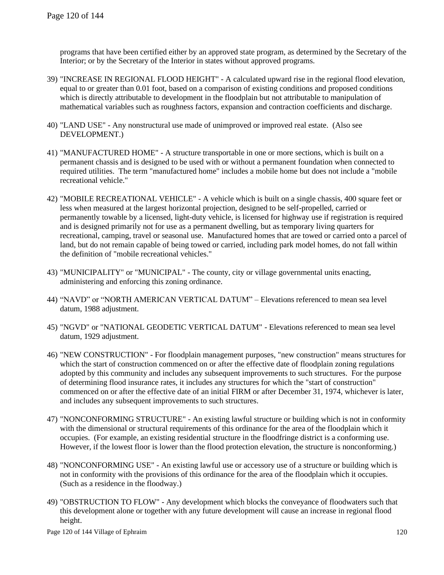programs that have been certified either by an approved state program, as determined by the Secretary of the Interior; or by the Secretary of the Interior in states without approved programs.

- 39) "INCREASE IN REGIONAL FLOOD HEIGHT" A calculated upward rise in the regional flood elevation, equal to or greater than 0.01 foot, based on a comparison of existing conditions and proposed conditions which is directly attributable to development in the floodplain but not attributable to manipulation of mathematical variables such as roughness factors, expansion and contraction coefficients and discharge.
- 40) "LAND USE" Any nonstructural use made of unimproved or improved real estate. (Also see DEVELOPMENT.)
- 41) "MANUFACTURED HOME" A structure transportable in one or more sections, which is built on a permanent chassis and is designed to be used with or without a permanent foundation when connected to required utilities. The term "manufactured home" includes a mobile home but does not include a "mobile recreational vehicle."
- 42) "MOBILE RECREATIONAL VEHICLE" A vehicle which is built on a single chassis, 400 square feet or less when measured at the largest horizontal projection, designed to be self-propelled, carried or permanently towable by a licensed, light-duty vehicle, is licensed for highway use if registration is required and is designed primarily not for use as a permanent dwelling, but as temporary living quarters for recreational, camping, travel or seasonal use. Manufactured homes that are towed or carried onto a parcel of land, but do not remain capable of being towed or carried, including park model homes, do not fall within the definition of "mobile recreational vehicles."
- 43) "MUNICIPALITY" or "MUNICIPAL" The county, city or village governmental units enacting, administering and enforcing this zoning ordinance.
- 44) "NAVD" or "NORTH AMERICAN VERTICAL DATUM" Elevations referenced to mean sea level datum, 1988 adjustment.
- 45) "NGVD" or "NATIONAL GEODETIC VERTICAL DATUM" Elevations referenced to mean sea level datum, 1929 adjustment.
- 46) "NEW CONSTRUCTION" For floodplain management purposes, "new construction" means structures for which the start of construction commenced on or after the effective date of floodplain zoning regulations adopted by this community and includes any subsequent improvements to such structures. For the purpose of determining flood insurance rates, it includes any structures for which the "start of construction" commenced on or after the effective date of an initial FIRM or after December 31, 1974, whichever is later, and includes any subsequent improvements to such structures.
- 47) "NONCONFORMING STRUCTURE" An existing lawful structure or building which is not in conformity with the dimensional or structural requirements of this ordinance for the area of the floodplain which it occupies. (For example, an existing residential structure in the floodfringe district is a conforming use. However, if the lowest floor is lower than the flood protection elevation, the structure is nonconforming.)
- 48) "NONCONFORMING USE" An existing lawful use or accessory use of a structure or building which is not in conformity with the provisions of this ordinance for the area of the floodplain which it occupies. (Such as a residence in the floodway.)
- 49) "OBSTRUCTION TO FLOW" Any development which blocks the conveyance of floodwaters such that this development alone or together with any future development will cause an increase in regional flood height.

Page 120 of 144 Village of Ephraim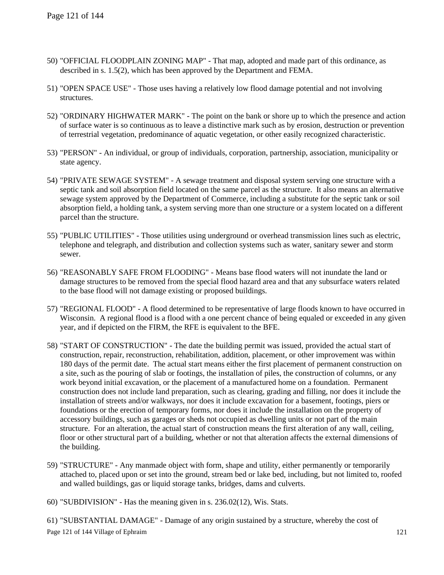- 50) "OFFICIAL FLOODPLAIN ZONING MAP" That map, adopted and made part of this ordinance, as described in s. 1.5(2), which has been approved by the Department and FEMA.
- 51) "OPEN SPACE USE" Those uses having a relatively low flood damage potential and not involving structures.
- 52) "ORDINARY HIGHWATER MARK" The point on the bank or shore up to which the presence and action of surface water is so continuous as to leave a distinctive mark such as by erosion, destruction or prevention of terrestrial vegetation, predominance of aquatic vegetation, or other easily recognized characteristic.
- 53) "PERSON" An individual, or group of individuals, corporation, partnership, association, municipality or state agency.
- 54) "PRIVATE SEWAGE SYSTEM" A sewage treatment and disposal system serving one structure with a septic tank and soil absorption field located on the same parcel as the structure. It also means an alternative sewage system approved by the Department of Commerce, including a substitute for the septic tank or soil absorption field, a holding tank, a system serving more than one structure or a system located on a different parcel than the structure.
- 55) "PUBLIC UTILITIES" Those utilities using underground or overhead transmission lines such as electric, telephone and telegraph, and distribution and collection systems such as water, sanitary sewer and storm sewer.
- 56) "REASONABLY SAFE FROM FLOODING" Means base flood waters will not inundate the land or damage structures to be removed from the special flood hazard area and that any subsurface waters related to the base flood will not damage existing or proposed buildings.
- 57) "REGIONAL FLOOD" A flood determined to be representative of large floods known to have occurred in Wisconsin. A regional flood is a flood with a one percent chance of being equaled or exceeded in any given year, and if depicted on the FIRM, the RFE is equivalent to the BFE.
- 58) "START OF CONSTRUCTION" The date the building permit was issued, provided the actual start of construction, repair, reconstruction, rehabilitation, addition, placement, or other improvement was within 180 days of the permit date. The actual start means either the first placement of permanent construction on a site, such as the pouring of slab or footings, the installation of piles, the construction of columns, or any work beyond initial excavation, or the placement of a manufactured home on a foundation. Permanent construction does not include land preparation, such as clearing, grading and filling, nor does it include the installation of streets and/or walkways, nor does it include excavation for a basement, footings, piers or foundations or the erection of temporary forms, nor does it include the installation on the property of accessory buildings, such as garages or sheds not occupied as dwelling units or not part of the main structure. For an alteration, the actual start of construction means the first alteration of any wall, ceiling, floor or other structural part of a building, whether or not that alteration affects the external dimensions of the building.
- 59) "STRUCTURE" Any manmade object with form, shape and utility, either permanently or temporarily attached to, placed upon or set into the ground, stream bed or lake bed, including, but not limited to, roofed and walled buildings, gas or liquid storage tanks, bridges, dams and culverts.
- 60) "SUBDIVISION" Has the meaning given in s. 236.02(12), Wis. Stats.
- Page 121 of 144 Village of Ephraim 61) "SUBSTANTIAL DAMAGE" - Damage of any origin sustained by a structure, whereby the cost of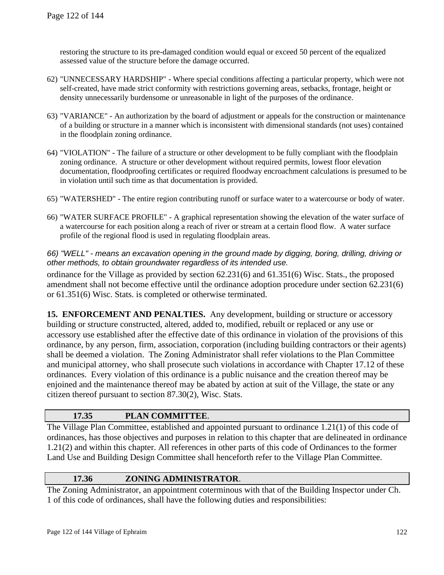restoring the structure to its pre-damaged condition would equal or exceed 50 percent of the equalized assessed value of the structure before the damage occurred.

- 62) "UNNECESSARY HARDSHIP" Where special conditions affecting a particular property, which were not self-created, have made strict conformity with restrictions governing areas, setbacks, frontage, height or density unnecessarily burdensome or unreasonable in light of the purposes of the ordinance.
- 63) "VARIANCE" An authorization by the board of adjustment or appeals for the construction or maintenance of a building or structure in a manner which is inconsistent with dimensional standards (not uses) contained in the floodplain zoning ordinance.
- 64) "VIOLATION" The failure of a structure or other development to be fully compliant with the floodplain zoning ordinance. A structure or other development without required permits, lowest floor elevation documentation, floodproofing certificates or required floodway encroachment calculations is presumed to be in violation until such time as that documentation is provided.
- 65) "WATERSHED" The entire region contributing runoff or surface water to a watercourse or body of water.
- 66) "WATER SURFACE PROFILE" A graphical representation showing the elevation of the water surface of a watercourse for each position along a reach of river or stream at a certain flood flow. A water surface profile of the regional flood is used in regulating floodplain areas.

#### *66) "WELL" - means an excavation opening in the ground made by digging, boring, drilling, driving or other methods, to obtain groundwater regardless of its intended use.*

ordinance for the Village as provided by section 62.231(6) and 61.351(6) Wisc. Stats., the proposed amendment shall not become effective until the ordinance adoption procedure under section 62.231(6) or 61.351(6) Wisc. Stats. is completed or otherwise terminated.

**15. ENFORCEMENT AND PENALTIES.** Any development, building or structure or accessory building or structure constructed, altered, added to, modified, rebuilt or replaced or any use or accessory use established after the effective date of this ordinance in violation of the provisions of this ordinance, by any person, firm, association, corporation (including building contractors or their agents) shall be deemed a violation. The Zoning Administrator shall refer violations to the Plan Committee and municipal attorney, who shall prosecute such violations in accordance with Chapter 17.12 of these ordinances. Every violation of this ordinance is a public nuisance and the creation thereof may be enjoined and the maintenance thereof may be abated by action at suit of the Village, the state or any citizen thereof pursuant to section 87.30(2), Wisc. Stats.

## **17.35 PLAN COMMITTEE**.

The Village Plan Committee, established and appointed pursuant to ordinance 1.21(1) of this code of ordinances, has those objectives and purposes in relation to this chapter that are delineated in ordinance 1.21(2) and within this chapter. All references in other parts of this code of Ordinances to the former Land Use and Building Design Committee shall henceforth refer to the Village Plan Committee.

## **17.36 ZONING ADMINISTRATOR**.

The Zoning Administrator, an appointment coterminous with that of the Building Inspector under Ch. 1 of this code of ordinances, shall have the following duties and responsibilities: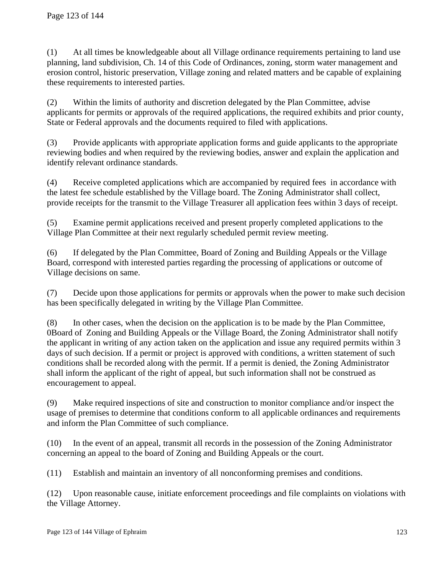(1) At all times be knowledgeable about all Village ordinance requirements pertaining to land use planning, land subdivision, Ch. 14 of this Code of Ordinances, zoning, storm water management and erosion control, historic preservation, Village zoning and related matters and be capable of explaining these requirements to interested parties.

(2) Within the limits of authority and discretion delegated by the Plan Committee, advise applicants for permits or approvals of the required applications, the required exhibits and prior county, State or Federal approvals and the documents required to filed with applications.

(3) Provide applicants with appropriate application forms and guide applicants to the appropriate reviewing bodies and when required by the reviewing bodies, answer and explain the application and identify relevant ordinance standards.

(4) Receive completed applications which are accompanied by required fees in accordance with the latest fee schedule established by the Village board. The Zoning Administrator shall collect, provide receipts for the transmit to the Village Treasurer all application fees within 3 days of receipt.

(5) Examine permit applications received and present properly completed applications to the Village Plan Committee at their next regularly scheduled permit review meeting.

(6) If delegated by the Plan Committee, Board of Zoning and Building Appeals or the Village Board, correspond with interested parties regarding the processing of applications or outcome of Village decisions on same.

(7) Decide upon those applications for permits or approvals when the power to make such decision has been specifically delegated in writing by the Village Plan Committee.

(8) In other cases, when the decision on the application is to be made by the Plan Committee, 0Board of Zoning and Building Appeals or the Village Board, the Zoning Administrator shall notify the applicant in writing of any action taken on the application and issue any required permits within 3 days of such decision. If a permit or project is approved with conditions, a written statement of such conditions shall be recorded along with the permit. If a permit is denied, the Zoning Administrator shall inform the applicant of the right of appeal, but such information shall not be construed as encouragement to appeal.

(9) Make required inspections of site and construction to monitor compliance and/or inspect the usage of premises to determine that conditions conform to all applicable ordinances and requirements and inform the Plan Committee of such compliance.

(10) In the event of an appeal, transmit all records in the possession of the Zoning Administrator concerning an appeal to the board of Zoning and Building Appeals or the court.

(11) Establish and maintain an inventory of all nonconforming premises and conditions.

(12) Upon reasonable cause, initiate enforcement proceedings and file complaints on violations with the Village Attorney.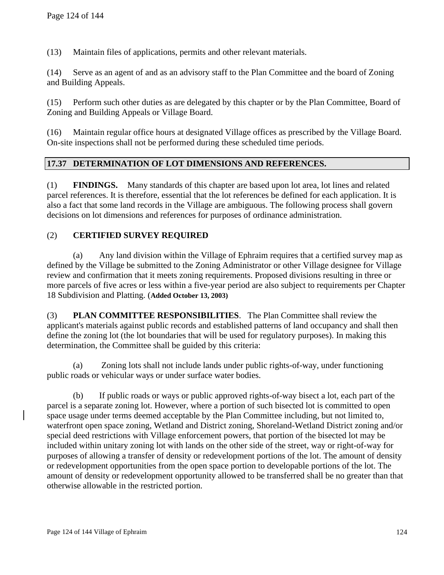(13) Maintain files of applications, permits and other relevant materials.

(14) Serve as an agent of and as an advisory staff to the Plan Committee and the board of Zoning and Building Appeals.

(15) Perform such other duties as are delegated by this chapter or by the Plan Committee, Board of Zoning and Building Appeals or Village Board.

(16) Maintain regular office hours at designated Village offices as prescribed by the Village Board. On-site inspections shall not be performed during these scheduled time periods.

## **17.37 DETERMINATION OF LOT DIMENSIONS AND REFERENCES.**

(1) **FINDINGS.** Many standards of this chapter are based upon lot area, lot lines and related parcel references. It is therefore, essential that the lot references be defined for each application. It is also a fact that some land records in the Village are ambiguous. The following process shall govern decisions on lot dimensions and references for purposes of ordinance administration.

## (2) **CERTIFIED SURVEY REQUIRED**

(a) Any land division within the Village of Ephraim requires that a certified survey map as defined by the Village be submitted to the Zoning Administrator or other Village designee for Village review and confirmation that it meets zoning requirements. Proposed divisions resulting in three or more parcels of five acres or less within a five-year period are also subject to requirements per Chapter 18 Subdivision and Platting. (**Added October 13, 2003)**

(3) **PLAN COMMITTEE RESPONSIBILITIES**. The Plan Committee shall review the applicant's materials against public records and established patterns of land occupancy and shall then define the zoning lot (the lot boundaries that will be used for regulatory purposes). In making this determination, the Committee shall be guided by this criteria:

(a) Zoning lots shall not include lands under public rights-of-way, under functioning public roads or vehicular ways or under surface water bodies.

(b) If public roads or ways or public approved rights-of-way bisect a lot, each part of the parcel is a separate zoning lot. However, where a portion of such bisected lot is committed to open space usage under terms deemed acceptable by the Plan Committee including, but not limited to, waterfront open space zoning, Wetland and District zoning, Shoreland-Wetland District zoning and/or special deed restrictions with Village enforcement powers, that portion of the bisected lot may be included within unitary zoning lot with lands on the other side of the street, way or right-of-way for purposes of allowing a transfer of density or redevelopment portions of the lot. The amount of density or redevelopment opportunities from the open space portion to developable portions of the lot. The amount of density or redevelopment opportunity allowed to be transferred shall be no greater than that otherwise allowable in the restricted portion.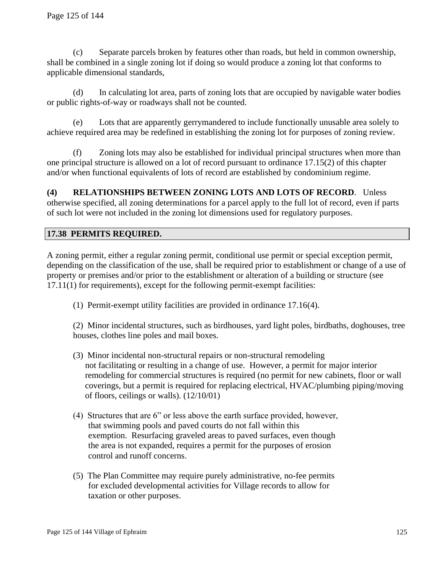(c) Separate parcels broken by features other than roads, but held in common ownership, shall be combined in a single zoning lot if doing so would produce a zoning lot that conforms to applicable dimensional standards,

(d) In calculating lot area, parts of zoning lots that are occupied by navigable water bodies or public rights-of-way or roadways shall not be counted.

(e) Lots that are apparently gerrymandered to include functionally unusable area solely to achieve required area may be redefined in establishing the zoning lot for purposes of zoning review.

(f) Zoning lots may also be established for individual principal structures when more than one principal structure is allowed on a lot of record pursuant to ordinance 17.15(2) of this chapter and/or when functional equivalents of lots of record are established by condominium regime.

**(4) RELATIONSHIPS BETWEEN ZONING LOTS AND LOTS OF RECORD**. Unless otherwise specified, all zoning determinations for a parcel apply to the full lot of record, even if parts of such lot were not included in the zoning lot dimensions used for regulatory purposes.

## **17.38 PERMITS REQUIRED.**

A zoning permit, either a regular zoning permit, conditional use permit or special exception permit, depending on the classification of the use, shall be required prior to establishment or change of a use of property or premises and/or prior to the establishment or alteration of a building or structure (see 17.11(1) for requirements), except for the following permit-exempt facilities:

(1) Permit-exempt utility facilities are provided in ordinance 17.16(4).

(2) Minor incidental structures, such as birdhouses, yard light poles, birdbaths, doghouses, tree houses, clothes line poles and mail boxes.

- (3) Minor incidental non-structural repairs or non-structural remodeling not facilitating or resulting in a change of use. However, a permit for major interior remodeling for commercial structures is required (no permit for new cabinets, floor or wall coverings, but a permit is required for replacing electrical, HVAC/plumbing piping/moving of floors, ceilings or walls). (12/10/01)
- (4) Structures that are 6" or less above the earth surface provided, however, that swimming pools and paved courts do not fall within this exemption. Resurfacing graveled areas to paved surfaces, even though the area is not expanded, requires a permit for the purposes of erosion control and runoff concerns.
- (5) The Plan Committee may require purely administrative, no-fee permits for excluded developmental activities for Village records to allow for taxation or other purposes.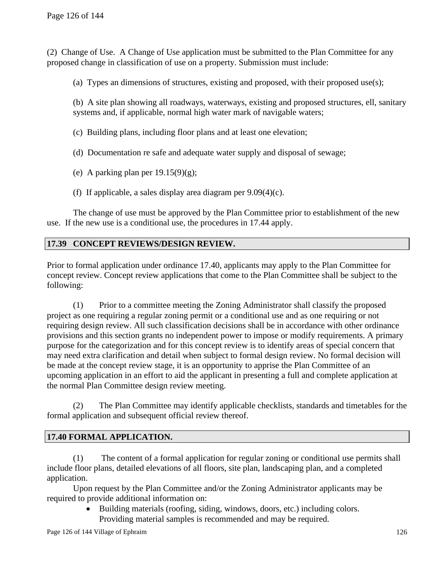(2) Change of Use. A Change of Use application must be submitted to the Plan Committee for any proposed change in classification of use on a property. Submission must include:

(a) Types an dimensions of structures, existing and proposed, with their proposed use(s);

(b) A site plan showing all roadways, waterways, existing and proposed structures, ell, sanitary systems and, if applicable, normal high water mark of navigable waters;

(c) Building plans, including floor plans and at least one elevation;

(d) Documentation re safe and adequate water supply and disposal of sewage;

- (e) A parking plan per  $19.15(9)(g)$ ;
- (f) If applicable, a sales display area diagram per 9.09(4)(c).

The change of use must be approved by the Plan Committee prior to establishment of the new use. If the new use is a conditional use, the procedures in 17.44 apply.

## **17.39 CONCEPT REVIEWS/DESIGN REVIEW.**

Prior to formal application under ordinance 17.40, applicants may apply to the Plan Committee for concept review. Concept review applications that come to the Plan Committee shall be subject to the following:

(1) Prior to a committee meeting the Zoning Administrator shall classify the proposed project as one requiring a regular zoning permit or a conditional use and as one requiring or not requiring design review. All such classification decisions shall be in accordance with other ordinance provisions and this section grants no independent power to impose or modify requirements. A primary purpose for the categorization and for this concept review is to identify areas of special concern that may need extra clarification and detail when subject to formal design review. No formal decision will be made at the concept review stage, it is an opportunity to apprise the Plan Committee of an upcoming application in an effort to aid the applicant in presenting a full and complete application at the normal Plan Committee design review meeting.

(2) The Plan Committee may identify applicable checklists, standards and timetables for the formal application and subsequent official review thereof.

## **17.40 FORMAL APPLICATION.**

(1) The content of a formal application for regular zoning or conditional use permits shall include floor plans, detailed elevations of all floors, site plan, landscaping plan, and a completed application.

Upon request by the Plan Committee and/or the Zoning Administrator applicants may be required to provide additional information on:

• Building materials (roofing, siding, windows, doors, etc.) including colors. Providing material samples is recommended and may be required.

Page 126 of 144 Village of Ephraim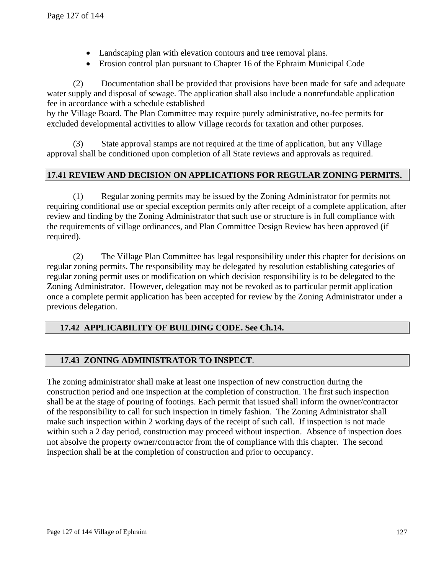- Landscaping plan with elevation contours and tree removal plans.
- Erosion control plan pursuant to Chapter 16 of the Ephraim Municipal Code

(2) Documentation shall be provided that provisions have been made for safe and adequate water supply and disposal of sewage. The application shall also include a nonrefundable application fee in accordance with a schedule established

by the Village Board. The Plan Committee may require purely administrative, no-fee permits for excluded developmental activities to allow Village records for taxation and other purposes.

(3) State approval stamps are not required at the time of application, but any Village approval shall be conditioned upon completion of all State reviews and approvals as required.

## **17.41 REVIEW AND DECISION ON APPLICATIONS FOR REGULAR ZONING PERMITS.**

(1) Regular zoning permits may be issued by the Zoning Administrator for permits not requiring conditional use or special exception permits only after receipt of a complete application, after review and finding by the Zoning Administrator that such use or structure is in full compliance with the requirements of village ordinances, and Plan Committee Design Review has been approved (if required).

(2) The Village Plan Committee has legal responsibility under this chapter for decisions on regular zoning permits. The responsibility may be delegated by resolution establishing categories of regular zoning permit uses or modification on which decision responsibility is to be delegated to the Zoning Administrator. However, delegation may not be revoked as to particular permit application once a complete permit application has been accepted for review by the Zoning Administrator under a previous delegation.

## **17.42 APPLICABILITY OF BUILDING CODE. See Ch.14.**

## **17.43 ZONING ADMINISTRATOR TO INSPECT**.

The zoning administrator shall make at least one inspection of new construction during the construction period and one inspection at the completion of construction. The first such inspection shall be at the stage of pouring of footings. Each permit that issued shall inform the owner/contractor of the responsibility to call for such inspection in timely fashion. The Zoning Administrator shall make such inspection within 2 working days of the receipt of such call. If inspection is not made within such a 2 day period, construction may proceed without inspection. Absence of inspection does not absolve the property owner/contractor from the of compliance with this chapter. The second inspection shall be at the completion of construction and prior to occupancy.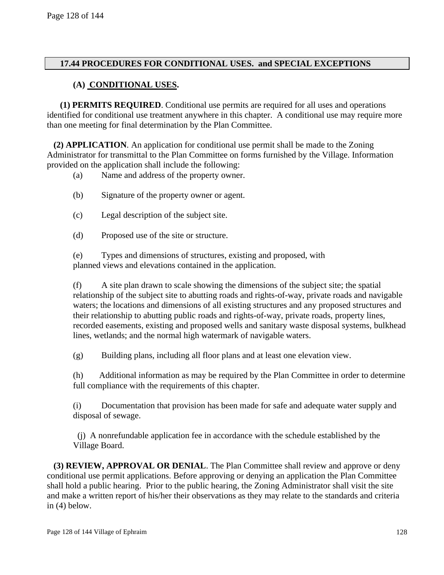## **17.44 PROCEDURES FOR CONDITIONAL USES. and SPECIAL EXCEPTIONS**

## **(A) CONDITIONAL USES.**

 **(1) PERMITS REQUIRED**. Conditional use permits are required for all uses and operations identified for conditional use treatment anywhere in this chapter. A conditional use may require more than one meeting for final determination by the Plan Committee.

 **(2) APPLICATION**. An application for conditional use permit shall be made to the Zoning Administrator for transmittal to the Plan Committee on forms furnished by the Village. Information provided on the application shall include the following:

- (a) Name and address of the property owner.
- (b) Signature of the property owner or agent.
- (c) Legal description of the subject site.
- (d) Proposed use of the site or structure.

 (e) Types and dimensions of structures, existing and proposed, with planned views and elevations contained in the application.

(f) A site plan drawn to scale showing the dimensions of the subject site; the spatial relationship of the subject site to abutting roads and rights-of-way, private roads and navigable waters; the locations and dimensions of all existing structures and any proposed structures and their relationship to abutting public roads and rights-of-way, private roads, property lines, recorded easements, existing and proposed wells and sanitary waste disposal systems, bulkhead lines, wetlands; and the normal high watermark of navigable waters.

(g) Building plans, including all floor plans and at least one elevation view.

(h) Additional information as may be required by the Plan Committee in order to determine full compliance with the requirements of this chapter.

(i) Documentation that provision has been made for safe and adequate water supply and disposal of sewage.

(j) A nonrefundable application fee in accordance with the schedule established by the Village Board.

 **(3) REVIEW, APPROVAL OR DENIAL**. The Plan Committee shall review and approve or deny conditional use permit applications. Before approving or denying an application the Plan Committee shall hold a public hearing. Prior to the public hearing, the Zoning Administrator shall visit the site and make a written report of his/her their observations as they may relate to the standards and criteria in (4) below.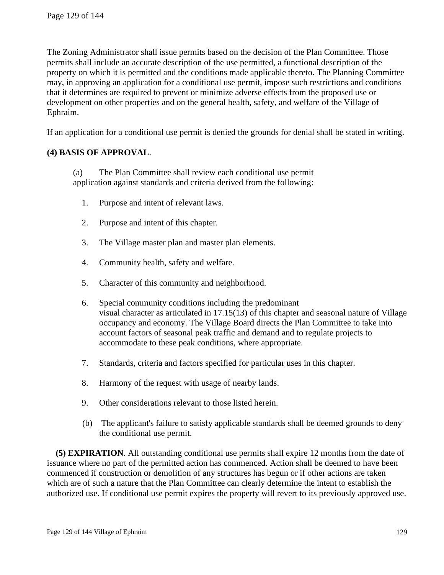The Zoning Administrator shall issue permits based on the decision of the Plan Committee. Those permits shall include an accurate description of the use permitted, a functional description of the property on which it is permitted and the conditions made applicable thereto. The Planning Committee may, in approving an application for a conditional use permit, impose such restrictions and conditions that it determines are required to prevent or minimize adverse effects from the proposed use or development on other properties and on the general health, safety, and welfare of the Village of Ephraim.

If an application for a conditional use permit is denied the grounds for denial shall be stated in writing.

#### **(4) BASIS OF APPROVAL**.

(a) The Plan Committee shall review each conditional use permit application against standards and criteria derived from the following:

- 1. Purpose and intent of relevant laws.
- 2. Purpose and intent of this chapter.
- 3. The Village master plan and master plan elements.
- 4. Community health, safety and welfare.
- 5. Character of this community and neighborhood.
- 6. Special community conditions including the predominant visual character as articulated in 17.15(13) of this chapter and seasonal nature of Village occupancy and economy. The Village Board directs the Plan Committee to take into account factors of seasonal peak traffic and demand and to regulate projects to accommodate to these peak conditions, where appropriate.
- 7. Standards, criteria and factors specified for particular uses in this chapter.
- 8. Harmony of the request with usage of nearby lands.
- 9. Other considerations relevant to those listed herein.
- (b) The applicant's failure to satisfy applicable standards shall be deemed grounds to deny the conditional use permit.

 **(5) EXPIRATION**. All outstanding conditional use permits shall expire 12 months from the date of issuance where no part of the permitted action has commenced. Action shall be deemed to have been commenced if construction or demolition of any structures has begun or if other actions are taken which are of such a nature that the Plan Committee can clearly determine the intent to establish the authorized use. If conditional use permit expires the property will revert to its previously approved use.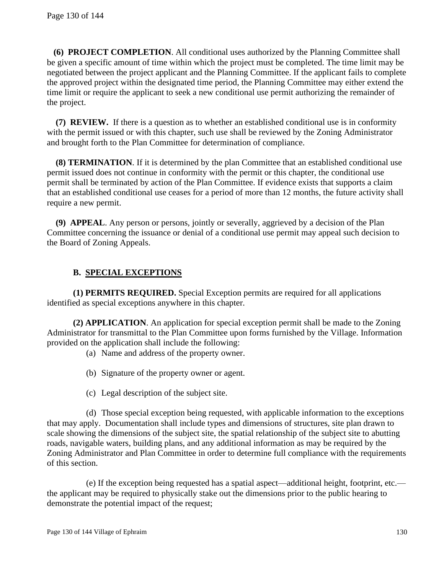**(6) PROJECT COMPLETION**. All conditional uses authorized by the Planning Committee shall be given a specific amount of time within which the project must be completed. The time limit may be negotiated between the project applicant and the Planning Committee. If the applicant fails to complete the approved project within the designated time period, the Planning Committee may either extend the time limit or require the applicant to seek a new conditional use permit authorizing the remainder of the project.

 **(7) REVIEW.** If there is a question as to whether an established conditional use is in conformity with the permit issued or with this chapter, such use shall be reviewed by the Zoning Administrator and brought forth to the Plan Committee for determination of compliance.

 **(8) TERMINATION**. If it is determined by the plan Committee that an established conditional use permit issued does not continue in conformity with the permit or this chapter, the conditional use permit shall be terminated by action of the Plan Committee. If evidence exists that supports a claim that an established conditional use ceases for a period of more than 12 months, the future activity shall require a new permit.

 **(9) APPEAL**. Any person or persons, jointly or severally, aggrieved by a decision of the Plan Committee concerning the issuance or denial of a conditional use permit may appeal such decision to the Board of Zoning Appeals.

## **B. SPECIAL EXCEPTIONS**

**(1) PERMITS REQUIRED.** Special Exception permits are required for all applications identified as special exceptions anywhere in this chapter.

**(2) APPLICATION**. An application for special exception permit shall be made to the Zoning Administrator for transmittal to the Plan Committee upon forms furnished by the Village. Information provided on the application shall include the following:

- (a) Name and address of the property owner.
- (b) Signature of the property owner or agent.
- (c) Legal description of the subject site.

 (d) Those special exception being requested, with applicable information to the exceptions that may apply. Documentation shall include types and dimensions of structures, site plan drawn to scale showing the dimensions of the subject site, the spatial relationship of the subject site to abutting roads, navigable waters, building plans, and any additional information as may be required by the Zoning Administrator and Plan Committee in order to determine full compliance with the requirements of this section.

 (e) If the exception being requested has a spatial aspect—additional height, footprint, etc. the applicant may be required to physically stake out the dimensions prior to the public hearing to demonstrate the potential impact of the request;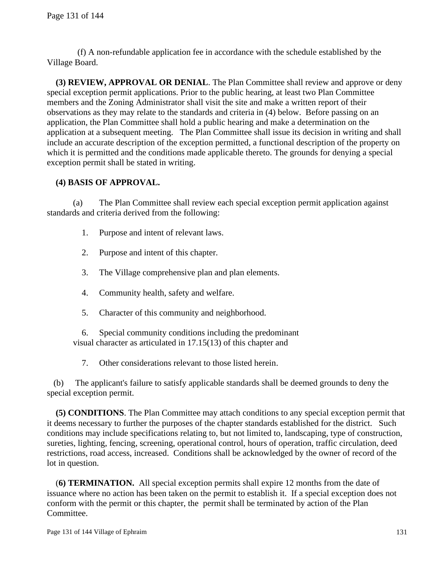(f) A non-refundable application fee in accordance with the schedule established by the Village Board.

 **(3) REVIEW, APPROVAL OR DENIAL**. The Plan Committee shall review and approve or deny special exception permit applications. Prior to the public hearing, at least two Plan Committee members and the Zoning Administrator shall visit the site and make a written report of their observations as they may relate to the standards and criteria in (4) below. Before passing on an application, the Plan Committee shall hold a public hearing and make a determination on the application at a subsequent meeting. The Plan Committee shall issue its decision in writing and shall include an accurate description of the exception permitted, a functional description of the property on which it is permitted and the conditions made applicable thereto. The grounds for denying a special exception permit shall be stated in writing.

## **(4) BASIS OF APPROVAL.**

(a) The Plan Committee shall review each special exception permit application against standards and criteria derived from the following:

- 1. Purpose and intent of relevant laws.
- 2. Purpose and intent of this chapter.
- 3. The Village comprehensive plan and plan elements.
- 4. Community health, safety and welfare.
- 5. Character of this community and neighborhood.

 6. Special community conditions including the predominant visual character as articulated in 17.15(13) of this chapter and

7. Other considerations relevant to those listed herein.

 (b) The applicant's failure to satisfy applicable standards shall be deemed grounds to deny the special exception permit.

 **(5) CONDITIONS**. The Plan Committee may attach conditions to any special exception permit that it deems necessary to further the purposes of the chapter standards established for the district. Such conditions may include specifications relating to, but not limited to, landscaping, type of construction, sureties, lighting, fencing, screening, operational control, hours of operation, traffic circulation, deed restrictions, road access, increased. Conditions shall be acknowledged by the owner of record of the lot in question.

 (**6) TERMINATION.** All special exception permits shall expire 12 months from the date of issuance where no action has been taken on the permit to establish it. If a special exception does not conform with the permit or this chapter, the permit shall be terminated by action of the Plan Committee.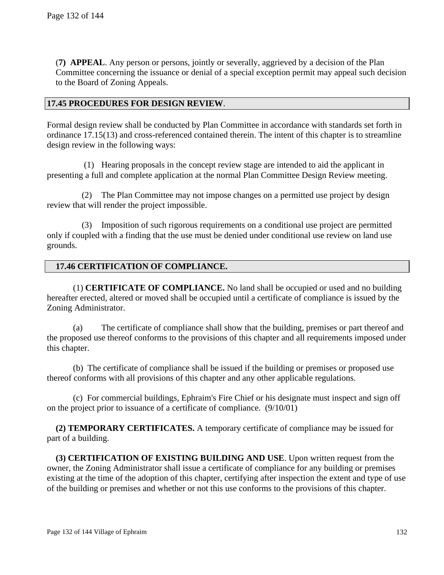(**7) APPEAL**. Any person or persons, jointly or severally, aggrieved by a decision of the Plan Committee concerning the issuance or denial of a special exception permit may appeal such decision to the Board of Zoning Appeals.

## **17.45 PROCEDURES FOR DESIGN REVIEW**.

Formal design review shall be conducted by Plan Committee in accordance with standards set forth in ordinance 17.15(13) and cross-referenced contained therein. The intent of this chapter is to streamline design review in the following ways:

 (1) Hearing proposals in the concept review stage are intended to aid the applicant in presenting a full and complete application at the normal Plan Committee Design Review meeting.

 (2) The Plan Committee may not impose changes on a permitted use project by design review that will render the project impossible.

 (3) Imposition of such rigorous requirements on a conditional use project are permitted only if coupled with a finding that the use must be denied under conditional use review on land use grounds.

#### **17.46 CERTIFICATION OF COMPLIANCE.**

(1) **CERTIFICATE OF COMPLIANCE.** No land shall be occupied or used and no building hereafter erected, altered or moved shall be occupied until a certificate of compliance is issued by the Zoning Administrator.

 (a) The certificate of compliance shall show that the building, premises or part thereof and the proposed use thereof conforms to the provisions of this chapter and all requirements imposed under this chapter.

(b) The certificate of compliance shall be issued if the building or premises or proposed use thereof conforms with all provisions of this chapter and any other applicable regulations.

(c) For commercial buildings, Ephraim's Fire Chief or his designate must inspect and sign off on the project prior to issuance of a certificate of compliance. (9/10/01)

 **(2) TEMPORARY CERTIFICATES.** A temporary certificate of compliance may be issued for part of a building.

 **(3) CERTIFICATION OF EXISTING BUILDING AND USE**. Upon written request from the owner, the Zoning Administrator shall issue a certificate of compliance for any building or premises existing at the time of the adoption of this chapter, certifying after inspection the extent and type of use of the building or premises and whether or not this use conforms to the provisions of this chapter.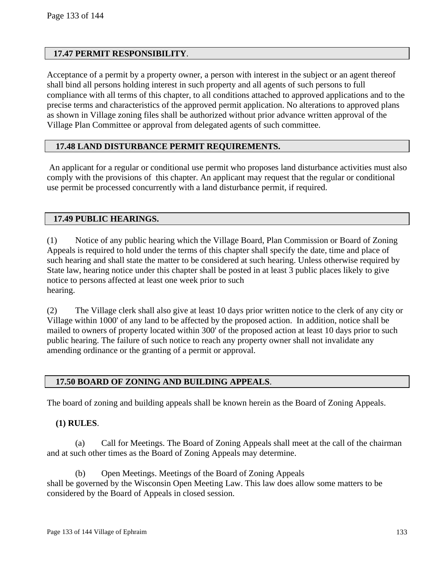## **17.47 PERMIT RESPONSIBILITY**.

Acceptance of a permit by a property owner, a person with interest in the subject or an agent thereof shall bind all persons holding interest in such property and all agents of such persons to full compliance with all terms of this chapter, to all conditions attached to approved applications and to the precise terms and characteristics of the approved permit application. No alterations to approved plans as shown in Village zoning files shall be authorized without prior advance written approval of the Village Plan Committee or approval from delegated agents of such committee.

## **17.48 LAND DISTURBANCE PERMIT REQUIREMENTS.**

An applicant for a regular or conditional use permit who proposes land disturbance activities must also comply with the provisions of this chapter. An applicant may request that the regular or conditional use permit be processed concurrently with a land disturbance permit, if required.

## **17.49 PUBLIC HEARINGS.**

(1) Notice of any public hearing which the Village Board, Plan Commission or Board of Zoning Appeals is required to hold under the terms of this chapter shall specify the date, time and place of such hearing and shall state the matter to be considered at such hearing. Unless otherwise required by State law, hearing notice under this chapter shall be posted in at least 3 public places likely to give notice to persons affected at least one week prior to such hearing.

(2) The Village clerk shall also give at least 10 days prior written notice to the clerk of any city or Village within 1000' of any land to be affected by the proposed action. In addition, notice shall be mailed to owners of property located within 300' of the proposed action at least 10 days prior to such public hearing. The failure of such notice to reach any property owner shall not invalidate any amending ordinance or the granting of a permit or approval.

## **17.50 BOARD OF ZONING AND BUILDING APPEALS**.

The board of zoning and building appeals shall be known herein as the Board of Zoning Appeals.

## **(1) RULES**.

(a) Call for Meetings. The Board of Zoning Appeals shall meet at the call of the chairman and at such other times as the Board of Zoning Appeals may determine.

(b) Open Meetings. Meetings of the Board of Zoning Appeals shall be governed by the Wisconsin Open Meeting Law. This law does allow some matters to be considered by the Board of Appeals in closed session.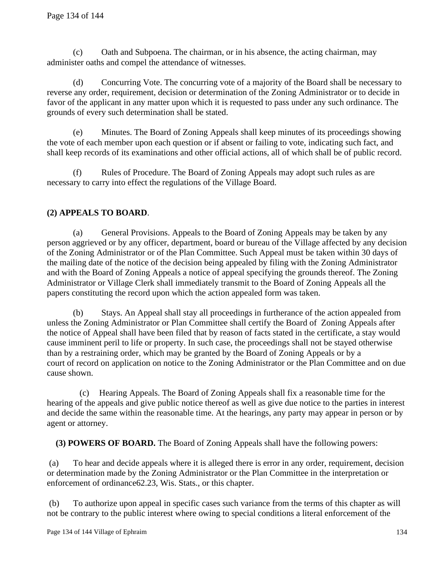(c) Oath and Subpoena. The chairman, or in his absence, the acting chairman, may administer oaths and compel the attendance of witnesses.

 (d) Concurring Vote. The concurring vote of a majority of the Board shall be necessary to reverse any order, requirement, decision or determination of the Zoning Administrator or to decide in favor of the applicant in any matter upon which it is requested to pass under any such ordinance. The grounds of every such determination shall be stated.

(e) Minutes. The Board of Zoning Appeals shall keep minutes of its proceedings showing the vote of each member upon each question or if absent or failing to vote, indicating such fact, and shall keep records of its examinations and other official actions, all of which shall be of public record.

(f) Rules of Procedure. The Board of Zoning Appeals may adopt such rules as are necessary to carry into effect the regulations of the Village Board.

## **(2) APPEALS TO BOARD**.

(a) General Provisions. Appeals to the Board of Zoning Appeals may be taken by any person aggrieved or by any officer, department, board or bureau of the Village affected by any decision of the Zoning Administrator or of the Plan Committee. Such Appeal must be taken within 30 days of the mailing date of the notice of the decision being appealed by filing with the Zoning Administrator and with the Board of Zoning Appeals a notice of appeal specifying the grounds thereof. The Zoning Administrator or Village Clerk shall immediately transmit to the Board of Zoning Appeals all the papers constituting the record upon which the action appealed form was taken.

(b) Stays. An Appeal shall stay all proceedings in furtherance of the action appealed from unless the Zoning Administrator or Plan Committee shall certify the Board of Zoning Appeals after the notice of Appeal shall have been filed that by reason of facts stated in the certificate, a stay would cause imminent peril to life or property. In such case, the proceedings shall not be stayed otherwise than by a restraining order, which may be granted by the Board of Zoning Appeals or by a court of record on application on notice to the Zoning Administrator or the Plan Committee and on due cause shown.

 (c) Hearing Appeals. The Board of Zoning Appeals shall fix a reasonable time for the hearing of the appeals and give public notice thereof as well as give due notice to the parties in interest and decide the same within the reasonable time. At the hearings, any party may appear in person or by agent or attorney.

**(3) POWERS OF BOARD.** The Board of Zoning Appeals shall have the following powers:

(a) To hear and decide appeals where it is alleged there is error in any order, requirement, decision or determination made by the Zoning Administrator or the Plan Committee in the interpretation or enforcement of ordinance62.23, Wis. Stats., or this chapter.

(b) To authorize upon appeal in specific cases such variance from the terms of this chapter as will not be contrary to the public interest where owing to special conditions a literal enforcement of the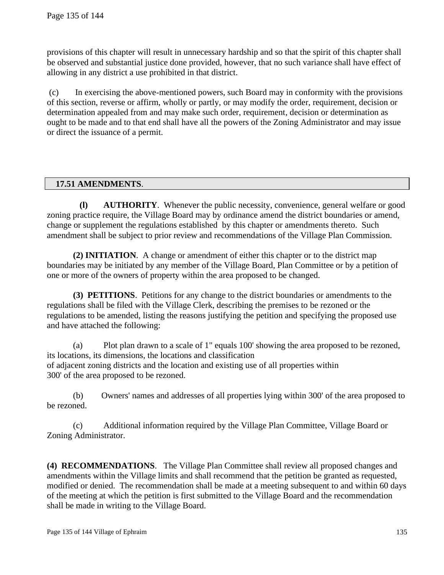provisions of this chapter will result in unnecessary hardship and so that the spirit of this chapter shall be observed and substantial justice done provided, however, that no such variance shall have effect of allowing in any district a use prohibited in that district.

(c) In exercising the above-mentioned powers, such Board may in conformity with the provisions of this section, reverse or affirm, wholly or partly, or may modify the order, requirement, decision or determination appealed from and may make such order, requirement, decision or determination as ought to be made and to that end shall have all the powers of the Zoning Administrator and may issue or direct the issuance of a permit.

## **17.51 AMENDMENTS**.

 **(l) AUTHORITY**. Whenever the public necessity, convenience, general welfare or good zoning practice require, the Village Board may by ordinance amend the district boundaries or amend, change or supplement the regulations established by this chapter or amendments thereto. Such amendment shall be subject to prior review and recommendations of the Village Plan Commission.

 **(2) INITIATION**. A change or amendment of either this chapter or to the district map boundaries may be initiated by any member of the Village Board, Plan Committee or by a petition of one or more of the owners of property within the area proposed to be changed.

 **(3) PETITIONS**. Petitions for any change to the district boundaries or amendments to the regulations shall be filed with the Village Clerk, describing the premises to be rezoned or the regulations to be amended, listing the reasons justifying the petition and specifying the proposed use and have attached the following:

 (a) Plot plan drawn to a scale of 1" equals 100' showing the area proposed to be rezoned, its locations, its dimensions, the locations and classification of adjacent zoning districts and the location and existing use of all properties within 300' of the area proposed to be rezoned.

(b) Owners' names and addresses of all properties lying within 300' of the area proposed to be rezoned.

(c) Additional information required by the Village Plan Committee, Village Board or Zoning Administrator.

**(4) RECOMMENDATIONS**. The Village Plan Committee shall review all proposed changes and amendments within the Village limits and shall recommend that the petition be granted as requested, modified or denied. The recommendation shall be made at a meeting subsequent to and within 60 days of the meeting at which the petition is first submitted to the Village Board and the recommendation shall be made in writing to the Village Board.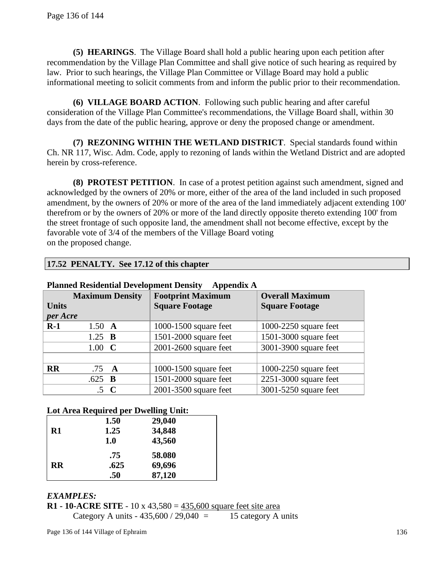**(5) HEARINGS**. The Village Board shall hold a public hearing upon each petition after recommendation by the Village Plan Committee and shall give notice of such hearing as required by law. Prior to such hearings, the Village Plan Committee or Village Board may hold a public informational meeting to solicit comments from and inform the public prior to their recommendation.

 **(6) VILLAGE BOARD ACTION**. Following such public hearing and after careful consideration of the Village Plan Committee's recommendations, the Village Board shall, within 30 days from the date of the public hearing, approve or deny the proposed change or amendment.

 **(7) REZONING WITHIN THE WETLAND DISTRICT**. Special standards found within Ch. NR 117, Wisc. Adm. Code, apply to rezoning of lands within the Wetland District and are adopted herein by cross-reference.

 **(8) PROTEST PETITION**. In case of a protest petition against such amendment, signed and acknowledged by the owners of 20% or more, either of the area of the land included in such proposed amendment, by the owners of 20% or more of the area of the land immediately adjacent extending 100' therefrom or by the owners of 20% or more of the land directly opposite thereto extending 100' from the street frontage of such opposite land, the amendment shall not become effective, except by the favorable vote of 3/4 of the members of the Village Board voting on the proposed change.

| Planned Residential Development Density<br>Appendix A |                          |                        |
|-------------------------------------------------------|--------------------------|------------------------|
| <b>Maximum Density</b>                                | <b>Footprint Maximum</b> | <b>Overall Maximum</b> |
| <b>Units</b>                                          | <b>Square Footage</b>    | <b>Square Footage</b>  |
| per Acre                                              |                          |                        |
| $R-1$<br>$1.50 \text{ A}$                             | 1000-1500 square feet    | 1000-2250 square feet  |
| $1.25$ <b>B</b>                                       | 1501-2000 square feet    | 1501-3000 square feet  |
| $1.00 \quad C$                                        | 2001-2600 square feet    | 3001-3900 square feet  |
|                                                       |                          |                        |
| <b>RR</b><br>$.75\quad\mathbf{A}$                     | 1000-1500 square feet    | 1000-2250 square feet  |
| $.625$ <b>B</b>                                       | 1501-2000 square feet    | 2251-3000 square feet  |
| $.5 \text{ C}$                                        | 2001-3500 square feet    | 3001-5250 square feet  |

#### **17.52 PENALTY. See 17.12 of this chapter**

## **Planned Residential Development Density Appendix A**

#### **Lot Area Required per Dwelling Unit:**

|               | 1.50 | 29,040 |  |
|---------------|------|--------|--|
| $\mathbf{R}1$ | 1.25 | 34,848 |  |
|               | 1.0  | 43,560 |  |
|               | .75  | 58.080 |  |
| <b>RR</b>     | .625 | 69,696 |  |
|               | .50  | 87,120 |  |

## *EXAMPLES:*

**R1 - 10-ACRE SITE** - 10 x 43,580 = 435,600 square feet site area Category A units -  $435,600 / 29,040 = 15$  category A units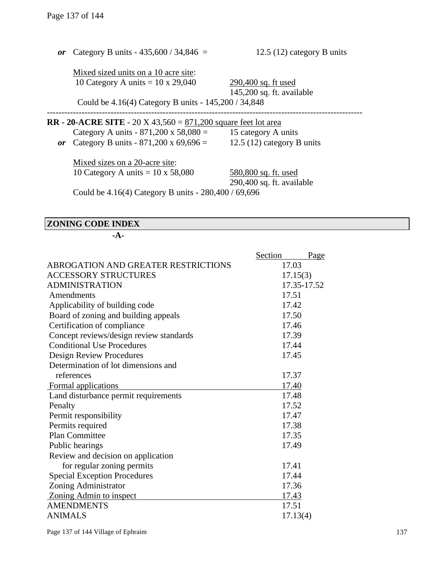| <b>or</b> | Category B units - $435,600 / 34,846 =$                               | $12.5(12)$ category B units                        |
|-----------|-----------------------------------------------------------------------|----------------------------------------------------|
|           | Mixed sized units on a 10 acre site:                                  |                                                    |
|           | 10 Category A units = $10 \times 29,040$                              | 290,400 sq. ft used<br>$145,200$ sq. ft. available |
|           | Could be 4.16(4) Category B units - 145,200 / 34,848                  |                                                    |
|           | <b>RR</b> - 20-ACRE SITE - 20 X 43,560 = 871,200 square feet lot area |                                                    |
|           | Category A units - $871,200 \times 58,080 =$                          | 15 category A units                                |
| or        | Category B units - 871,200 x 69,696 =                                 | $12.5(12)$ category B units                        |
|           | Mixed sizes on a 20-acre site:                                        |                                                    |
|           | 10 Category A units = $10 \times 58,080$                              | 580,800 sq. ft. used                               |
|           |                                                                       | 290,400 sq. ft. available                          |
|           | Could be 4.16(4) Category B units - 280,400 / 69,696                  |                                                    |

# **ZONING CODE INDEX**

**-A-**

|                                         | Section  | <u>Page</u> |
|-----------------------------------------|----------|-------------|
| ABROGATION AND GREATER RESTRICTIONS     | 17.03    |             |
| <b>ACCESSORY STRUCTURES</b>             | 17.15(3) |             |
| <b>ADMINISTRATION</b>                   |          | 17.35-17.52 |
| Amendments                              | 17.51    |             |
| Applicability of building code          | 17.42    |             |
| Board of zoning and building appeals    | 17.50    |             |
| Certification of compliance             | 17.46    |             |
| Concept reviews/design review standards | 17.39    |             |
| <b>Conditional Use Procedures</b>       | 17.44    |             |
| <b>Design Review Procedures</b>         | 17.45    |             |
| Determination of lot dimensions and     |          |             |
| references                              | 17.37    |             |
| Formal applications                     | 17.40    |             |
| Land disturbance permit requirements    | 17.48    |             |
| Penalty                                 | 17.52    |             |
| Permit responsibility                   | 17.47    |             |
| Permits required                        | 17.38    |             |
| <b>Plan Committee</b>                   | 17.35    |             |
| Public hearings                         | 17.49    |             |
| Review and decision on application      |          |             |
| for regular zoning permits              | 17.41    |             |
| <b>Special Exception Procedures</b>     | 17.44    |             |
| Zoning Administrator                    | 17.36    |             |
| Zoning Admin to inspect                 | 17.43    |             |
| <b>AMENDMENTS</b>                       | 17.51    |             |
| <b>ANIMALS</b>                          | 17.13(4) |             |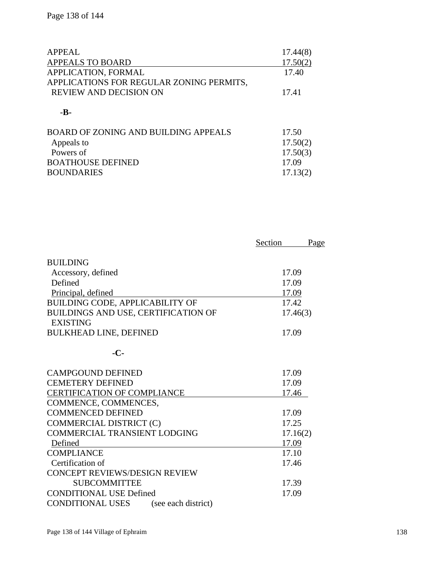| APPEAL                                   | 17.44(8) |
|------------------------------------------|----------|
| APPEALS TO BOARD                         | 17.50(2) |
| APPLICATION, FORMAL                      | 17.40    |
| APPLICATIONS FOR REGULAR ZONING PERMITS, |          |
| <b>REVIEW AND DECISION ON</b>            | 17.41    |

## -**B-**

| <b>BOARD OF ZONING AND BUILDING APPEALS</b> | 17.50    |
|---------------------------------------------|----------|
| Appeals to                                  | 17.50(2) |
| Powers of                                   | 17.50(3) |
| <b>BOATHOUSE DEFINED</b>                    | 17.09    |
| <b>BOUNDARIES</b>                           | 17.13(2) |
|                                             |          |

|                                                        | Page<br>Section |
|--------------------------------------------------------|-----------------|
| <b>BUILDING</b>                                        |                 |
| Accessory, defined                                     | 17.09           |
| Defined                                                | 17.09           |
| Principal, defined                                     | 17.09           |
| BUILDING CODE, APPLICABILITY OF                        | 17.42           |
| BUILDINGS AND USE, CERTIFICATION OF<br><b>EXISTING</b> | 17.46(3)        |
| <b>BULKHEAD LINE, DEFINED</b>                          | 17.09           |
| $-C-$                                                  |                 |
| <b>CAMPGOUND DEFINED</b>                               | 17.09           |
| <b>CEMETERY DEFINED</b>                                | 17.09           |
| <b>CERTIFICATION OF COMPLIANCE</b>                     | 17.46           |
| COMMENCE, COMMENCES,                                   |                 |
| <b>COMMENCED DEFINED</b>                               | 17.09           |
| COMMERCIAL DISTRICT (C)                                | 17.25           |
| <b>COMMERCIAL TRANSIENT LODGING</b>                    | 17.16(2)        |
| Defined                                                | 17.09           |
| <b>COMPLIANCE</b>                                      | 17.10           |
| Certification of                                       | 17.46           |
| <b>CONCEPT REVIEWS/DESIGN REVIEW</b>                   |                 |
| <b>SUBCOMMITTEE</b>                                    | 17.39           |
| <b>CONDITIONAL USE Defined</b>                         | 17.09           |
| <b>CONDITIONAL USES</b><br>(see each district)         |                 |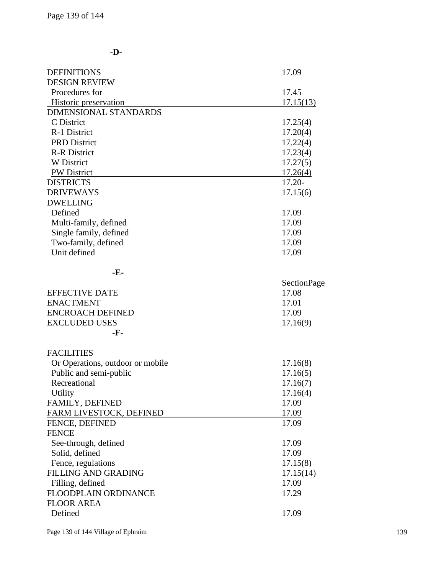- **D -**

| <b>DEFINITIONS</b>               | 17.09              |
|----------------------------------|--------------------|
| <b>DESIGN REVIEW</b>             |                    |
| Procedures for                   | 17.45              |
| Historic preservation            | 17.15(13)          |
| <b>DIMENSIONAL STANDARDS</b>     |                    |
| C District                       | 17.25(4)           |
| R-1 District                     | 17.20(4)           |
| <b>PRD</b> District              | 17.22(4)           |
| <b>R-R District</b>              | 17.23(4)           |
| <b>W</b> District                | 17.27(5)           |
| PW District                      | 17.26(4)           |
| <b>DISTRICTS</b>                 | $17.20 -$          |
| <b>DRIVEWAYS</b>                 | 17.15(6)           |
| <b>DWELLING</b>                  |                    |
| Defined                          | 17.09              |
| Multi-family, defined            | 17.09              |
| Single family, defined           | 17.09              |
| Two-family, defined              | 17.09              |
| Unit defined                     | 17.09              |
|                                  |                    |
| $-E$ -                           |                    |
|                                  | <b>SectionPage</b> |
| <b>EFFECTIVE DATE</b>            | 17.08              |
| <b>ENACTMENT</b>                 | 17.01              |
| <b>ENCROACH DEFINED</b>          | 17.09              |
| <b>EXCLUDED USES</b>             | 17.16(9)           |
| -F-                              |                    |
|                                  |                    |
| <b>FACILITIES</b>                |                    |
| Or Operations, outdoor or mobile | 17.16(8)           |
| Public and semi-public           | 17.16(5)           |
| Recreational                     | 17.16(7)           |
| <b>Utility</b>                   | 17.16(4)           |
| FAMILY, DEFINED                  | 17.09              |
| FARM LIVESTOCK, DEFINED          | 17.09              |
| FENCE, DEFINED                   | 17.09              |
| <b>FENCE</b>                     |                    |
| See-through, defined             | 17.09              |
| Solid, defined                   | 17.09              |
| Fence, regulations               | 17.15(8)           |
| <b>FILLING AND GRADING</b>       | 17.15(14)          |
| Filling, defined                 | 17.09              |
| FLOODPLAIN ORDINANCE             | 17.29              |
| <b>FLOOR AREA</b>                |                    |
| Defined                          | 17.09              |
|                                  |                    |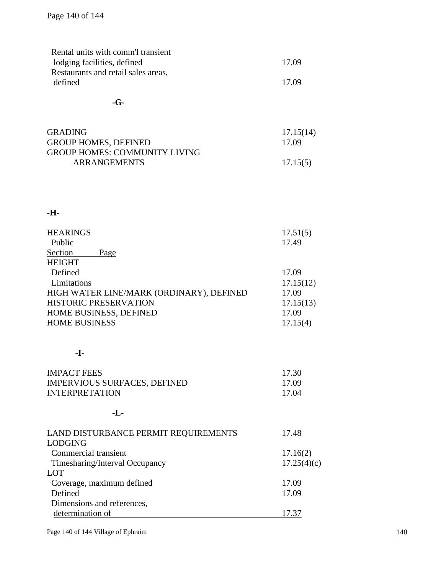| Rental units with comm'l transient  |       |
|-------------------------------------|-------|
| lodging facilities, defined         | 17.09 |
| Restaurants and retail sales areas, |       |
| defined                             | 17.09 |

## **-G-**

| GRADING                              | 17.15(14) |
|--------------------------------------|-----------|
| <b>GROUP HOMES, DEFINED</b>          | 17.09     |
| <b>GROUP HOMES: COMMUNITY LIVING</b> |           |
| <b>ARRANGEMENTS</b>                  | 17.15(5)  |
|                                      |           |

## **-H-**

| <b>HEARINGS</b><br>Public                | 17.51(5)<br>17.49 |
|------------------------------------------|-------------------|
| Section<br>Page                          |                   |
| <b>HEIGHT</b>                            |                   |
| Defined                                  | 17.09             |
| Limitations                              | 17.15(12)         |
| HIGH WATER LINE/MARK (ORDINARY), DEFINED | 17.09             |
| <b>HISTORIC PRESERVATION</b>             | 17.15(13)         |
| <b>HOME BUSINESS, DEFINED</b>            | 17.09             |
| <b>HOME BUSINESS</b>                     | 17.15(4)          |

## **-I-**

| <b>IMPACT FEES</b>                  | 17.30 |
|-------------------------------------|-------|
| <b>IMPERVIOUS SURFACES, DEFINED</b> | 17.09 |
| <b>INTERPRETATION</b>               | 17.04 |

**-L-**

| LAND DISTURBANCE PERMIT REQUIREMENTS | 17.48       |
|--------------------------------------|-------------|
| <b>LODGING</b>                       |             |
| Commercial transient                 | 17.16(2)    |
| Timesharing/Interval Occupancy       | 17.25(4)(c) |
| <b>LOT</b>                           |             |
| Coverage, maximum defined            | 17.09       |
| Defined                              | 17.09       |
| Dimensions and references,           |             |
| determination of                     | 17.37       |

Page 140 of 144 Village of Ephraim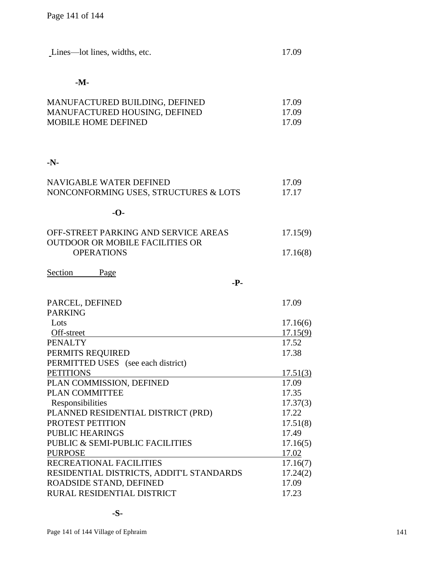Lines—lot lines, widths, etc. 17.09

## **-M-**

| MANUFACTURED BUILDING, DEFINED | -17.09  |
|--------------------------------|---------|
| MANUFACTURED HOUSING, DEFINED  | -17.09  |
| <b>MOBILE HOME DEFINED</b>     | - 17.09 |

## **-N-**

| NAVIGABLE WATER DEFINED               | 17.09 |
|---------------------------------------|-------|
| NONCONFORMING USES, STRUCTURES & LOTS | 17.17 |

**-O-**

| OFF-STREET PARKING AND SERVICE AREAS   | 17.15(9) |
|----------------------------------------|----------|
| <b>OUTDOOR OR MOBILE FACILITIES OR</b> |          |
| <b>OPERATIONS</b>                      | 17.16(8) |

Section Page

**-P-**

| PARCEL, DEFINED                            | 17.09    |
|--------------------------------------------|----------|
| <b>PARKING</b>                             |          |
| Lots                                       | 17.16(6) |
| Off-street                                 | 17.15(9) |
| <b>PENALTY</b>                             | 17.52    |
| PERMITS REQUIRED                           | 17.38    |
| PERMITTED USES (see each district)         |          |
| <b>PETITIONS</b>                           | 17.51(3) |
| PLAN COMMISSION, DEFINED                   | 17.09    |
| <b>PLAN COMMITTEE</b>                      | 17.35    |
| Responsibilities                           | 17.37(3) |
| PLANNED RESIDENTIAL DISTRICT (PRD)         | 17.22    |
| PROTEST PETITION                           | 17.51(8) |
| <b>PUBLIC HEARINGS</b>                     | 17.49    |
| <b>PUBLIC &amp; SEMI-PUBLIC FACILITIES</b> | 17.16(5) |
| <b>PURPOSE</b>                             | 17.02    |
| RECREATIONAL FACILITIES                    | 17.16(7) |
| RESIDENTIAL DISTRICTS, ADDIT'L STANDARDS   | 17.24(2) |
| ROADSIDE STAND, DEFINED                    | 17.09    |
| RURAL RESIDENTIAL DISTRICT                 | 17.23    |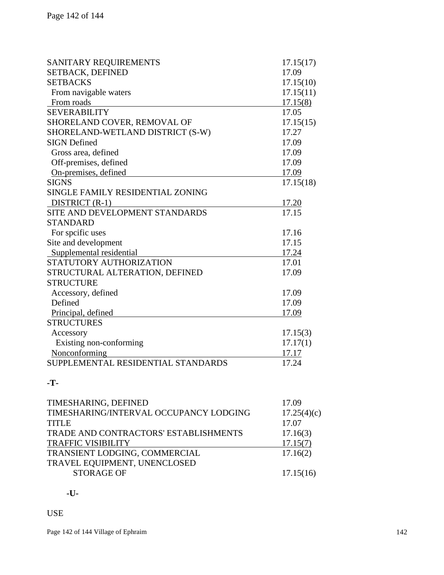| SANITARY REQUIREMENTS              | 17.15(17)    |
|------------------------------------|--------------|
| SETBACK, DEFINED                   | 17.09        |
| <b>SETBACKS</b>                    | 17.15(10)    |
| From navigable waters              | 17.15(11)    |
| From roads                         | 17.15(8)     |
| <b>SEVERABILITY</b>                | 17.05        |
| SHORELAND COVER, REMOVAL OF        | 17.15(15)    |
| SHORELAND-WETLAND DISTRICT (S-W)   | 17.27        |
| <b>SIGN Defined</b>                | 17.09        |
| Gross area, defined                | 17.09        |
| Off-premises, defined              | 17.09        |
| On-premises, defined               | 17.09        |
| <b>SIGNS</b>                       | 17.15(18)    |
| SINGLE FAMILY RESIDENTIAL ZONING   |              |
| DISTRICT (R-1)                     | <u>17.20</u> |
| SITE AND DEVELOPMENT STANDARDS     | 17.15        |
| <b>STANDARD</b>                    |              |
| For spcific uses                   | 17.16        |
| Site and development               | 17.15        |
| Supplemental residential           | 17.24        |
| STATUTORY AUTHORIZATION            | 17.01        |
| STRUCTURAL ALTERATION, DEFINED     | 17.09        |
| <b>STRUCTURE</b>                   |              |
| Accessory, defined                 | 17.09        |
| Defined                            | 17.09        |
| Principal, defined                 | 17.09        |
| <b>STRUCTURES</b>                  |              |
| Accessory                          | 17.15(3)     |
| Existing non-conforming            | 17.17(1)     |
| Nonconforming                      | 17.17        |
| SUPPLEMENTAL RESIDENTIAL STANDARDS | 17.24        |
|                                    |              |

# **-T-**

| TIMESHARING, DEFINED                   | 17.09       |
|----------------------------------------|-------------|
| TIMESHARING/INTERVAL OCCUPANCY LODGING | 17.25(4)(c) |
| <b>TITLE</b>                           | 17.07       |
| TRADE AND CONTRACTORS' ESTABLISHMENTS  | 17.16(3)    |
| <b>TRAFFIC VISIBILITY</b>              | 17.15(7)    |
| TRANSIENT LODGING, COMMERCIAL          | 17.16(2)    |
| TRAVEL EQUIPMENT, UNENCLOSED           |             |
| <b>STORAGE OF</b>                      | 17.15(16)   |
|                                        |             |

# **-U-**

USE

Page 142 of 144 Village of Ephraim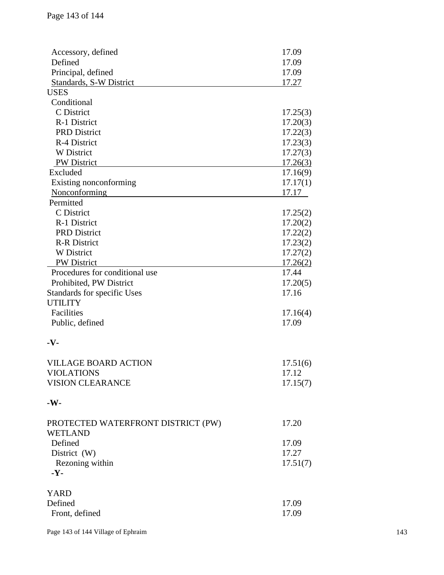| Accessory, defined                 | 17.09    |
|------------------------------------|----------|
| Defined                            | 17.09    |
| Principal, defined                 | 17.09    |
| Standards, S-W District            | 17.27    |
| <b>USES</b>                        |          |
| Conditional                        |          |
| C District                         | 17.25(3) |
| R-1 District                       | 17.20(3) |
| <b>PRD District</b>                | 17.22(3) |
| R-4 District                       | 17.23(3) |
| <b>W</b> District                  | 17.27(3) |
| <b>PW District</b>                 | 17.26(3) |
| Excluded                           | 17.16(9) |
| Existing nonconforming             | 17.17(1) |
| Nonconforming                      | 17.17    |
| Permitted                          |          |
| C District                         | 17.25(2) |
| R-1 District                       | 17.20(2) |
| <b>PRD District</b>                | 17.22(2) |
| <b>R-R District</b>                | 17.23(2) |
| <b>W</b> District                  | 17.27(2) |
| <b>PW District</b>                 | 17.26(2) |
| Procedures for conditional use     | 17.44    |
| Prohibited, PW District            | 17.20(5) |
| Standards for specific Uses        | 17.16    |
| <b>UTILITY</b>                     |          |
| Facilities                         | 17.16(4) |
| Public, defined                    | 17.09    |
|                                    |          |
| -V-                                |          |
| <b>VILLAGE BOARD ACTION</b>        | 17.51(6) |
| <b>VIOLATIONS</b>                  | 17.12    |
| <b>VISION CLEARANCE</b>            | 17.15(7) |
|                                    |          |
| $-W-$                              |          |
| PROTECTED WATERFRONT DISTRICT (PW) | 17.20    |
| <b>WETLAND</b>                     |          |
| Defined                            | 17.09    |
| District (W)                       | 17.27    |
| Rezoning within                    | 17.51(7) |
| -Y-                                |          |
| <b>YARD</b>                        |          |
| Defined                            | 17.09    |
| Front, defined                     | 17.09    |
|                                    |          |

Page 143 of 144 Village of Ephraim